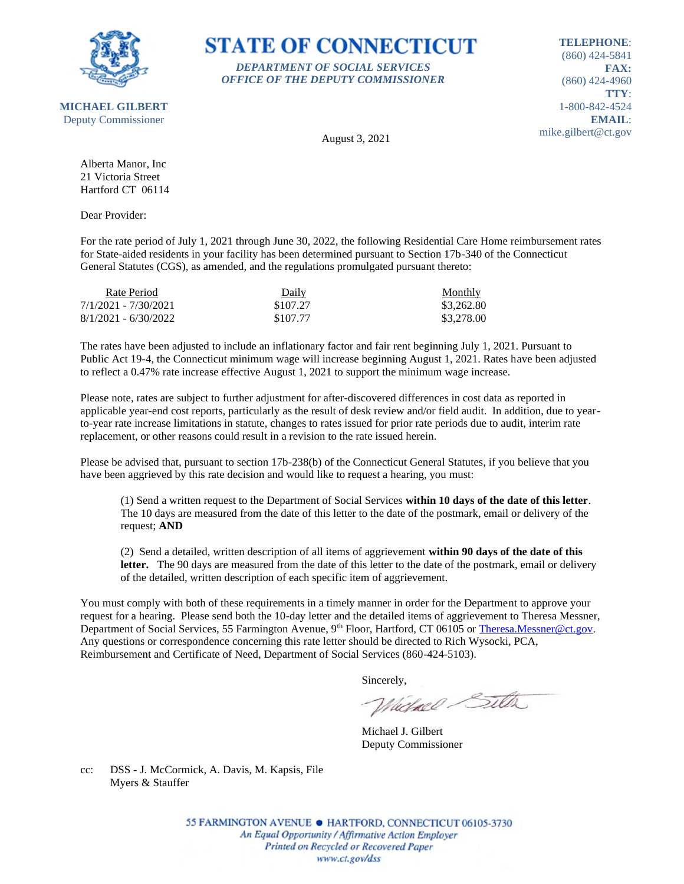

**TELEPHONE**: (860) 424-5841 **FAX:** (860) 424-4960 **TTY**: 1-800-842-4524 **EMAIL**: mike.gilbert@ct.gov

August 3, 2021

*DEPARTMENT OF SOCIAL SERVICES OFFICE OF THE DEPUTY COMMISSIONER*

**STATE OF CONNECTICUT** 

Alberta Manor, Inc 21 Victoria Street Hartford CT 06114

Dear Provider:

For the rate period of July 1, 2021 through June 30, 2022, the following Residential Care Home reimbursement rates for State-aided residents in your facility has been determined pursuant to Section 17b-340 of the Connecticut General Statutes (CGS), as amended, and the regulations promulgated pursuant thereto:

| Rate Period            | Daily    | Monthly    |
|------------------------|----------|------------|
| 7/1/2021 - 7/30/2021   | \$107.27 | \$3,262.80 |
| $8/1/2021 - 6/30/2022$ | \$107.77 | \$3,278.00 |

The rates have been adjusted to include an inflationary factor and fair rent beginning July 1, 2021. Pursuant to Public Act 19-4, the Connecticut minimum wage will increase beginning August 1, 2021. Rates have been adjusted to reflect a 0.47% rate increase effective August 1, 2021 to support the minimum wage increase.

Please note, rates are subject to further adjustment for after-discovered differences in cost data as reported in applicable year-end cost reports, particularly as the result of desk review and/or field audit. In addition, due to yearto-year rate increase limitations in statute, changes to rates issued for prior rate periods due to audit, interim rate replacement, or other reasons could result in a revision to the rate issued herein.

Please be advised that, pursuant to section 17b-238(b) of the Connecticut General Statutes, if you believe that you have been aggrieved by this rate decision and would like to request a hearing, you must:

(1) Send a written request to the Department of Social Services **within 10 days of the date of this letter**. The 10 days are measured from the date of this letter to the date of the postmark, email or delivery of the request; **AND**

(2) Send a detailed, written description of all items of aggrievement **within 90 days of the date of this**  letter. The 90 days are measured from the date of this letter to the date of the postmark, email or delivery of the detailed, written description of each specific item of aggrievement.

You must comply with both of these requirements in a timely manner in order for the Department to approve your request for a hearing. Please send both the 10-day letter and the detailed items of aggrievement to Theresa Messner, Department of Social Services, 55 Farmington Avenue, 9<sup>th</sup> Floor, Hartford, CT 06105 or [Theresa.Messner@ct.gov.](mailto:Theresa.Messner@ct.gov) Any questions or correspondence concerning this rate letter should be directed to Rich Wysocki, PCA, Reimbursement and Certificate of Need, Department of Social Services (860-424-5103).

Sincerely,

Victorel Sitter

Michael J. Gilbert Deputy Commissioner

cc: DSS - J. McCormick, A. Davis, M. Kapsis, File Myers & Stauffer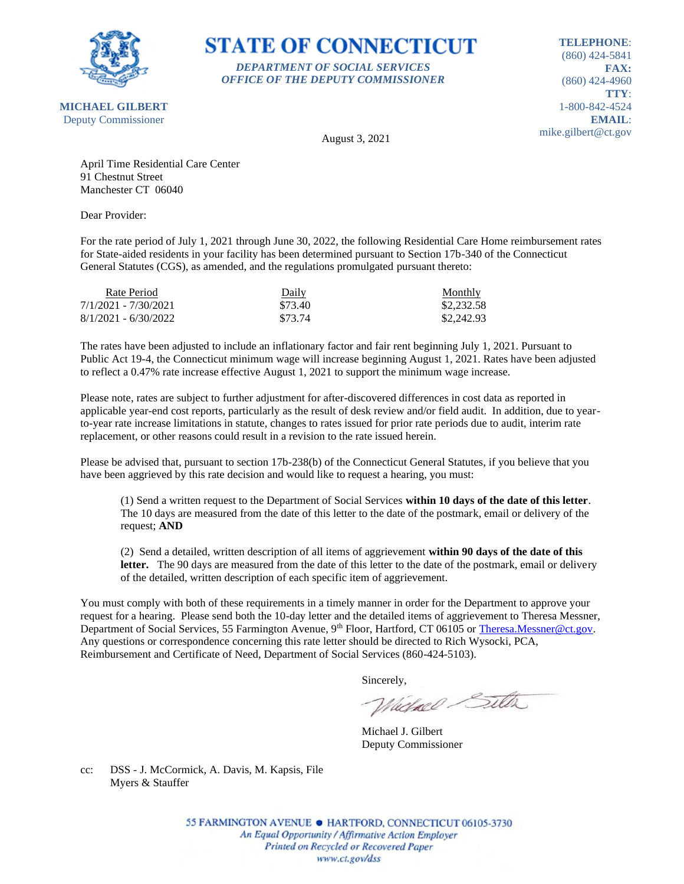

### **STATE OF CONNECTICUT** *DEPARTMENT OF SOCIAL SERVICES*

*OFFICE OF THE DEPUTY COMMISSIONER*

**TELEPHONE**: (860) 424-5841 **FAX:** (860) 424-4960 **TTY**: 1-800-842-4524 **EMAIL**: mike.gilbert@ct.gov

August 3, 2021

April Time Residential Care Center 91 Chestnut Street Manchester CT 06040

Dear Provider:

For the rate period of July 1, 2021 through June 30, 2022, the following Residential Care Home reimbursement rates for State-aided residents in your facility has been determined pursuant to Section 17b-340 of the Connecticut General Statutes (CGS), as amended, and the regulations promulgated pursuant thereto:

| Rate Period            | Daily   | Monthly    |
|------------------------|---------|------------|
| 7/1/2021 - 7/30/2021   | \$73.40 | \$2,232.58 |
| $8/1/2021 - 6/30/2022$ | \$73.74 | \$2,242.93 |

The rates have been adjusted to include an inflationary factor and fair rent beginning July 1, 2021. Pursuant to Public Act 19-4, the Connecticut minimum wage will increase beginning August 1, 2021. Rates have been adjusted to reflect a 0.47% rate increase effective August 1, 2021 to support the minimum wage increase.

Please note, rates are subject to further adjustment for after-discovered differences in cost data as reported in applicable year-end cost reports, particularly as the result of desk review and/or field audit. In addition, due to yearto-year rate increase limitations in statute, changes to rates issued for prior rate periods due to audit, interim rate replacement, or other reasons could result in a revision to the rate issued herein.

Please be advised that, pursuant to section 17b-238(b) of the Connecticut General Statutes, if you believe that you have been aggrieved by this rate decision and would like to request a hearing, you must:

(1) Send a written request to the Department of Social Services **within 10 days of the date of this letter**. The 10 days are measured from the date of this letter to the date of the postmark, email or delivery of the request; **AND**

(2) Send a detailed, written description of all items of aggrievement **within 90 days of the date of this**  letter. The 90 days are measured from the date of this letter to the date of the postmark, email or delivery of the detailed, written description of each specific item of aggrievement.

You must comply with both of these requirements in a timely manner in order for the Department to approve your request for a hearing. Please send both the 10-day letter and the detailed items of aggrievement to Theresa Messner, Department of Social Services, 55 Farmington Avenue, 9<sup>th</sup> Floor, Hartford, CT 06105 or [Theresa.Messner@ct.gov.](mailto:Theresa.Messner@ct.gov) Any questions or correspondence concerning this rate letter should be directed to Rich Wysocki, PCA, Reimbursement and Certificate of Need, Department of Social Services (860-424-5103).

Sincerely,

Victorel Sitter

Michael J. Gilbert Deputy Commissioner

cc: DSS - J. McCormick, A. Davis, M. Kapsis, File Myers & Stauffer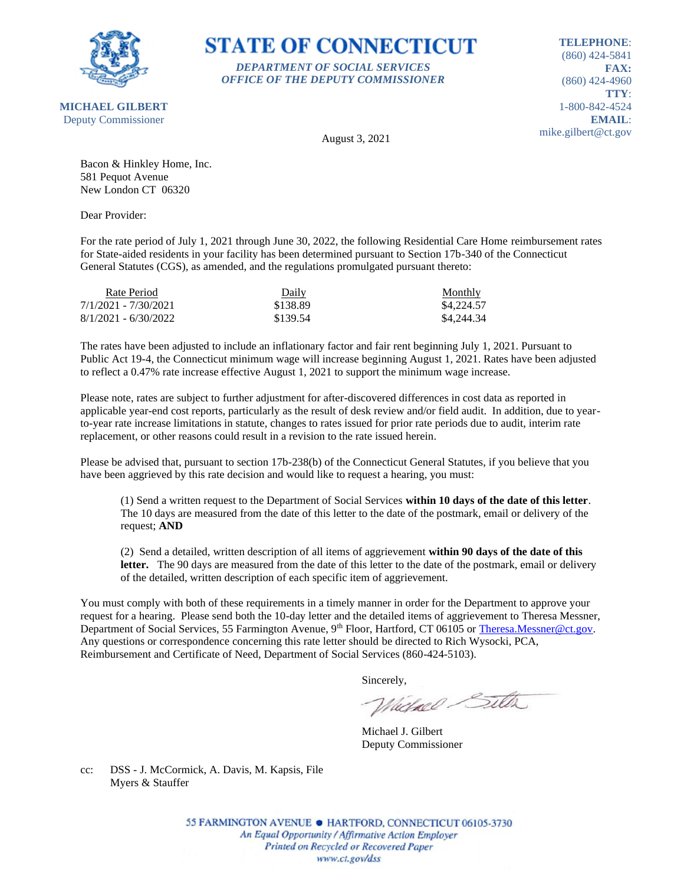

**STATE OF CONNECTICUT** *DEPARTMENT OF SOCIAL SERVICES*

*OFFICE OF THE DEPUTY COMMISSIONER*

**TELEPHONE**: (860) 424-5841 **FAX:** (860) 424-4960 **TTY**: 1-800-842-4524 **EMAIL**: mike.gilbert@ct.gov

August 3, 2021

Bacon & Hinkley Home, Inc. 581 Pequot Avenue New London CT 06320

Dear Provider:

For the rate period of July 1, 2021 through June 30, 2022, the following Residential Care Home reimbursement rates for State-aided residents in your facility has been determined pursuant to Section 17b-340 of the Connecticut General Statutes (CGS), as amended, and the regulations promulgated pursuant thereto:

| Rate Period            | Daily    | <b>Monthly</b> |
|------------------------|----------|----------------|
| 7/1/2021 - 7/30/2021   | \$138.89 | \$4,224.57     |
| $8/1/2021 - 6/30/2022$ | \$139.54 | \$4,244.34     |

The rates have been adjusted to include an inflationary factor and fair rent beginning July 1, 2021. Pursuant to Public Act 19-4, the Connecticut minimum wage will increase beginning August 1, 2021. Rates have been adjusted to reflect a 0.47% rate increase effective August 1, 2021 to support the minimum wage increase.

Please note, rates are subject to further adjustment for after-discovered differences in cost data as reported in applicable year-end cost reports, particularly as the result of desk review and/or field audit. In addition, due to yearto-year rate increase limitations in statute, changes to rates issued for prior rate periods due to audit, interim rate replacement, or other reasons could result in a revision to the rate issued herein.

Please be advised that, pursuant to section 17b-238(b) of the Connecticut General Statutes, if you believe that you have been aggrieved by this rate decision and would like to request a hearing, you must:

(1) Send a written request to the Department of Social Services **within 10 days of the date of this letter**. The 10 days are measured from the date of this letter to the date of the postmark, email or delivery of the request; **AND**

(2) Send a detailed, written description of all items of aggrievement **within 90 days of the date of this**  letter. The 90 days are measured from the date of this letter to the date of the postmark, email or delivery of the detailed, written description of each specific item of aggrievement.

You must comply with both of these requirements in a timely manner in order for the Department to approve your request for a hearing. Please send both the 10-day letter and the detailed items of aggrievement to Theresa Messner, Department of Social Services, 55 Farmington Avenue, 9<sup>th</sup> Floor, Hartford, CT 06105 or [Theresa.Messner@ct.gov.](mailto:Theresa.Messner@ct.gov) Any questions or correspondence concerning this rate letter should be directed to Rich Wysocki, PCA, Reimbursement and Certificate of Need, Department of Social Services (860-424-5103).

Sincerely,

Victorel Sitter

Michael J. Gilbert Deputy Commissioner

cc: DSS - J. McCormick, A. Davis, M. Kapsis, File Myers & Stauffer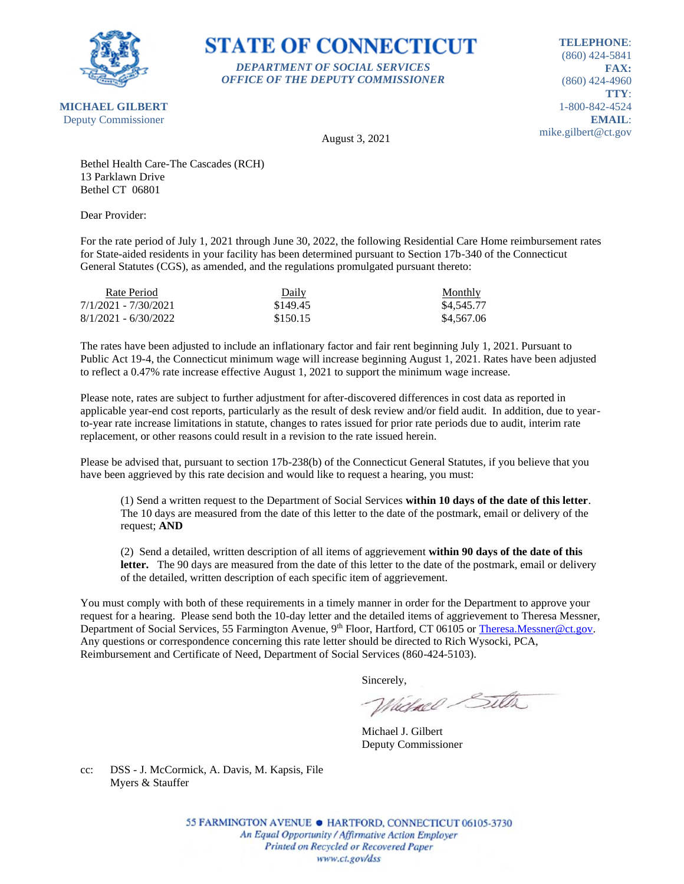

#### **STATE OF CONNECTICUT** *DEPARTMENT OF SOCIAL SERVICES*

*OFFICE OF THE DEPUTY COMMISSIONER*

**TELEPHONE**: (860) 424-5841 **FAX:** (860) 424-4960 **TTY**: 1-800-842-4524 **EMAIL**: mike.gilbert@ct.gov

August 3, 2021

Bethel Health Care-The Cascades (RCH) 13 Parklawn Drive Bethel CT 06801

Dear Provider:

For the rate period of July 1, 2021 through June 30, 2022, the following Residential Care Home reimbursement rates for State-aided residents in your facility has been determined pursuant to Section 17b-340 of the Connecticut General Statutes (CGS), as amended, and the regulations promulgated pursuant thereto:

| Rate Period            | Daily    | <b>Monthly</b> |
|------------------------|----------|----------------|
| 7/1/2021 - 7/30/2021   | \$149.45 | \$4.545.77     |
| $8/1/2021 - 6/30/2022$ | \$150.15 | \$4,567.06     |

The rates have been adjusted to include an inflationary factor and fair rent beginning July 1, 2021. Pursuant to Public Act 19-4, the Connecticut minimum wage will increase beginning August 1, 2021. Rates have been adjusted to reflect a 0.47% rate increase effective August 1, 2021 to support the minimum wage increase.

Please note, rates are subject to further adjustment for after-discovered differences in cost data as reported in applicable year-end cost reports, particularly as the result of desk review and/or field audit. In addition, due to yearto-year rate increase limitations in statute, changes to rates issued for prior rate periods due to audit, interim rate replacement, or other reasons could result in a revision to the rate issued herein.

Please be advised that, pursuant to section 17b-238(b) of the Connecticut General Statutes, if you believe that you have been aggrieved by this rate decision and would like to request a hearing, you must:

(1) Send a written request to the Department of Social Services **within 10 days of the date of this letter**. The 10 days are measured from the date of this letter to the date of the postmark, email or delivery of the request; **AND**

(2) Send a detailed, written description of all items of aggrievement **within 90 days of the date of this**  letter. The 90 days are measured from the date of this letter to the date of the postmark, email or delivery of the detailed, written description of each specific item of aggrievement.

You must comply with both of these requirements in a timely manner in order for the Department to approve your request for a hearing. Please send both the 10-day letter and the detailed items of aggrievement to Theresa Messner, Department of Social Services, 55 Farmington Avenue, 9<sup>th</sup> Floor, Hartford, CT 06105 or [Theresa.Messner@ct.gov.](mailto:Theresa.Messner@ct.gov) Any questions or correspondence concerning this rate letter should be directed to Rich Wysocki, PCA, Reimbursement and Certificate of Need, Department of Social Services (860-424-5103).

Sincerely,

Victorel Sitter

Michael J. Gilbert Deputy Commissioner

cc: DSS - J. McCormick, A. Davis, M. Kapsis, File Myers & Stauffer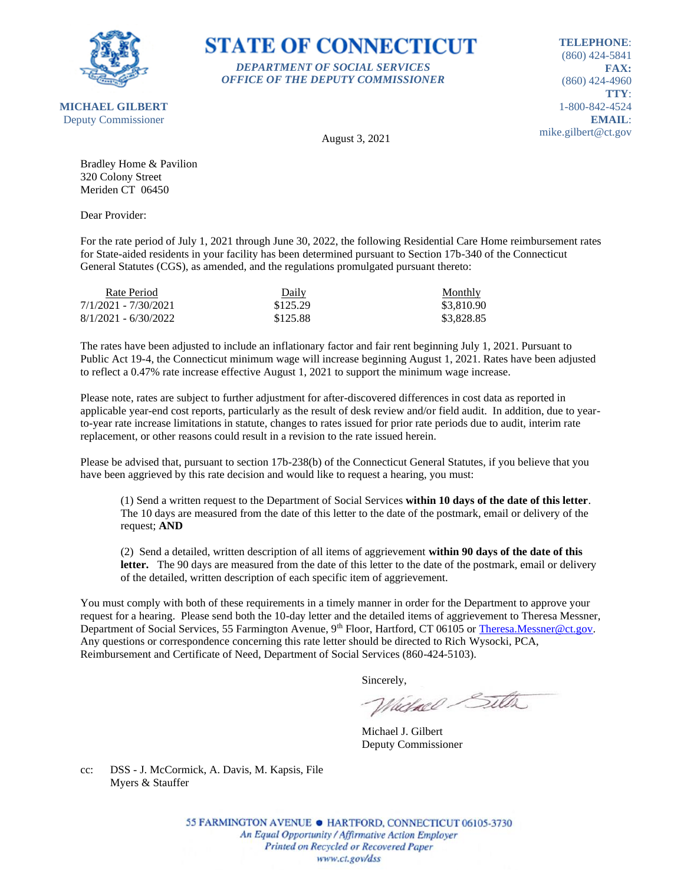

#### **STATE OF CONNECTICUT** *DEPARTMENT OF SOCIAL SERVICES*

*OFFICE OF THE DEPUTY COMMISSIONER*

**TELEPHONE**: (860) 424-5841 **FAX:** (860) 424-4960 **TTY**: 1-800-842-4524 **EMAIL**: mike.gilbert@ct.gov

August 3, 2021

Bradley Home & Pavilion 320 Colony Street Meriden CT 06450

Dear Provider:

For the rate period of July 1, 2021 through June 30, 2022, the following Residential Care Home reimbursement rates for State-aided residents in your facility has been determined pursuant to Section 17b-340 of the Connecticut General Statutes (CGS), as amended, and the regulations promulgated pursuant thereto:

| Rate Period            | Daily    | Monthly    |
|------------------------|----------|------------|
| 7/1/2021 - 7/30/2021   | \$125.29 | \$3,810.90 |
| $8/1/2021 - 6/30/2022$ | \$125.88 | \$3,828.85 |

The rates have been adjusted to include an inflationary factor and fair rent beginning July 1, 2021. Pursuant to Public Act 19-4, the Connecticut minimum wage will increase beginning August 1, 2021. Rates have been adjusted to reflect a 0.47% rate increase effective August 1, 2021 to support the minimum wage increase.

Please note, rates are subject to further adjustment for after-discovered differences in cost data as reported in applicable year-end cost reports, particularly as the result of desk review and/or field audit. In addition, due to yearto-year rate increase limitations in statute, changes to rates issued for prior rate periods due to audit, interim rate replacement, or other reasons could result in a revision to the rate issued herein.

Please be advised that, pursuant to section 17b-238(b) of the Connecticut General Statutes, if you believe that you have been aggrieved by this rate decision and would like to request a hearing, you must:

(1) Send a written request to the Department of Social Services **within 10 days of the date of this letter**. The 10 days are measured from the date of this letter to the date of the postmark, email or delivery of the request; **AND**

(2) Send a detailed, written description of all items of aggrievement **within 90 days of the date of this**  letter. The 90 days are measured from the date of this letter to the date of the postmark, email or delivery of the detailed, written description of each specific item of aggrievement.

You must comply with both of these requirements in a timely manner in order for the Department to approve your request for a hearing. Please send both the 10-day letter and the detailed items of aggrievement to Theresa Messner, Department of Social Services, 55 Farmington Avenue, 9<sup>th</sup> Floor, Hartford, CT 06105 or [Theresa.Messner@ct.gov.](mailto:Theresa.Messner@ct.gov) Any questions or correspondence concerning this rate letter should be directed to Rich Wysocki, PCA, Reimbursement and Certificate of Need, Department of Social Services (860-424-5103).

Sincerely,

Victorel Sitter

Michael J. Gilbert Deputy Commissioner

cc: DSS - J. McCormick, A. Davis, M. Kapsis, File Myers & Stauffer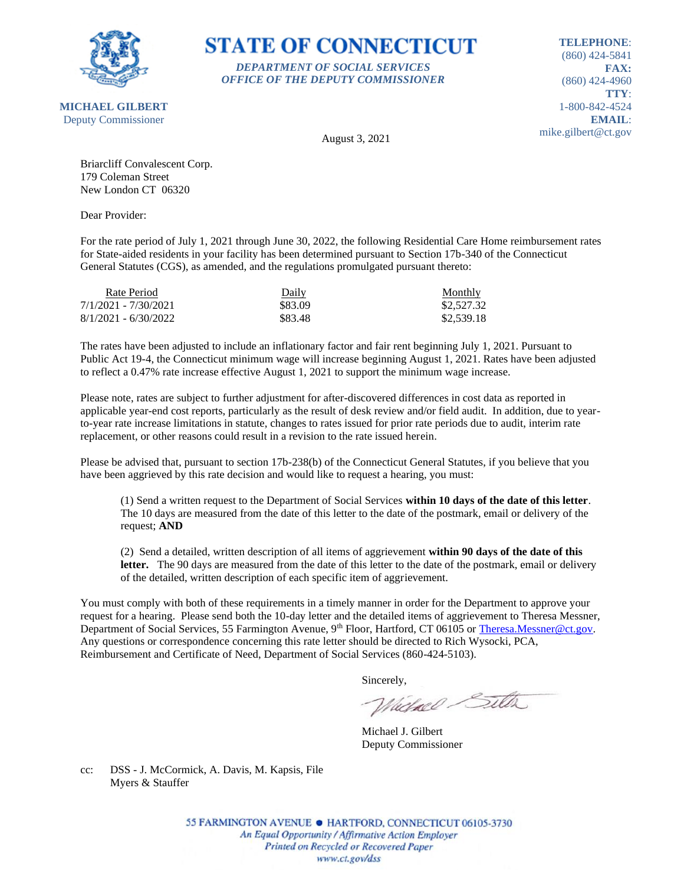

#### **STATE OF CONNECTICUT** *DEPARTMENT OF SOCIAL SERVICES*

*OFFICE OF THE DEPUTY COMMISSIONER*

**TELEPHONE**: (860) 424-5841 **FAX:** (860) 424-4960 **TTY**: 1-800-842-4524 **EMAIL**: mike.gilbert@ct.gov

August 3, 2021

Briarcliff Convalescent Corp. 179 Coleman Street New London CT 06320

Dear Provider:

For the rate period of July 1, 2021 through June 30, 2022, the following Residential Care Home reimbursement rates for State-aided residents in your facility has been determined pursuant to Section 17b-340 of the Connecticut General Statutes (CGS), as amended, and the regulations promulgated pursuant thereto:

| Rate Period            | Daily   | <b>Monthly</b> |
|------------------------|---------|----------------|
| 7/1/2021 - 7/30/2021   | \$83.09 | \$2,527.32     |
| $8/1/2021 - 6/30/2022$ | \$83.48 | \$2,539.18     |

The rates have been adjusted to include an inflationary factor and fair rent beginning July 1, 2021. Pursuant to Public Act 19-4, the Connecticut minimum wage will increase beginning August 1, 2021. Rates have been adjusted to reflect a 0.47% rate increase effective August 1, 2021 to support the minimum wage increase.

Please note, rates are subject to further adjustment for after-discovered differences in cost data as reported in applicable year-end cost reports, particularly as the result of desk review and/or field audit. In addition, due to yearto-year rate increase limitations in statute, changes to rates issued for prior rate periods due to audit, interim rate replacement, or other reasons could result in a revision to the rate issued herein.

Please be advised that, pursuant to section 17b-238(b) of the Connecticut General Statutes, if you believe that you have been aggrieved by this rate decision and would like to request a hearing, you must:

(1) Send a written request to the Department of Social Services **within 10 days of the date of this letter**. The 10 days are measured from the date of this letter to the date of the postmark, email or delivery of the request; **AND**

(2) Send a detailed, written description of all items of aggrievement **within 90 days of the date of this**  letter. The 90 days are measured from the date of this letter to the date of the postmark, email or delivery of the detailed, written description of each specific item of aggrievement.

You must comply with both of these requirements in a timely manner in order for the Department to approve your request for a hearing. Please send both the 10-day letter and the detailed items of aggrievement to Theresa Messner, Department of Social Services, 55 Farmington Avenue, 9<sup>th</sup> Floor, Hartford, CT 06105 or [Theresa.Messner@ct.gov.](mailto:Theresa.Messner@ct.gov) Any questions or correspondence concerning this rate letter should be directed to Rich Wysocki, PCA, Reimbursement and Certificate of Need, Department of Social Services (860-424-5103).

Sincerely,

Victorel Sitter

Michael J. Gilbert Deputy Commissioner

cc: DSS - J. McCormick, A. Davis, M. Kapsis, File Myers & Stauffer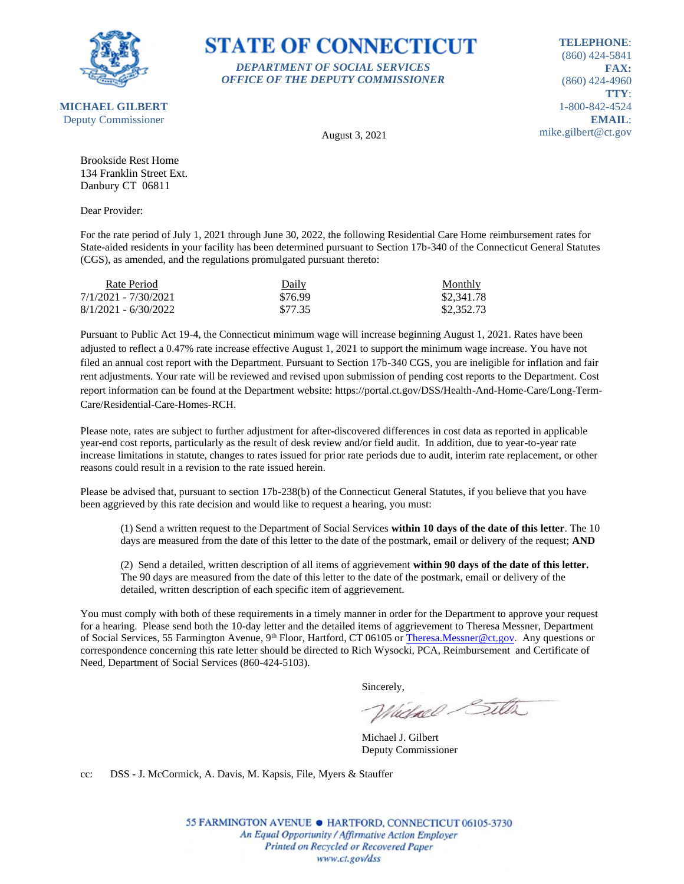

#### **STATE OF CONNECTICUT** *DEPARTMENT OF SOCIAL SERVICES*

*OFFICE OF THE DEPUTY COMMISSIONER*

**TELEPHONE**: (860) 424-5841 **FAX:** (860) 424-4960 **TTY**: 1-800-842-4524 **EMAIL**: mike.gilbert@ct.gov

August 3, 2021

Brookside Rest Home 134 Franklin Street Ext. Danbury CT 06811

Dear Provider:

For the rate period of July 1, 2021 through June 30, 2022, the following Residential Care Home reimbursement rates for State-aided residents in your facility has been determined pursuant to Section 17b-340 of the Connecticut General Statutes (CGS), as amended, and the regulations promulgated pursuant thereto:

| Rate Period            | Daily   | <b>Monthly</b> |
|------------------------|---------|----------------|
| 7/1/2021 - 7/30/2021   | \$76.99 | \$2,341.78     |
| $8/1/2021 - 6/30/2022$ | \$77.35 | \$2,352.73     |

Pursuant to Public Act 19-4, the Connecticut minimum wage will increase beginning August 1, 2021. Rates have been adjusted to reflect a 0.47% rate increase effective August 1, 2021 to support the minimum wage increase. You have not filed an annual cost report with the Department. Pursuant to Section 17b-340 CGS, you are ineligible for inflation and fair rent adjustments. Your rate will be reviewed and revised upon submission of pending cost reports to the Department. Cost report information can be found at the Department website: https://portal.ct.gov/DSS/Health-And-Home-Care/Long-Term-Care/Residential-Care-Homes-RCH.

Please note, rates are subject to further adjustment for after-discovered differences in cost data as reported in applicable year-end cost reports, particularly as the result of desk review and/or field audit. In addition, due to year-to-year rate increase limitations in statute, changes to rates issued for prior rate periods due to audit, interim rate replacement, or other reasons could result in a revision to the rate issued herein.

Please be advised that, pursuant to section 17b-238(b) of the Connecticut General Statutes, if you believe that you have been aggrieved by this rate decision and would like to request a hearing, you must:

(1) Send a written request to the Department of Social Services **within 10 days of the date of this letter**. The 10 days are measured from the date of this letter to the date of the postmark, email or delivery of the request; **AND**

(2) Send a detailed, written description of all items of aggrievement **within 90 days of the date of this letter.** The 90 days are measured from the date of this letter to the date of the postmark, email or delivery of the detailed, written description of each specific item of aggrievement.

You must comply with both of these requirements in a timely manner in order for the Department to approve your request for a hearing. Please send both the 10-day letter and the detailed items of aggrievement to Theresa Messner, Department of Social Services, 55 Farmington Avenue, 9<sup>th</sup> Floor, Hartford, CT 06105 o[r Theresa.Messner@ct.gov.](mailto:Theresa.Messner@ct.gov) Any questions or correspondence concerning this rate letter should be directed to Rich Wysocki, PCA, Reimbursement and Certificate of Need, Department of Social Services (860-424-5103).

Sincerely,

Whichael Sitter

Michael J. Gilbert Deputy Commissioner

cc: DSS - J. McCormick, A. Davis, M. Kapsis, File, Myers & Stauffer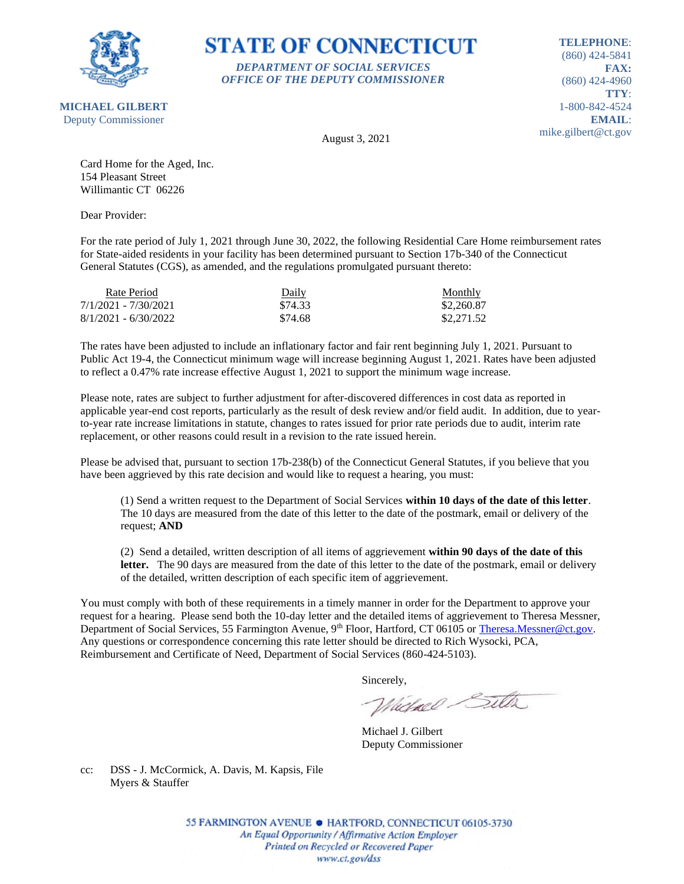

**STATE OF CONNECTICUT** *DEPARTMENT OF SOCIAL SERVICES*

*OFFICE OF THE DEPUTY COMMISSIONER*

**TELEPHONE**: (860) 424-5841 **FAX:** (860) 424-4960 **TTY**: 1-800-842-4524 **EMAIL**: mike.gilbert@ct.gov

August 3, 2021

Card Home for the Aged, Inc. 154 Pleasant Street Willimantic CT 06226

Dear Provider:

For the rate period of July 1, 2021 through June 30, 2022, the following Residential Care Home reimbursement rates for State-aided residents in your facility has been determined pursuant to Section 17b-340 of the Connecticut General Statutes (CGS), as amended, and the regulations promulgated pursuant thereto:

| Rate Period            | Daily   | Monthly    |
|------------------------|---------|------------|
| 7/1/2021 - 7/30/2021   | \$74.33 | \$2,260.87 |
| $8/1/2021 - 6/30/2022$ | \$74.68 | \$2,271.52 |

The rates have been adjusted to include an inflationary factor and fair rent beginning July 1, 2021. Pursuant to Public Act 19-4, the Connecticut minimum wage will increase beginning August 1, 2021. Rates have been adjusted to reflect a 0.47% rate increase effective August 1, 2021 to support the minimum wage increase.

Please note, rates are subject to further adjustment for after-discovered differences in cost data as reported in applicable year-end cost reports, particularly as the result of desk review and/or field audit. In addition, due to yearto-year rate increase limitations in statute, changes to rates issued for prior rate periods due to audit, interim rate replacement, or other reasons could result in a revision to the rate issued herein.

Please be advised that, pursuant to section 17b-238(b) of the Connecticut General Statutes, if you believe that you have been aggrieved by this rate decision and would like to request a hearing, you must:

(1) Send a written request to the Department of Social Services **within 10 days of the date of this letter**. The 10 days are measured from the date of this letter to the date of the postmark, email or delivery of the request; **AND**

(2) Send a detailed, written description of all items of aggrievement **within 90 days of the date of this**  letter. The 90 days are measured from the date of this letter to the date of the postmark, email or delivery of the detailed, written description of each specific item of aggrievement.

You must comply with both of these requirements in a timely manner in order for the Department to approve your request for a hearing. Please send both the 10-day letter and the detailed items of aggrievement to Theresa Messner, Department of Social Services, 55 Farmington Avenue, 9<sup>th</sup> Floor, Hartford, CT 06105 or [Theresa.Messner@ct.gov.](mailto:Theresa.Messner@ct.gov) Any questions or correspondence concerning this rate letter should be directed to Rich Wysocki, PCA, Reimbursement and Certificate of Need, Department of Social Services (860-424-5103).

Sincerely,

Victorel Sitter

Michael J. Gilbert Deputy Commissioner

cc: DSS - J. McCormick, A. Davis, M. Kapsis, File Myers & Stauffer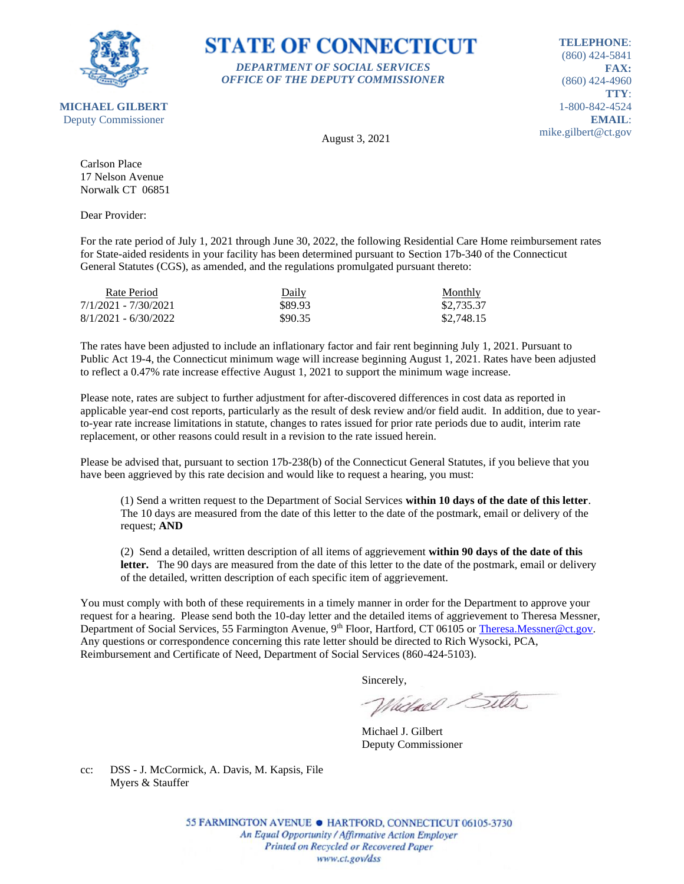

#### **STATE OF CONNECTICUT** *DEPARTMENT OF SOCIAL SERVICES*

*OFFICE OF THE DEPUTY COMMISSIONER*

**TELEPHONE**: (860) 424-5841 **FAX:** (860) 424-4960 **TTY**: 1-800-842-4524 **EMAIL**: mike.gilbert@ct.gov

August 3, 2021

Carlson Place 17 Nelson Avenue Norwalk CT 06851

Dear Provider:

For the rate period of July 1, 2021 through June 30, 2022, the following Residential Care Home reimbursement rates for State-aided residents in your facility has been determined pursuant to Section 17b-340 of the Connecticut General Statutes (CGS), as amended, and the regulations promulgated pursuant thereto:

| Rate Period            | Daily   | Monthly    |
|------------------------|---------|------------|
| 7/1/2021 - 7/30/2021   | \$89.93 | \$2,735.37 |
| $8/1/2021 - 6/30/2022$ | \$90.35 | \$2,748.15 |

The rates have been adjusted to include an inflationary factor and fair rent beginning July 1, 2021. Pursuant to Public Act 19-4, the Connecticut minimum wage will increase beginning August 1, 2021. Rates have been adjusted to reflect a 0.47% rate increase effective August 1, 2021 to support the minimum wage increase.

Please note, rates are subject to further adjustment for after-discovered differences in cost data as reported in applicable year-end cost reports, particularly as the result of desk review and/or field audit. In addition, due to yearto-year rate increase limitations in statute, changes to rates issued for prior rate periods due to audit, interim rate replacement, or other reasons could result in a revision to the rate issued herein.

Please be advised that, pursuant to section 17b-238(b) of the Connecticut General Statutes, if you believe that you have been aggrieved by this rate decision and would like to request a hearing, you must:

(1) Send a written request to the Department of Social Services **within 10 days of the date of this letter**. The 10 days are measured from the date of this letter to the date of the postmark, email or delivery of the request; **AND**

(2) Send a detailed, written description of all items of aggrievement **within 90 days of the date of this**  letter. The 90 days are measured from the date of this letter to the date of the postmark, email or delivery of the detailed, written description of each specific item of aggrievement.

You must comply with both of these requirements in a timely manner in order for the Department to approve your request for a hearing. Please send both the 10-day letter and the detailed items of aggrievement to Theresa Messner, Department of Social Services, 55 Farmington Avenue, 9<sup>th</sup> Floor, Hartford, CT 06105 or [Theresa.Messner@ct.gov.](mailto:Theresa.Messner@ct.gov) Any questions or correspondence concerning this rate letter should be directed to Rich Wysocki, PCA, Reimbursement and Certificate of Need, Department of Social Services (860-424-5103).

Sincerely,

Victorel Sitter

Michael J. Gilbert Deputy Commissioner

cc: DSS - J. McCormick, A. Davis, M. Kapsis, File Myers & Stauffer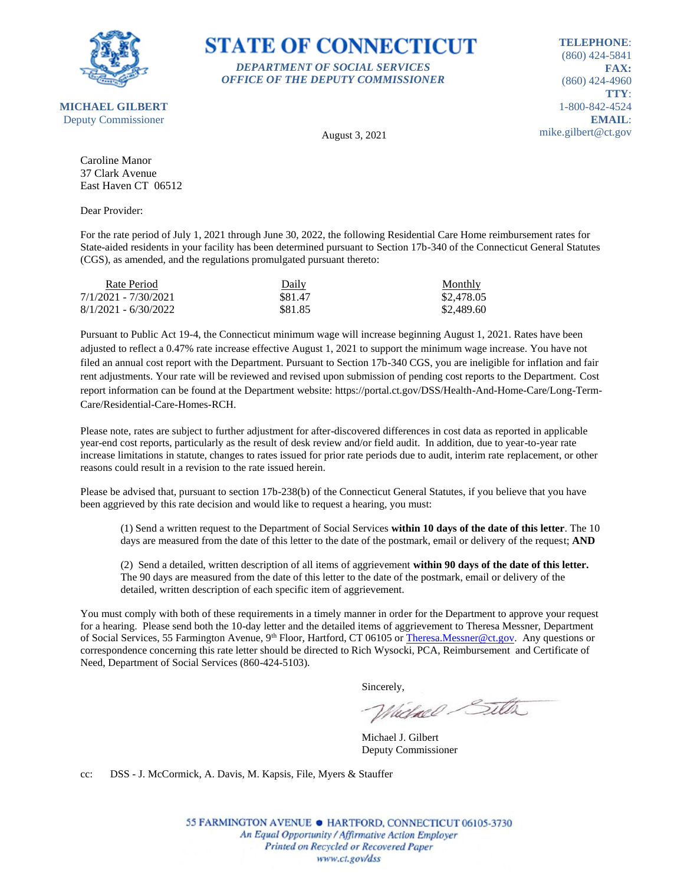

# **STATE OF CONNECTICUT**

*DEPARTMENT OF SOCIAL SERVICES OFFICE OF THE DEPUTY COMMISSIONER*

**TELEPHONE**: (860) 424-5841 **FAX:** (860) 424-4960 **TTY**: 1-800-842-4524 **EMAIL**: mike.gilbert@ct.gov

August 3, 2021

Caroline Manor 37 Clark Avenue East Haven CT 06512

Dear Provider:

For the rate period of July 1, 2021 through June 30, 2022, the following Residential Care Home reimbursement rates for State-aided residents in your facility has been determined pursuant to Section 17b-340 of the Connecticut General Statutes (CGS), as amended, and the regulations promulgated pursuant thereto:

| Rate Period            | <u>Daily</u> | Monthly    |
|------------------------|--------------|------------|
| 7/1/2021 - 7/30/2021   | \$81.47      | \$2,478.05 |
| $8/1/2021 - 6/30/2022$ | \$81.85      | \$2,489.60 |

Pursuant to Public Act 19-4, the Connecticut minimum wage will increase beginning August 1, 2021. Rates have been adjusted to reflect a 0.47% rate increase effective August 1, 2021 to support the minimum wage increase. You have not filed an annual cost report with the Department. Pursuant to Section 17b-340 CGS, you are ineligible for inflation and fair rent adjustments. Your rate will be reviewed and revised upon submission of pending cost reports to the Department. Cost report information can be found at the Department website: https://portal.ct.gov/DSS/Health-And-Home-Care/Long-Term-Care/Residential-Care-Homes-RCH.

Please note, rates are subject to further adjustment for after-discovered differences in cost data as reported in applicable year-end cost reports, particularly as the result of desk review and/or field audit. In addition, due to year-to-year rate increase limitations in statute, changes to rates issued for prior rate periods due to audit, interim rate replacement, or other reasons could result in a revision to the rate issued herein.

Please be advised that, pursuant to section 17b-238(b) of the Connecticut General Statutes, if you believe that you have been aggrieved by this rate decision and would like to request a hearing, you must:

(1) Send a written request to the Department of Social Services **within 10 days of the date of this letter**. The 10 days are measured from the date of this letter to the date of the postmark, email or delivery of the request; **AND**

(2) Send a detailed, written description of all items of aggrievement **within 90 days of the date of this letter.** The 90 days are measured from the date of this letter to the date of the postmark, email or delivery of the detailed, written description of each specific item of aggrievement.

You must comply with both of these requirements in a timely manner in order for the Department to approve your request for a hearing. Please send both the 10-day letter and the detailed items of aggrievement to Theresa Messner, Department of Social Services, 55 Farmington Avenue, 9<sup>th</sup> Floor, Hartford, CT 06105 o[r Theresa.Messner@ct.gov.](mailto:Theresa.Messner@ct.gov) Any questions or correspondence concerning this rate letter should be directed to Rich Wysocki, PCA, Reimbursement and Certificate of Need, Department of Social Services (860-424-5103).

Sincerely,

Whichael Sitter

Michael J. Gilbert Deputy Commissioner

cc: DSS - J. McCormick, A. Davis, M. Kapsis, File, Myers & Stauffer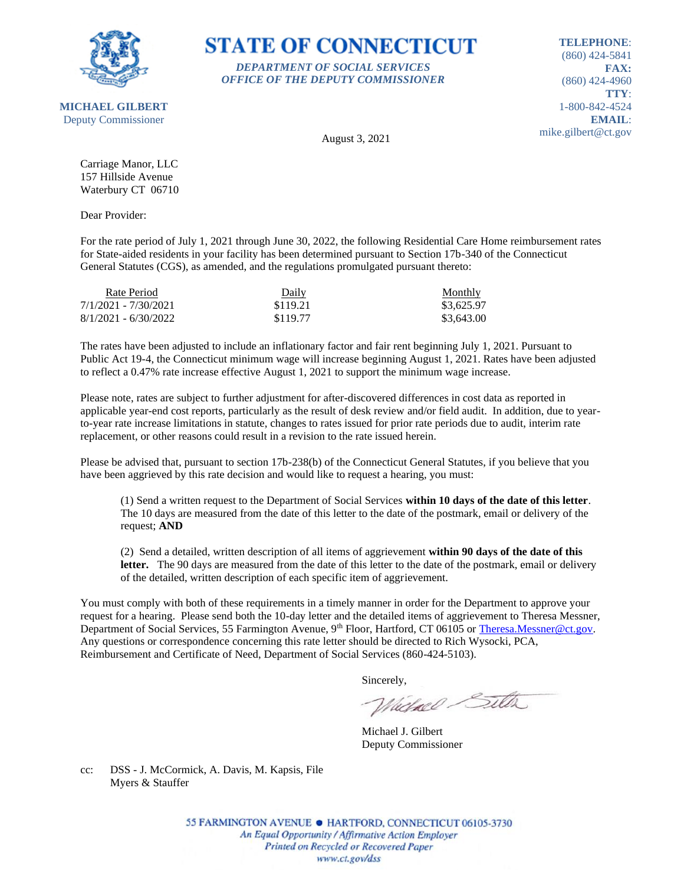

**STATE OF CONNECTICUT** *DEPARTMENT OF SOCIAL SERVICES*

*OFFICE OF THE DEPUTY COMMISSIONER*

**TELEPHONE**: (860) 424-5841 **FAX:** (860) 424-4960 **TTY**: 1-800-842-4524 **EMAIL**: mike.gilbert@ct.gov

August 3, 2021

Carriage Manor, LLC 157 Hillside Avenue Waterbury CT 06710

Dear Provider:

For the rate period of July 1, 2021 through June 30, 2022, the following Residential Care Home reimbursement rates for State-aided residents in your facility has been determined pursuant to Section 17b-340 of the Connecticut General Statutes (CGS), as amended, and the regulations promulgated pursuant thereto:

| Rate Period            | Daily    | <b>Monthly</b> |
|------------------------|----------|----------------|
| 7/1/2021 - 7/30/2021   | \$119.21 | \$3,625.97     |
| $8/1/2021 - 6/30/2022$ | \$119.77 | \$3,643.00     |

The rates have been adjusted to include an inflationary factor and fair rent beginning July 1, 2021. Pursuant to Public Act 19-4, the Connecticut minimum wage will increase beginning August 1, 2021. Rates have been adjusted to reflect a 0.47% rate increase effective August 1, 2021 to support the minimum wage increase.

Please note, rates are subject to further adjustment for after-discovered differences in cost data as reported in applicable year-end cost reports, particularly as the result of desk review and/or field audit. In addition, due to yearto-year rate increase limitations in statute, changes to rates issued for prior rate periods due to audit, interim rate replacement, or other reasons could result in a revision to the rate issued herein.

Please be advised that, pursuant to section 17b-238(b) of the Connecticut General Statutes, if you believe that you have been aggrieved by this rate decision and would like to request a hearing, you must:

(1) Send a written request to the Department of Social Services **within 10 days of the date of this letter**. The 10 days are measured from the date of this letter to the date of the postmark, email or delivery of the request; **AND**

(2) Send a detailed, written description of all items of aggrievement **within 90 days of the date of this**  letter. The 90 days are measured from the date of this letter to the date of the postmark, email or delivery of the detailed, written description of each specific item of aggrievement.

You must comply with both of these requirements in a timely manner in order for the Department to approve your request for a hearing. Please send both the 10-day letter and the detailed items of aggrievement to Theresa Messner, Department of Social Services, 55 Farmington Avenue, 9<sup>th</sup> Floor, Hartford, CT 06105 or [Theresa.Messner@ct.gov.](mailto:Theresa.Messner@ct.gov) Any questions or correspondence concerning this rate letter should be directed to Rich Wysocki, PCA, Reimbursement and Certificate of Need, Department of Social Services (860-424-5103).

Sincerely,

Victorel Sitter

Michael J. Gilbert Deputy Commissioner

cc: DSS - J. McCormick, A. Davis, M. Kapsis, File Myers & Stauffer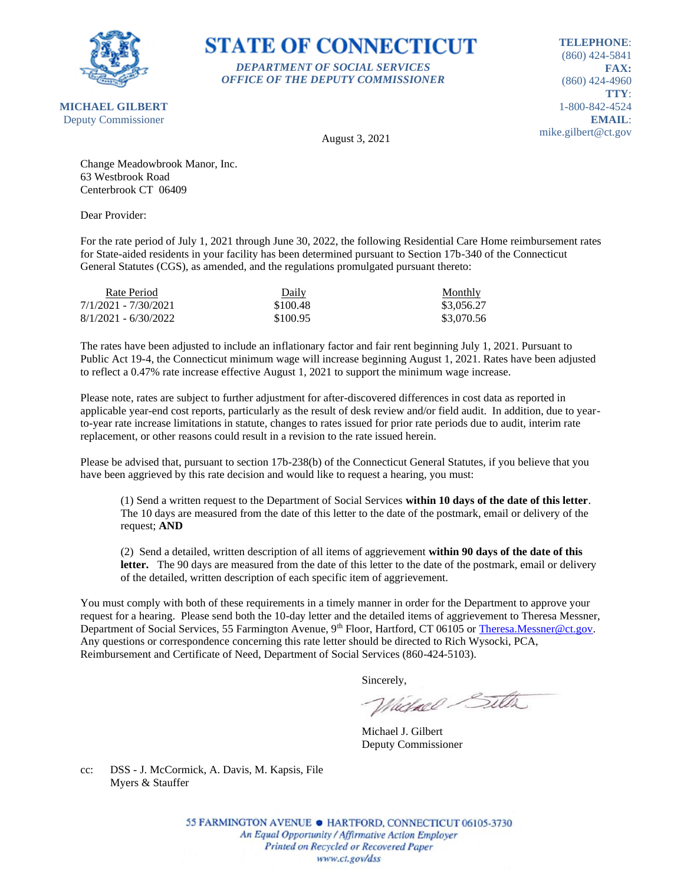

### **STATE OF CONNECTICUT** *DEPARTMENT OF SOCIAL SERVICES*

*OFFICE OF THE DEPUTY COMMISSIONER*

**TELEPHONE**: (860) 424-5841 **FAX:** (860) 424-4960 **TTY**: 1-800-842-4524 **EMAIL**: mike.gilbert@ct.gov

August 3, 2021

Change Meadowbrook Manor, Inc. 63 Westbrook Road Centerbrook CT 06409

Dear Provider:

For the rate period of July 1, 2021 through June 30, 2022, the following Residential Care Home reimbursement rates for State-aided residents in your facility has been determined pursuant to Section 17b-340 of the Connecticut General Statutes (CGS), as amended, and the regulations promulgated pursuant thereto:

| Rate Period            | Daily    | <b>Monthly</b> |
|------------------------|----------|----------------|
| 7/1/2021 - 7/30/2021   | \$100.48 | \$3,056.27     |
| $8/1/2021 - 6/30/2022$ | \$100.95 | \$3,070.56     |

The rates have been adjusted to include an inflationary factor and fair rent beginning July 1, 2021. Pursuant to Public Act 19-4, the Connecticut minimum wage will increase beginning August 1, 2021. Rates have been adjusted to reflect a 0.47% rate increase effective August 1, 2021 to support the minimum wage increase.

Please note, rates are subject to further adjustment for after-discovered differences in cost data as reported in applicable year-end cost reports, particularly as the result of desk review and/or field audit. In addition, due to yearto-year rate increase limitations in statute, changes to rates issued for prior rate periods due to audit, interim rate replacement, or other reasons could result in a revision to the rate issued herein.

Please be advised that, pursuant to section 17b-238(b) of the Connecticut General Statutes, if you believe that you have been aggrieved by this rate decision and would like to request a hearing, you must:

(1) Send a written request to the Department of Social Services **within 10 days of the date of this letter**. The 10 days are measured from the date of this letter to the date of the postmark, email or delivery of the request; **AND**

(2) Send a detailed, written description of all items of aggrievement **within 90 days of the date of this**  letter. The 90 days are measured from the date of this letter to the date of the postmark, email or delivery of the detailed, written description of each specific item of aggrievement.

You must comply with both of these requirements in a timely manner in order for the Department to approve your request for a hearing. Please send both the 10-day letter and the detailed items of aggrievement to Theresa Messner, Department of Social Services, 55 Farmington Avenue, 9<sup>th</sup> Floor, Hartford, CT 06105 or [Theresa.Messner@ct.gov.](mailto:Theresa.Messner@ct.gov) Any questions or correspondence concerning this rate letter should be directed to Rich Wysocki, PCA, Reimbursement and Certificate of Need, Department of Social Services (860-424-5103).

Sincerely,

Victorel Sitter

Michael J. Gilbert Deputy Commissioner

cc: DSS - J. McCormick, A. Davis, M. Kapsis, File Myers & Stauffer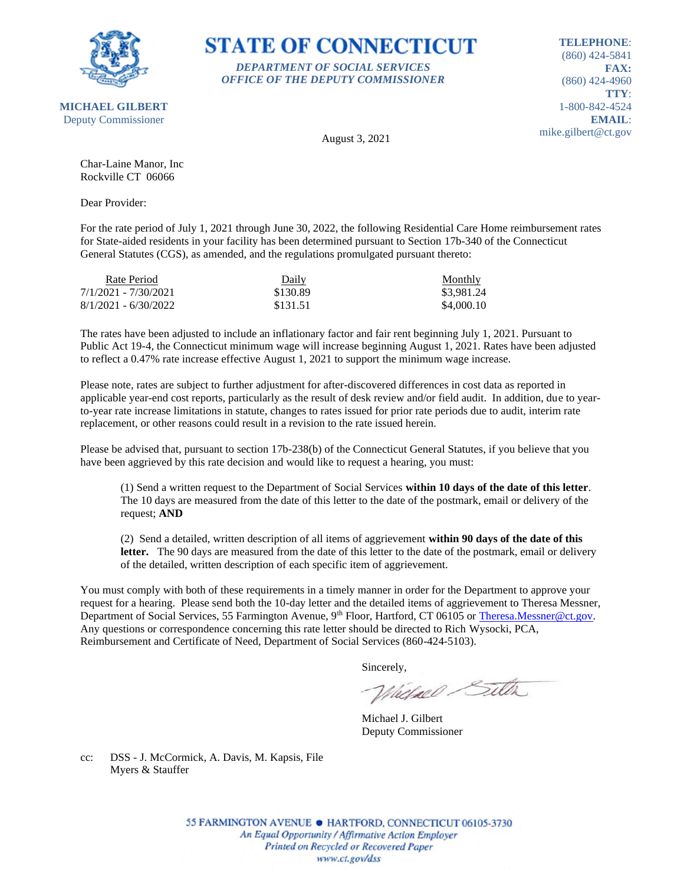

# **STATE OF CONNECTICUT** *DEPARTMENT OF SOCIAL SERVICES*

*OFFICE OF THE DEPUTY COMMISSIONER*

**TELEPHONE**: (860) 424-5841 **FAX:** (860) 424-4960 **TTY**: 1-800-842-4524 **EMAIL**: mike.gilbert@ct.gov

August 3, 2021

Char-Laine Manor, Inc Rockville CT 06066

Dear Provider:

For the rate period of July 1, 2021 through June 30, 2022, the following Residential Care Home reimbursement rates for State-aided residents in your facility has been determined pursuant to Section 17b-340 of the Connecticut General Statutes (CGS), as amended, and the regulations promulgated pursuant thereto:

| Rate Period            | Daily    | Monthly    |
|------------------------|----------|------------|
| 7/1/2021 - 7/30/2021   | \$130.89 | \$3,981.24 |
| $8/1/2021 - 6/30/2022$ | \$131.51 | \$4,000.10 |

The rates have been adjusted to include an inflationary factor and fair rent beginning July 1, 2021. Pursuant to Public Act 19-4, the Connecticut minimum wage will increase beginning August 1, 2021. Rates have been adjusted to reflect a 0.47% rate increase effective August 1, 2021 to support the minimum wage increase.

Please note, rates are subject to further adjustment for after-discovered differences in cost data as reported in applicable year-end cost reports, particularly as the result of desk review and/or field audit. In addition, due to yearto-year rate increase limitations in statute, changes to rates issued for prior rate periods due to audit, interim rate replacement, or other reasons could result in a revision to the rate issued herein.

Please be advised that, pursuant to section 17b-238(b) of the Connecticut General Statutes, if you believe that you have been aggrieved by this rate decision and would like to request a hearing, you must:

(1) Send a written request to the Department of Social Services **within 10 days of the date of this letter**. The 10 days are measured from the date of this letter to the date of the postmark, email or delivery of the request; **AND**

(2) Send a detailed, written description of all items of aggrievement **within 90 days of the date of this**  letter. The 90 days are measured from the date of this letter to the date of the postmark, email or delivery of the detailed, written description of each specific item of aggrievement.

You must comply with both of these requirements in a timely manner in order for the Department to approve your request for a hearing. Please send both the 10-day letter and the detailed items of aggrievement to Theresa Messner, Department of Social Services, 55 Farmington Avenue, 9<sup>th</sup> Floor, Hartford, CT 06105 or [Theresa.Messner@ct.gov.](mailto:Theresa.Messner@ct.gov) Any questions or correspondence concerning this rate letter should be directed to Rich Wysocki, PCA, Reimbursement and Certificate of Need, Department of Social Services (860-424-5103).

Sincerely,

Whichael Sitter

Michael J. Gilbert Deputy Commissioner

cc: DSS - J. McCormick, A. Davis, M. Kapsis, File Myers & Stauffer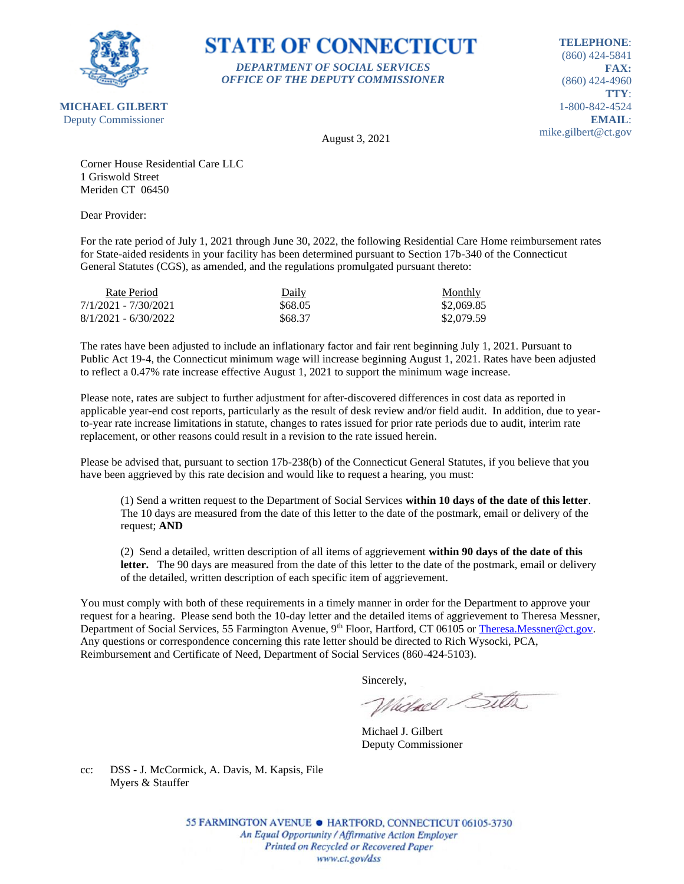

# **STATE OF CONNECTICUT** *DEPARTMENT OF SOCIAL SERVICES*

*OFFICE OF THE DEPUTY COMMISSIONER*

**TELEPHONE**: (860) 424-5841 **FAX:** (860) 424-4960 **TTY**: 1-800-842-4524 **EMAIL**: mike.gilbert@ct.gov

August 3, 2021

Corner House Residential Care LLC 1 Griswold Street Meriden CT 06450

Dear Provider:

For the rate period of July 1, 2021 through June 30, 2022, the following Residential Care Home reimbursement rates for State-aided residents in your facility has been determined pursuant to Section 17b-340 of the Connecticut General Statutes (CGS), as amended, and the regulations promulgated pursuant thereto:

| Rate Period            | Daily   | Monthly    |
|------------------------|---------|------------|
| 7/1/2021 - 7/30/2021   | \$68.05 | \$2,069.85 |
| $8/1/2021 - 6/30/2022$ | \$68.37 | \$2,079.59 |

The rates have been adjusted to include an inflationary factor and fair rent beginning July 1, 2021. Pursuant to Public Act 19-4, the Connecticut minimum wage will increase beginning August 1, 2021. Rates have been adjusted to reflect a 0.47% rate increase effective August 1, 2021 to support the minimum wage increase.

Please note, rates are subject to further adjustment for after-discovered differences in cost data as reported in applicable year-end cost reports, particularly as the result of desk review and/or field audit. In addition, due to yearto-year rate increase limitations in statute, changes to rates issued for prior rate periods due to audit, interim rate replacement, or other reasons could result in a revision to the rate issued herein.

Please be advised that, pursuant to section 17b-238(b) of the Connecticut General Statutes, if you believe that you have been aggrieved by this rate decision and would like to request a hearing, you must:

(1) Send a written request to the Department of Social Services **within 10 days of the date of this letter**. The 10 days are measured from the date of this letter to the date of the postmark, email or delivery of the request; **AND**

(2) Send a detailed, written description of all items of aggrievement **within 90 days of the date of this**  letter. The 90 days are measured from the date of this letter to the date of the postmark, email or delivery of the detailed, written description of each specific item of aggrievement.

You must comply with both of these requirements in a timely manner in order for the Department to approve your request for a hearing. Please send both the 10-day letter and the detailed items of aggrievement to Theresa Messner, Department of Social Services, 55 Farmington Avenue, 9<sup>th</sup> Floor, Hartford, CT 06105 or [Theresa.Messner@ct.gov.](mailto:Theresa.Messner@ct.gov) Any questions or correspondence concerning this rate letter should be directed to Rich Wysocki, PCA, Reimbursement and Certificate of Need, Department of Social Services (860-424-5103).

Sincerely,

Victorel Sitter

Michael J. Gilbert Deputy Commissioner

cc: DSS - J. McCormick, A. Davis, M. Kapsis, File Myers & Stauffer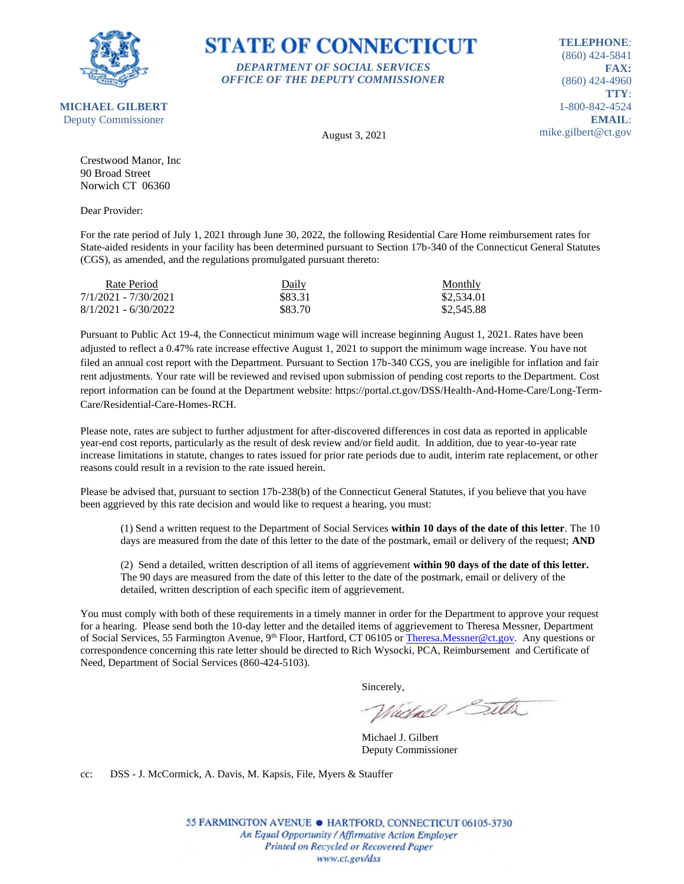

**TELEPHONE**: (860) 424-5841 **FAX:** (860) 424-4960 **TTY**: 1-800-842-4524 **EMAIL**:

mike.gilbert@ct.gov

August 3, 2021

*DEPARTMENT OF SOCIAL SERVICES OFFICE OF THE DEPUTY COMMISSIONER*

**STATE OF CONNECTICUT** 

Crestwood Manor, Inc 90 Broad Street Norwich CT 06360

Dear Provider:

For the rate period of July 1, 2021 through June 30, 2022, the following Residential Care Home reimbursement rates for State-aided residents in your facility has been determined pursuant to Section 17b-340 of the Connecticut General Statutes (CGS), as amended, and the regulations promulgated pursuant thereto:

| Rate Period            | Daily   | Monthly    |
|------------------------|---------|------------|
| 7/1/2021 - 7/30/2021   | \$83.31 | \$2,534.01 |
| $8/1/2021 - 6/30/2022$ | \$83.70 | \$2,545.88 |

Pursuant to Public Act 19-4, the Connecticut minimum wage will increase beginning August 1, 2021. Rates have been adjusted to reflect a 0.47% rate increase effective August 1, 2021 to support the minimum wage increase. You have not filed an annual cost report with the Department. Pursuant to Section 17b-340 CGS, you are ineligible for inflation and fair rent adjustments. Your rate will be reviewed and revised upon submission of pending cost reports to the Department. Cost report information can be found at the Department website: https://portal.ct.gov/DSS/Health-And-Home-Care/Long-Term-Care/Residential-Care-Homes-RCH.

Please note, rates are subject to further adjustment for after-discovered differences in cost data as reported in applicable year-end cost reports, particularly as the result of desk review and/or field audit. In addition, due to year-to-year rate increase limitations in statute, changes to rates issued for prior rate periods due to audit, interim rate replacement, or other reasons could result in a revision to the rate issued herein.

Please be advised that, pursuant to section 17b-238(b) of the Connecticut General Statutes, if you believe that you have been aggrieved by this rate decision and would like to request a hearing, you must:

(1) Send a written request to the Department of Social Services **within 10 days of the date of this letter**. The 10 days are measured from the date of this letter to the date of the postmark, email or delivery of the request; **AND**

(2) Send a detailed, written description of all items of aggrievement **within 90 days of the date of this letter.** The 90 days are measured from the date of this letter to the date of the postmark, email or delivery of the detailed, written description of each specific item of aggrievement.

You must comply with both of these requirements in a timely manner in order for the Department to approve your request for a hearing. Please send both the 10-day letter and the detailed items of aggrievement to Theresa Messner, Department of Social Services, 55 Farmington Avenue, 9<sup>th</sup> Floor, Hartford, CT 06105 o[r Theresa.Messner@ct.gov.](mailto:Theresa.Messner@ct.gov) Any questions or correspondence concerning this rate letter should be directed to Rich Wysocki, PCA, Reimbursement and Certificate of Need, Department of Social Services (860-424-5103).

Sincerely,

Whichael Sitter

Michael J. Gilbert Deputy Commissioner

cc: DSS - J. McCormick, A. Davis, M. Kapsis, File, Myers & Stauffer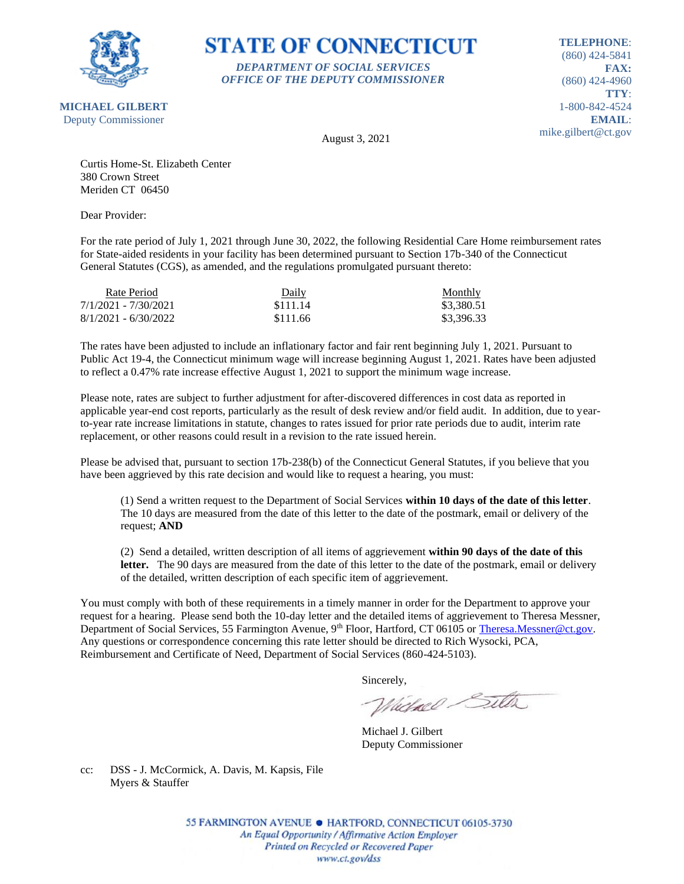

### **STATE OF CONNECTICUT** *DEPARTMENT OF SOCIAL SERVICES*

*OFFICE OF THE DEPUTY COMMISSIONER*

**TELEPHONE**: (860) 424-5841 **FAX:** (860) 424-4960 **TTY**: 1-800-842-4524 **EMAIL**: mike.gilbert@ct.gov

August 3, 2021

Curtis Home-St. Elizabeth Center 380 Crown Street Meriden CT 06450

Dear Provider:

For the rate period of July 1, 2021 through June 30, 2022, the following Residential Care Home reimbursement rates for State-aided residents in your facility has been determined pursuant to Section 17b-340 of the Connecticut General Statutes (CGS), as amended, and the regulations promulgated pursuant thereto:

| Rate Period            | Daily    | <b>Monthly</b> |
|------------------------|----------|----------------|
| 7/1/2021 - 7/30/2021   | \$111.14 | \$3,380.51     |
| $8/1/2021 - 6/30/2022$ | \$111.66 | \$3,396.33     |

The rates have been adjusted to include an inflationary factor and fair rent beginning July 1, 2021. Pursuant to Public Act 19-4, the Connecticut minimum wage will increase beginning August 1, 2021. Rates have been adjusted to reflect a 0.47% rate increase effective August 1, 2021 to support the minimum wage increase.

Please note, rates are subject to further adjustment for after-discovered differences in cost data as reported in applicable year-end cost reports, particularly as the result of desk review and/or field audit. In addition, due to yearto-year rate increase limitations in statute, changes to rates issued for prior rate periods due to audit, interim rate replacement, or other reasons could result in a revision to the rate issued herein.

Please be advised that, pursuant to section 17b-238(b) of the Connecticut General Statutes, if you believe that you have been aggrieved by this rate decision and would like to request a hearing, you must:

(1) Send a written request to the Department of Social Services **within 10 days of the date of this letter**. The 10 days are measured from the date of this letter to the date of the postmark, email or delivery of the request; **AND**

(2) Send a detailed, written description of all items of aggrievement **within 90 days of the date of this**  letter. The 90 days are measured from the date of this letter to the date of the postmark, email or delivery of the detailed, written description of each specific item of aggrievement.

You must comply with both of these requirements in a timely manner in order for the Department to approve your request for a hearing. Please send both the 10-day letter and the detailed items of aggrievement to Theresa Messner, Department of Social Services, 55 Farmington Avenue, 9<sup>th</sup> Floor, Hartford, CT 06105 or [Theresa.Messner@ct.gov.](mailto:Theresa.Messner@ct.gov) Any questions or correspondence concerning this rate letter should be directed to Rich Wysocki, PCA, Reimbursement and Certificate of Need, Department of Social Services (860-424-5103).

Sincerely,

Victorel Sitter

Michael J. Gilbert Deputy Commissioner

cc: DSS - J. McCormick, A. Davis, M. Kapsis, File Myers & Stauffer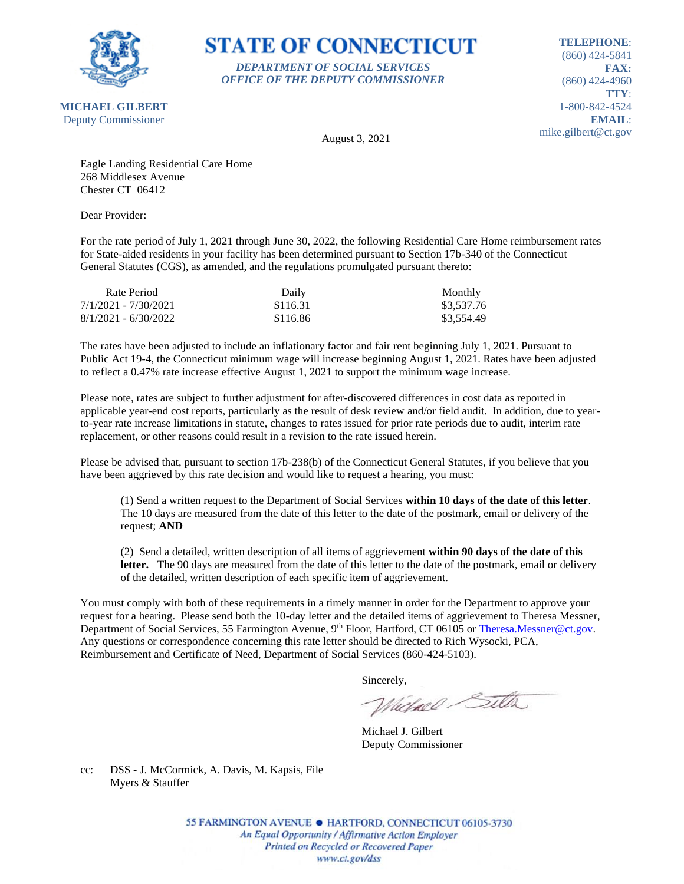

# **STATE OF CONNECTICUT** *DEPARTMENT OF SOCIAL SERVICES*

*OFFICE OF THE DEPUTY COMMISSIONER*

**TELEPHONE**: (860) 424-5841 **FAX:** (860) 424-4960 **TTY**: 1-800-842-4524 **EMAIL**: mike.gilbert@ct.gov

August 3, 2021

Eagle Landing Residential Care Home 268 Middlesex Avenue Chester CT 06412

Dear Provider:

For the rate period of July 1, 2021 through June 30, 2022, the following Residential Care Home reimbursement rates for State-aided residents in your facility has been determined pursuant to Section 17b-340 of the Connecticut General Statutes (CGS), as amended, and the regulations promulgated pursuant thereto:

| Rate Period            | Daily    | Monthly    |
|------------------------|----------|------------|
| 7/1/2021 - 7/30/2021   | \$116.31 | \$3,537.76 |
| $8/1/2021 - 6/30/2022$ | \$116.86 | \$3,554.49 |

The rates have been adjusted to include an inflationary factor and fair rent beginning July 1, 2021. Pursuant to Public Act 19-4, the Connecticut minimum wage will increase beginning August 1, 2021. Rates have been adjusted to reflect a 0.47% rate increase effective August 1, 2021 to support the minimum wage increase.

Please note, rates are subject to further adjustment for after-discovered differences in cost data as reported in applicable year-end cost reports, particularly as the result of desk review and/or field audit. In addition, due to yearto-year rate increase limitations in statute, changes to rates issued for prior rate periods due to audit, interim rate replacement, or other reasons could result in a revision to the rate issued herein.

Please be advised that, pursuant to section 17b-238(b) of the Connecticut General Statutes, if you believe that you have been aggrieved by this rate decision and would like to request a hearing, you must:

(1) Send a written request to the Department of Social Services **within 10 days of the date of this letter**. The 10 days are measured from the date of this letter to the date of the postmark, email or delivery of the request; **AND**

(2) Send a detailed, written description of all items of aggrievement **within 90 days of the date of this**  letter. The 90 days are measured from the date of this letter to the date of the postmark, email or delivery of the detailed, written description of each specific item of aggrievement.

You must comply with both of these requirements in a timely manner in order for the Department to approve your request for a hearing. Please send both the 10-day letter and the detailed items of aggrievement to Theresa Messner, Department of Social Services, 55 Farmington Avenue, 9<sup>th</sup> Floor, Hartford, CT 06105 or [Theresa.Messner@ct.gov.](mailto:Theresa.Messner@ct.gov) Any questions or correspondence concerning this rate letter should be directed to Rich Wysocki, PCA, Reimbursement and Certificate of Need, Department of Social Services (860-424-5103).

Sincerely,

Victorel Sitter

Michael J. Gilbert Deputy Commissioner

cc: DSS - J. McCormick, A. Davis, M. Kapsis, File Myers & Stauffer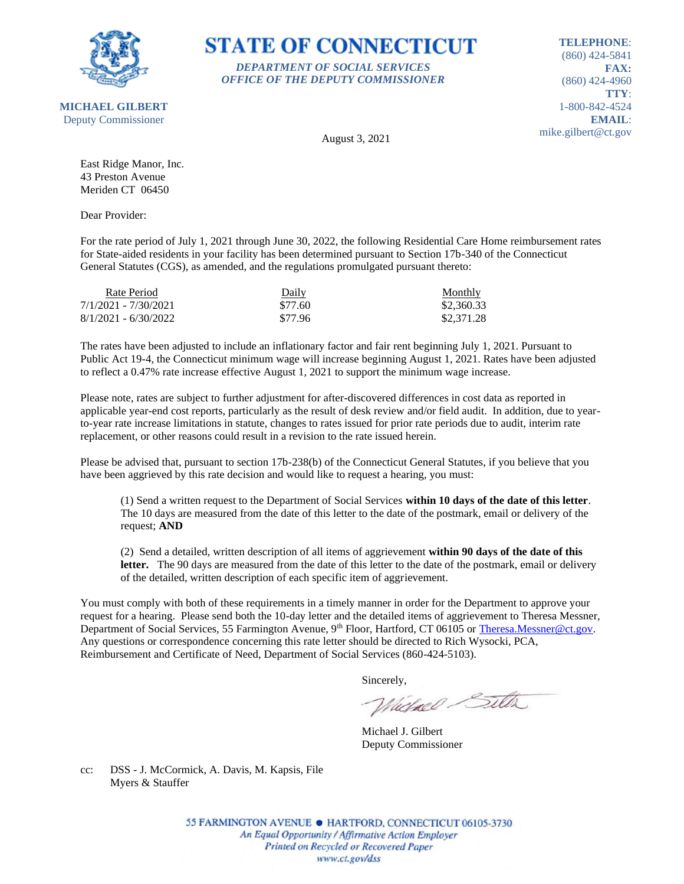

#### **STATE OF CONNECTICUT** *DEPARTMENT OF SOCIAL SERVICES*

*OFFICE OF THE DEPUTY COMMISSIONER*

**TELEPHONE**: (860) 424-5841 **FAX:** (860) 424-4960 **TTY**: 1-800-842-4524 **EMAIL**: mike.gilbert@ct.gov

August 3, 2021

East Ridge Manor, Inc. 43 Preston Avenue Meriden CT 06450

Dear Provider:

For the rate period of July 1, 2021 through June 30, 2022, the following Residential Care Home reimbursement rates for State-aided residents in your facility has been determined pursuant to Section 17b-340 of the Connecticut General Statutes (CGS), as amended, and the regulations promulgated pursuant thereto:

| Rate Period            | Daily   | <b>Monthly</b> |
|------------------------|---------|----------------|
| 7/1/2021 - 7/30/2021   | \$77.60 | \$2,360.33     |
| $8/1/2021 - 6/30/2022$ | \$77.96 | \$2,371.28     |

The rates have been adjusted to include an inflationary factor and fair rent beginning July 1, 2021. Pursuant to Public Act 19-4, the Connecticut minimum wage will increase beginning August 1, 2021. Rates have been adjusted to reflect a 0.47% rate increase effective August 1, 2021 to support the minimum wage increase.

Please note, rates are subject to further adjustment for after-discovered differences in cost data as reported in applicable year-end cost reports, particularly as the result of desk review and/or field audit. In addition, due to yearto-year rate increase limitations in statute, changes to rates issued for prior rate periods due to audit, interim rate replacement, or other reasons could result in a revision to the rate issued herein.

Please be advised that, pursuant to section 17b-238(b) of the Connecticut General Statutes, if you believe that you have been aggrieved by this rate decision and would like to request a hearing, you must:

(1) Send a written request to the Department of Social Services **within 10 days of the date of this letter**. The 10 days are measured from the date of this letter to the date of the postmark, email or delivery of the request; **AND**

(2) Send a detailed, written description of all items of aggrievement **within 90 days of the date of this**  letter. The 90 days are measured from the date of this letter to the date of the postmark, email or delivery of the detailed, written description of each specific item of aggrievement.

You must comply with both of these requirements in a timely manner in order for the Department to approve your request for a hearing. Please send both the 10-day letter and the detailed items of aggrievement to Theresa Messner, Department of Social Services, 55 Farmington Avenue, 9<sup>th</sup> Floor, Hartford, CT 06105 or [Theresa.Messner@ct.gov.](mailto:Theresa.Messner@ct.gov) Any questions or correspondence concerning this rate letter should be directed to Rich Wysocki, PCA, Reimbursement and Certificate of Need, Department of Social Services (860-424-5103).

Sincerely,

Victorel Sitter

Michael J. Gilbert Deputy Commissioner

cc: DSS - J. McCormick, A. Davis, M. Kapsis, File Myers & Stauffer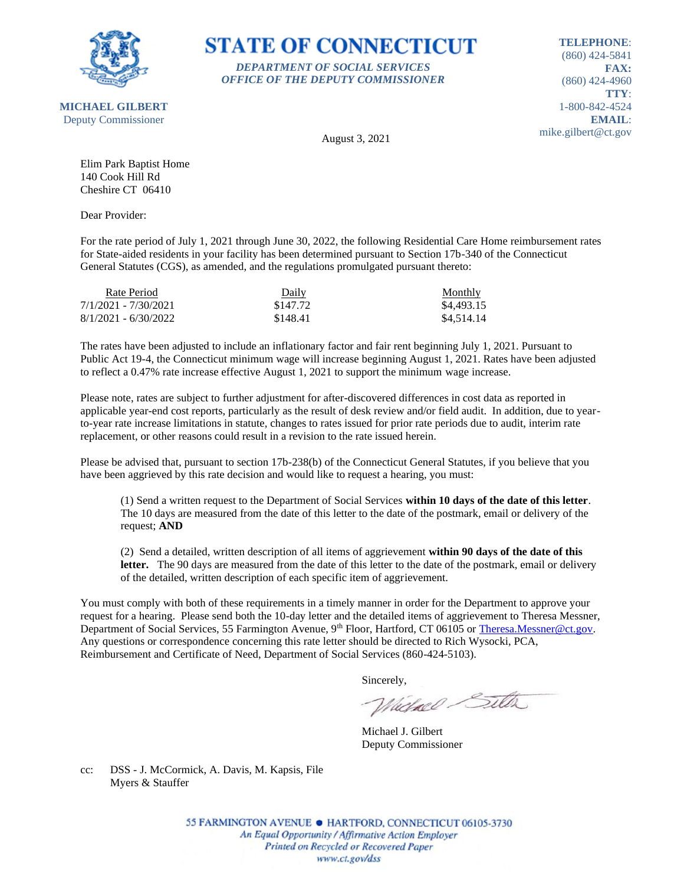

**MICHAEL GILBERT**

**STATE OF CONNECTICUT** *DEPARTMENT OF SOCIAL SERVICES*

*OFFICE OF THE DEPUTY COMMISSIONER*

**TELEPHONE**: (860) 424-5841 **FAX:** (860) 424-4960 **TTY**: 1-800-842-4524 **EMAIL**: mike.gilbert@ct.gov

Deputy Commissioner

August 3, 2021

Elim Park Baptist Home 140 Cook Hill Rd Cheshire CT 06410

Dear Provider:

For the rate period of July 1, 2021 through June 30, 2022, the following Residential Care Home reimbursement rates for State-aided residents in your facility has been determined pursuant to Section 17b-340 of the Connecticut General Statutes (CGS), as amended, and the regulations promulgated pursuant thereto:

| Rate Period            | Daily    | Monthly    |
|------------------------|----------|------------|
| 7/1/2021 - 7/30/2021   | \$147.72 | \$4,493.15 |
| $8/1/2021 - 6/30/2022$ | \$148.41 | \$4,514.14 |

The rates have been adjusted to include an inflationary factor and fair rent beginning July 1, 2021. Pursuant to Public Act 19-4, the Connecticut minimum wage will increase beginning August 1, 2021. Rates have been adjusted to reflect a 0.47% rate increase effective August 1, 2021 to support the minimum wage increase.

Please note, rates are subject to further adjustment for after-discovered differences in cost data as reported in applicable year-end cost reports, particularly as the result of desk review and/or field audit. In addition, due to yearto-year rate increase limitations in statute, changes to rates issued for prior rate periods due to audit, interim rate replacement, or other reasons could result in a revision to the rate issued herein.

Please be advised that, pursuant to section 17b-238(b) of the Connecticut General Statutes, if you believe that you have been aggrieved by this rate decision and would like to request a hearing, you must:

(1) Send a written request to the Department of Social Services **within 10 days of the date of this letter**. The 10 days are measured from the date of this letter to the date of the postmark, email or delivery of the request; **AND**

(2) Send a detailed, written description of all items of aggrievement **within 90 days of the date of this**  letter. The 90 days are measured from the date of this letter to the date of the postmark, email or delivery of the detailed, written description of each specific item of aggrievement.

You must comply with both of these requirements in a timely manner in order for the Department to approve your request for a hearing. Please send both the 10-day letter and the detailed items of aggrievement to Theresa Messner, Department of Social Services, 55 Farmington Avenue, 9<sup>th</sup> Floor, Hartford, CT 06105 or [Theresa.Messner@ct.gov.](mailto:Theresa.Messner@ct.gov) Any questions or correspondence concerning this rate letter should be directed to Rich Wysocki, PCA, Reimbursement and Certificate of Need, Department of Social Services (860-424-5103).

Sincerely,

Victorel Sitter

Michael J. Gilbert Deputy Commissioner

cc: DSS - J. McCormick, A. Davis, M. Kapsis, File Myers & Stauffer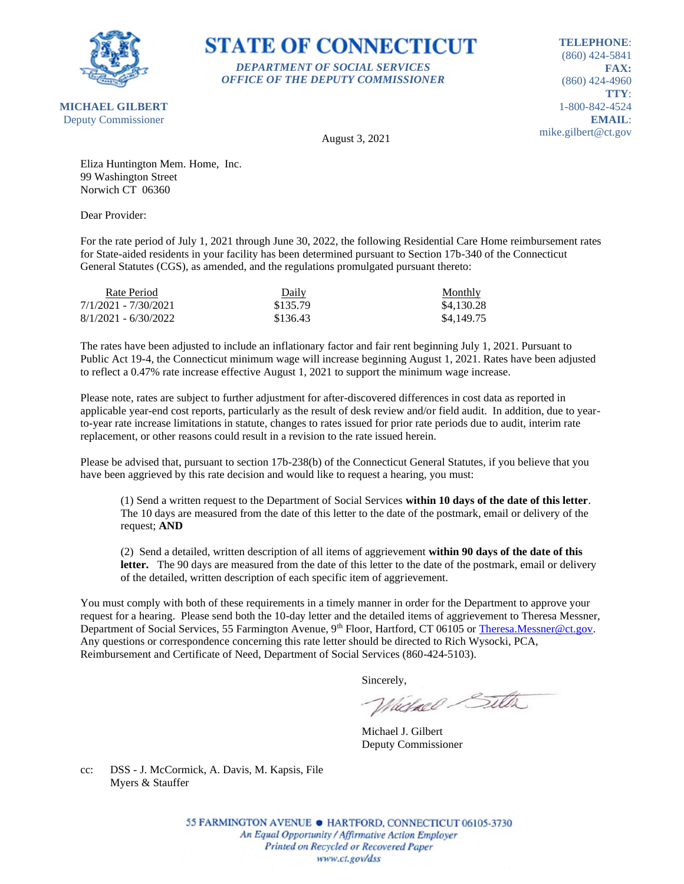

# **STATE OF CONNECTICUT** *DEPARTMENT OF SOCIAL SERVICES*

*OFFICE OF THE DEPUTY COMMISSIONER*

**TELEPHONE**: (860) 424-5841 **FAX:** (860) 424-4960 **TTY**: 1-800-842-4524 **EMAIL**: mike.gilbert@ct.gov

August 3, 2021

Eliza Huntington Mem. Home, Inc. 99 Washington Street Norwich CT 06360

Dear Provider:

For the rate period of July 1, 2021 through June 30, 2022, the following Residential Care Home reimbursement rates for State-aided residents in your facility has been determined pursuant to Section 17b-340 of the Connecticut General Statutes (CGS), as amended, and the regulations promulgated pursuant thereto:

| Rate Period            | Daily    | Monthly    |
|------------------------|----------|------------|
| 7/1/2021 - 7/30/2021   | \$135.79 | \$4,130.28 |
| $8/1/2021 - 6/30/2022$ | \$136.43 | \$4,149.75 |

The rates have been adjusted to include an inflationary factor and fair rent beginning July 1, 2021. Pursuant to Public Act 19-4, the Connecticut minimum wage will increase beginning August 1, 2021. Rates have been adjusted to reflect a 0.47% rate increase effective August 1, 2021 to support the minimum wage increase.

Please note, rates are subject to further adjustment for after-discovered differences in cost data as reported in applicable year-end cost reports, particularly as the result of desk review and/or field audit. In addition, due to yearto-year rate increase limitations in statute, changes to rates issued for prior rate periods due to audit, interim rate replacement, or other reasons could result in a revision to the rate issued herein.

Please be advised that, pursuant to section 17b-238(b) of the Connecticut General Statutes, if you believe that you have been aggrieved by this rate decision and would like to request a hearing, you must:

(1) Send a written request to the Department of Social Services **within 10 days of the date of this letter**. The 10 days are measured from the date of this letter to the date of the postmark, email or delivery of the request; **AND**

(2) Send a detailed, written description of all items of aggrievement **within 90 days of the date of this**  letter. The 90 days are measured from the date of this letter to the date of the postmark, email or delivery of the detailed, written description of each specific item of aggrievement.

You must comply with both of these requirements in a timely manner in order for the Department to approve your request for a hearing. Please send both the 10-day letter and the detailed items of aggrievement to Theresa Messner, Department of Social Services, 55 Farmington Avenue, 9<sup>th</sup> Floor, Hartford, CT 06105 or [Theresa.Messner@ct.gov.](mailto:Theresa.Messner@ct.gov) Any questions or correspondence concerning this rate letter should be directed to Rich Wysocki, PCA, Reimbursement and Certificate of Need, Department of Social Services (860-424-5103).

Sincerely,

Victorel Sitter

Michael J. Gilbert Deputy Commissioner

cc: DSS - J. McCormick, A. Davis, M. Kapsis, File Myers & Stauffer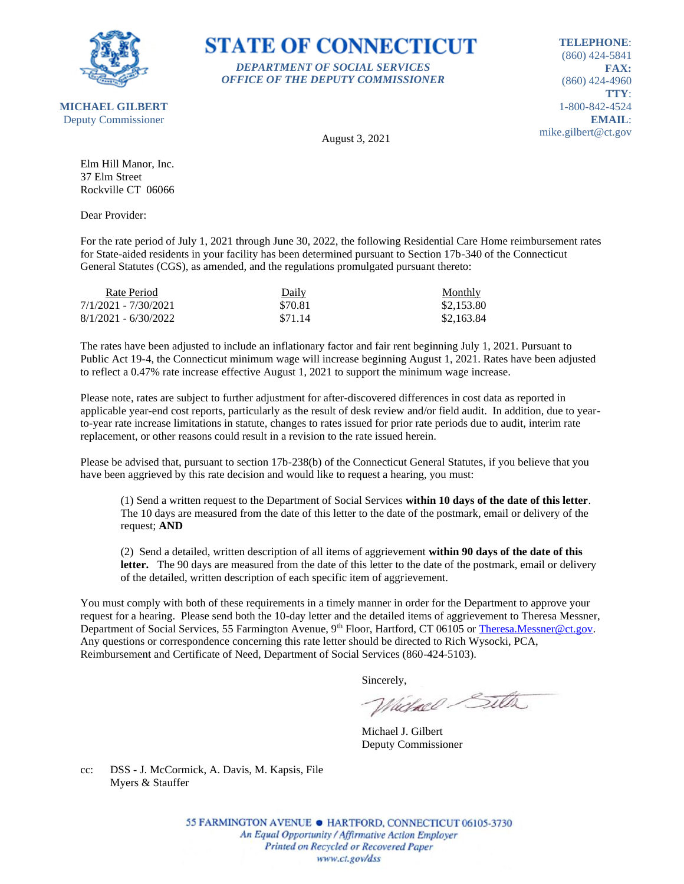

#### **STATE OF CONNECTICUT** *DEPARTMENT OF SOCIAL SERVICES*

*OFFICE OF THE DEPUTY COMMISSIONER*

**TELEPHONE**: (860) 424-5841 **FAX:** (860) 424-4960 **TTY**: 1-800-842-4524 **EMAIL**: mike.gilbert@ct.gov

August 3, 2021

Elm Hill Manor, Inc. 37 Elm Street Rockville CT 06066

Dear Provider:

For the rate period of July 1, 2021 through June 30, 2022, the following Residential Care Home reimbursement rates for State-aided residents in your facility has been determined pursuant to Section 17b-340 of the Connecticut General Statutes (CGS), as amended, and the regulations promulgated pursuant thereto:

| Rate Period            | Daily   | Monthly    |
|------------------------|---------|------------|
| 7/1/2021 - 7/30/2021   | \$70.81 | \$2,153.80 |
| $8/1/2021 - 6/30/2022$ | \$71.14 | \$2,163.84 |

The rates have been adjusted to include an inflationary factor and fair rent beginning July 1, 2021. Pursuant to Public Act 19-4, the Connecticut minimum wage will increase beginning August 1, 2021. Rates have been adjusted to reflect a 0.47% rate increase effective August 1, 2021 to support the minimum wage increase.

Please note, rates are subject to further adjustment for after-discovered differences in cost data as reported in applicable year-end cost reports, particularly as the result of desk review and/or field audit. In addition, due to yearto-year rate increase limitations in statute, changes to rates issued for prior rate periods due to audit, interim rate replacement, or other reasons could result in a revision to the rate issued herein.

Please be advised that, pursuant to section 17b-238(b) of the Connecticut General Statutes, if you believe that you have been aggrieved by this rate decision and would like to request a hearing, you must:

(1) Send a written request to the Department of Social Services **within 10 days of the date of this letter**. The 10 days are measured from the date of this letter to the date of the postmark, email or delivery of the request; **AND**

(2) Send a detailed, written description of all items of aggrievement **within 90 days of the date of this**  letter. The 90 days are measured from the date of this letter to the date of the postmark, email or delivery of the detailed, written description of each specific item of aggrievement.

You must comply with both of these requirements in a timely manner in order for the Department to approve your request for a hearing. Please send both the 10-day letter and the detailed items of aggrievement to Theresa Messner, Department of Social Services, 55 Farmington Avenue, 9<sup>th</sup> Floor, Hartford, CT 06105 or [Theresa.Messner@ct.gov.](mailto:Theresa.Messner@ct.gov) Any questions or correspondence concerning this rate letter should be directed to Rich Wysocki, PCA, Reimbursement and Certificate of Need, Department of Social Services (860-424-5103).

Sincerely,

Victorel Sitter

Michael J. Gilbert Deputy Commissioner

cc: DSS - J. McCormick, A. Davis, M. Kapsis, File Myers & Stauffer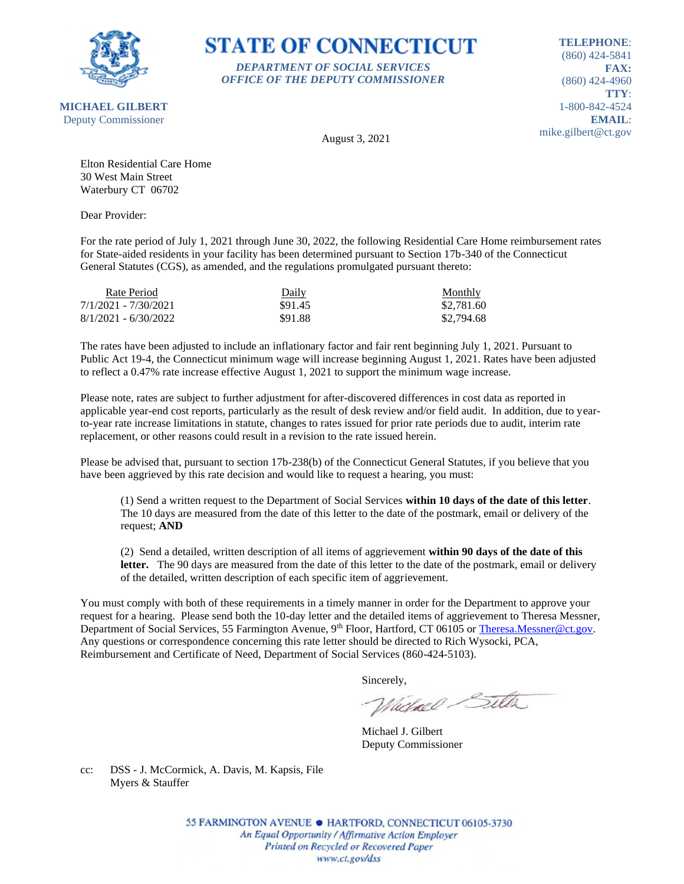

# **STATE OF CONNECTICUT** *DEPARTMENT OF SOCIAL SERVICES*

*OFFICE OF THE DEPUTY COMMISSIONER*

**TELEPHONE**: (860) 424-5841 **FAX:** (860) 424-4960 **TTY**: 1-800-842-4524 **EMAIL**: mike.gilbert@ct.gov

August 3, 2021

Elton Residential Care Home 30 West Main Street Waterbury CT 06702

Dear Provider:

For the rate period of July 1, 2021 through June 30, 2022, the following Residential Care Home reimbursement rates for State-aided residents in your facility has been determined pursuant to Section 17b-340 of the Connecticut General Statutes (CGS), as amended, and the regulations promulgated pursuant thereto:

| Rate Period            | Daily   | Monthly    |
|------------------------|---------|------------|
| 7/1/2021 - 7/30/2021   | \$91.45 | \$2,781.60 |
| $8/1/2021 - 6/30/2022$ | \$91.88 | \$2,794.68 |

The rates have been adjusted to include an inflationary factor and fair rent beginning July 1, 2021. Pursuant to Public Act 19-4, the Connecticut minimum wage will increase beginning August 1, 2021. Rates have been adjusted to reflect a 0.47% rate increase effective August 1, 2021 to support the minimum wage increase.

Please note, rates are subject to further adjustment for after-discovered differences in cost data as reported in applicable year-end cost reports, particularly as the result of desk review and/or field audit. In addition, due to yearto-year rate increase limitations in statute, changes to rates issued for prior rate periods due to audit, interim rate replacement, or other reasons could result in a revision to the rate issued herein.

Please be advised that, pursuant to section 17b-238(b) of the Connecticut General Statutes, if you believe that you have been aggrieved by this rate decision and would like to request a hearing, you must:

(1) Send a written request to the Department of Social Services **within 10 days of the date of this letter**. The 10 days are measured from the date of this letter to the date of the postmark, email or delivery of the request; **AND**

(2) Send a detailed, written description of all items of aggrievement **within 90 days of the date of this**  letter. The 90 days are measured from the date of this letter to the date of the postmark, email or delivery of the detailed, written description of each specific item of aggrievement.

You must comply with both of these requirements in a timely manner in order for the Department to approve your request for a hearing. Please send both the 10-day letter and the detailed items of aggrievement to Theresa Messner, Department of Social Services, 55 Farmington Avenue, 9<sup>th</sup> Floor, Hartford, CT 06105 or [Theresa.Messner@ct.gov.](mailto:Theresa.Messner@ct.gov) Any questions or correspondence concerning this rate letter should be directed to Rich Wysocki, PCA, Reimbursement and Certificate of Need, Department of Social Services (860-424-5103).

Sincerely,

Victorel Sitter

Michael J. Gilbert Deputy Commissioner

cc: DSS - J. McCormick, A. Davis, M. Kapsis, File Myers & Stauffer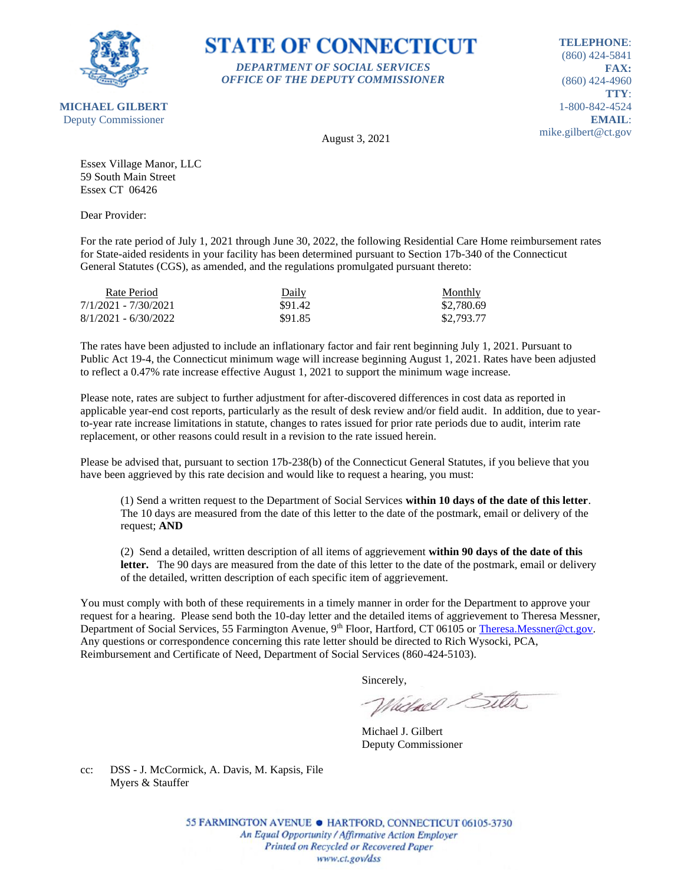

#### **STATE OF CONNECTICUT** *DEPARTMENT OF SOCIAL SERVICES*

*OFFICE OF THE DEPUTY COMMISSIONER*

**TELEPHONE**: (860) 424-5841 **FAX:** (860) 424-4960 **TTY**: 1-800-842-4524 **EMAIL**: mike.gilbert@ct.gov

August 3, 2021

Essex Village Manor, LLC 59 South Main Street Essex CT 06426

Dear Provider:

For the rate period of July 1, 2021 through June 30, 2022, the following Residential Care Home reimbursement rates for State-aided residents in your facility has been determined pursuant to Section 17b-340 of the Connecticut General Statutes (CGS), as amended, and the regulations promulgated pursuant thereto:

| Rate Period            | Daily   | <b>Monthly</b> |
|------------------------|---------|----------------|
| 7/1/2021 - 7/30/2021   | \$91.42 | \$2,780.69     |
| $8/1/2021 - 6/30/2022$ | \$91.85 | \$2,793.77     |

The rates have been adjusted to include an inflationary factor and fair rent beginning July 1, 2021. Pursuant to Public Act 19-4, the Connecticut minimum wage will increase beginning August 1, 2021. Rates have been adjusted to reflect a 0.47% rate increase effective August 1, 2021 to support the minimum wage increase.

Please note, rates are subject to further adjustment for after-discovered differences in cost data as reported in applicable year-end cost reports, particularly as the result of desk review and/or field audit. In addition, due to yearto-year rate increase limitations in statute, changes to rates issued for prior rate periods due to audit, interim rate replacement, or other reasons could result in a revision to the rate issued herein.

Please be advised that, pursuant to section 17b-238(b) of the Connecticut General Statutes, if you believe that you have been aggrieved by this rate decision and would like to request a hearing, you must:

(1) Send a written request to the Department of Social Services **within 10 days of the date of this letter**. The 10 days are measured from the date of this letter to the date of the postmark, email or delivery of the request; **AND**

(2) Send a detailed, written description of all items of aggrievement **within 90 days of the date of this**  letter. The 90 days are measured from the date of this letter to the date of the postmark, email or delivery of the detailed, written description of each specific item of aggrievement.

You must comply with both of these requirements in a timely manner in order for the Department to approve your request for a hearing. Please send both the 10-day letter and the detailed items of aggrievement to Theresa Messner, Department of Social Services, 55 Farmington Avenue, 9<sup>th</sup> Floor, Hartford, CT 06105 or [Theresa.Messner@ct.gov.](mailto:Theresa.Messner@ct.gov) Any questions or correspondence concerning this rate letter should be directed to Rich Wysocki, PCA, Reimbursement and Certificate of Need, Department of Social Services (860-424-5103).

Sincerely,

Victorel Sitter

Michael J. Gilbert Deputy Commissioner

cc: DSS - J. McCormick, A. Davis, M. Kapsis, File Myers & Stauffer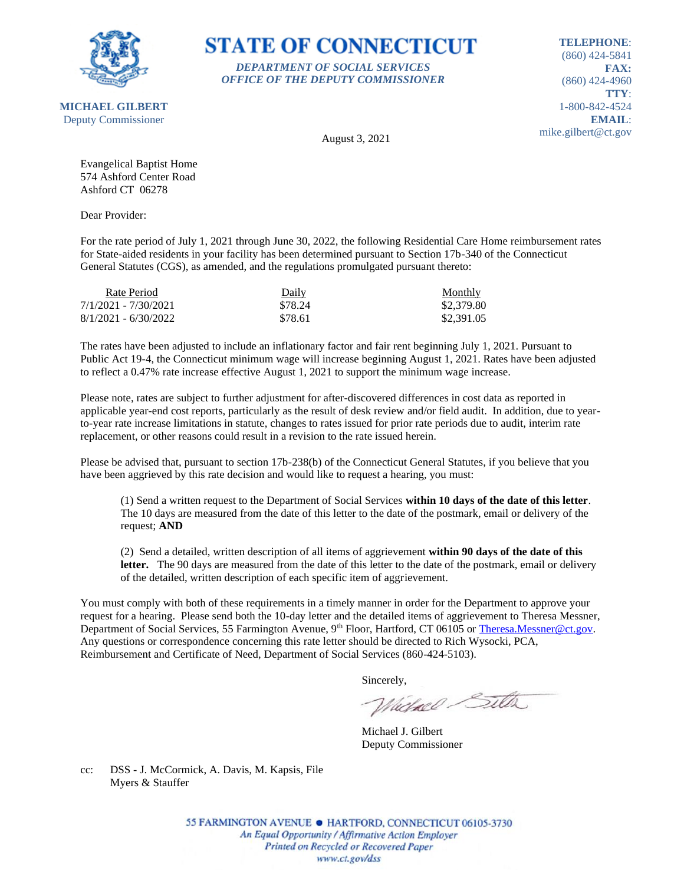

**STATE OF CONNECTICUT** *DEPARTMENT OF SOCIAL SERVICES*

*OFFICE OF THE DEPUTY COMMISSIONER*

**TELEPHONE**: (860) 424-5841 **FAX:** (860) 424-4960 **TTY**: 1-800-842-4524 **EMAIL**: mike.gilbert@ct.gov

August 3, 2021

Evangelical Baptist Home 574 Ashford Center Road Ashford CT 06278

Dear Provider:

For the rate period of July 1, 2021 through June 30, 2022, the following Residential Care Home reimbursement rates for State-aided residents in your facility has been determined pursuant to Section 17b-340 of the Connecticut General Statutes (CGS), as amended, and the regulations promulgated pursuant thereto:

| Rate Period            | Daily   | Monthly    |
|------------------------|---------|------------|
| 7/1/2021 - 7/30/2021   | \$78.24 | \$2,379.80 |
| $8/1/2021 - 6/30/2022$ | \$78.61 | \$2,391.05 |

The rates have been adjusted to include an inflationary factor and fair rent beginning July 1, 2021. Pursuant to Public Act 19-4, the Connecticut minimum wage will increase beginning August 1, 2021. Rates have been adjusted to reflect a 0.47% rate increase effective August 1, 2021 to support the minimum wage increase.

Please note, rates are subject to further adjustment for after-discovered differences in cost data as reported in applicable year-end cost reports, particularly as the result of desk review and/or field audit. In addition, due to yearto-year rate increase limitations in statute, changes to rates issued for prior rate periods due to audit, interim rate replacement, or other reasons could result in a revision to the rate issued herein.

Please be advised that, pursuant to section 17b-238(b) of the Connecticut General Statutes, if you believe that you have been aggrieved by this rate decision and would like to request a hearing, you must:

(1) Send a written request to the Department of Social Services **within 10 days of the date of this letter**. The 10 days are measured from the date of this letter to the date of the postmark, email or delivery of the request; **AND**

(2) Send a detailed, written description of all items of aggrievement **within 90 days of the date of this**  letter. The 90 days are measured from the date of this letter to the date of the postmark, email or delivery of the detailed, written description of each specific item of aggrievement.

You must comply with both of these requirements in a timely manner in order for the Department to approve your request for a hearing. Please send both the 10-day letter and the detailed items of aggrievement to Theresa Messner, Department of Social Services, 55 Farmington Avenue, 9<sup>th</sup> Floor, Hartford, CT 06105 or [Theresa.Messner@ct.gov.](mailto:Theresa.Messner@ct.gov) Any questions or correspondence concerning this rate letter should be directed to Rich Wysocki, PCA, Reimbursement and Certificate of Need, Department of Social Services (860-424-5103).

Sincerely,

Victorel Sitter

Michael J. Gilbert Deputy Commissioner

cc: DSS - J. McCormick, A. Davis, M. Kapsis, File Myers & Stauffer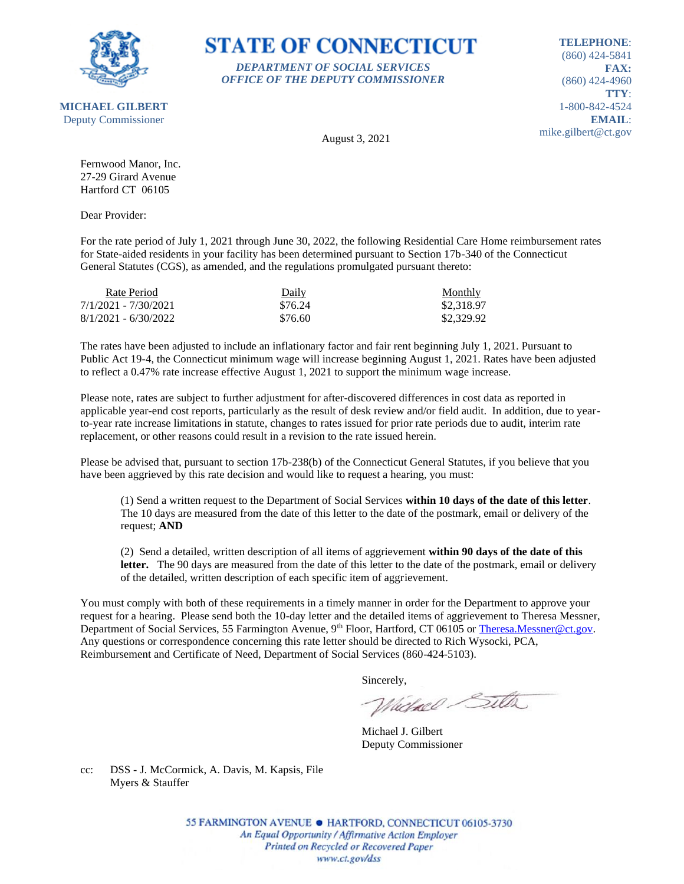

**STATE OF CONNECTICUT** *DEPARTMENT OF SOCIAL SERVICES*

*OFFICE OF THE DEPUTY COMMISSIONER*

**TELEPHONE**: (860) 424-5841 **FAX:** (860) 424-4960 **TTY**: 1-800-842-4524 **EMAIL**: mike.gilbert@ct.gov

August 3, 2021

Fernwood Manor, Inc. 27-29 Girard Avenue Hartford CT 06105

Dear Provider:

For the rate period of July 1, 2021 through June 30, 2022, the following Residential Care Home reimbursement rates for State-aided residents in your facility has been determined pursuant to Section 17b-340 of the Connecticut General Statutes (CGS), as amended, and the regulations promulgated pursuant thereto:

| Rate Period            | Daily   | Monthly    |
|------------------------|---------|------------|
| 7/1/2021 - 7/30/2021   | \$76.24 | \$2,318.97 |
| $8/1/2021 - 6/30/2022$ | \$76.60 | \$2,329.92 |

The rates have been adjusted to include an inflationary factor and fair rent beginning July 1, 2021. Pursuant to Public Act 19-4, the Connecticut minimum wage will increase beginning August 1, 2021. Rates have been adjusted to reflect a 0.47% rate increase effective August 1, 2021 to support the minimum wage increase.

Please note, rates are subject to further adjustment for after-discovered differences in cost data as reported in applicable year-end cost reports, particularly as the result of desk review and/or field audit. In addition, due to yearto-year rate increase limitations in statute, changes to rates issued for prior rate periods due to audit, interim rate replacement, or other reasons could result in a revision to the rate issued herein.

Please be advised that, pursuant to section 17b-238(b) of the Connecticut General Statutes, if you believe that you have been aggrieved by this rate decision and would like to request a hearing, you must:

(1) Send a written request to the Department of Social Services **within 10 days of the date of this letter**. The 10 days are measured from the date of this letter to the date of the postmark, email or delivery of the request; **AND**

(2) Send a detailed, written description of all items of aggrievement **within 90 days of the date of this**  letter. The 90 days are measured from the date of this letter to the date of the postmark, email or delivery of the detailed, written description of each specific item of aggrievement.

You must comply with both of these requirements in a timely manner in order for the Department to approve your request for a hearing. Please send both the 10-day letter and the detailed items of aggrievement to Theresa Messner, Department of Social Services, 55 Farmington Avenue, 9<sup>th</sup> Floor, Hartford, CT 06105 or [Theresa.Messner@ct.gov.](mailto:Theresa.Messner@ct.gov) Any questions or correspondence concerning this rate letter should be directed to Rich Wysocki, PCA, Reimbursement and Certificate of Need, Department of Social Services (860-424-5103).

Sincerely,

Victorel Sitter

Michael J. Gilbert Deputy Commissioner

cc: DSS - J. McCormick, A. Davis, M. Kapsis, File Myers & Stauffer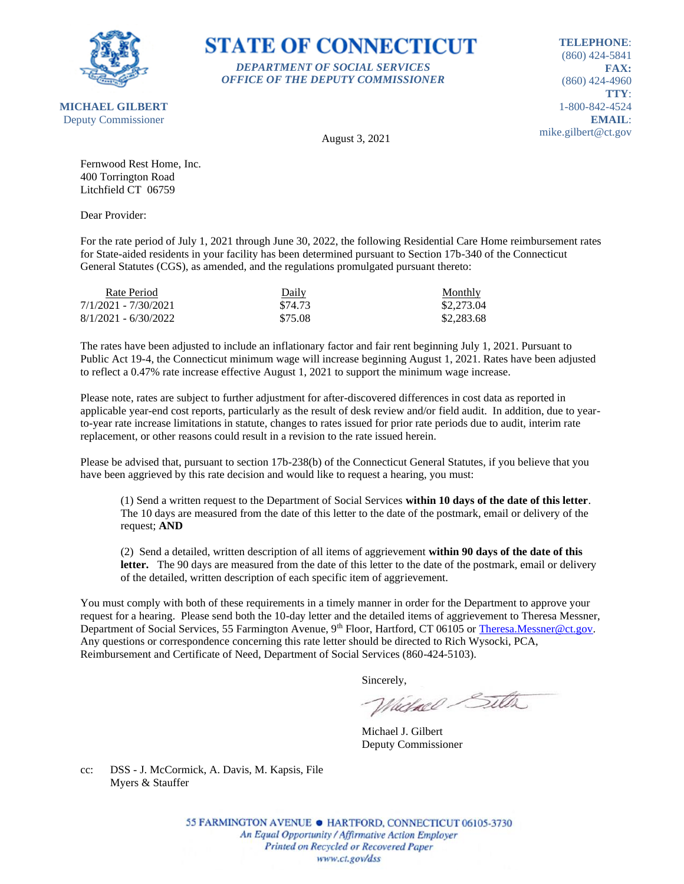

# **STATE OF CONNECTICUT** *DEPARTMENT OF SOCIAL SERVICES*

*OFFICE OF THE DEPUTY COMMISSIONER*

**TELEPHONE**: (860) 424-5841 **FAX:** (860) 424-4960 **TTY**: 1-800-842-4524 **EMAIL**: mike.gilbert@ct.gov

August 3, 2021

Fernwood Rest Home, Inc. 400 Torrington Road Litchfield CT 06759

Dear Provider:

For the rate period of July 1, 2021 through June 30, 2022, the following Residential Care Home reimbursement rates for State-aided residents in your facility has been determined pursuant to Section 17b-340 of the Connecticut General Statutes (CGS), as amended, and the regulations promulgated pursuant thereto:

| Rate Period            | Daily   | Monthly    |
|------------------------|---------|------------|
| 7/1/2021 - 7/30/2021   | \$74.73 | \$2,273.04 |
| $8/1/2021 - 6/30/2022$ | \$75.08 | \$2,283.68 |

The rates have been adjusted to include an inflationary factor and fair rent beginning July 1, 2021. Pursuant to Public Act 19-4, the Connecticut minimum wage will increase beginning August 1, 2021. Rates have been adjusted to reflect a 0.47% rate increase effective August 1, 2021 to support the minimum wage increase.

Please note, rates are subject to further adjustment for after-discovered differences in cost data as reported in applicable year-end cost reports, particularly as the result of desk review and/or field audit. In addition, due to yearto-year rate increase limitations in statute, changes to rates issued for prior rate periods due to audit, interim rate replacement, or other reasons could result in a revision to the rate issued herein.

Please be advised that, pursuant to section 17b-238(b) of the Connecticut General Statutes, if you believe that you have been aggrieved by this rate decision and would like to request a hearing, you must:

(1) Send a written request to the Department of Social Services **within 10 days of the date of this letter**. The 10 days are measured from the date of this letter to the date of the postmark, email or delivery of the request; **AND**

(2) Send a detailed, written description of all items of aggrievement **within 90 days of the date of this**  letter. The 90 days are measured from the date of this letter to the date of the postmark, email or delivery of the detailed, written description of each specific item of aggrievement.

You must comply with both of these requirements in a timely manner in order for the Department to approve your request for a hearing. Please send both the 10-day letter and the detailed items of aggrievement to Theresa Messner, Department of Social Services, 55 Farmington Avenue, 9<sup>th</sup> Floor, Hartford, CT 06105 or [Theresa.Messner@ct.gov.](mailto:Theresa.Messner@ct.gov) Any questions or correspondence concerning this rate letter should be directed to Rich Wysocki, PCA, Reimbursement and Certificate of Need, Department of Social Services (860-424-5103).

Sincerely,

Victorel Sitter

Michael J. Gilbert Deputy Commissioner

cc: DSS - J. McCormick, A. Davis, M. Kapsis, File Myers & Stauffer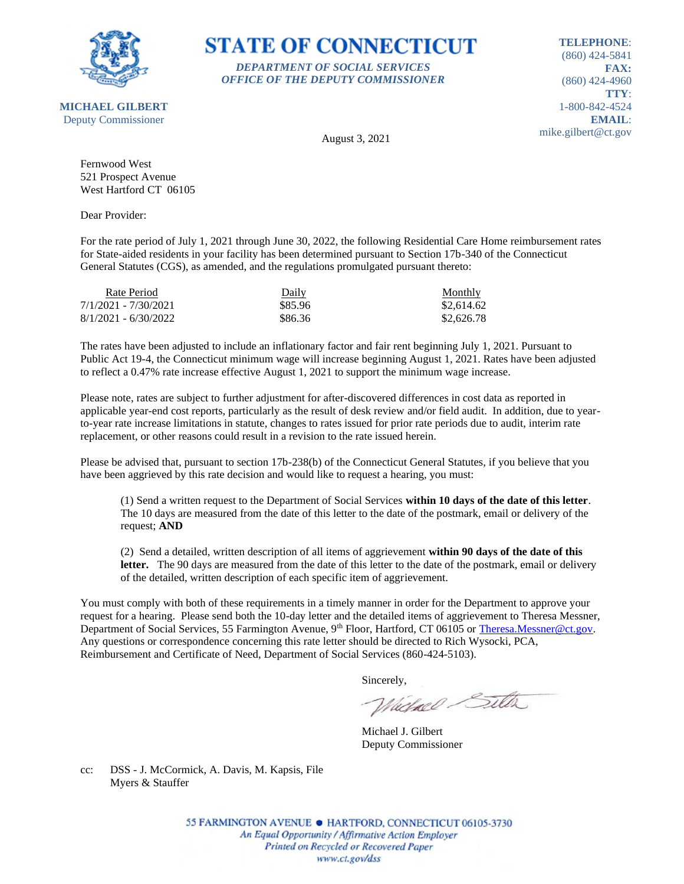

#### **STATE OF CONNECTICUT** *DEPARTMENT OF SOCIAL SERVICES*

*OFFICE OF THE DEPUTY COMMISSIONER*

**TELEPHONE**: (860) 424-5841 **FAX:** (860) 424-4960 **TTY**: 1-800-842-4524 **EMAIL**: mike.gilbert@ct.gov

**MICHAEL GILBERT** Deputy Commissioner

August 3, 2021

Fernwood West 521 Prospect Avenue West Hartford CT 06105

Dear Provider:

For the rate period of July 1, 2021 through June 30, 2022, the following Residential Care Home reimbursement rates for State-aided residents in your facility has been determined pursuant to Section 17b-340 of the Connecticut General Statutes (CGS), as amended, and the regulations promulgated pursuant thereto:

| Rate Period            | Daily   | Monthly    |
|------------------------|---------|------------|
| 7/1/2021 - 7/30/2021   | \$85.96 | \$2,614.62 |
| $8/1/2021 - 6/30/2022$ | \$86.36 | \$2,626.78 |

The rates have been adjusted to include an inflationary factor and fair rent beginning July 1, 2021. Pursuant to Public Act 19-4, the Connecticut minimum wage will increase beginning August 1, 2021. Rates have been adjusted to reflect a 0.47% rate increase effective August 1, 2021 to support the minimum wage increase.

Please note, rates are subject to further adjustment for after-discovered differences in cost data as reported in applicable year-end cost reports, particularly as the result of desk review and/or field audit. In addition, due to yearto-year rate increase limitations in statute, changes to rates issued for prior rate periods due to audit, interim rate replacement, or other reasons could result in a revision to the rate issued herein.

Please be advised that, pursuant to section 17b-238(b) of the Connecticut General Statutes, if you believe that you have been aggrieved by this rate decision and would like to request a hearing, you must:

(1) Send a written request to the Department of Social Services **within 10 days of the date of this letter**. The 10 days are measured from the date of this letter to the date of the postmark, email or delivery of the request; **AND**

(2) Send a detailed, written description of all items of aggrievement **within 90 days of the date of this**  letter. The 90 days are measured from the date of this letter to the date of the postmark, email or delivery of the detailed, written description of each specific item of aggrievement.

You must comply with both of these requirements in a timely manner in order for the Department to approve your request for a hearing. Please send both the 10-day letter and the detailed items of aggrievement to Theresa Messner, Department of Social Services, 55 Farmington Avenue, 9<sup>th</sup> Floor, Hartford, CT 06105 or [Theresa.Messner@ct.gov.](mailto:Theresa.Messner@ct.gov) Any questions or correspondence concerning this rate letter should be directed to Rich Wysocki, PCA, Reimbursement and Certificate of Need, Department of Social Services (860-424-5103).

Sincerely,

Victorel Sitter

Michael J. Gilbert Deputy Commissioner

cc: DSS - J. McCormick, A. Davis, M. Kapsis, File Myers & Stauffer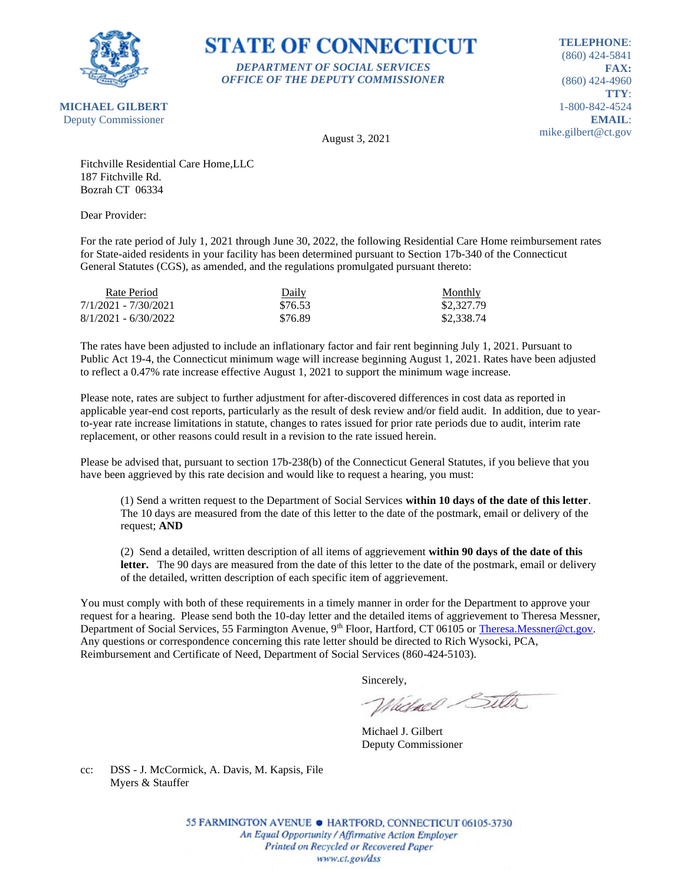

# **STATE OF CONNECTICUT** *DEPARTMENT OF SOCIAL SERVICES*

*OFFICE OF THE DEPUTY COMMISSIONER*

**TELEPHONE**: (860) 424-5841 **FAX:** (860) 424-4960 **TTY**: 1-800-842-4524 **EMAIL**: mike.gilbert@ct.gov

August 3, 2021

Fitchville Residential Care Home,LLC 187 Fitchville Rd. Bozrah CT 06334

Dear Provider:

For the rate period of July 1, 2021 through June 30, 2022, the following Residential Care Home reimbursement rates for State-aided residents in your facility has been determined pursuant to Section 17b-340 of the Connecticut General Statutes (CGS), as amended, and the regulations promulgated pursuant thereto:

| Rate Period            | Daily   | <b>Monthly</b> |
|------------------------|---------|----------------|
| 7/1/2021 - 7/30/2021   | \$76.53 | \$2,327.79     |
| $8/1/2021 - 6/30/2022$ | \$76.89 | \$2,338.74     |

The rates have been adjusted to include an inflationary factor and fair rent beginning July 1, 2021. Pursuant to Public Act 19-4, the Connecticut minimum wage will increase beginning August 1, 2021. Rates have been adjusted to reflect a 0.47% rate increase effective August 1, 2021 to support the minimum wage increase.

Please note, rates are subject to further adjustment for after-discovered differences in cost data as reported in applicable year-end cost reports, particularly as the result of desk review and/or field audit. In addition, due to yearto-year rate increase limitations in statute, changes to rates issued for prior rate periods due to audit, interim rate replacement, or other reasons could result in a revision to the rate issued herein.

Please be advised that, pursuant to section 17b-238(b) of the Connecticut General Statutes, if you believe that you have been aggrieved by this rate decision and would like to request a hearing, you must:

(1) Send a written request to the Department of Social Services **within 10 days of the date of this letter**. The 10 days are measured from the date of this letter to the date of the postmark, email or delivery of the request; **AND**

(2) Send a detailed, written description of all items of aggrievement **within 90 days of the date of this**  letter. The 90 days are measured from the date of this letter to the date of the postmark, email or delivery of the detailed, written description of each specific item of aggrievement.

You must comply with both of these requirements in a timely manner in order for the Department to approve your request for a hearing. Please send both the 10-day letter and the detailed items of aggrievement to Theresa Messner, Department of Social Services, 55 Farmington Avenue, 9<sup>th</sup> Floor, Hartford, CT 06105 or [Theresa.Messner@ct.gov.](mailto:Theresa.Messner@ct.gov) Any questions or correspondence concerning this rate letter should be directed to Rich Wysocki, PCA, Reimbursement and Certificate of Need, Department of Social Services (860-424-5103).

Sincerely,

Victorel Sitter

Michael J. Gilbert Deputy Commissioner

cc: DSS - J. McCormick, A. Davis, M. Kapsis, File Myers & Stauffer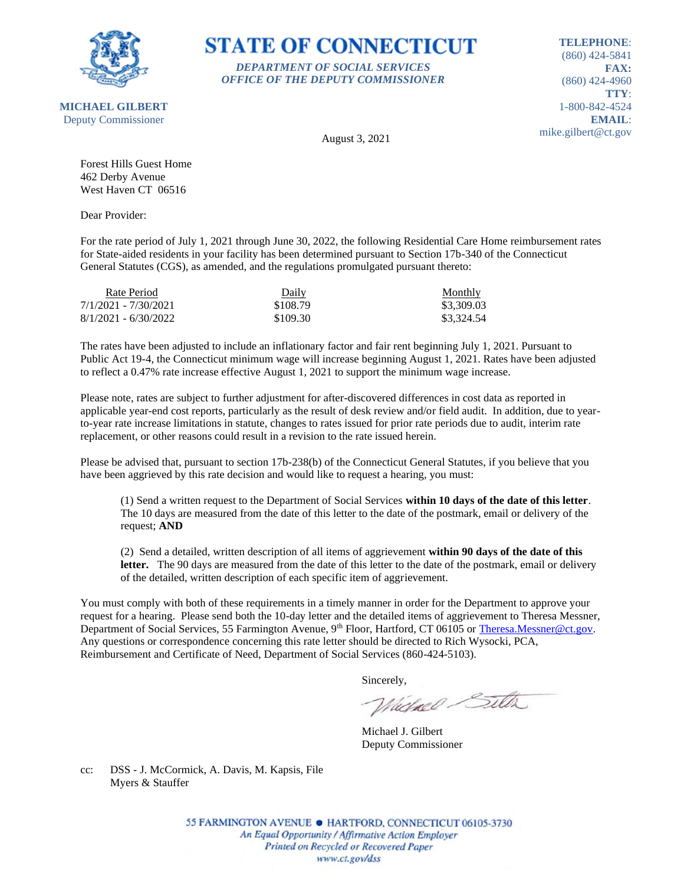

**MICHAEL GILBERT**

#### **STATE OF CONNECTICUT** *DEPARTMENT OF SOCIAL SERVICES*

*OFFICE OF THE DEPUTY COMMISSIONER*

**TELEPHONE**: (860) 424-5841 **FAX:** (860) 424-4960 **TTY**: 1-800-842-4524 **EMAIL**: mike.gilbert@ct.gov

Deputy Commissioner

August 3, 2021

Forest Hills Guest Home 462 Derby Avenue West Haven CT 06516

Dear Provider:

For the rate period of July 1, 2021 through June 30, 2022, the following Residential Care Home reimbursement rates for State-aided residents in your facility has been determined pursuant to Section 17b-340 of the Connecticut General Statutes (CGS), as amended, and the regulations promulgated pursuant thereto:

| Rate Period            | Daily    | Monthly    |
|------------------------|----------|------------|
| 7/1/2021 - 7/30/2021   | \$108.79 | \$3,309.03 |
| $8/1/2021 - 6/30/2022$ | \$109.30 | \$3,324.54 |

The rates have been adjusted to include an inflationary factor and fair rent beginning July 1, 2021. Pursuant to Public Act 19-4, the Connecticut minimum wage will increase beginning August 1, 2021. Rates have been adjusted to reflect a 0.47% rate increase effective August 1, 2021 to support the minimum wage increase.

Please note, rates are subject to further adjustment for after-discovered differences in cost data as reported in applicable year-end cost reports, particularly as the result of desk review and/or field audit. In addition, due to yearto-year rate increase limitations in statute, changes to rates issued for prior rate periods due to audit, interim rate replacement, or other reasons could result in a revision to the rate issued herein.

Please be advised that, pursuant to section 17b-238(b) of the Connecticut General Statutes, if you believe that you have been aggrieved by this rate decision and would like to request a hearing, you must:

(1) Send a written request to the Department of Social Services **within 10 days of the date of this letter**. The 10 days are measured from the date of this letter to the date of the postmark, email or delivery of the request; **AND**

(2) Send a detailed, written description of all items of aggrievement **within 90 days of the date of this**  letter. The 90 days are measured from the date of this letter to the date of the postmark, email or delivery of the detailed, written description of each specific item of aggrievement.

You must comply with both of these requirements in a timely manner in order for the Department to approve your request for a hearing. Please send both the 10-day letter and the detailed items of aggrievement to Theresa Messner, Department of Social Services, 55 Farmington Avenue, 9<sup>th</sup> Floor, Hartford, CT 06105 or [Theresa.Messner@ct.gov.](mailto:Theresa.Messner@ct.gov) Any questions or correspondence concerning this rate letter should be directed to Rich Wysocki, PCA, Reimbursement and Certificate of Need, Department of Social Services (860-424-5103).

Sincerely,

Victorel Sitter

Michael J. Gilbert Deputy Commissioner

cc: DSS - J. McCormick, A. Davis, M. Kapsis, File Myers & Stauffer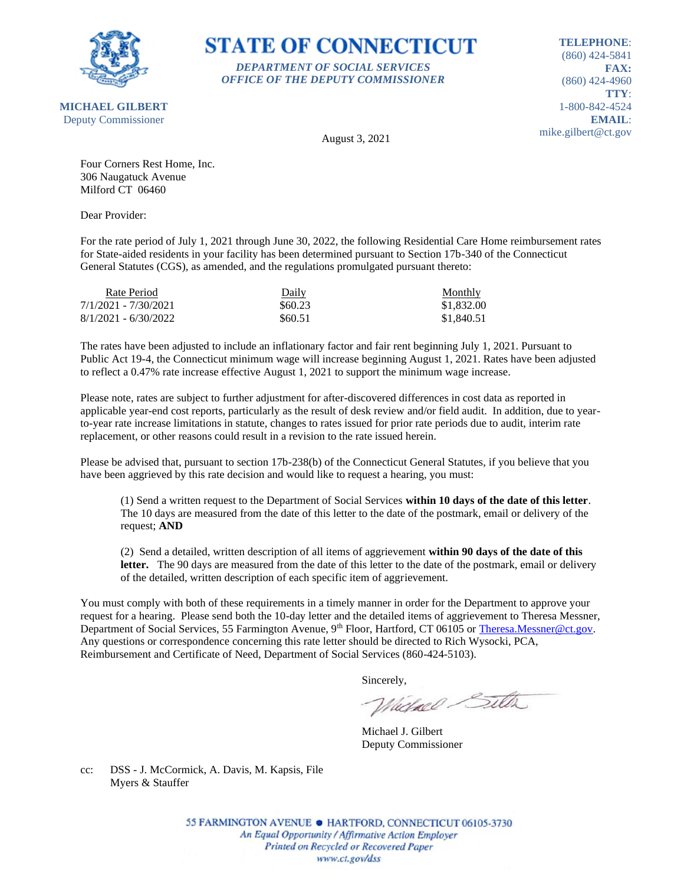

# **STATE OF CONNECTICUT** *DEPARTMENT OF SOCIAL SERVICES*

*OFFICE OF THE DEPUTY COMMISSIONER*

**TELEPHONE**: (860) 424-5841 **FAX:** (860) 424-4960 **TTY**: 1-800-842-4524 **EMAIL**: mike.gilbert@ct.gov

August 3, 2021

Four Corners Rest Home, Inc. 306 Naugatuck Avenue Milford CT 06460

Dear Provider:

For the rate period of July 1, 2021 through June 30, 2022, the following Residential Care Home reimbursement rates for State-aided residents in your facility has been determined pursuant to Section 17b-340 of the Connecticut General Statutes (CGS), as amended, and the regulations promulgated pursuant thereto:

| Rate Period            | Daily   | Monthly    |
|------------------------|---------|------------|
| 7/1/2021 - 7/30/2021   | \$60.23 | \$1,832.00 |
| $8/1/2021 - 6/30/2022$ | \$60.51 | \$1,840.51 |

The rates have been adjusted to include an inflationary factor and fair rent beginning July 1, 2021. Pursuant to Public Act 19-4, the Connecticut minimum wage will increase beginning August 1, 2021. Rates have been adjusted to reflect a 0.47% rate increase effective August 1, 2021 to support the minimum wage increase.

Please note, rates are subject to further adjustment for after-discovered differences in cost data as reported in applicable year-end cost reports, particularly as the result of desk review and/or field audit. In addition, due to yearto-year rate increase limitations in statute, changes to rates issued for prior rate periods due to audit, interim rate replacement, or other reasons could result in a revision to the rate issued herein.

Please be advised that, pursuant to section 17b-238(b) of the Connecticut General Statutes, if you believe that you have been aggrieved by this rate decision and would like to request a hearing, you must:

(1) Send a written request to the Department of Social Services **within 10 days of the date of this letter**. The 10 days are measured from the date of this letter to the date of the postmark, email or delivery of the request; **AND**

(2) Send a detailed, written description of all items of aggrievement **within 90 days of the date of this**  letter. The 90 days are measured from the date of this letter to the date of the postmark, email or delivery of the detailed, written description of each specific item of aggrievement.

You must comply with both of these requirements in a timely manner in order for the Department to approve your request for a hearing. Please send both the 10-day letter and the detailed items of aggrievement to Theresa Messner, Department of Social Services, 55 Farmington Avenue, 9<sup>th</sup> Floor, Hartford, CT 06105 or [Theresa.Messner@ct.gov.](mailto:Theresa.Messner@ct.gov) Any questions or correspondence concerning this rate letter should be directed to Rich Wysocki, PCA, Reimbursement and Certificate of Need, Department of Social Services (860-424-5103).

Sincerely,

Victorel Sitter

Michael J. Gilbert Deputy Commissioner

cc: DSS - J. McCormick, A. Davis, M. Kapsis, File Myers & Stauffer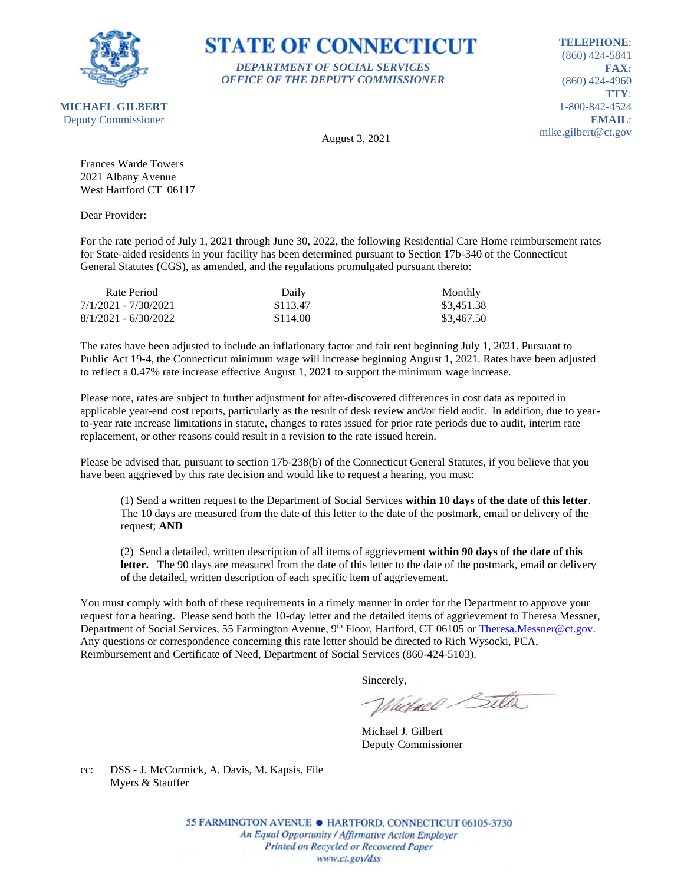

#### **STATE OF CONNECTICUT** *DEPARTMENT OF SOCIAL SERVICES*

*OFFICE OF THE DEPUTY COMMISSIONER*

**TELEPHONE**: (860) 424-5841 **FAX:** (860) 424-4960 **TTY**: 1-800-842-4524 **EMAIL**: mike.gilbert@ct.gov

August 3, 2021

Frances Warde Towers 2021 Albany Avenue West Hartford CT 06117

Dear Provider:

For the rate period of July 1, 2021 through June 30, 2022, the following Residential Care Home reimbursement rates for State-aided residents in your facility has been determined pursuant to Section 17b-340 of the Connecticut General Statutes (CGS), as amended, and the regulations promulgated pursuant thereto:

| Rate Period            | Daily    | <b>Monthly</b> |
|------------------------|----------|----------------|
| 7/1/2021 - 7/30/2021   | \$113.47 | \$3.451.38     |
| $8/1/2021 - 6/30/2022$ | \$114.00 | \$3,467.50     |

The rates have been adjusted to include an inflationary factor and fair rent beginning July 1, 2021. Pursuant to Public Act 19-4, the Connecticut minimum wage will increase beginning August 1, 2021. Rates have been adjusted to reflect a 0.47% rate increase effective August 1, 2021 to support the minimum wage increase.

Please note, rates are subject to further adjustment for after-discovered differences in cost data as reported in applicable year-end cost reports, particularly as the result of desk review and/or field audit. In addition, due to yearto-year rate increase limitations in statute, changes to rates issued for prior rate periods due to audit, interim rate replacement, or other reasons could result in a revision to the rate issued herein.

Please be advised that, pursuant to section 17b-238(b) of the Connecticut General Statutes, if you believe that you have been aggrieved by this rate decision and would like to request a hearing, you must:

(1) Send a written request to the Department of Social Services **within 10 days of the date of this letter**. The 10 days are measured from the date of this letter to the date of the postmark, email or delivery of the request; **AND**

(2) Send a detailed, written description of all items of aggrievement **within 90 days of the date of this**  letter. The 90 days are measured from the date of this letter to the date of the postmark, email or delivery of the detailed, written description of each specific item of aggrievement.

You must comply with both of these requirements in a timely manner in order for the Department to approve your request for a hearing. Please send both the 10-day letter and the detailed items of aggrievement to Theresa Messner, Department of Social Services, 55 Farmington Avenue, 9<sup>th</sup> Floor, Hartford, CT 06105 or [Theresa.Messner@ct.gov.](mailto:Theresa.Messner@ct.gov) Any questions or correspondence concerning this rate letter should be directed to Rich Wysocki, PCA, Reimbursement and Certificate of Need, Department of Social Services (860-424-5103).

Sincerely,

Victorel Sitter

Michael J. Gilbert Deputy Commissioner

cc: DSS - J. McCormick, A. Davis, M. Kapsis, File Myers & Stauffer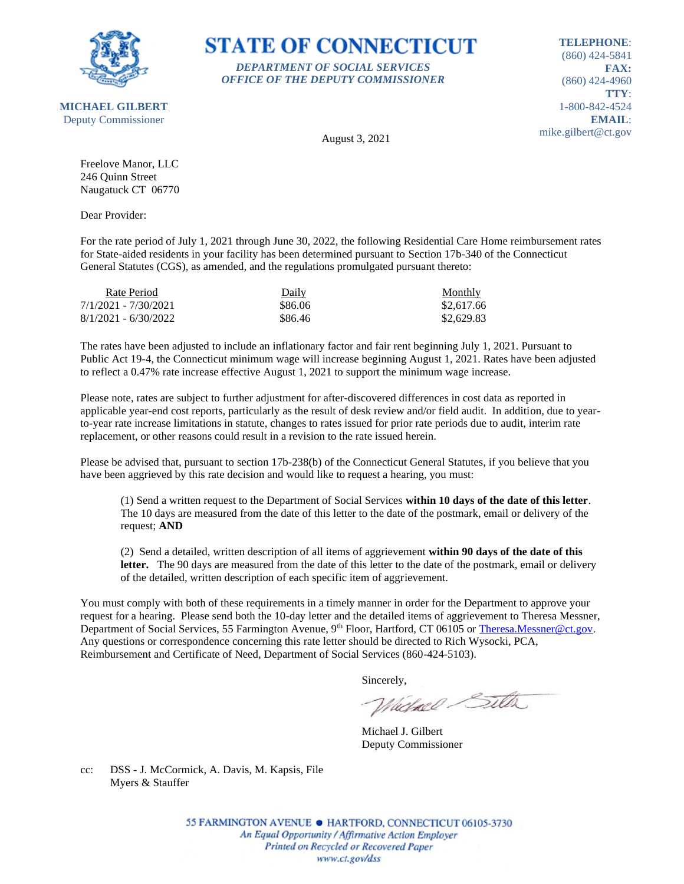

#### **STATE OF CONNECTICUT** *DEPARTMENT OF SOCIAL SERVICES*

*OFFICE OF THE DEPUTY COMMISSIONER*

**TELEPHONE**: (860) 424-5841 **FAX:** (860) 424-4960 **TTY**: 1-800-842-4524 **EMAIL**: mike.gilbert@ct.gov

August 3, 2021

Freelove Manor, LLC 246 Quinn Street Naugatuck CT 06770

Dear Provider:

For the rate period of July 1, 2021 through June 30, 2022, the following Residential Care Home reimbursement rates for State-aided residents in your facility has been determined pursuant to Section 17b-340 of the Connecticut General Statutes (CGS), as amended, and the regulations promulgated pursuant thereto:

| Rate Period            | Daily   | Monthly    |
|------------------------|---------|------------|
| 7/1/2021 - 7/30/2021   | \$86.06 | \$2,617.66 |
| $8/1/2021 - 6/30/2022$ | \$86.46 | \$2,629.83 |

The rates have been adjusted to include an inflationary factor and fair rent beginning July 1, 2021. Pursuant to Public Act 19-4, the Connecticut minimum wage will increase beginning August 1, 2021. Rates have been adjusted to reflect a 0.47% rate increase effective August 1, 2021 to support the minimum wage increase.

Please note, rates are subject to further adjustment for after-discovered differences in cost data as reported in applicable year-end cost reports, particularly as the result of desk review and/or field audit. In addition, due to yearto-year rate increase limitations in statute, changes to rates issued for prior rate periods due to audit, interim rate replacement, or other reasons could result in a revision to the rate issued herein.

Please be advised that, pursuant to section 17b-238(b) of the Connecticut General Statutes, if you believe that you have been aggrieved by this rate decision and would like to request a hearing, you must:

(1) Send a written request to the Department of Social Services **within 10 days of the date of this letter**. The 10 days are measured from the date of this letter to the date of the postmark, email or delivery of the request; **AND**

(2) Send a detailed, written description of all items of aggrievement **within 90 days of the date of this**  letter. The 90 days are measured from the date of this letter to the date of the postmark, email or delivery of the detailed, written description of each specific item of aggrievement.

You must comply with both of these requirements in a timely manner in order for the Department to approve your request for a hearing. Please send both the 10-day letter and the detailed items of aggrievement to Theresa Messner, Department of Social Services, 55 Farmington Avenue, 9<sup>th</sup> Floor, Hartford, CT 06105 or [Theresa.Messner@ct.gov.](mailto:Theresa.Messner@ct.gov) Any questions or correspondence concerning this rate letter should be directed to Rich Wysocki, PCA, Reimbursement and Certificate of Need, Department of Social Services (860-424-5103).

Sincerely,

Victorel Sitter

Michael J. Gilbert Deputy Commissioner

cc: DSS - J. McCormick, A. Davis, M. Kapsis, File Myers & Stauffer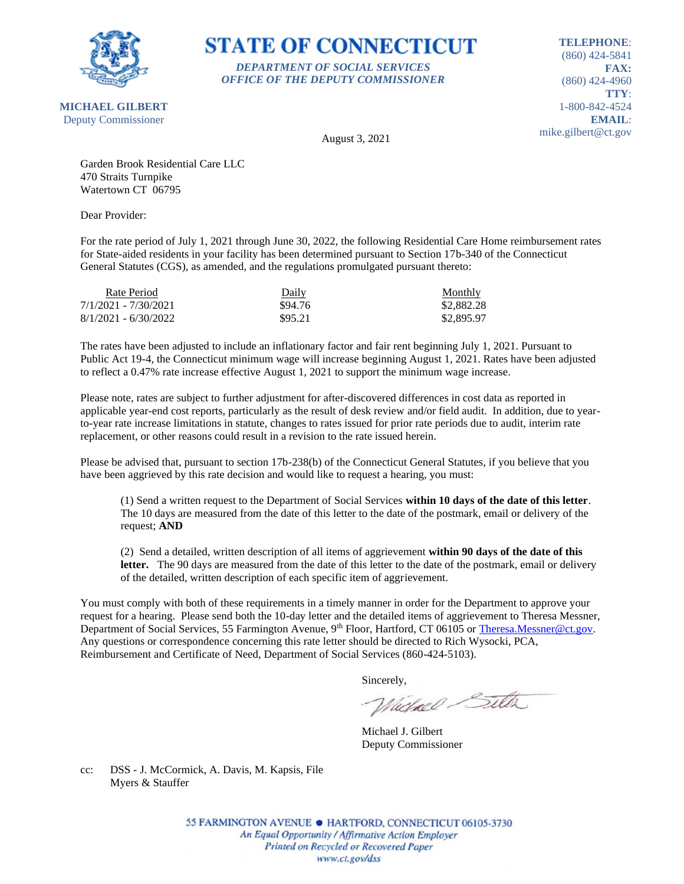

# **STATE OF CONNECTICUT** *DEPARTMENT OF SOCIAL SERVICES*

*OFFICE OF THE DEPUTY COMMISSIONER*

**TELEPHONE**: (860) 424-5841 **FAX:** (860) 424-4960 **TTY**: 1-800-842-4524 **EMAIL**: mike.gilbert@ct.gov

August 3, 2021

Garden Brook Residential Care LLC 470 Straits Turnpike Watertown CT 06795

Dear Provider:

For the rate period of July 1, 2021 through June 30, 2022, the following Residential Care Home reimbursement rates for State-aided residents in your facility has been determined pursuant to Section 17b-340 of the Connecticut General Statutes (CGS), as amended, and the regulations promulgated pursuant thereto:

| Rate Period            | Daily   | Monthly    |
|------------------------|---------|------------|
| 7/1/2021 - 7/30/2021   | \$94.76 | \$2,882.28 |
| $8/1/2021 - 6/30/2022$ | \$95.21 | \$2,895.97 |

The rates have been adjusted to include an inflationary factor and fair rent beginning July 1, 2021. Pursuant to Public Act 19-4, the Connecticut minimum wage will increase beginning August 1, 2021. Rates have been adjusted to reflect a 0.47% rate increase effective August 1, 2021 to support the minimum wage increase.

Please note, rates are subject to further adjustment for after-discovered differences in cost data as reported in applicable year-end cost reports, particularly as the result of desk review and/or field audit. In addition, due to yearto-year rate increase limitations in statute, changes to rates issued for prior rate periods due to audit, interim rate replacement, or other reasons could result in a revision to the rate issued herein.

Please be advised that, pursuant to section 17b-238(b) of the Connecticut General Statutes, if you believe that you have been aggrieved by this rate decision and would like to request a hearing, you must:

(1) Send a written request to the Department of Social Services **within 10 days of the date of this letter**. The 10 days are measured from the date of this letter to the date of the postmark, email or delivery of the request; **AND**

(2) Send a detailed, written description of all items of aggrievement **within 90 days of the date of this**  letter. The 90 days are measured from the date of this letter to the date of the postmark, email or delivery of the detailed, written description of each specific item of aggrievement.

You must comply with both of these requirements in a timely manner in order for the Department to approve your request for a hearing. Please send both the 10-day letter and the detailed items of aggrievement to Theresa Messner, Department of Social Services, 55 Farmington Avenue, 9<sup>th</sup> Floor, Hartford, CT 06105 or [Theresa.Messner@ct.gov.](mailto:Theresa.Messner@ct.gov) Any questions or correspondence concerning this rate letter should be directed to Rich Wysocki, PCA, Reimbursement and Certificate of Need, Department of Social Services (860-424-5103).

Sincerely,

Victorel Sitter

Michael J. Gilbert Deputy Commissioner

cc: DSS - J. McCormick, A. Davis, M. Kapsis, File Myers & Stauffer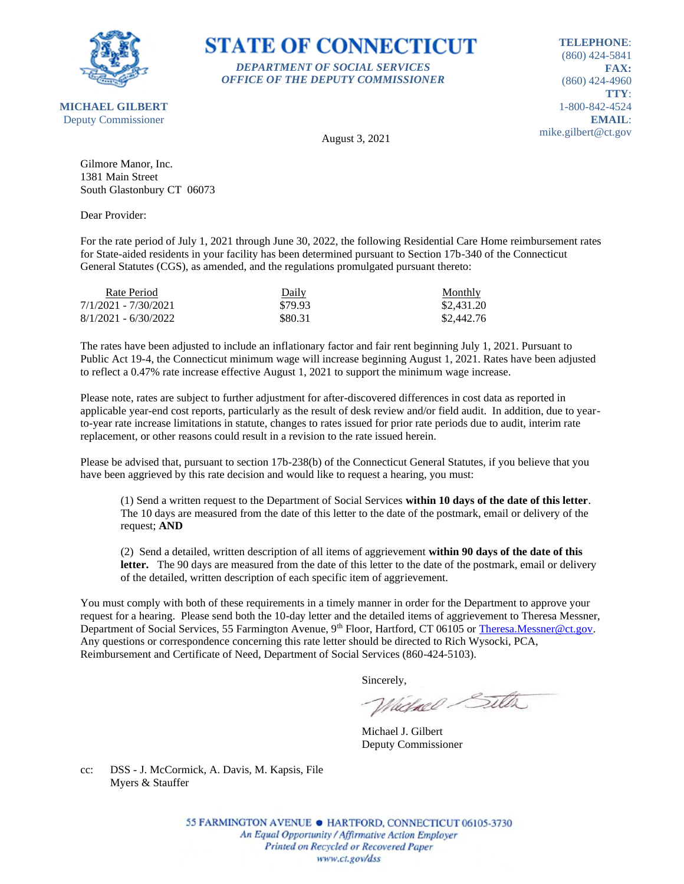

#### **STATE OF CONNECTICUT** *DEPARTMENT OF SOCIAL SERVICES*

*OFFICE OF THE DEPUTY COMMISSIONER*

**TELEPHONE**: (860) 424-5841 **FAX:** (860) 424-4960 **TTY**: 1-800-842-4524 **EMAIL**: mike.gilbert@ct.gov

**MICHAEL GILBERT** Deputy Commissioner

August 3, 2021

Gilmore Manor, Inc. 1381 Main Street South Glastonbury CT 06073

Dear Provider:

For the rate period of July 1, 2021 through June 30, 2022, the following Residential Care Home reimbursement rates for State-aided residents in your facility has been determined pursuant to Section 17b-340 of the Connecticut General Statutes (CGS), as amended, and the regulations promulgated pursuant thereto:

| Rate Period            | Daily   | Monthly    |
|------------------------|---------|------------|
| 7/1/2021 - 7/30/2021   | \$79.93 | \$2,431.20 |
| $8/1/2021 - 6/30/2022$ | \$80.31 | \$2,442.76 |

The rates have been adjusted to include an inflationary factor and fair rent beginning July 1, 2021. Pursuant to Public Act 19-4, the Connecticut minimum wage will increase beginning August 1, 2021. Rates have been adjusted to reflect a 0.47% rate increase effective August 1, 2021 to support the minimum wage increase.

Please note, rates are subject to further adjustment for after-discovered differences in cost data as reported in applicable year-end cost reports, particularly as the result of desk review and/or field audit. In addition, due to yearto-year rate increase limitations in statute, changes to rates issued for prior rate periods due to audit, interim rate replacement, or other reasons could result in a revision to the rate issued herein.

Please be advised that, pursuant to section 17b-238(b) of the Connecticut General Statutes, if you believe that you have been aggrieved by this rate decision and would like to request a hearing, you must:

(1) Send a written request to the Department of Social Services **within 10 days of the date of this letter**. The 10 days are measured from the date of this letter to the date of the postmark, email or delivery of the request; **AND**

(2) Send a detailed, written description of all items of aggrievement **within 90 days of the date of this**  letter. The 90 days are measured from the date of this letter to the date of the postmark, email or delivery of the detailed, written description of each specific item of aggrievement.

You must comply with both of these requirements in a timely manner in order for the Department to approve your request for a hearing. Please send both the 10-day letter and the detailed items of aggrievement to Theresa Messner, Department of Social Services, 55 Farmington Avenue, 9<sup>th</sup> Floor, Hartford, CT 06105 or [Theresa.Messner@ct.gov.](mailto:Theresa.Messner@ct.gov) Any questions or correspondence concerning this rate letter should be directed to Rich Wysocki, PCA, Reimbursement and Certificate of Need, Department of Social Services (860-424-5103).

Sincerely,

Victorel Sitter

Michael J. Gilbert Deputy Commissioner

cc: DSS - J. McCormick, A. Davis, M. Kapsis, File Myers & Stauffer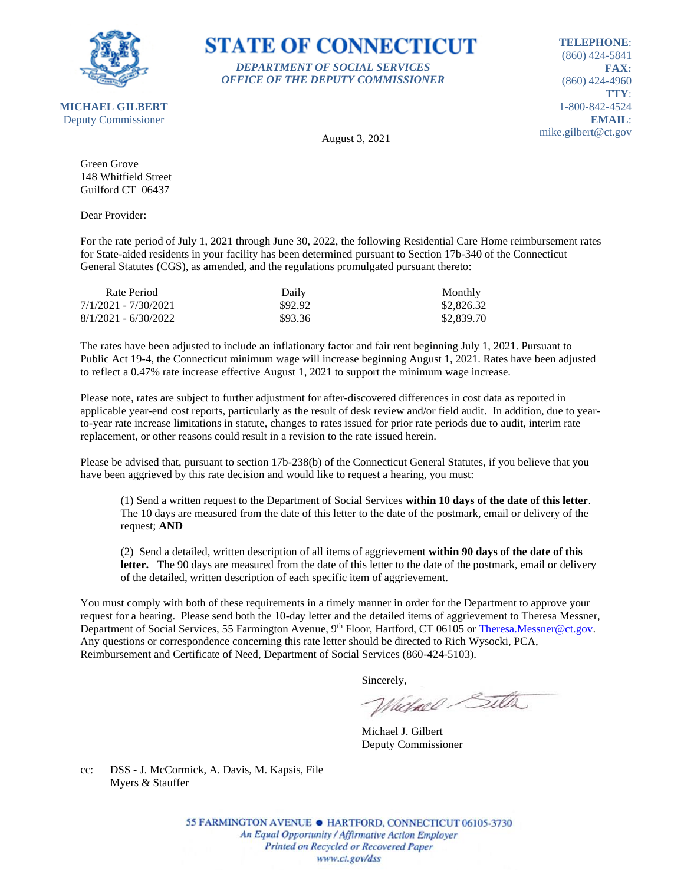

### **STATE OF CONNECTICUT** *DEPARTMENT OF SOCIAL SERVICES*

*OFFICE OF THE DEPUTY COMMISSIONER*

**TELEPHONE**: (860) 424-5841 **FAX:** (860) 424-4960 **TTY**: 1-800-842-4524 **EMAIL**: mike.gilbert@ct.gov

August 3, 2021

Green Grove 148 Whitfield Street Guilford CT 06437

Dear Provider:

For the rate period of July 1, 2021 through June 30, 2022, the following Residential Care Home reimbursement rates for State-aided residents in your facility has been determined pursuant to Section 17b-340 of the Connecticut General Statutes (CGS), as amended, and the regulations promulgated pursuant thereto:

| Rate Period            | Daily   | Monthly    |
|------------------------|---------|------------|
| 7/1/2021 - 7/30/2021   | \$92.92 | \$2,826.32 |
| $8/1/2021 - 6/30/2022$ | \$93.36 | \$2,839.70 |

The rates have been adjusted to include an inflationary factor and fair rent beginning July 1, 2021. Pursuant to Public Act 19-4, the Connecticut minimum wage will increase beginning August 1, 2021. Rates have been adjusted to reflect a 0.47% rate increase effective August 1, 2021 to support the minimum wage increase.

Please note, rates are subject to further adjustment for after-discovered differences in cost data as reported in applicable year-end cost reports, particularly as the result of desk review and/or field audit. In addition, due to yearto-year rate increase limitations in statute, changes to rates issued for prior rate periods due to audit, interim rate replacement, or other reasons could result in a revision to the rate issued herein.

Please be advised that, pursuant to section 17b-238(b) of the Connecticut General Statutes, if you believe that you have been aggrieved by this rate decision and would like to request a hearing, you must:

(1) Send a written request to the Department of Social Services **within 10 days of the date of this letter**. The 10 days are measured from the date of this letter to the date of the postmark, email or delivery of the request; **AND**

(2) Send a detailed, written description of all items of aggrievement **within 90 days of the date of this**  letter. The 90 days are measured from the date of this letter to the date of the postmark, email or delivery of the detailed, written description of each specific item of aggrievement.

You must comply with both of these requirements in a timely manner in order for the Department to approve your request for a hearing. Please send both the 10-day letter and the detailed items of aggrievement to Theresa Messner, Department of Social Services, 55 Farmington Avenue, 9<sup>th</sup> Floor, Hartford, CT 06105 or [Theresa.Messner@ct.gov.](mailto:Theresa.Messner@ct.gov) Any questions or correspondence concerning this rate letter should be directed to Rich Wysocki, PCA, Reimbursement and Certificate of Need, Department of Social Services (860-424-5103).

Sincerely,

Victorel Sitter

Michael J. Gilbert Deputy Commissioner

cc: DSS - J. McCormick, A. Davis, M. Kapsis, File Myers & Stauffer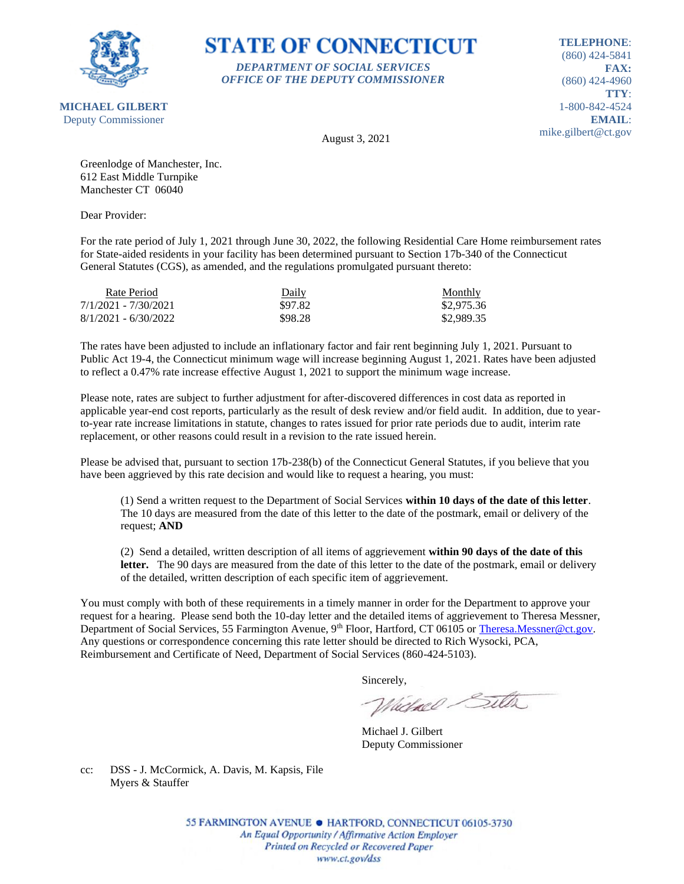

# **STATE OF CONNECTICUT** *DEPARTMENT OF SOCIAL SERVICES*

*OFFICE OF THE DEPUTY COMMISSIONER*

**TELEPHONE**: (860) 424-5841 **FAX:** (860) 424-4960 **TTY**: 1-800-842-4524 **EMAIL**: mike.gilbert@ct.gov

August 3, 2021

Greenlodge of Manchester, Inc. 612 East Middle Turnpike Manchester CT 06040

Dear Provider:

For the rate period of July 1, 2021 through June 30, 2022, the following Residential Care Home reimbursement rates for State-aided residents in your facility has been determined pursuant to Section 17b-340 of the Connecticut General Statutes (CGS), as amended, and the regulations promulgated pursuant thereto:

| Rate Period            | Daily   | <b>Monthly</b> |
|------------------------|---------|----------------|
| 7/1/2021 - 7/30/2021   | \$97.82 | \$2,975.36     |
| $8/1/2021 - 6/30/2022$ | \$98.28 | \$2,989.35     |

The rates have been adjusted to include an inflationary factor and fair rent beginning July 1, 2021. Pursuant to Public Act 19-4, the Connecticut minimum wage will increase beginning August 1, 2021. Rates have been adjusted to reflect a 0.47% rate increase effective August 1, 2021 to support the minimum wage increase.

Please note, rates are subject to further adjustment for after-discovered differences in cost data as reported in applicable year-end cost reports, particularly as the result of desk review and/or field audit. In addition, due to yearto-year rate increase limitations in statute, changes to rates issued for prior rate periods due to audit, interim rate replacement, or other reasons could result in a revision to the rate issued herein.

Please be advised that, pursuant to section 17b-238(b) of the Connecticut General Statutes, if you believe that you have been aggrieved by this rate decision and would like to request a hearing, you must:

(1) Send a written request to the Department of Social Services **within 10 days of the date of this letter**. The 10 days are measured from the date of this letter to the date of the postmark, email or delivery of the request; **AND**

(2) Send a detailed, written description of all items of aggrievement **within 90 days of the date of this**  letter. The 90 days are measured from the date of this letter to the date of the postmark, email or delivery of the detailed, written description of each specific item of aggrievement.

You must comply with both of these requirements in a timely manner in order for the Department to approve your request for a hearing. Please send both the 10-day letter and the detailed items of aggrievement to Theresa Messner, Department of Social Services, 55 Farmington Avenue, 9<sup>th</sup> Floor, Hartford, CT 06105 or [Theresa.Messner@ct.gov.](mailto:Theresa.Messner@ct.gov) Any questions or correspondence concerning this rate letter should be directed to Rich Wysocki, PCA, Reimbursement and Certificate of Need, Department of Social Services (860-424-5103).

Sincerely,

Victorel Sitter

Michael J. Gilbert Deputy Commissioner

cc: DSS - J. McCormick, A. Davis, M. Kapsis, File Myers & Stauffer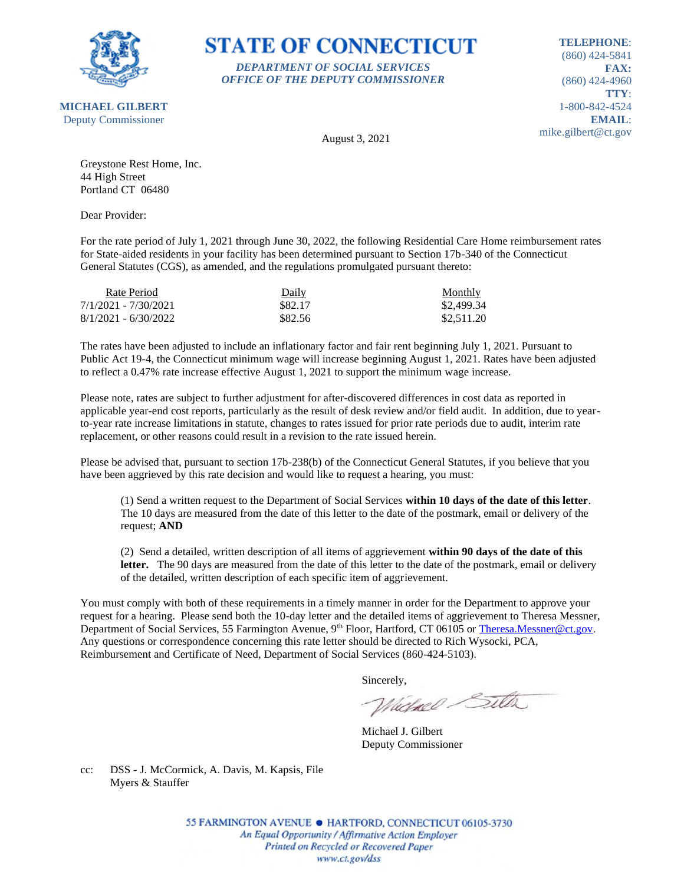

**STATE OF CONNECTICUT** *DEPARTMENT OF SOCIAL SERVICES*

*OFFICE OF THE DEPUTY COMMISSIONER*

**TELEPHONE**: (860) 424-5841 **FAX:** (860) 424-4960 **TTY**: 1-800-842-4524 **EMAIL**: mike.gilbert@ct.gov

August 3, 2021

Greystone Rest Home, Inc. 44 High Street Portland CT 06480

Dear Provider:

For the rate period of July 1, 2021 through June 30, 2022, the following Residential Care Home reimbursement rates for State-aided residents in your facility has been determined pursuant to Section 17b-340 of the Connecticut General Statutes (CGS), as amended, and the regulations promulgated pursuant thereto:

| Rate Period            | Daily   | <b>Monthly</b> |
|------------------------|---------|----------------|
| 7/1/2021 - 7/30/2021   | \$82.17 | \$2,499.34     |
| $8/1/2021 - 6/30/2022$ | \$82.56 | \$2,511.20     |

The rates have been adjusted to include an inflationary factor and fair rent beginning July 1, 2021. Pursuant to Public Act 19-4, the Connecticut minimum wage will increase beginning August 1, 2021. Rates have been adjusted to reflect a 0.47% rate increase effective August 1, 2021 to support the minimum wage increase.

Please note, rates are subject to further adjustment for after-discovered differences in cost data as reported in applicable year-end cost reports, particularly as the result of desk review and/or field audit. In addition, due to yearto-year rate increase limitations in statute, changes to rates issued for prior rate periods due to audit, interim rate replacement, or other reasons could result in a revision to the rate issued herein.

Please be advised that, pursuant to section 17b-238(b) of the Connecticut General Statutes, if you believe that you have been aggrieved by this rate decision and would like to request a hearing, you must:

(1) Send a written request to the Department of Social Services **within 10 days of the date of this letter**. The 10 days are measured from the date of this letter to the date of the postmark, email or delivery of the request; **AND**

(2) Send a detailed, written description of all items of aggrievement **within 90 days of the date of this**  letter. The 90 days are measured from the date of this letter to the date of the postmark, email or delivery of the detailed, written description of each specific item of aggrievement.

You must comply with both of these requirements in a timely manner in order for the Department to approve your request for a hearing. Please send both the 10-day letter and the detailed items of aggrievement to Theresa Messner, Department of Social Services, 55 Farmington Avenue, 9<sup>th</sup> Floor, Hartford, CT 06105 or [Theresa.Messner@ct.gov.](mailto:Theresa.Messner@ct.gov) Any questions or correspondence concerning this rate letter should be directed to Rich Wysocki, PCA, Reimbursement and Certificate of Need, Department of Social Services (860-424-5103).

Sincerely,

Victorel Sitter

Michael J. Gilbert Deputy Commissioner

cc: DSS - J. McCormick, A. Davis, M. Kapsis, File Myers & Stauffer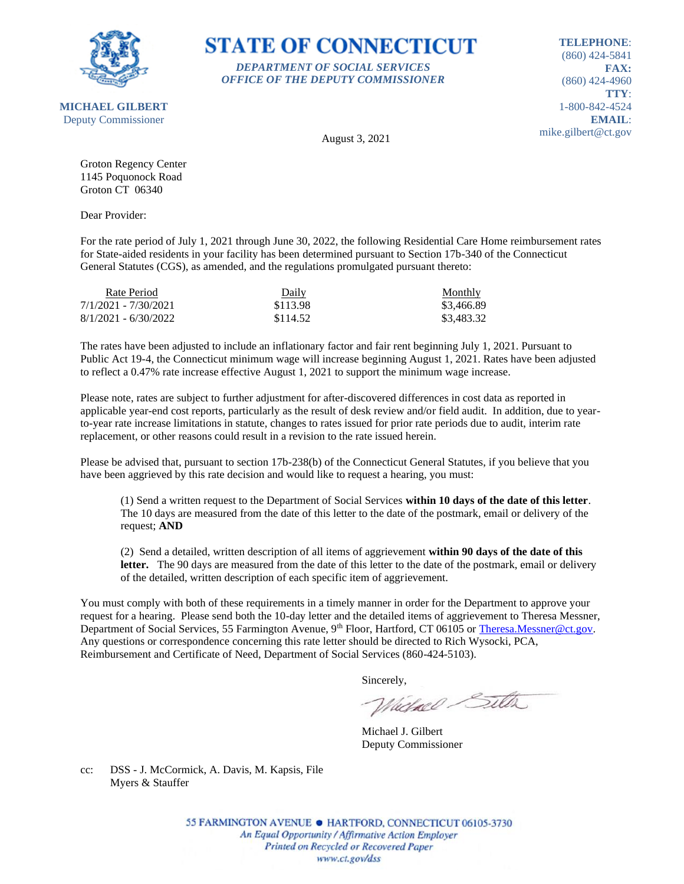

### **STATE OF CONNECTICUT** *DEPARTMENT OF SOCIAL SERVICES*

*OFFICE OF THE DEPUTY COMMISSIONER*

**TELEPHONE**: (860) 424-5841 **FAX:** (860) 424-4960 **TTY**: 1-800-842-4524 **EMAIL**: mike.gilbert@ct.gov

August 3, 2021

Groton Regency Center 1145 Poquonock Road Groton CT 06340

Dear Provider:

For the rate period of July 1, 2021 through June 30, 2022, the following Residential Care Home reimbursement rates for State-aided residents in your facility has been determined pursuant to Section 17b-340 of the Connecticut General Statutes (CGS), as amended, and the regulations promulgated pursuant thereto:

| Rate Period            | Daily    | <b>Monthly</b> |
|------------------------|----------|----------------|
| 7/1/2021 - 7/30/2021   | \$113.98 | \$3.466.89     |
| $8/1/2021 - 6/30/2022$ | \$114.52 | \$3,483.32     |

The rates have been adjusted to include an inflationary factor and fair rent beginning July 1, 2021. Pursuant to Public Act 19-4, the Connecticut minimum wage will increase beginning August 1, 2021. Rates have been adjusted to reflect a 0.47% rate increase effective August 1, 2021 to support the minimum wage increase.

Please note, rates are subject to further adjustment for after-discovered differences in cost data as reported in applicable year-end cost reports, particularly as the result of desk review and/or field audit. In addition, due to yearto-year rate increase limitations in statute, changes to rates issued for prior rate periods due to audit, interim rate replacement, or other reasons could result in a revision to the rate issued herein.

Please be advised that, pursuant to section 17b-238(b) of the Connecticut General Statutes, if you believe that you have been aggrieved by this rate decision and would like to request a hearing, you must:

(1) Send a written request to the Department of Social Services **within 10 days of the date of this letter**. The 10 days are measured from the date of this letter to the date of the postmark, email or delivery of the request; **AND**

(2) Send a detailed, written description of all items of aggrievement **within 90 days of the date of this**  letter. The 90 days are measured from the date of this letter to the date of the postmark, email or delivery of the detailed, written description of each specific item of aggrievement.

You must comply with both of these requirements in a timely manner in order for the Department to approve your request for a hearing. Please send both the 10-day letter and the detailed items of aggrievement to Theresa Messner, Department of Social Services, 55 Farmington Avenue, 9<sup>th</sup> Floor, Hartford, CT 06105 or [Theresa.Messner@ct.gov.](mailto:Theresa.Messner@ct.gov) Any questions or correspondence concerning this rate letter should be directed to Rich Wysocki, PCA, Reimbursement and Certificate of Need, Department of Social Services (860-424-5103).

Sincerely,

Victorel Sitter

Michael J. Gilbert Deputy Commissioner

cc: DSS - J. McCormick, A. Davis, M. Kapsis, File Myers & Stauffer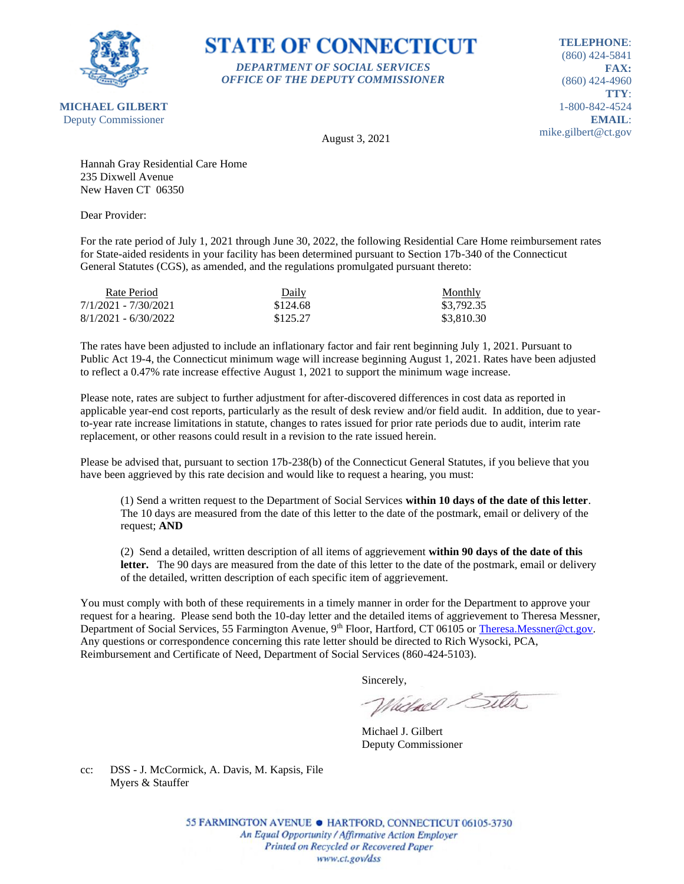

## **STATE OF CONNECTICUT** *DEPARTMENT OF SOCIAL SERVICES*

*OFFICE OF THE DEPUTY COMMISSIONER*

**TELEPHONE**: (860) 424-5841 **FAX:** (860) 424-4960 **TTY**: 1-800-842-4524 **EMAIL**: mike.gilbert@ct.gov

August 3, 2021

Hannah Gray Residential Care Home 235 Dixwell Avenue New Haven CT 06350

Dear Provider:

For the rate period of July 1, 2021 through June 30, 2022, the following Residential Care Home reimbursement rates for State-aided residents in your facility has been determined pursuant to Section 17b-340 of the Connecticut General Statutes (CGS), as amended, and the regulations promulgated pursuant thereto:

| Rate Period            | Daily    | <b>Monthly</b> |
|------------------------|----------|----------------|
| 7/1/2021 - 7/30/2021   | \$124.68 | \$3,792.35     |
| $8/1/2021 - 6/30/2022$ | \$125.27 | \$3,810.30     |

The rates have been adjusted to include an inflationary factor and fair rent beginning July 1, 2021. Pursuant to Public Act 19-4, the Connecticut minimum wage will increase beginning August 1, 2021. Rates have been adjusted to reflect a 0.47% rate increase effective August 1, 2021 to support the minimum wage increase.

Please note, rates are subject to further adjustment for after-discovered differences in cost data as reported in applicable year-end cost reports, particularly as the result of desk review and/or field audit. In addition, due to yearto-year rate increase limitations in statute, changes to rates issued for prior rate periods due to audit, interim rate replacement, or other reasons could result in a revision to the rate issued herein.

Please be advised that, pursuant to section 17b-238(b) of the Connecticut General Statutes, if you believe that you have been aggrieved by this rate decision and would like to request a hearing, you must:

(1) Send a written request to the Department of Social Services **within 10 days of the date of this letter**. The 10 days are measured from the date of this letter to the date of the postmark, email or delivery of the request; **AND**

(2) Send a detailed, written description of all items of aggrievement **within 90 days of the date of this**  letter. The 90 days are measured from the date of this letter to the date of the postmark, email or delivery of the detailed, written description of each specific item of aggrievement.

You must comply with both of these requirements in a timely manner in order for the Department to approve your request for a hearing. Please send both the 10-day letter and the detailed items of aggrievement to Theresa Messner, Department of Social Services, 55 Farmington Avenue, 9<sup>th</sup> Floor, Hartford, CT 06105 or [Theresa.Messner@ct.gov.](mailto:Theresa.Messner@ct.gov) Any questions or correspondence concerning this rate letter should be directed to Rich Wysocki, PCA, Reimbursement and Certificate of Need, Department of Social Services (860-424-5103).

Sincerely,

Victorel Sitter

Michael J. Gilbert Deputy Commissioner

cc: DSS - J. McCormick, A. Davis, M. Kapsis, File Myers & Stauffer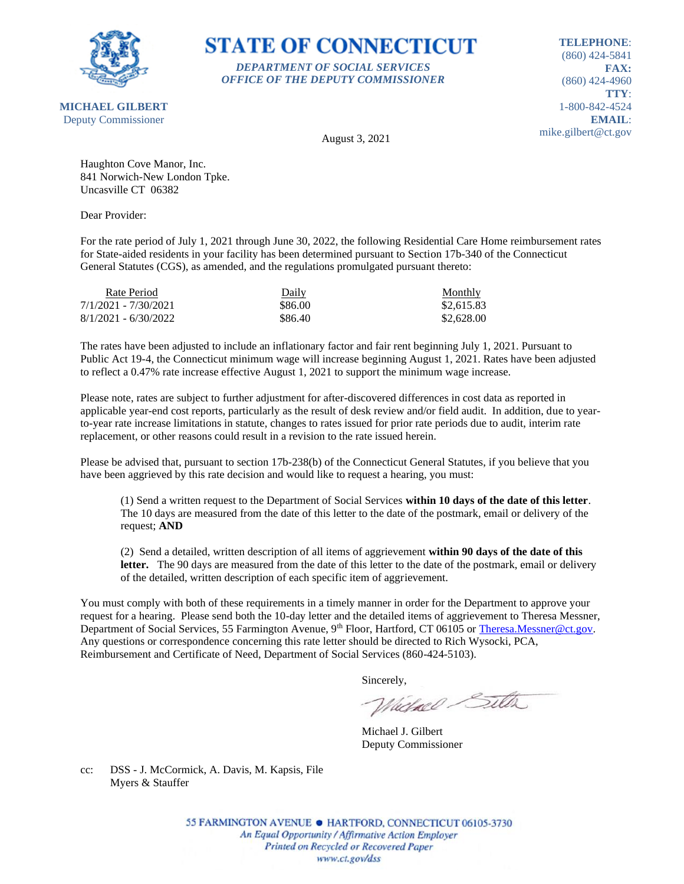

## **STATE OF CONNECTICUT** *DEPARTMENT OF SOCIAL SERVICES*

*OFFICE OF THE DEPUTY COMMISSIONER*

**TELEPHONE**: (860) 424-5841 **FAX:** (860) 424-4960 **TTY**: 1-800-842-4524 **EMAIL**: mike.gilbert@ct.gov

**MICHAEL GILBERT** Deputy Commissioner

August 3, 2021

Haughton Cove Manor, Inc. 841 Norwich-New London Tpke. Uncasville CT 06382

Dear Provider:

For the rate period of July 1, 2021 through June 30, 2022, the following Residential Care Home reimbursement rates for State-aided residents in your facility has been determined pursuant to Section 17b-340 of the Connecticut General Statutes (CGS), as amended, and the regulations promulgated pursuant thereto:

| Rate Period            | Daily   | Monthly    |
|------------------------|---------|------------|
| 7/1/2021 - 7/30/2021   | \$86.00 | \$2,615.83 |
| $8/1/2021 - 6/30/2022$ | \$86.40 | \$2,628.00 |

The rates have been adjusted to include an inflationary factor and fair rent beginning July 1, 2021. Pursuant to Public Act 19-4, the Connecticut minimum wage will increase beginning August 1, 2021. Rates have been adjusted to reflect a 0.47% rate increase effective August 1, 2021 to support the minimum wage increase.

Please note, rates are subject to further adjustment for after-discovered differences in cost data as reported in applicable year-end cost reports, particularly as the result of desk review and/or field audit. In addition, due to yearto-year rate increase limitations in statute, changes to rates issued for prior rate periods due to audit, interim rate replacement, or other reasons could result in a revision to the rate issued herein.

Please be advised that, pursuant to section 17b-238(b) of the Connecticut General Statutes, if you believe that you have been aggrieved by this rate decision and would like to request a hearing, you must:

(1) Send a written request to the Department of Social Services **within 10 days of the date of this letter**. The 10 days are measured from the date of this letter to the date of the postmark, email or delivery of the request; **AND**

(2) Send a detailed, written description of all items of aggrievement **within 90 days of the date of this**  letter. The 90 days are measured from the date of this letter to the date of the postmark, email or delivery of the detailed, written description of each specific item of aggrievement.

You must comply with both of these requirements in a timely manner in order for the Department to approve your request for a hearing. Please send both the 10-day letter and the detailed items of aggrievement to Theresa Messner, Department of Social Services, 55 Farmington Avenue, 9<sup>th</sup> Floor, Hartford, CT 06105 or [Theresa.Messner@ct.gov.](mailto:Theresa.Messner@ct.gov) Any questions or correspondence concerning this rate letter should be directed to Rich Wysocki, PCA, Reimbursement and Certificate of Need, Department of Social Services (860-424-5103).

Sincerely,

Victorel Sitter

Michael J. Gilbert Deputy Commissioner

cc: DSS - J. McCormick, A. Davis, M. Kapsis, File Myers & Stauffer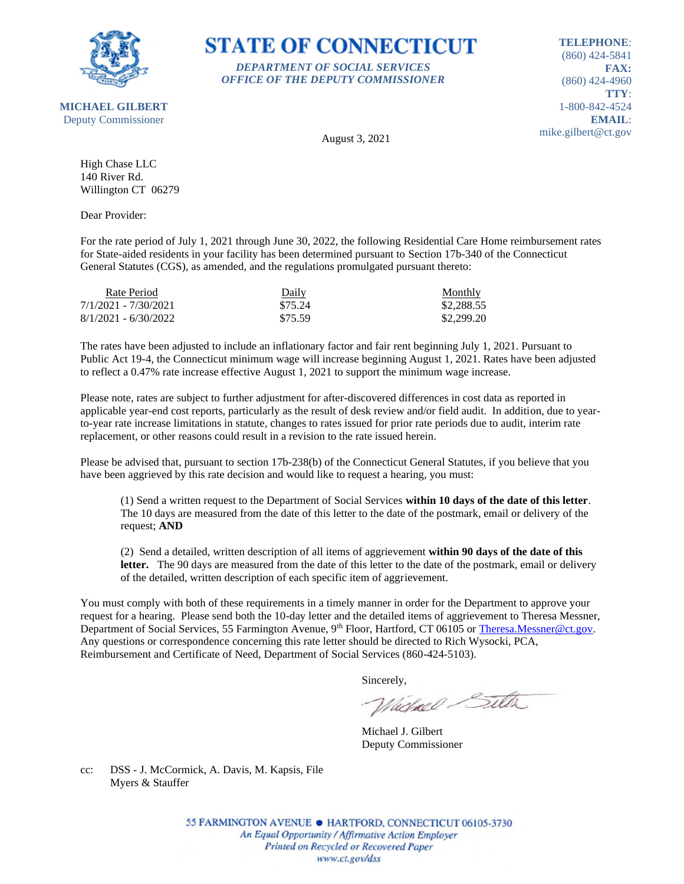

### **STATE OF CONNECTICUT** *DEPARTMENT OF SOCIAL SERVICES*

*OFFICE OF THE DEPUTY COMMISSIONER*

**TELEPHONE**: (860) 424-5841 **FAX:** (860) 424-4960 **TTY**: 1-800-842-4524 **EMAIL**: mike.gilbert@ct.gov

August 3, 2021

High Chase LLC 140 River Rd. Willington CT 06279

Dear Provider:

For the rate period of July 1, 2021 through June 30, 2022, the following Residential Care Home reimbursement rates for State-aided residents in your facility has been determined pursuant to Section 17b-340 of the Connecticut General Statutes (CGS), as amended, and the regulations promulgated pursuant thereto:

| Rate Period            | Daily   | <b>Monthly</b> |
|------------------------|---------|----------------|
| 7/1/2021 - 7/30/2021   | \$75.24 | \$2,288.55     |
| $8/1/2021 - 6/30/2022$ | \$75.59 | \$2,299.20     |

The rates have been adjusted to include an inflationary factor and fair rent beginning July 1, 2021. Pursuant to Public Act 19-4, the Connecticut minimum wage will increase beginning August 1, 2021. Rates have been adjusted to reflect a 0.47% rate increase effective August 1, 2021 to support the minimum wage increase.

Please note, rates are subject to further adjustment for after-discovered differences in cost data as reported in applicable year-end cost reports, particularly as the result of desk review and/or field audit. In addition, due to yearto-year rate increase limitations in statute, changes to rates issued for prior rate periods due to audit, interim rate replacement, or other reasons could result in a revision to the rate issued herein.

Please be advised that, pursuant to section 17b-238(b) of the Connecticut General Statutes, if you believe that you have been aggrieved by this rate decision and would like to request a hearing, you must:

(1) Send a written request to the Department of Social Services **within 10 days of the date of this letter**. The 10 days are measured from the date of this letter to the date of the postmark, email or delivery of the request; **AND**

(2) Send a detailed, written description of all items of aggrievement **within 90 days of the date of this**  letter. The 90 days are measured from the date of this letter to the date of the postmark, email or delivery of the detailed, written description of each specific item of aggrievement.

You must comply with both of these requirements in a timely manner in order for the Department to approve your request for a hearing. Please send both the 10-day letter and the detailed items of aggrievement to Theresa Messner, Department of Social Services, 55 Farmington Avenue, 9<sup>th</sup> Floor, Hartford, CT 06105 or [Theresa.Messner@ct.gov.](mailto:Theresa.Messner@ct.gov) Any questions or correspondence concerning this rate letter should be directed to Rich Wysocki, PCA, Reimbursement and Certificate of Need, Department of Social Services (860-424-5103).

Sincerely,

Victorel Sitter

Michael J. Gilbert Deputy Commissioner

cc: DSS - J. McCormick, A. Davis, M. Kapsis, File Myers & Stauffer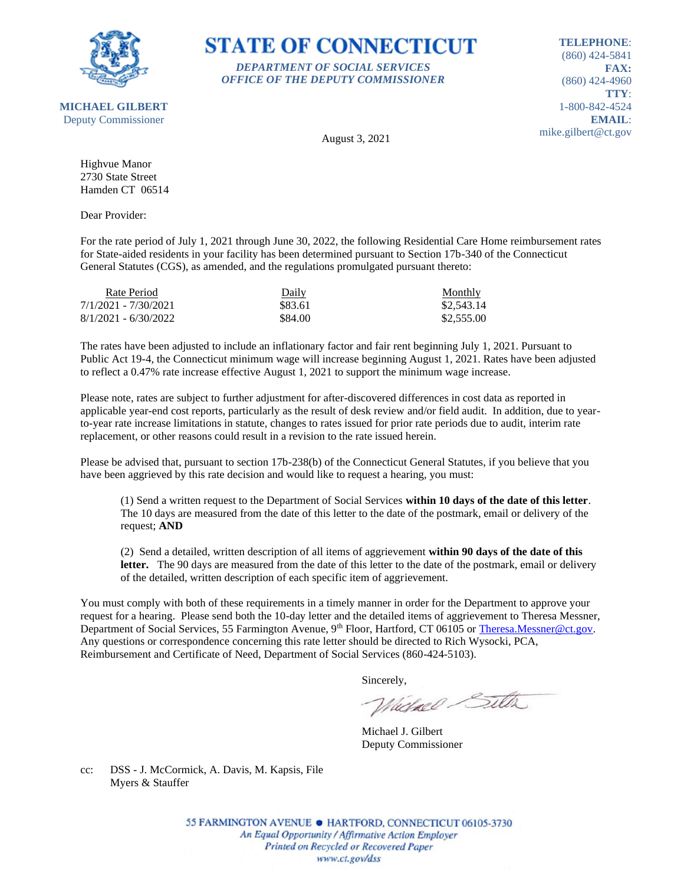

## **STATE OF CONNECTICUT** *DEPARTMENT OF SOCIAL SERVICES*

*OFFICE OF THE DEPUTY COMMISSIONER*

**TELEPHONE**: (860) 424-5841 **FAX:** (860) 424-4960 **TTY**: 1-800-842-4524 **EMAIL**: mike.gilbert@ct.gov

August 3, 2021

Highvue Manor 2730 State Street Hamden CT 06514

Dear Provider:

For the rate period of July 1, 2021 through June 30, 2022, the following Residential Care Home reimbursement rates for State-aided residents in your facility has been determined pursuant to Section 17b-340 of the Connecticut General Statutes (CGS), as amended, and the regulations promulgated pursuant thereto:

| Rate Period            | Daily   | <b>Monthly</b> |
|------------------------|---------|----------------|
| 7/1/2021 - 7/30/2021   | \$83.61 | \$2,543.14     |
| $8/1/2021 - 6/30/2022$ | \$84.00 | \$2,555.00     |

The rates have been adjusted to include an inflationary factor and fair rent beginning July 1, 2021. Pursuant to Public Act 19-4, the Connecticut minimum wage will increase beginning August 1, 2021. Rates have been adjusted to reflect a 0.47% rate increase effective August 1, 2021 to support the minimum wage increase.

Please note, rates are subject to further adjustment for after-discovered differences in cost data as reported in applicable year-end cost reports, particularly as the result of desk review and/or field audit. In addition, due to yearto-year rate increase limitations in statute, changes to rates issued for prior rate periods due to audit, interim rate replacement, or other reasons could result in a revision to the rate issued herein.

Please be advised that, pursuant to section 17b-238(b) of the Connecticut General Statutes, if you believe that you have been aggrieved by this rate decision and would like to request a hearing, you must:

(1) Send a written request to the Department of Social Services **within 10 days of the date of this letter**. The 10 days are measured from the date of this letter to the date of the postmark, email or delivery of the request; **AND**

(2) Send a detailed, written description of all items of aggrievement **within 90 days of the date of this**  letter. The 90 days are measured from the date of this letter to the date of the postmark, email or delivery of the detailed, written description of each specific item of aggrievement.

You must comply with both of these requirements in a timely manner in order for the Department to approve your request for a hearing. Please send both the 10-day letter and the detailed items of aggrievement to Theresa Messner, Department of Social Services, 55 Farmington Avenue, 9<sup>th</sup> Floor, Hartford, CT 06105 or [Theresa.Messner@ct.gov.](mailto:Theresa.Messner@ct.gov) Any questions or correspondence concerning this rate letter should be directed to Rich Wysocki, PCA, Reimbursement and Certificate of Need, Department of Social Services (860-424-5103).

Sincerely,

Victorel Sitter

Michael J. Gilbert Deputy Commissioner

cc: DSS - J. McCormick, A. Davis, M. Kapsis, File Myers & Stauffer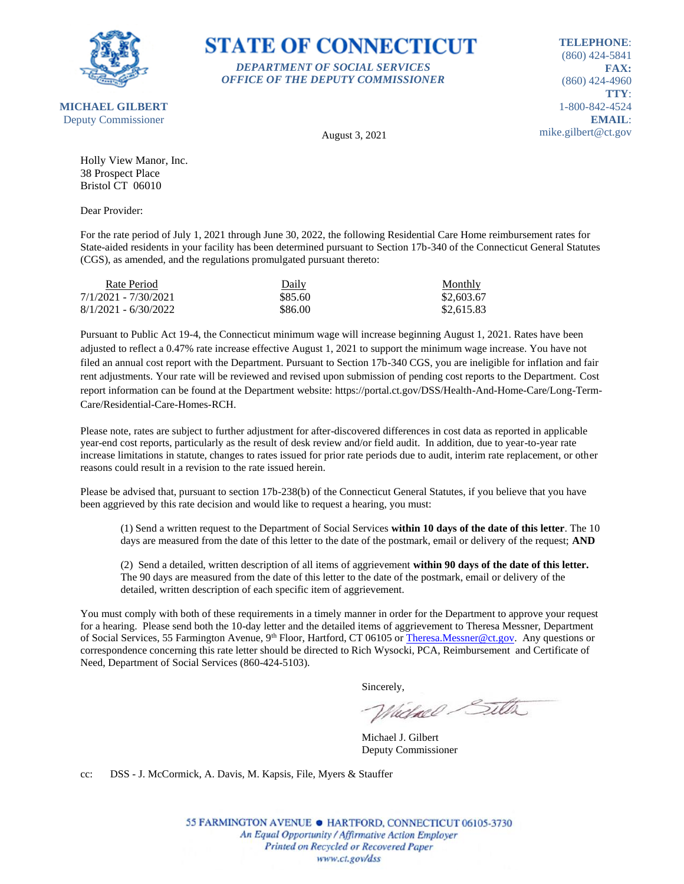

#### **STATE OF CONNECTICUT** *DEPARTMENT OF SOCIAL SERVICES*

*OFFICE OF THE DEPUTY COMMISSIONER*

**TELEPHONE**: (860) 424-5841 **FAX:** (860) 424-4960 **TTY**: 1-800-842-4524 **EMAIL**: mike.gilbert@ct.gov

August 3, 2021

Holly View Manor, Inc. 38 Prospect Place Bristol CT 06010

Dear Provider:

For the rate period of July 1, 2021 through June 30, 2022, the following Residential Care Home reimbursement rates for State-aided residents in your facility has been determined pursuant to Section 17b-340 of the Connecticut General Statutes (CGS), as amended, and the regulations promulgated pursuant thereto:

| Rate Period            | Daily   | Monthly    |
|------------------------|---------|------------|
| 7/1/2021 - 7/30/2021   | \$85.60 | \$2,603.67 |
| $8/1/2021 - 6/30/2022$ | \$86.00 | \$2,615.83 |

Pursuant to Public Act 19-4, the Connecticut minimum wage will increase beginning August 1, 2021. Rates have been adjusted to reflect a 0.47% rate increase effective August 1, 2021 to support the minimum wage increase. You have not filed an annual cost report with the Department. Pursuant to Section 17b-340 CGS, you are ineligible for inflation and fair rent adjustments. Your rate will be reviewed and revised upon submission of pending cost reports to the Department. Cost report information can be found at the Department website: https://portal.ct.gov/DSS/Health-And-Home-Care/Long-Term-Care/Residential-Care-Homes-RCH.

Please note, rates are subject to further adjustment for after-discovered differences in cost data as reported in applicable year-end cost reports, particularly as the result of desk review and/or field audit. In addition, due to year-to-year rate increase limitations in statute, changes to rates issued for prior rate periods due to audit, interim rate replacement, or other reasons could result in a revision to the rate issued herein.

Please be advised that, pursuant to section 17b-238(b) of the Connecticut General Statutes, if you believe that you have been aggrieved by this rate decision and would like to request a hearing, you must:

(1) Send a written request to the Department of Social Services **within 10 days of the date of this letter**. The 10 days are measured from the date of this letter to the date of the postmark, email or delivery of the request; **AND**

(2) Send a detailed, written description of all items of aggrievement **within 90 days of the date of this letter.** The 90 days are measured from the date of this letter to the date of the postmark, email or delivery of the detailed, written description of each specific item of aggrievement.

You must comply with both of these requirements in a timely manner in order for the Department to approve your request for a hearing. Please send both the 10-day letter and the detailed items of aggrievement to Theresa Messner, Department of Social Services, 55 Farmington Avenue, 9<sup>th</sup> Floor, Hartford, CT 06105 o[r Theresa.Messner@ct.gov.](mailto:Theresa.Messner@ct.gov) Any questions or correspondence concerning this rate letter should be directed to Rich Wysocki, PCA, Reimbursement and Certificate of Need, Department of Social Services (860-424-5103).

Sincerely,

Whichael Sitter

Michael J. Gilbert Deputy Commissioner

cc: DSS - J. McCormick, A. Davis, M. Kapsis, File, Myers & Stauffer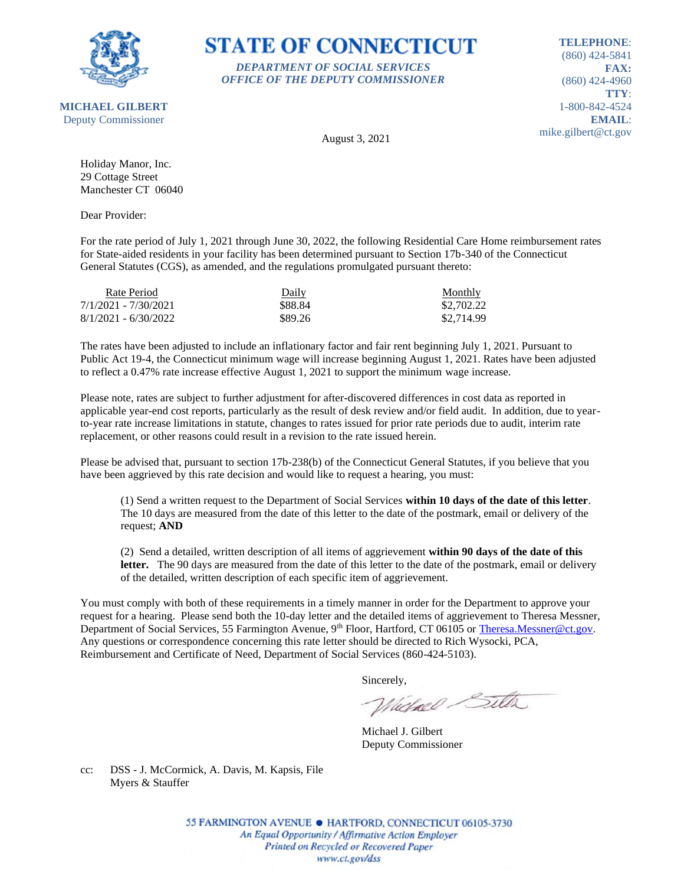

### **STATE OF CONNECTICUT** *DEPARTMENT OF SOCIAL SERVICES*

*OFFICE OF THE DEPUTY COMMISSIONER*

**TELEPHONE**: (860) 424-5841 **FAX:** (860) 424-4960 **TTY**: 1-800-842-4524 **EMAIL**: mike.gilbert@ct.gov

August 3, 2021

Holiday Manor, Inc. 29 Cottage Street Manchester CT 06040

Dear Provider:

For the rate period of July 1, 2021 through June 30, 2022, the following Residential Care Home reimbursement rates for State-aided residents in your facility has been determined pursuant to Section 17b-340 of the Connecticut General Statutes (CGS), as amended, and the regulations promulgated pursuant thereto:

| Rate Period            | Daily   | Monthly    |
|------------------------|---------|------------|
| 7/1/2021 - 7/30/2021   | \$88.84 | \$2,702.22 |
| $8/1/2021 - 6/30/2022$ | \$89.26 | \$2,714.99 |

The rates have been adjusted to include an inflationary factor and fair rent beginning July 1, 2021. Pursuant to Public Act 19-4, the Connecticut minimum wage will increase beginning August 1, 2021. Rates have been adjusted to reflect a 0.47% rate increase effective August 1, 2021 to support the minimum wage increase.

Please note, rates are subject to further adjustment for after-discovered differences in cost data as reported in applicable year-end cost reports, particularly as the result of desk review and/or field audit. In addition, due to yearto-year rate increase limitations in statute, changes to rates issued for prior rate periods due to audit, interim rate replacement, or other reasons could result in a revision to the rate issued herein.

Please be advised that, pursuant to section 17b-238(b) of the Connecticut General Statutes, if you believe that you have been aggrieved by this rate decision and would like to request a hearing, you must:

(1) Send a written request to the Department of Social Services **within 10 days of the date of this letter**. The 10 days are measured from the date of this letter to the date of the postmark, email or delivery of the request; **AND**

(2) Send a detailed, written description of all items of aggrievement **within 90 days of the date of this**  letter. The 90 days are measured from the date of this letter to the date of the postmark, email or delivery of the detailed, written description of each specific item of aggrievement.

You must comply with both of these requirements in a timely manner in order for the Department to approve your request for a hearing. Please send both the 10-day letter and the detailed items of aggrievement to Theresa Messner, Department of Social Services, 55 Farmington Avenue, 9<sup>th</sup> Floor, Hartford, CT 06105 or [Theresa.Messner@ct.gov.](mailto:Theresa.Messner@ct.gov) Any questions or correspondence concerning this rate letter should be directed to Rich Wysocki, PCA, Reimbursement and Certificate of Need, Department of Social Services (860-424-5103).

Sincerely,

Victorel Sitter

Michael J. Gilbert Deputy Commissioner

cc: DSS - J. McCormick, A. Davis, M. Kapsis, File Myers & Stauffer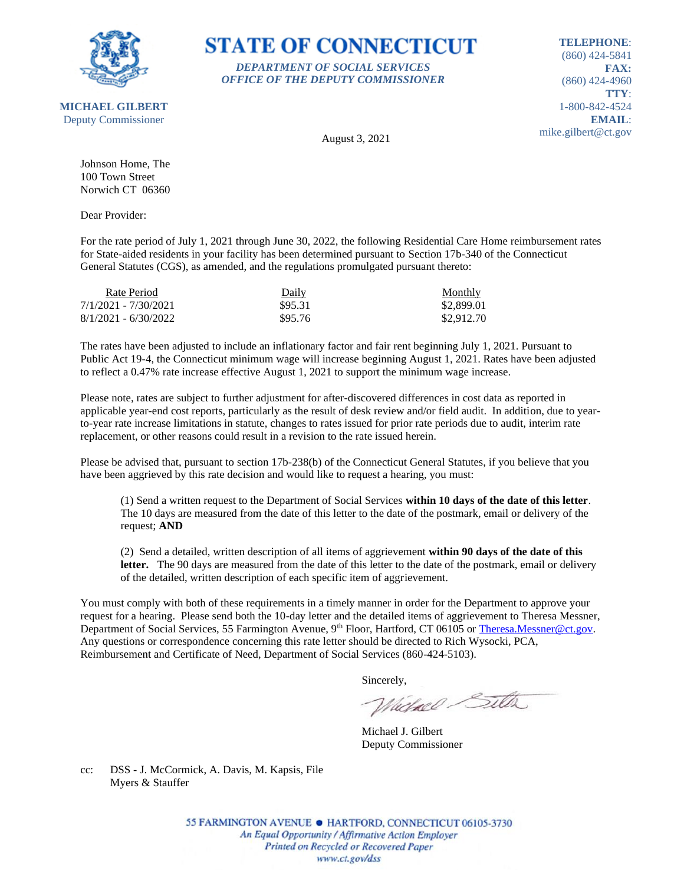

## **STATE OF CONNECTICUT** *DEPARTMENT OF SOCIAL SERVICES*

*OFFICE OF THE DEPUTY COMMISSIONER*

**TELEPHONE**: (860) 424-5841 **FAX:** (860) 424-4960 **TTY**: 1-800-842-4524 **EMAIL**: mike.gilbert@ct.gov

August 3, 2021

Johnson Home, The 100 Town Street Norwich CT 06360

Dear Provider:

For the rate period of July 1, 2021 through June 30, 2022, the following Residential Care Home reimbursement rates for State-aided residents in your facility has been determined pursuant to Section 17b-340 of the Connecticut General Statutes (CGS), as amended, and the regulations promulgated pursuant thereto:

| Rate Period            | Daily   | <b>Monthly</b> |
|------------------------|---------|----------------|
| 7/1/2021 - 7/30/2021   | \$95.31 | \$2,899.01     |
| $8/1/2021 - 6/30/2022$ | \$95.76 | \$2,912.70     |

The rates have been adjusted to include an inflationary factor and fair rent beginning July 1, 2021. Pursuant to Public Act 19-4, the Connecticut minimum wage will increase beginning August 1, 2021. Rates have been adjusted to reflect a 0.47% rate increase effective August 1, 2021 to support the minimum wage increase.

Please note, rates are subject to further adjustment for after-discovered differences in cost data as reported in applicable year-end cost reports, particularly as the result of desk review and/or field audit. In addition, due to yearto-year rate increase limitations in statute, changes to rates issued for prior rate periods due to audit, interim rate replacement, or other reasons could result in a revision to the rate issued herein.

Please be advised that, pursuant to section 17b-238(b) of the Connecticut General Statutes, if you believe that you have been aggrieved by this rate decision and would like to request a hearing, you must:

(1) Send a written request to the Department of Social Services **within 10 days of the date of this letter**. The 10 days are measured from the date of this letter to the date of the postmark, email or delivery of the request; **AND**

(2) Send a detailed, written description of all items of aggrievement **within 90 days of the date of this**  letter. The 90 days are measured from the date of this letter to the date of the postmark, email or delivery of the detailed, written description of each specific item of aggrievement.

You must comply with both of these requirements in a timely manner in order for the Department to approve your request for a hearing. Please send both the 10-day letter and the detailed items of aggrievement to Theresa Messner, Department of Social Services, 55 Farmington Avenue, 9<sup>th</sup> Floor, Hartford, CT 06105 or [Theresa.Messner@ct.gov.](mailto:Theresa.Messner@ct.gov) Any questions or correspondence concerning this rate letter should be directed to Rich Wysocki, PCA, Reimbursement and Certificate of Need, Department of Social Services (860-424-5103).

Sincerely,

Victorel Sitter

Michael J. Gilbert Deputy Commissioner

cc: DSS - J. McCormick, A. Davis, M. Kapsis, File Myers & Stauffer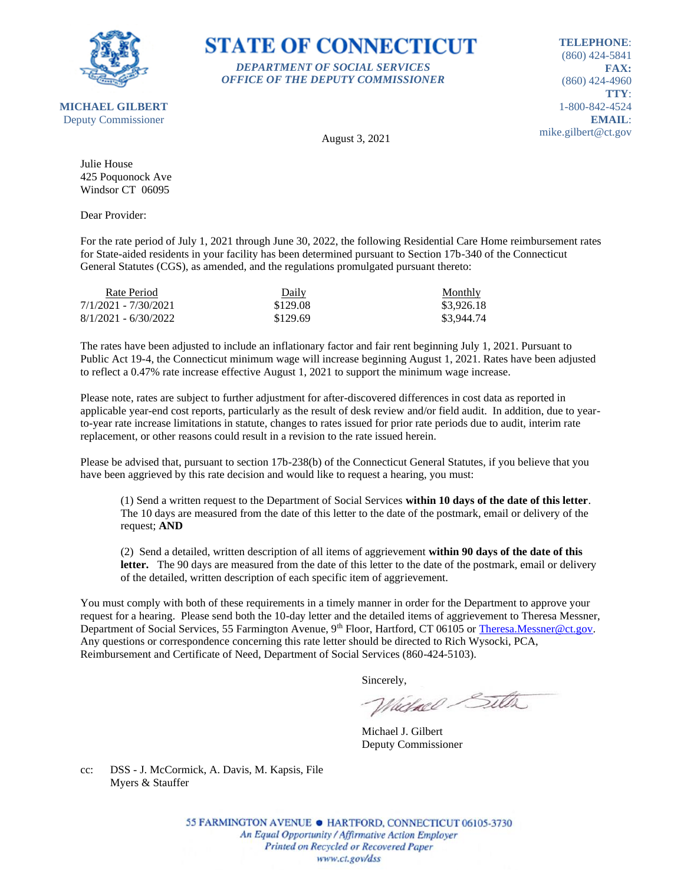

## **STATE OF CONNECTICUT** *DEPARTMENT OF SOCIAL SERVICES*

*OFFICE OF THE DEPUTY COMMISSIONER*

**TELEPHONE**: (860) 424-5841 **FAX:** (860) 424-4960 **TTY**: 1-800-842-4524 **EMAIL**: mike.gilbert@ct.gov

August 3, 2021

Julie House 425 Poquonock Ave Windsor CT 06095

Dear Provider:

For the rate period of July 1, 2021 through June 30, 2022, the following Residential Care Home reimbursement rates for State-aided residents in your facility has been determined pursuant to Section 17b-340 of the Connecticut General Statutes (CGS), as amended, and the regulations promulgated pursuant thereto:

| Rate Period            | Daily    | <b>Monthly</b> |
|------------------------|----------|----------------|
| 7/1/2021 - 7/30/2021   | \$129.08 | \$3,926.18     |
| $8/1/2021 - 6/30/2022$ | \$129.69 | \$3,944.74     |

The rates have been adjusted to include an inflationary factor and fair rent beginning July 1, 2021. Pursuant to Public Act 19-4, the Connecticut minimum wage will increase beginning August 1, 2021. Rates have been adjusted to reflect a 0.47% rate increase effective August 1, 2021 to support the minimum wage increase.

Please note, rates are subject to further adjustment for after-discovered differences in cost data as reported in applicable year-end cost reports, particularly as the result of desk review and/or field audit. In addition, due to yearto-year rate increase limitations in statute, changes to rates issued for prior rate periods due to audit, interim rate replacement, or other reasons could result in a revision to the rate issued herein.

Please be advised that, pursuant to section 17b-238(b) of the Connecticut General Statutes, if you believe that you have been aggrieved by this rate decision and would like to request a hearing, you must:

(1) Send a written request to the Department of Social Services **within 10 days of the date of this letter**. The 10 days are measured from the date of this letter to the date of the postmark, email or delivery of the request; **AND**

(2) Send a detailed, written description of all items of aggrievement **within 90 days of the date of this**  letter. The 90 days are measured from the date of this letter to the date of the postmark, email or delivery of the detailed, written description of each specific item of aggrievement.

You must comply with both of these requirements in a timely manner in order for the Department to approve your request for a hearing. Please send both the 10-day letter and the detailed items of aggrievement to Theresa Messner, Department of Social Services, 55 Farmington Avenue, 9<sup>th</sup> Floor, Hartford, CT 06105 or [Theresa.Messner@ct.gov.](mailto:Theresa.Messner@ct.gov) Any questions or correspondence concerning this rate letter should be directed to Rich Wysocki, PCA, Reimbursement and Certificate of Need, Department of Social Services (860-424-5103).

Sincerely,

Victorel Sitter

Michael J. Gilbert Deputy Commissioner

cc: DSS - J. McCormick, A. Davis, M. Kapsis, File Myers & Stauffer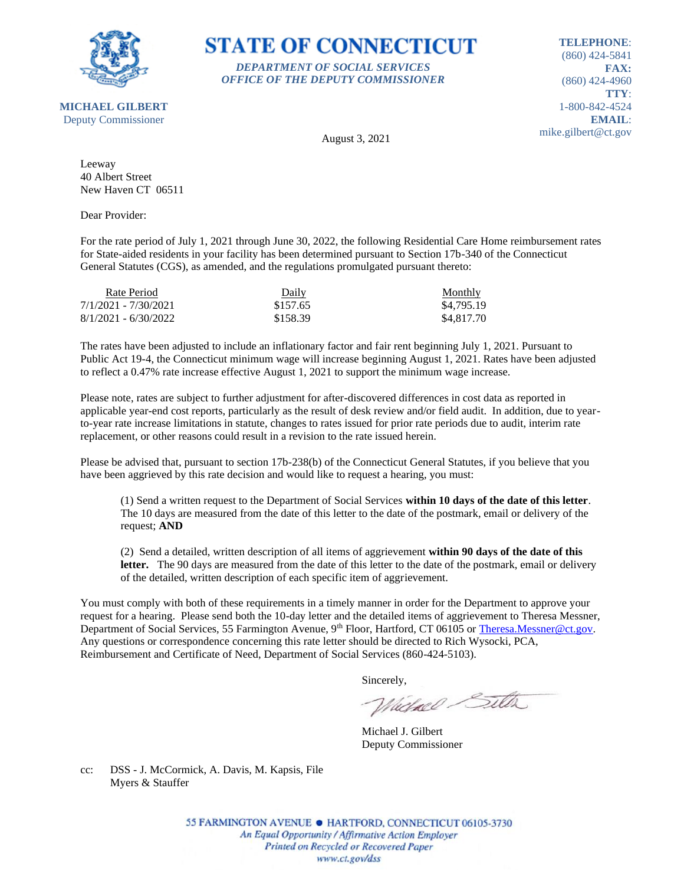

**STATE OF CONNECTICUT** *DEPARTMENT OF SOCIAL SERVICES*

*OFFICE OF THE DEPUTY COMMISSIONER*

**TELEPHONE**: (860) 424-5841 **FAX:** (860) 424-4960 **TTY**: 1-800-842-4524 **EMAIL**: mike.gilbert@ct.gov

August 3, 2021

Leeway 40 Albert Street New Haven CT 06511

Dear Provider:

For the rate period of July 1, 2021 through June 30, 2022, the following Residential Care Home reimbursement rates for State-aided residents in your facility has been determined pursuant to Section 17b-340 of the Connecticut General Statutes (CGS), as amended, and the regulations promulgated pursuant thereto:

| Rate Period            | Daily    | Monthly    |
|------------------------|----------|------------|
| 7/1/2021 - 7/30/2021   | \$157.65 | \$4,795.19 |
| $8/1/2021 - 6/30/2022$ | \$158.39 | \$4,817.70 |

The rates have been adjusted to include an inflationary factor and fair rent beginning July 1, 2021. Pursuant to Public Act 19-4, the Connecticut minimum wage will increase beginning August 1, 2021. Rates have been adjusted to reflect a 0.47% rate increase effective August 1, 2021 to support the minimum wage increase.

Please note, rates are subject to further adjustment for after-discovered differences in cost data as reported in applicable year-end cost reports, particularly as the result of desk review and/or field audit. In addition, due to yearto-year rate increase limitations in statute, changes to rates issued for prior rate periods due to audit, interim rate replacement, or other reasons could result in a revision to the rate issued herein.

Please be advised that, pursuant to section 17b-238(b) of the Connecticut General Statutes, if you believe that you have been aggrieved by this rate decision and would like to request a hearing, you must:

(1) Send a written request to the Department of Social Services **within 10 days of the date of this letter**. The 10 days are measured from the date of this letter to the date of the postmark, email or delivery of the request; **AND**

(2) Send a detailed, written description of all items of aggrievement **within 90 days of the date of this**  letter. The 90 days are measured from the date of this letter to the date of the postmark, email or delivery of the detailed, written description of each specific item of aggrievement.

You must comply with both of these requirements in a timely manner in order for the Department to approve your request for a hearing. Please send both the 10-day letter and the detailed items of aggrievement to Theresa Messner, Department of Social Services, 55 Farmington Avenue, 9<sup>th</sup> Floor, Hartford, CT 06105 or [Theresa.Messner@ct.gov.](mailto:Theresa.Messner@ct.gov) Any questions or correspondence concerning this rate letter should be directed to Rich Wysocki, PCA, Reimbursement and Certificate of Need, Department of Social Services (860-424-5103).

Sincerely,

Victorel Sitter

Michael J. Gilbert Deputy Commissioner

cc: DSS - J. McCormick, A. Davis, M. Kapsis, File Myers & Stauffer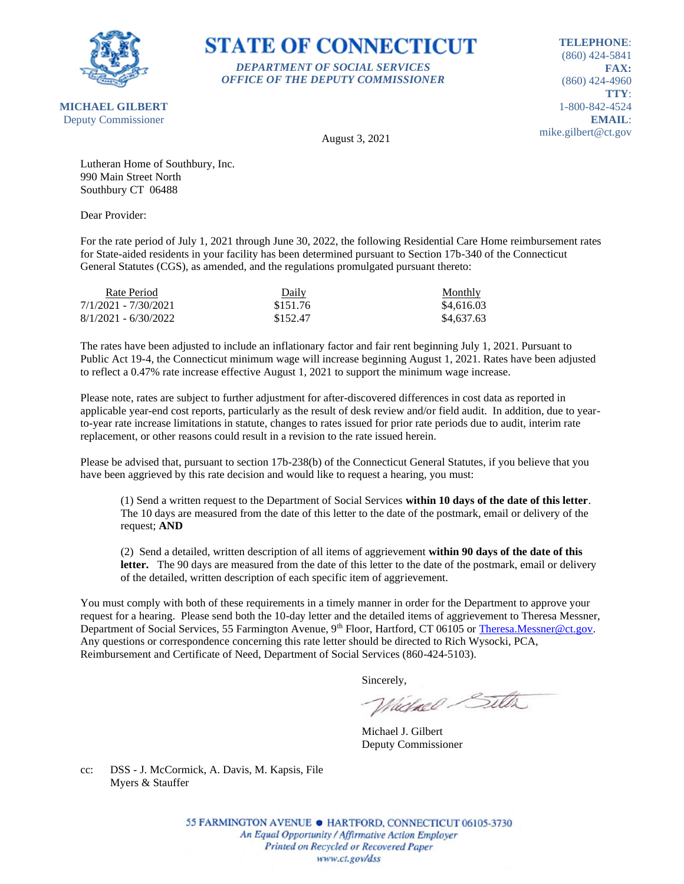

## **STATE OF CONNECTICUT** *DEPARTMENT OF SOCIAL SERVICES*

*OFFICE OF THE DEPUTY COMMISSIONER*

**TELEPHONE**: (860) 424-5841 **FAX:** (860) 424-4960 **TTY**: 1-800-842-4524 **EMAIL**: mike.gilbert@ct.gov

August 3, 2021

Lutheran Home of Southbury, Inc. 990 Main Street North Southbury CT 06488

Dear Provider:

For the rate period of July 1, 2021 through June 30, 2022, the following Residential Care Home reimbursement rates for State-aided residents in your facility has been determined pursuant to Section 17b-340 of the Connecticut General Statutes (CGS), as amended, and the regulations promulgated pursuant thereto:

| Rate Period            | Daily    | <b>Monthly</b> |
|------------------------|----------|----------------|
| 7/1/2021 - 7/30/2021   | \$151.76 | \$4,616.03     |
| $8/1/2021 - 6/30/2022$ | \$152.47 | \$4,637.63     |

The rates have been adjusted to include an inflationary factor and fair rent beginning July 1, 2021. Pursuant to Public Act 19-4, the Connecticut minimum wage will increase beginning August 1, 2021. Rates have been adjusted to reflect a 0.47% rate increase effective August 1, 2021 to support the minimum wage increase.

Please note, rates are subject to further adjustment for after-discovered differences in cost data as reported in applicable year-end cost reports, particularly as the result of desk review and/or field audit. In addition, due to yearto-year rate increase limitations in statute, changes to rates issued for prior rate periods due to audit, interim rate replacement, or other reasons could result in a revision to the rate issued herein.

Please be advised that, pursuant to section 17b-238(b) of the Connecticut General Statutes, if you believe that you have been aggrieved by this rate decision and would like to request a hearing, you must:

(1) Send a written request to the Department of Social Services **within 10 days of the date of this letter**. The 10 days are measured from the date of this letter to the date of the postmark, email or delivery of the request; **AND**

(2) Send a detailed, written description of all items of aggrievement **within 90 days of the date of this**  letter. The 90 days are measured from the date of this letter to the date of the postmark, email or delivery of the detailed, written description of each specific item of aggrievement.

You must comply with both of these requirements in a timely manner in order for the Department to approve your request for a hearing. Please send both the 10-day letter and the detailed items of aggrievement to Theresa Messner, Department of Social Services, 55 Farmington Avenue, 9<sup>th</sup> Floor, Hartford, CT 06105 or [Theresa.Messner@ct.gov.](mailto:Theresa.Messner@ct.gov) Any questions or correspondence concerning this rate letter should be directed to Rich Wysocki, PCA, Reimbursement and Certificate of Need, Department of Social Services (860-424-5103).

Sincerely,

Victorel Sitter

Michael J. Gilbert Deputy Commissioner

cc: DSS - J. McCormick, A. Davis, M. Kapsis, File Myers & Stauffer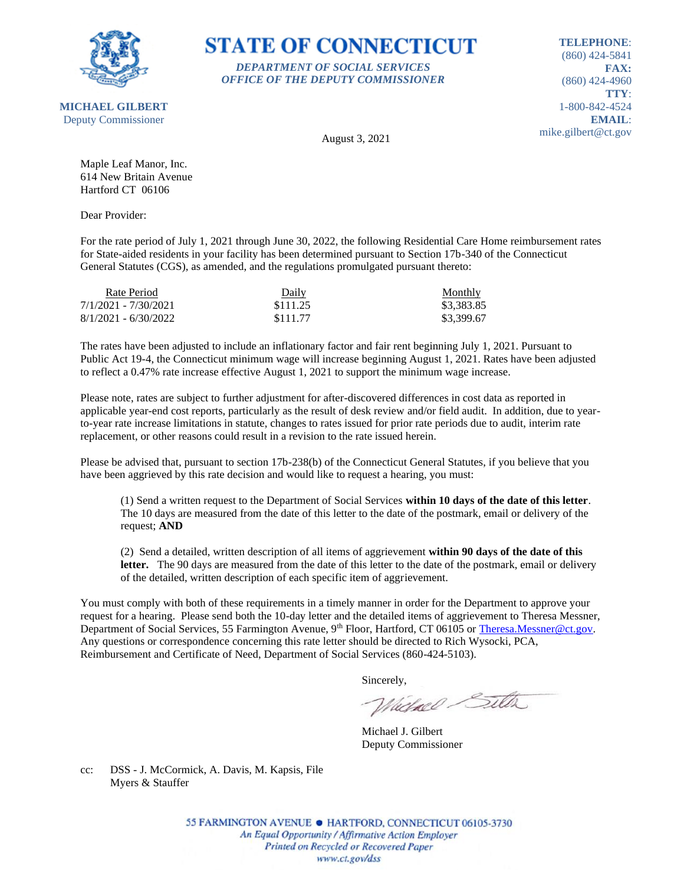

## **STATE OF CONNECTICUT** *DEPARTMENT OF SOCIAL SERVICES*

*OFFICE OF THE DEPUTY COMMISSIONER*

**TELEPHONE**: (860) 424-5841 **FAX:** (860) 424-4960 **TTY**: 1-800-842-4524 **EMAIL**: mike.gilbert@ct.gov

August 3, 2021

Maple Leaf Manor, Inc. 614 New Britain Avenue Hartford CT 06106

Dear Provider:

For the rate period of July 1, 2021 through June 30, 2022, the following Residential Care Home reimbursement rates for State-aided residents in your facility has been determined pursuant to Section 17b-340 of the Connecticut General Statutes (CGS), as amended, and the regulations promulgated pursuant thereto:

| Rate Period            | Daily    | <b>Monthly</b> |
|------------------------|----------|----------------|
| 7/1/2021 - 7/30/2021   | \$111.25 | \$3,383.85     |
| $8/1/2021 - 6/30/2022$ | \$111.77 | \$3,399.67     |

The rates have been adjusted to include an inflationary factor and fair rent beginning July 1, 2021. Pursuant to Public Act 19-4, the Connecticut minimum wage will increase beginning August 1, 2021. Rates have been adjusted to reflect a 0.47% rate increase effective August 1, 2021 to support the minimum wage increase.

Please note, rates are subject to further adjustment for after-discovered differences in cost data as reported in applicable year-end cost reports, particularly as the result of desk review and/or field audit. In addition, due to yearto-year rate increase limitations in statute, changes to rates issued for prior rate periods due to audit, interim rate replacement, or other reasons could result in a revision to the rate issued herein.

Please be advised that, pursuant to section 17b-238(b) of the Connecticut General Statutes, if you believe that you have been aggrieved by this rate decision and would like to request a hearing, you must:

(1) Send a written request to the Department of Social Services **within 10 days of the date of this letter**. The 10 days are measured from the date of this letter to the date of the postmark, email or delivery of the request; **AND**

(2) Send a detailed, written description of all items of aggrievement **within 90 days of the date of this**  letter. The 90 days are measured from the date of this letter to the date of the postmark, email or delivery of the detailed, written description of each specific item of aggrievement.

You must comply with both of these requirements in a timely manner in order for the Department to approve your request for a hearing. Please send both the 10-day letter and the detailed items of aggrievement to Theresa Messner, Department of Social Services, 55 Farmington Avenue, 9<sup>th</sup> Floor, Hartford, CT 06105 or [Theresa.Messner@ct.gov.](mailto:Theresa.Messner@ct.gov) Any questions or correspondence concerning this rate letter should be directed to Rich Wysocki, PCA, Reimbursement and Certificate of Need, Department of Social Services (860-424-5103).

Sincerely,

Victorel Sitter

Michael J. Gilbert Deputy Commissioner

cc: DSS - J. McCormick, A. Davis, M. Kapsis, File Myers & Stauffer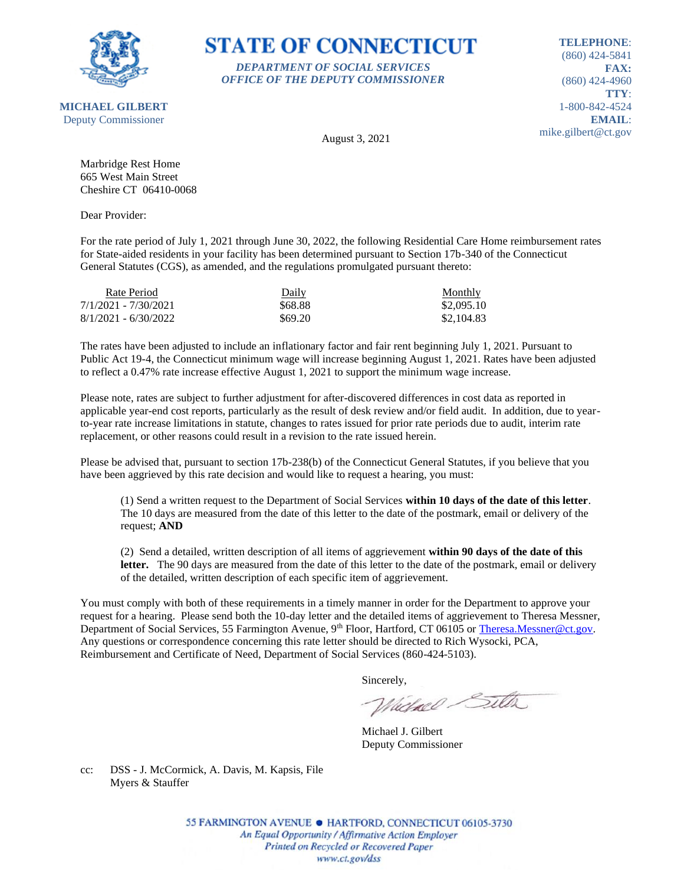

## **STATE OF CONNECTICUT** *DEPARTMENT OF SOCIAL SERVICES*

*OFFICE OF THE DEPUTY COMMISSIONER*

**TELEPHONE**: (860) 424-5841 **FAX:** (860) 424-4960 **TTY**: 1-800-842-4524 **EMAIL**: mike.gilbert@ct.gov

August 3, 2021

Marbridge Rest Home 665 West Main Street Cheshire CT 06410-0068

Dear Provider:

For the rate period of July 1, 2021 through June 30, 2022, the following Residential Care Home reimbursement rates for State-aided residents in your facility has been determined pursuant to Section 17b-340 of the Connecticut General Statutes (CGS), as amended, and the regulations promulgated pursuant thereto:

| Rate Period            | Daily   | Monthly    |
|------------------------|---------|------------|
| 7/1/2021 - 7/30/2021   | \$68.88 | \$2,095.10 |
| $8/1/2021 - 6/30/2022$ | \$69.20 | \$2,104.83 |

The rates have been adjusted to include an inflationary factor and fair rent beginning July 1, 2021. Pursuant to Public Act 19-4, the Connecticut minimum wage will increase beginning August 1, 2021. Rates have been adjusted to reflect a 0.47% rate increase effective August 1, 2021 to support the minimum wage increase.

Please note, rates are subject to further adjustment for after-discovered differences in cost data as reported in applicable year-end cost reports, particularly as the result of desk review and/or field audit. In addition, due to yearto-year rate increase limitations in statute, changes to rates issued for prior rate periods due to audit, interim rate replacement, or other reasons could result in a revision to the rate issued herein.

Please be advised that, pursuant to section 17b-238(b) of the Connecticut General Statutes, if you believe that you have been aggrieved by this rate decision and would like to request a hearing, you must:

(1) Send a written request to the Department of Social Services **within 10 days of the date of this letter**. The 10 days are measured from the date of this letter to the date of the postmark, email or delivery of the request; **AND**

(2) Send a detailed, written description of all items of aggrievement **within 90 days of the date of this**  letter. The 90 days are measured from the date of this letter to the date of the postmark, email or delivery of the detailed, written description of each specific item of aggrievement.

You must comply with both of these requirements in a timely manner in order for the Department to approve your request for a hearing. Please send both the 10-day letter and the detailed items of aggrievement to Theresa Messner, Department of Social Services, 55 Farmington Avenue, 9<sup>th</sup> Floor, Hartford, CT 06105 or [Theresa.Messner@ct.gov.](mailto:Theresa.Messner@ct.gov) Any questions or correspondence concerning this rate letter should be directed to Rich Wysocki, PCA, Reimbursement and Certificate of Need, Department of Social Services (860-424-5103).

Sincerely,

Victorel Sitter

Michael J. Gilbert Deputy Commissioner

cc: DSS - J. McCormick, A. Davis, M. Kapsis, File Myers & Stauffer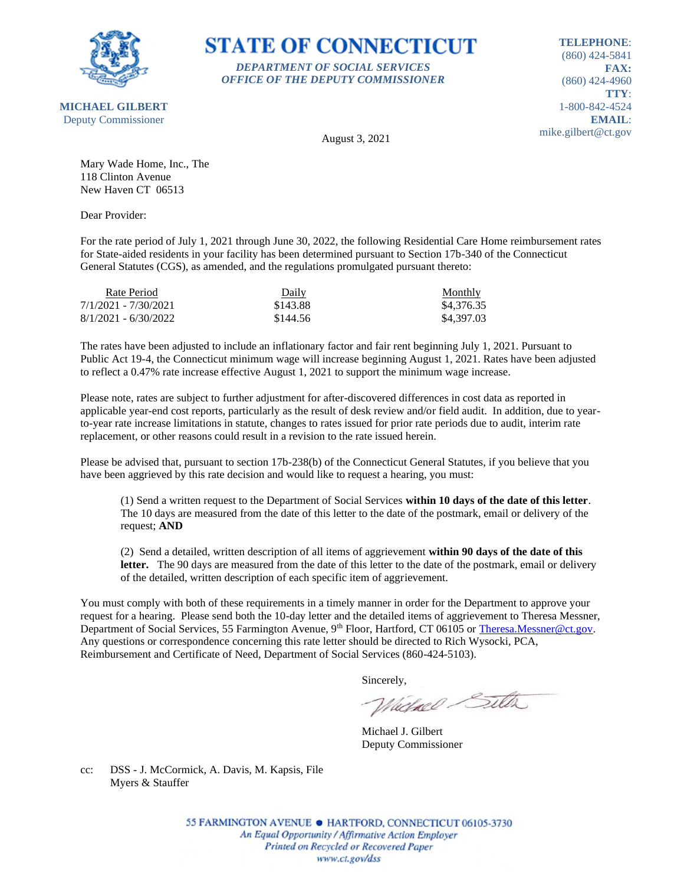

**MICHAEL GILBERT**

**STATE OF CONNECTICUT** *DEPARTMENT OF SOCIAL SERVICES*

*OFFICE OF THE DEPUTY COMMISSIONER*

**TELEPHONE**: (860) 424-5841 **FAX:** (860) 424-4960 **TTY**: 1-800-842-4524 **EMAIL**: mike.gilbert@ct.gov

Deputy Commissioner

August 3, 2021

Mary Wade Home, Inc., The 118 Clinton Avenue New Haven CT 06513

Dear Provider:

For the rate period of July 1, 2021 through June 30, 2022, the following Residential Care Home reimbursement rates for State-aided residents in your facility has been determined pursuant to Section 17b-340 of the Connecticut General Statutes (CGS), as amended, and the regulations promulgated pursuant thereto:

| Rate Period            | Daily    | Monthly    |
|------------------------|----------|------------|
| 7/1/2021 - 7/30/2021   | \$143.88 | \$4,376.35 |
| $8/1/2021 - 6/30/2022$ | \$144.56 | \$4,397.03 |

The rates have been adjusted to include an inflationary factor and fair rent beginning July 1, 2021. Pursuant to Public Act 19-4, the Connecticut minimum wage will increase beginning August 1, 2021. Rates have been adjusted to reflect a 0.47% rate increase effective August 1, 2021 to support the minimum wage increase.

Please note, rates are subject to further adjustment for after-discovered differences in cost data as reported in applicable year-end cost reports, particularly as the result of desk review and/or field audit. In addition, due to yearto-year rate increase limitations in statute, changes to rates issued for prior rate periods due to audit, interim rate replacement, or other reasons could result in a revision to the rate issued herein.

Please be advised that, pursuant to section 17b-238(b) of the Connecticut General Statutes, if you believe that you have been aggrieved by this rate decision and would like to request a hearing, you must:

(1) Send a written request to the Department of Social Services **within 10 days of the date of this letter**. The 10 days are measured from the date of this letter to the date of the postmark, email or delivery of the request; **AND**

(2) Send a detailed, written description of all items of aggrievement **within 90 days of the date of this**  letter. The 90 days are measured from the date of this letter to the date of the postmark, email or delivery of the detailed, written description of each specific item of aggrievement.

You must comply with both of these requirements in a timely manner in order for the Department to approve your request for a hearing. Please send both the 10-day letter and the detailed items of aggrievement to Theresa Messner, Department of Social Services, 55 Farmington Avenue, 9<sup>th</sup> Floor, Hartford, CT 06105 or [Theresa.Messner@ct.gov.](mailto:Theresa.Messner@ct.gov) Any questions or correspondence concerning this rate letter should be directed to Rich Wysocki, PCA, Reimbursement and Certificate of Need, Department of Social Services (860-424-5103).

Sincerely,

Victorel Sitter

Michael J. Gilbert Deputy Commissioner

cc: DSS - J. McCormick, A. Davis, M. Kapsis, File Myers & Stauffer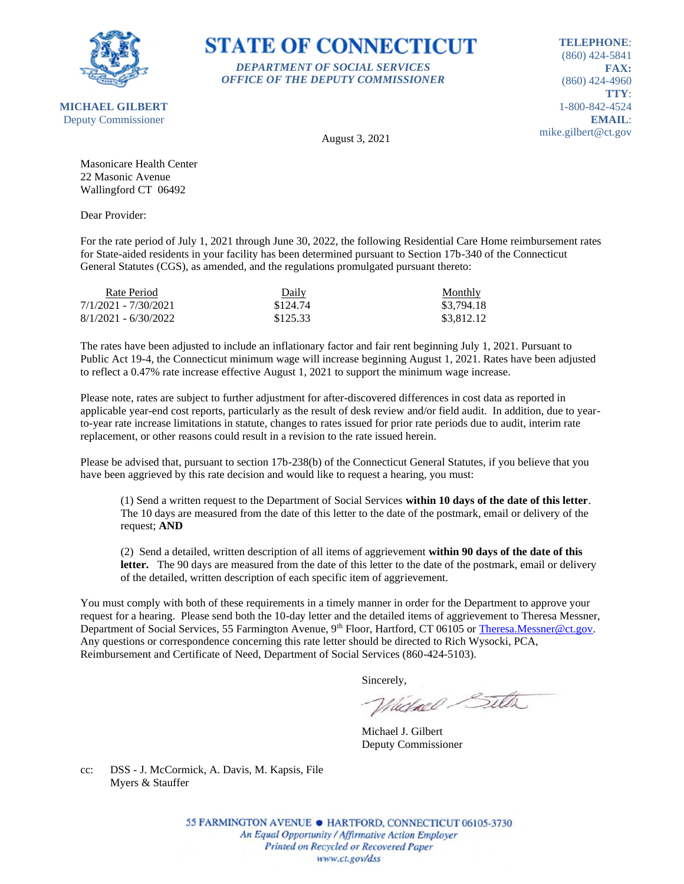

### **STATE OF CONNECTICUT** *DEPARTMENT OF SOCIAL SERVICES*

*OFFICE OF THE DEPUTY COMMISSIONER*

**TELEPHONE**: (860) 424-5841 **FAX:** (860) 424-4960 **TTY**: 1-800-842-4524 **EMAIL**: mike.gilbert@ct.gov

August 3, 2021

Masonicare Health Center 22 Masonic Avenue Wallingford CT 06492

Dear Provider:

For the rate period of July 1, 2021 through June 30, 2022, the following Residential Care Home reimbursement rates for State-aided residents in your facility has been determined pursuant to Section 17b-340 of the Connecticut General Statutes (CGS), as amended, and the regulations promulgated pursuant thereto:

| Rate Period            | Daily    | <b>Monthly</b> |
|------------------------|----------|----------------|
| 7/1/2021 - 7/30/2021   | \$124.74 | \$3.794.18     |
| $8/1/2021 - 6/30/2022$ | \$125.33 | \$3,812.12     |

The rates have been adjusted to include an inflationary factor and fair rent beginning July 1, 2021. Pursuant to Public Act 19-4, the Connecticut minimum wage will increase beginning August 1, 2021. Rates have been adjusted to reflect a 0.47% rate increase effective August 1, 2021 to support the minimum wage increase.

Please note, rates are subject to further adjustment for after-discovered differences in cost data as reported in applicable year-end cost reports, particularly as the result of desk review and/or field audit. In addition, due to yearto-year rate increase limitations in statute, changes to rates issued for prior rate periods due to audit, interim rate replacement, or other reasons could result in a revision to the rate issued herein.

Please be advised that, pursuant to section 17b-238(b) of the Connecticut General Statutes, if you believe that you have been aggrieved by this rate decision and would like to request a hearing, you must:

(1) Send a written request to the Department of Social Services **within 10 days of the date of this letter**. The 10 days are measured from the date of this letter to the date of the postmark, email or delivery of the request; **AND**

(2) Send a detailed, written description of all items of aggrievement **within 90 days of the date of this**  letter. The 90 days are measured from the date of this letter to the date of the postmark, email or delivery of the detailed, written description of each specific item of aggrievement.

You must comply with both of these requirements in a timely manner in order for the Department to approve your request for a hearing. Please send both the 10-day letter and the detailed items of aggrievement to Theresa Messner, Department of Social Services, 55 Farmington Avenue, 9<sup>th</sup> Floor, Hartford, CT 06105 or [Theresa.Messner@ct.gov.](mailto:Theresa.Messner@ct.gov) Any questions or correspondence concerning this rate letter should be directed to Rich Wysocki, PCA, Reimbursement and Certificate of Need, Department of Social Services (860-424-5103).

Sincerely,

Victorel Sitter

Michael J. Gilbert Deputy Commissioner

cc: DSS - J. McCormick, A. Davis, M. Kapsis, File Myers & Stauffer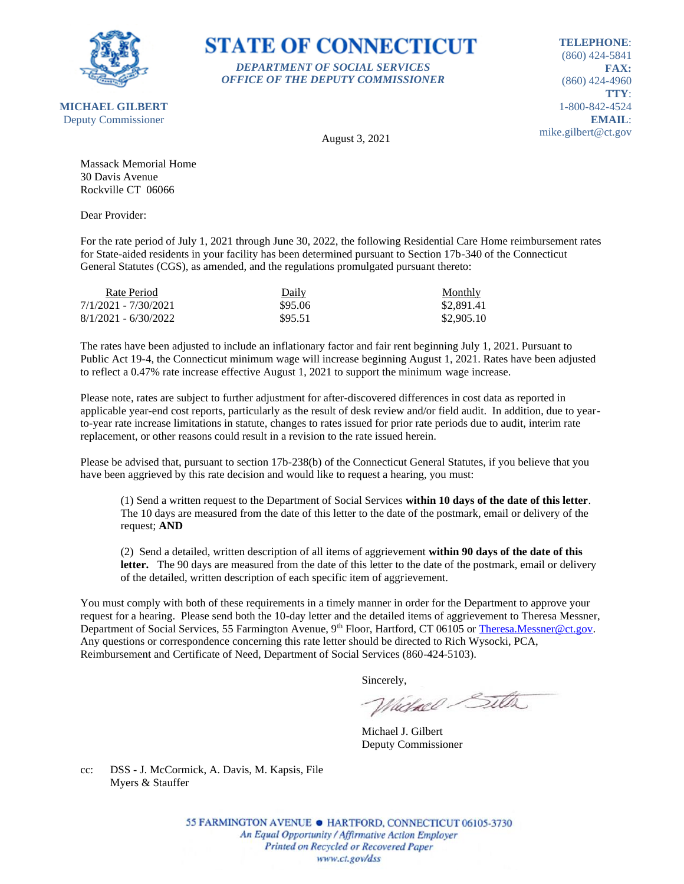

#### **STATE OF CONNECTICUT** *DEPARTMENT OF SOCIAL SERVICES*

*OFFICE OF THE DEPUTY COMMISSIONER*

**TELEPHONE**: (860) 424-5841 **FAX:** (860) 424-4960 **TTY**: 1-800-842-4524 **EMAIL**: mike.gilbert@ct.gov

August 3, 2021

Massack Memorial Home 30 Davis Avenue Rockville CT 06066

Dear Provider:

For the rate period of July 1, 2021 through June 30, 2022, the following Residential Care Home reimbursement rates for State-aided residents in your facility has been determined pursuant to Section 17b-340 of the Connecticut General Statutes (CGS), as amended, and the regulations promulgated pursuant thereto:

| Rate Period            | Daily   | <b>Monthly</b> |
|------------------------|---------|----------------|
| 7/1/2021 - 7/30/2021   | \$95.06 | \$2,891.41     |
| $8/1/2021 - 6/30/2022$ | \$95.51 | \$2,905.10     |

The rates have been adjusted to include an inflationary factor and fair rent beginning July 1, 2021. Pursuant to Public Act 19-4, the Connecticut minimum wage will increase beginning August 1, 2021. Rates have been adjusted to reflect a 0.47% rate increase effective August 1, 2021 to support the minimum wage increase.

Please note, rates are subject to further adjustment for after-discovered differences in cost data as reported in applicable year-end cost reports, particularly as the result of desk review and/or field audit. In addition, due to yearto-year rate increase limitations in statute, changes to rates issued for prior rate periods due to audit, interim rate replacement, or other reasons could result in a revision to the rate issued herein.

Please be advised that, pursuant to section 17b-238(b) of the Connecticut General Statutes, if you believe that you have been aggrieved by this rate decision and would like to request a hearing, you must:

(1) Send a written request to the Department of Social Services **within 10 days of the date of this letter**. The 10 days are measured from the date of this letter to the date of the postmark, email or delivery of the request; **AND**

(2) Send a detailed, written description of all items of aggrievement **within 90 days of the date of this**  letter. The 90 days are measured from the date of this letter to the date of the postmark, email or delivery of the detailed, written description of each specific item of aggrievement.

You must comply with both of these requirements in a timely manner in order for the Department to approve your request for a hearing. Please send both the 10-day letter and the detailed items of aggrievement to Theresa Messner, Department of Social Services, 55 Farmington Avenue, 9<sup>th</sup> Floor, Hartford, CT 06105 or [Theresa.Messner@ct.gov.](mailto:Theresa.Messner@ct.gov) Any questions or correspondence concerning this rate letter should be directed to Rich Wysocki, PCA, Reimbursement and Certificate of Need, Department of Social Services (860-424-5103).

Sincerely,

Victorel Sitter

Michael J. Gilbert Deputy Commissioner

cc: DSS - J. McCormick, A. Davis, M. Kapsis, File Myers & Stauffer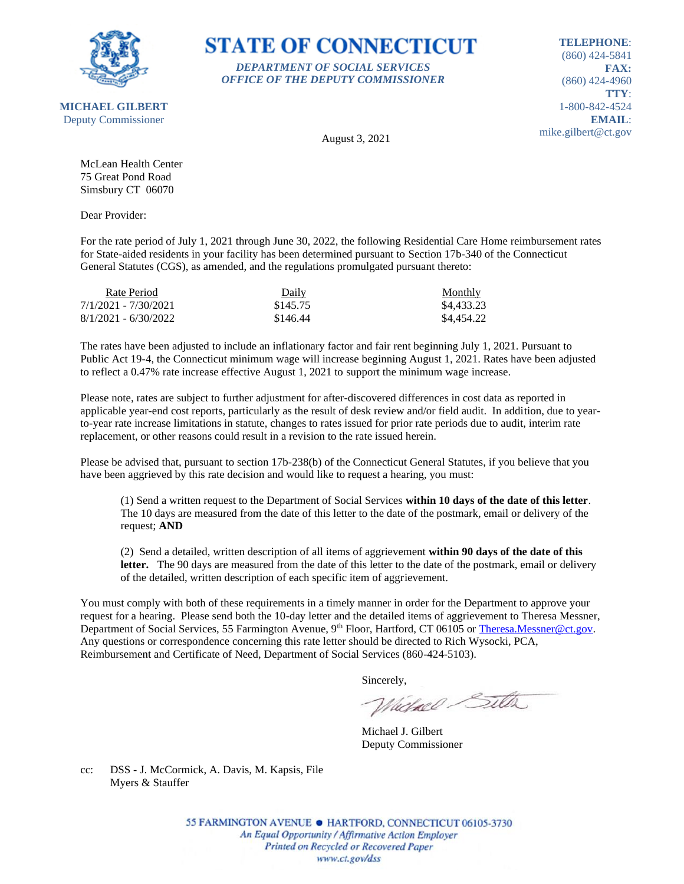

*DEPARTMENT OF SOCIAL SERVICES OFFICE OF THE DEPUTY COMMISSIONER*

**TELEPHONE**: (860) 424-5841 **FAX:** (860) 424-4960 **TTY**: 1-800-842-4524 **EMAIL**: mike.gilbert@ct.gov

**MICHAEL GILBERT** Deputy Commissioner

August 3, 2021

**STATE OF CONNECTICUT** 

McLean Health Center 75 Great Pond Road Simsbury CT 06070

Dear Provider:

For the rate period of July 1, 2021 through June 30, 2022, the following Residential Care Home reimbursement rates for State-aided residents in your facility has been determined pursuant to Section 17b-340 of the Connecticut General Statutes (CGS), as amended, and the regulations promulgated pursuant thereto:

| Rate Period            | Daily    | Monthly    |
|------------------------|----------|------------|
| 7/1/2021 - 7/30/2021   | \$145.75 | \$4,433.23 |
| $8/1/2021 - 6/30/2022$ | \$146.44 | \$4,454.22 |

The rates have been adjusted to include an inflationary factor and fair rent beginning July 1, 2021. Pursuant to Public Act 19-4, the Connecticut minimum wage will increase beginning August 1, 2021. Rates have been adjusted to reflect a 0.47% rate increase effective August 1, 2021 to support the minimum wage increase.

Please note, rates are subject to further adjustment for after-discovered differences in cost data as reported in applicable year-end cost reports, particularly as the result of desk review and/or field audit. In addition, due to yearto-year rate increase limitations in statute, changes to rates issued for prior rate periods due to audit, interim rate replacement, or other reasons could result in a revision to the rate issued herein.

Please be advised that, pursuant to section 17b-238(b) of the Connecticut General Statutes, if you believe that you have been aggrieved by this rate decision and would like to request a hearing, you must:

(1) Send a written request to the Department of Social Services **within 10 days of the date of this letter**. The 10 days are measured from the date of this letter to the date of the postmark, email or delivery of the request; **AND**

(2) Send a detailed, written description of all items of aggrievement **within 90 days of the date of this**  letter. The 90 days are measured from the date of this letter to the date of the postmark, email or delivery of the detailed, written description of each specific item of aggrievement.

You must comply with both of these requirements in a timely manner in order for the Department to approve your request for a hearing. Please send both the 10-day letter and the detailed items of aggrievement to Theresa Messner, Department of Social Services, 55 Farmington Avenue, 9<sup>th</sup> Floor, Hartford, CT 06105 or [Theresa.Messner@ct.gov.](mailto:Theresa.Messner@ct.gov) Any questions or correspondence concerning this rate letter should be directed to Rich Wysocki, PCA, Reimbursement and Certificate of Need, Department of Social Services (860-424-5103).

Sincerely,

Victorel Sitter

Michael J. Gilbert Deputy Commissioner

cc: DSS - J. McCormick, A. Davis, M. Kapsis, File Myers & Stauffer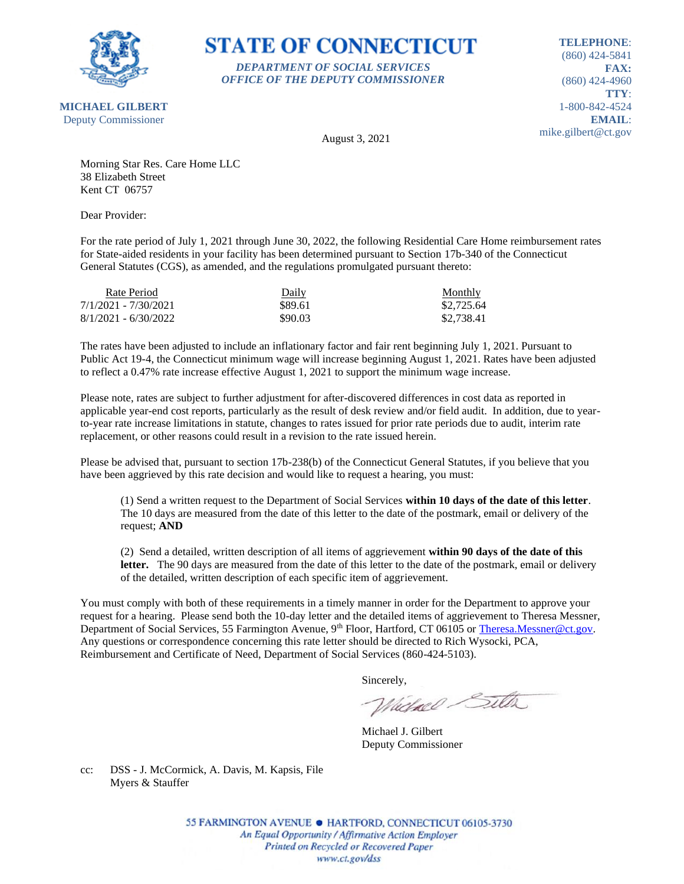

## **STATE OF CONNECTICUT** *DEPARTMENT OF SOCIAL SERVICES*

*OFFICE OF THE DEPUTY COMMISSIONER*

**TELEPHONE**: (860) 424-5841 **FAX:** (860) 424-4960 **TTY**: 1-800-842-4524 **EMAIL**: mike.gilbert@ct.gov

August 3, 2021

Morning Star Res. Care Home LLC 38 Elizabeth Street Kent CT 06757

Dear Provider:

For the rate period of July 1, 2021 through June 30, 2022, the following Residential Care Home reimbursement rates for State-aided residents in your facility has been determined pursuant to Section 17b-340 of the Connecticut General Statutes (CGS), as amended, and the regulations promulgated pursuant thereto:

| Rate Period            | Daily   | Monthly    |
|------------------------|---------|------------|
| 7/1/2021 - 7/30/2021   | \$89.61 | \$2,725.64 |
| $8/1/2021 - 6/30/2022$ | \$90.03 | \$2,738.41 |

The rates have been adjusted to include an inflationary factor and fair rent beginning July 1, 2021. Pursuant to Public Act 19-4, the Connecticut minimum wage will increase beginning August 1, 2021. Rates have been adjusted to reflect a 0.47% rate increase effective August 1, 2021 to support the minimum wage increase.

Please note, rates are subject to further adjustment for after-discovered differences in cost data as reported in applicable year-end cost reports, particularly as the result of desk review and/or field audit. In addition, due to yearto-year rate increase limitations in statute, changes to rates issued for prior rate periods due to audit, interim rate replacement, or other reasons could result in a revision to the rate issued herein.

Please be advised that, pursuant to section 17b-238(b) of the Connecticut General Statutes, if you believe that you have been aggrieved by this rate decision and would like to request a hearing, you must:

(1) Send a written request to the Department of Social Services **within 10 days of the date of this letter**. The 10 days are measured from the date of this letter to the date of the postmark, email or delivery of the request; **AND**

(2) Send a detailed, written description of all items of aggrievement **within 90 days of the date of this**  letter. The 90 days are measured from the date of this letter to the date of the postmark, email or delivery of the detailed, written description of each specific item of aggrievement.

You must comply with both of these requirements in a timely manner in order for the Department to approve your request for a hearing. Please send both the 10-day letter and the detailed items of aggrievement to Theresa Messner, Department of Social Services, 55 Farmington Avenue, 9<sup>th</sup> Floor, Hartford, CT 06105 or [Theresa.Messner@ct.gov.](mailto:Theresa.Messner@ct.gov) Any questions or correspondence concerning this rate letter should be directed to Rich Wysocki, PCA, Reimbursement and Certificate of Need, Department of Social Services (860-424-5103).

Sincerely,

Victorel Sitter

Michael J. Gilbert Deputy Commissioner

cc: DSS - J. McCormick, A. Davis, M. Kapsis, File Myers & Stauffer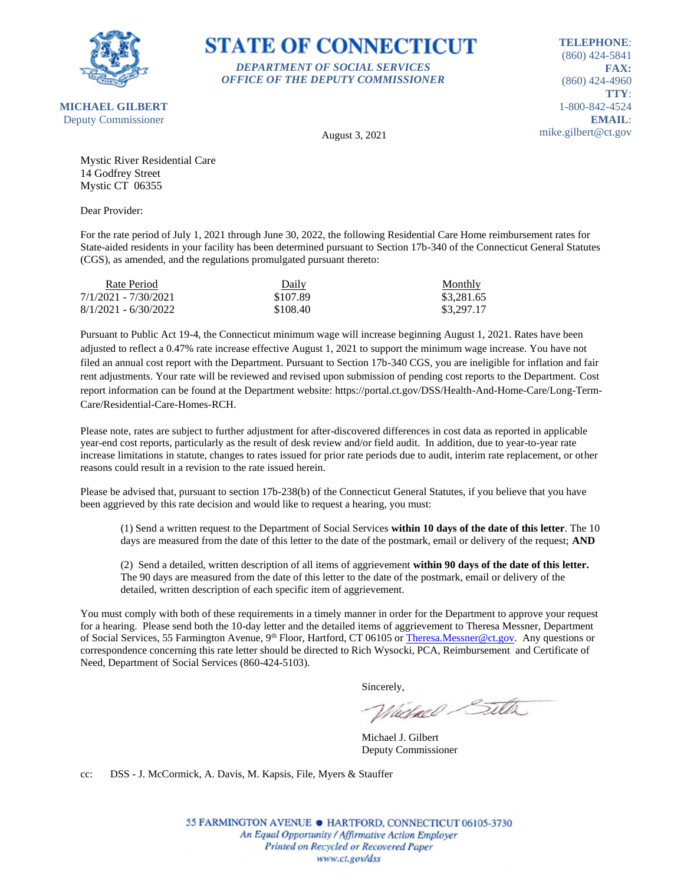

## **STATE OF CONNECTICUT** *DEPARTMENT OF SOCIAL SERVICES*

*OFFICE OF THE DEPUTY COMMISSIONER*

**TELEPHONE**: (860) 424-5841 **FAX:** (860) 424-4960 **TTY**: 1-800-842-4524 **EMAIL**: mike.gilbert@ct.gov

August 3, 2021

Mystic River Residential Care 14 Godfrey Street Mystic CT 06355

Dear Provider:

For the rate period of July 1, 2021 through June 30, 2022, the following Residential Care Home reimbursement rates for State-aided residents in your facility has been determined pursuant to Section 17b-340 of the Connecticut General Statutes (CGS), as amended, and the regulations promulgated pursuant thereto:

| Rate Period            | Daily    | Monthly    |
|------------------------|----------|------------|
| 7/1/2021 - 7/30/2021   | \$107.89 | \$3,281.65 |
| $8/1/2021 - 6/30/2022$ | \$108.40 | \$3,297.17 |

Pursuant to Public Act 19-4, the Connecticut minimum wage will increase beginning August 1, 2021. Rates have been adjusted to reflect a 0.47% rate increase effective August 1, 2021 to support the minimum wage increase. You have not filed an annual cost report with the Department. Pursuant to Section 17b-340 CGS, you are ineligible for inflation and fair rent adjustments. Your rate will be reviewed and revised upon submission of pending cost reports to the Department. Cost report information can be found at the Department website: https://portal.ct.gov/DSS/Health-And-Home-Care/Long-Term-Care/Residential-Care-Homes-RCH.

Please note, rates are subject to further adjustment for after-discovered differences in cost data as reported in applicable year-end cost reports, particularly as the result of desk review and/or field audit. In addition, due to year-to-year rate increase limitations in statute, changes to rates issued for prior rate periods due to audit, interim rate replacement, or other reasons could result in a revision to the rate issued herein.

Please be advised that, pursuant to section 17b-238(b) of the Connecticut General Statutes, if you believe that you have been aggrieved by this rate decision and would like to request a hearing, you must:

(1) Send a written request to the Department of Social Services **within 10 days of the date of this letter**. The 10 days are measured from the date of this letter to the date of the postmark, email or delivery of the request; **AND**

(2) Send a detailed, written description of all items of aggrievement **within 90 days of the date of this letter.** The 90 days are measured from the date of this letter to the date of the postmark, email or delivery of the detailed, written description of each specific item of aggrievement.

You must comply with both of these requirements in a timely manner in order for the Department to approve your request for a hearing. Please send both the 10-day letter and the detailed items of aggrievement to Theresa Messner, Department of Social Services, 55 Farmington Avenue, 9<sup>th</sup> Floor, Hartford, CT 06105 o[r Theresa.Messner@ct.gov.](mailto:Theresa.Messner@ct.gov) Any questions or correspondence concerning this rate letter should be directed to Rich Wysocki, PCA, Reimbursement and Certificate of Need, Department of Social Services (860-424-5103).

Sincerely,

Whichael Sitter

Michael J. Gilbert Deputy Commissioner

cc: DSS - J. McCormick, A. Davis, M. Kapsis, File, Myers & Stauffer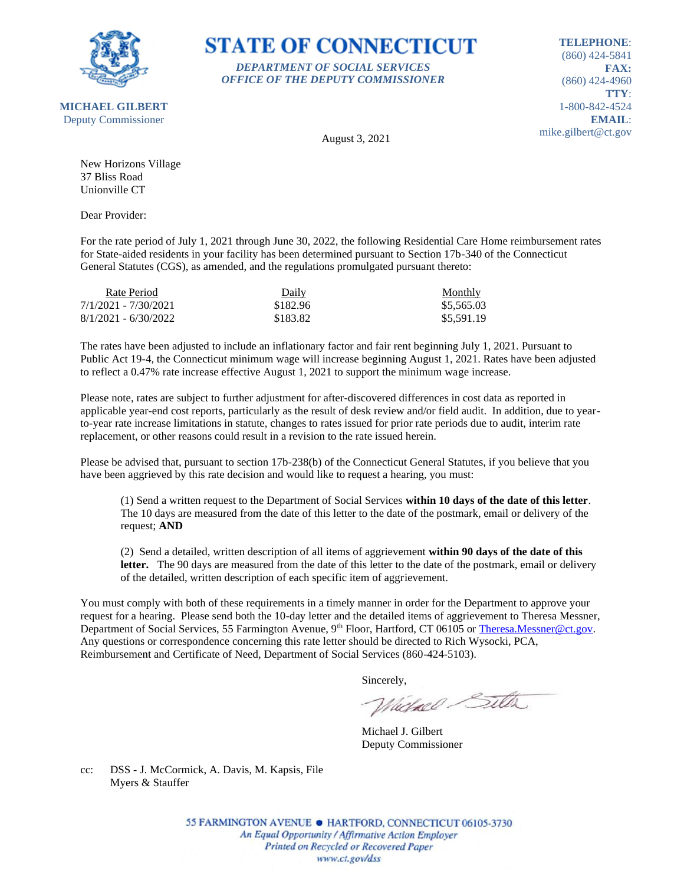

**STATE OF CONNECTICUT** *DEPARTMENT OF SOCIAL SERVICES*

*OFFICE OF THE DEPUTY COMMISSIONER*

**TELEPHONE**: (860) 424-5841 **FAX:** (860) 424-4960 **TTY**: 1-800-842-4524 **EMAIL**: mike.gilbert@ct.gov

August 3, 2021

New Horizons Village 37 Bliss Road Unionville CT

Dear Provider:

For the rate period of July 1, 2021 through June 30, 2022, the following Residential Care Home reimbursement rates for State-aided residents in your facility has been determined pursuant to Section 17b-340 of the Connecticut General Statutes (CGS), as amended, and the regulations promulgated pursuant thereto:

| Rate Period            | Daily    | <b>Monthly</b> |
|------------------------|----------|----------------|
| 7/1/2021 - 7/30/2021   | \$182.96 | \$5,565.03     |
| $8/1/2021 - 6/30/2022$ | \$183.82 | \$5,591.19     |

The rates have been adjusted to include an inflationary factor and fair rent beginning July 1, 2021. Pursuant to Public Act 19-4, the Connecticut minimum wage will increase beginning August 1, 2021. Rates have been adjusted to reflect a 0.47% rate increase effective August 1, 2021 to support the minimum wage increase.

Please note, rates are subject to further adjustment for after-discovered differences in cost data as reported in applicable year-end cost reports, particularly as the result of desk review and/or field audit. In addition, due to yearto-year rate increase limitations in statute, changes to rates issued for prior rate periods due to audit, interim rate replacement, or other reasons could result in a revision to the rate issued herein.

Please be advised that, pursuant to section 17b-238(b) of the Connecticut General Statutes, if you believe that you have been aggrieved by this rate decision and would like to request a hearing, you must:

(1) Send a written request to the Department of Social Services **within 10 days of the date of this letter**. The 10 days are measured from the date of this letter to the date of the postmark, email or delivery of the request; **AND**

(2) Send a detailed, written description of all items of aggrievement **within 90 days of the date of this**  letter. The 90 days are measured from the date of this letter to the date of the postmark, email or delivery of the detailed, written description of each specific item of aggrievement.

You must comply with both of these requirements in a timely manner in order for the Department to approve your request for a hearing. Please send both the 10-day letter and the detailed items of aggrievement to Theresa Messner, Department of Social Services, 55 Farmington Avenue, 9<sup>th</sup> Floor, Hartford, CT 06105 or [Theresa.Messner@ct.gov.](mailto:Theresa.Messner@ct.gov) Any questions or correspondence concerning this rate letter should be directed to Rich Wysocki, PCA, Reimbursement and Certificate of Need, Department of Social Services (860-424-5103).

Sincerely,

Victorel Sitter

Michael J. Gilbert Deputy Commissioner

cc: DSS - J. McCormick, A. Davis, M. Kapsis, File Myers & Stauffer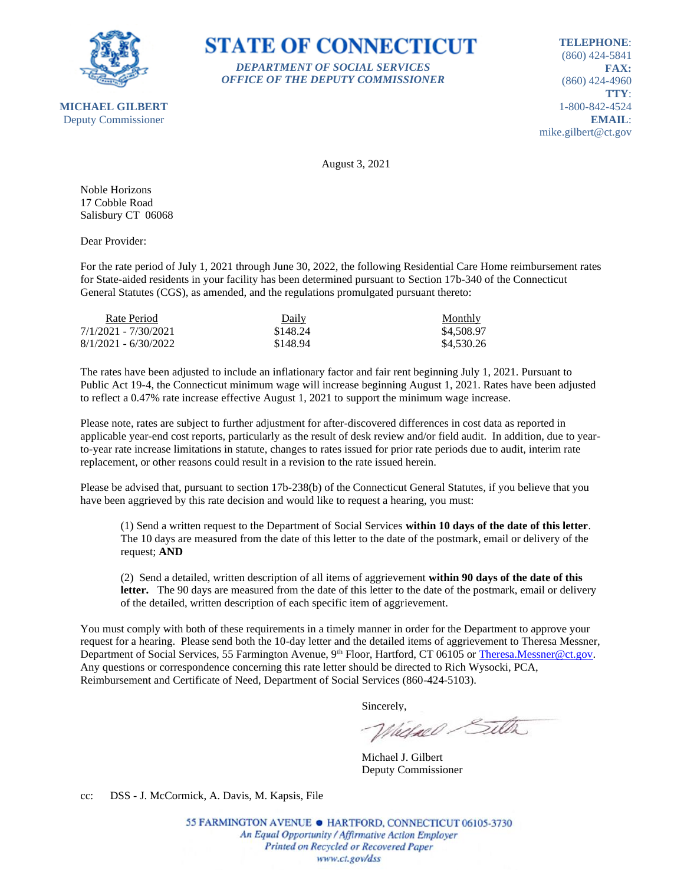

**STATE OF CONNECTICUT** *DEPARTMENT OF SOCIAL SERVICES*

*OFFICE OF THE DEPUTY COMMISSIONER*

**TELEPHONE**: (860) 424-5841 **FAX:** (860) 424-4960 **TTY**: 1-800-842-4524 **EMAIL**: mike.gilbert@ct.gov

August 3, 2021

Noble Horizons 17 Cobble Road Salisbury CT 06068

Dear Provider:

For the rate period of July 1, 2021 through June 30, 2022, the following Residential Care Home reimbursement rates for State-aided residents in your facility has been determined pursuant to Section 17b-340 of the Connecticut General Statutes (CGS), as amended, and the regulations promulgated pursuant thereto:

| Rate Period            | Daily    | Monthly    |
|------------------------|----------|------------|
| 7/1/2021 - 7/30/2021   | \$148.24 | \$4,508.97 |
| $8/1/2021 - 6/30/2022$ | \$148.94 | \$4,530.26 |

The rates have been adjusted to include an inflationary factor and fair rent beginning July 1, 2021. Pursuant to Public Act 19-4, the Connecticut minimum wage will increase beginning August 1, 2021. Rates have been adjusted to reflect a 0.47% rate increase effective August 1, 2021 to support the minimum wage increase.

Please note, rates are subject to further adjustment for after-discovered differences in cost data as reported in applicable year-end cost reports, particularly as the result of desk review and/or field audit. In addition, due to yearto-year rate increase limitations in statute, changes to rates issued for prior rate periods due to audit, interim rate replacement, or other reasons could result in a revision to the rate issued herein.

Please be advised that, pursuant to section 17b-238(b) of the Connecticut General Statutes, if you believe that you have been aggrieved by this rate decision and would like to request a hearing, you must:

(1) Send a written request to the Department of Social Services **within 10 days of the date of this letter**. The 10 days are measured from the date of this letter to the date of the postmark, email or delivery of the request; **AND**

(2) Send a detailed, written description of all items of aggrievement **within 90 days of the date of this**  letter. The 90 days are measured from the date of this letter to the date of the postmark, email or delivery of the detailed, written description of each specific item of aggrievement.

You must comply with both of these requirements in a timely manner in order for the Department to approve your request for a hearing. Please send both the 10-day letter and the detailed items of aggrievement to Theresa Messner, Department of Social Services, 55 Farmington Avenue, 9<sup>th</sup> Floor, Hartford, CT 06105 or [Theresa.Messner@ct.gov.](mailto:Theresa.Messner@ct.gov) Any questions or correspondence concerning this rate letter should be directed to Rich Wysocki, PCA, Reimbursement and Certificate of Need, Department of Social Services (860-424-5103).

Sincerely,

Victorel Sitter

Michael J. Gilbert Deputy Commissioner

cc: DSS - J. McCormick, A. Davis, M. Kapsis, File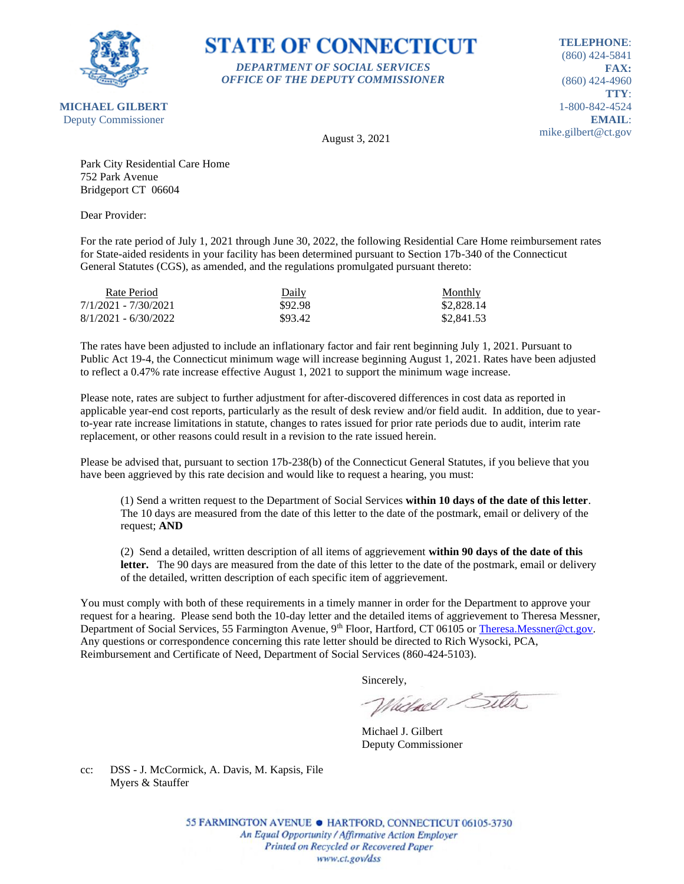

## **STATE OF CONNECTICUT** *DEPARTMENT OF SOCIAL SERVICES*

*OFFICE OF THE DEPUTY COMMISSIONER*

**TELEPHONE**: (860) 424-5841 **FAX:** (860) 424-4960 **TTY**: 1-800-842-4524 **EMAIL**: mike.gilbert@ct.gov

August 3, 2021

Park City Residential Care Home 752 Park Avenue Bridgeport CT 06604

Dear Provider:

For the rate period of July 1, 2021 through June 30, 2022, the following Residential Care Home reimbursement rates for State-aided residents in your facility has been determined pursuant to Section 17b-340 of the Connecticut General Statutes (CGS), as amended, and the regulations promulgated pursuant thereto:

| Rate Period            | Daily   | Monthly    |
|------------------------|---------|------------|
| 7/1/2021 - 7/30/2021   | \$92.98 | \$2,828.14 |
| $8/1/2021 - 6/30/2022$ | \$93.42 | \$2,841.53 |

The rates have been adjusted to include an inflationary factor and fair rent beginning July 1, 2021. Pursuant to Public Act 19-4, the Connecticut minimum wage will increase beginning August 1, 2021. Rates have been adjusted to reflect a 0.47% rate increase effective August 1, 2021 to support the minimum wage increase.

Please note, rates are subject to further adjustment for after-discovered differences in cost data as reported in applicable year-end cost reports, particularly as the result of desk review and/or field audit. In addition, due to yearto-year rate increase limitations in statute, changes to rates issued for prior rate periods due to audit, interim rate replacement, or other reasons could result in a revision to the rate issued herein.

Please be advised that, pursuant to section 17b-238(b) of the Connecticut General Statutes, if you believe that you have been aggrieved by this rate decision and would like to request a hearing, you must:

(1) Send a written request to the Department of Social Services **within 10 days of the date of this letter**. The 10 days are measured from the date of this letter to the date of the postmark, email or delivery of the request; **AND**

(2) Send a detailed, written description of all items of aggrievement **within 90 days of the date of this**  letter. The 90 days are measured from the date of this letter to the date of the postmark, email or delivery of the detailed, written description of each specific item of aggrievement.

You must comply with both of these requirements in a timely manner in order for the Department to approve your request for a hearing. Please send both the 10-day letter and the detailed items of aggrievement to Theresa Messner, Department of Social Services, 55 Farmington Avenue, 9<sup>th</sup> Floor, Hartford, CT 06105 or [Theresa.Messner@ct.gov.](mailto:Theresa.Messner@ct.gov) Any questions or correspondence concerning this rate letter should be directed to Rich Wysocki, PCA, Reimbursement and Certificate of Need, Department of Social Services (860-424-5103).

Sincerely,

Victorel Sitter

Michael J. Gilbert Deputy Commissioner

cc: DSS - J. McCormick, A. Davis, M. Kapsis, File Myers & Stauffer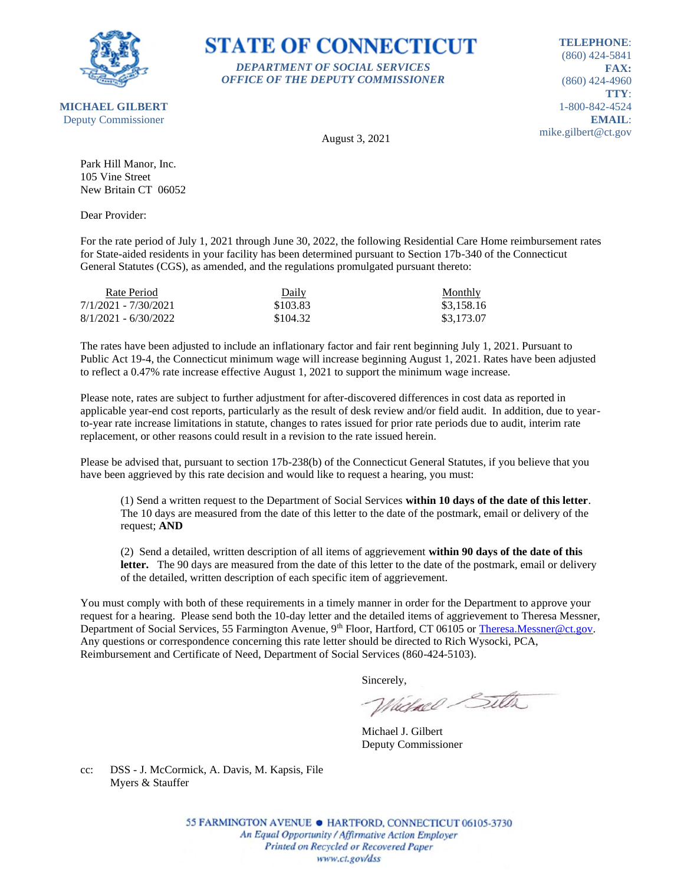

### **STATE OF CONNECTICUT** *DEPARTMENT OF SOCIAL SERVICES*

*OFFICE OF THE DEPUTY COMMISSIONER*

**TELEPHONE**: (860) 424-5841 **FAX:** (860) 424-4960 **TTY**: 1-800-842-4524 **EMAIL**: mike.gilbert@ct.gov

August 3, 2021

Park Hill Manor, Inc. 105 Vine Street New Britain CT 06052

Dear Provider:

For the rate period of July 1, 2021 through June 30, 2022, the following Residential Care Home reimbursement rates for State-aided residents in your facility has been determined pursuant to Section 17b-340 of the Connecticut General Statutes (CGS), as amended, and the regulations promulgated pursuant thereto:

| Rate Period            | Daily    | Monthly    |
|------------------------|----------|------------|
| 7/1/2021 - 7/30/2021   | \$103.83 | \$3.158.16 |
| $8/1/2021 - 6/30/2022$ | \$104.32 | \$3,173.07 |

The rates have been adjusted to include an inflationary factor and fair rent beginning July 1, 2021. Pursuant to Public Act 19-4, the Connecticut minimum wage will increase beginning August 1, 2021. Rates have been adjusted to reflect a 0.47% rate increase effective August 1, 2021 to support the minimum wage increase.

Please note, rates are subject to further adjustment for after-discovered differences in cost data as reported in applicable year-end cost reports, particularly as the result of desk review and/or field audit. In addition, due to yearto-year rate increase limitations in statute, changes to rates issued for prior rate periods due to audit, interim rate replacement, or other reasons could result in a revision to the rate issued herein.

Please be advised that, pursuant to section 17b-238(b) of the Connecticut General Statutes, if you believe that you have been aggrieved by this rate decision and would like to request a hearing, you must:

(1) Send a written request to the Department of Social Services **within 10 days of the date of this letter**. The 10 days are measured from the date of this letter to the date of the postmark, email or delivery of the request; **AND**

(2) Send a detailed, written description of all items of aggrievement **within 90 days of the date of this**  letter. The 90 days are measured from the date of this letter to the date of the postmark, email or delivery of the detailed, written description of each specific item of aggrievement.

You must comply with both of these requirements in a timely manner in order for the Department to approve your request for a hearing. Please send both the 10-day letter and the detailed items of aggrievement to Theresa Messner, Department of Social Services, 55 Farmington Avenue, 9<sup>th</sup> Floor, Hartford, CT 06105 or [Theresa.Messner@ct.gov.](mailto:Theresa.Messner@ct.gov) Any questions or correspondence concerning this rate letter should be directed to Rich Wysocki, PCA, Reimbursement and Certificate of Need, Department of Social Services (860-424-5103).

Sincerely,

Victorel Sitter

Michael J. Gilbert Deputy Commissioner

cc: DSS - J. McCormick, A. Davis, M. Kapsis, File Myers & Stauffer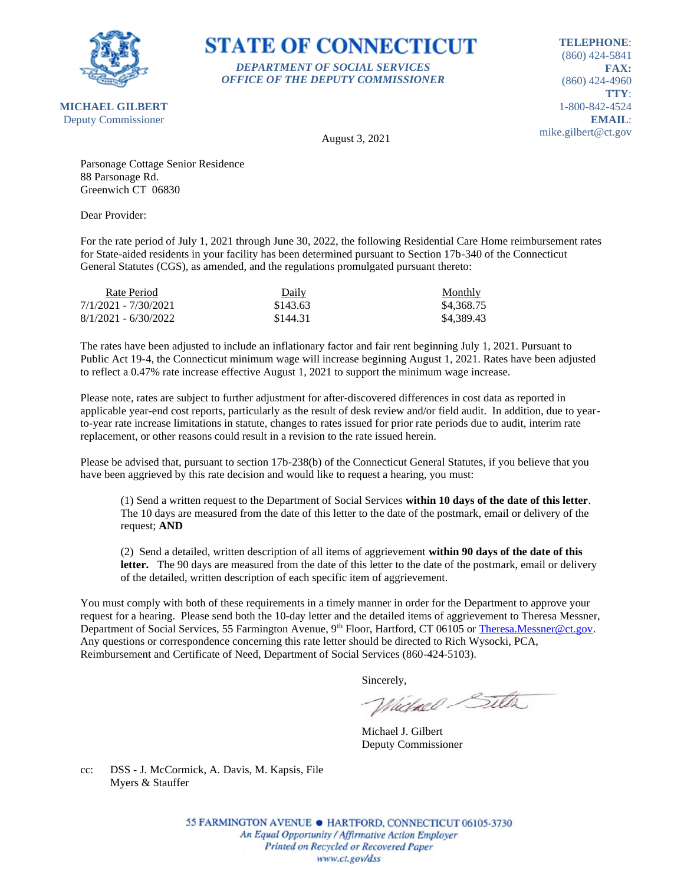

### **STATE OF CONNECTICUT** *DEPARTMENT OF SOCIAL SERVICES*

*OFFICE OF THE DEPUTY COMMISSIONER*

**TELEPHONE**: (860) 424-5841 **FAX:** (860) 424-4960 **TTY**: 1-800-842-4524 **EMAIL**: mike.gilbert@ct.gov

August 3, 2021

Parsonage Cottage Senior Residence 88 Parsonage Rd. Greenwich CT 06830

Dear Provider:

For the rate period of July 1, 2021 through June 30, 2022, the following Residential Care Home reimbursement rates for State-aided residents in your facility has been determined pursuant to Section 17b-340 of the Connecticut General Statutes (CGS), as amended, and the regulations promulgated pursuant thereto:

| Rate Period            | Daily    | Monthly    |
|------------------------|----------|------------|
| 7/1/2021 - 7/30/2021   | \$143.63 | \$4.368.75 |
| $8/1/2021 - 6/30/2022$ | \$144.31 | \$4.389.43 |

The rates have been adjusted to include an inflationary factor and fair rent beginning July 1, 2021. Pursuant to Public Act 19-4, the Connecticut minimum wage will increase beginning August 1, 2021. Rates have been adjusted to reflect a 0.47% rate increase effective August 1, 2021 to support the minimum wage increase.

Please note, rates are subject to further adjustment for after-discovered differences in cost data as reported in applicable year-end cost reports, particularly as the result of desk review and/or field audit. In addition, due to yearto-year rate increase limitations in statute, changes to rates issued for prior rate periods due to audit, interim rate replacement, or other reasons could result in a revision to the rate issued herein.

Please be advised that, pursuant to section 17b-238(b) of the Connecticut General Statutes, if you believe that you have been aggrieved by this rate decision and would like to request a hearing, you must:

(1) Send a written request to the Department of Social Services **within 10 days of the date of this letter**. The 10 days are measured from the date of this letter to the date of the postmark, email or delivery of the request; **AND**

(2) Send a detailed, written description of all items of aggrievement **within 90 days of the date of this letter.** The 90 days are measured from the date of this letter to the date of the postmark, email or delivery of the detailed, written description of each specific item of aggrievement.

You must comply with both of these requirements in a timely manner in order for the Department to approve your request for a hearing. Please send both the 10-day letter and the detailed items of aggrievement to Theresa Messner, Department of Social Services, 55 Farmington Avenue, 9<sup>th</sup> Floor, Hartford, CT 06105 or [Theresa.Messner@ct.gov.](mailto:Theresa.Messner@ct.gov) Any questions or correspondence concerning this rate letter should be directed to Rich Wysocki, PCA, Reimbursement and Certificate of Need, Department of Social Services (860-424-5103).

Sincerely,

Victorel Sitter

Michael J. Gilbert Deputy Commissioner

cc: DSS - J. McCormick, A. Davis, M. Kapsis, File Myers & Stauffer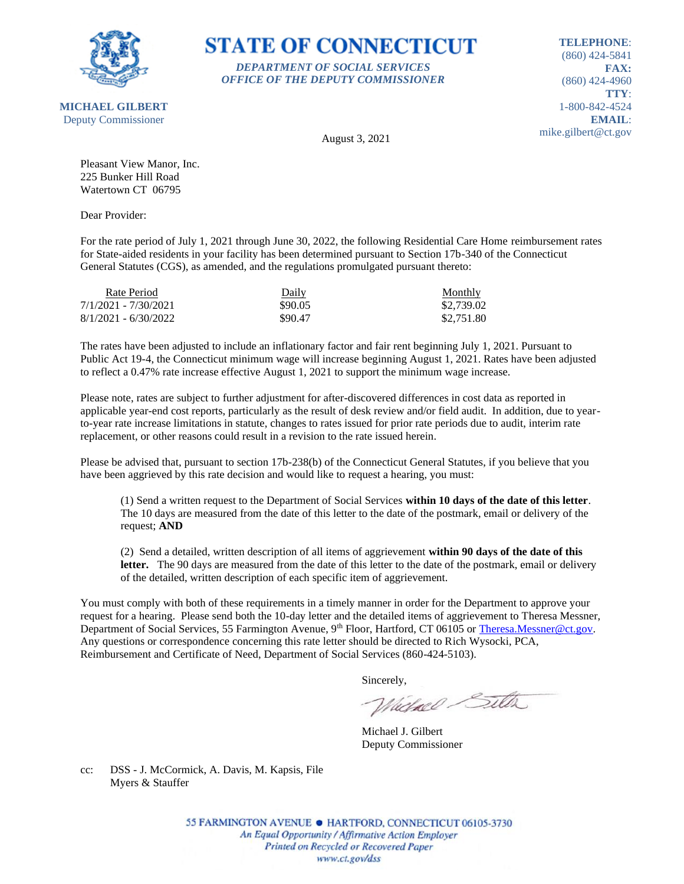

**STATE OF CONNECTICUT** *DEPARTMENT OF SOCIAL SERVICES*

*OFFICE OF THE DEPUTY COMMISSIONER*

**TELEPHONE**: (860) 424-5841 **FAX:** (860) 424-4960 **TTY**: 1-800-842-4524 **EMAIL**: mike.gilbert@ct.gov

August 3, 2021

Pleasant View Manor, Inc. 225 Bunker Hill Road Watertown CT 06795

Dear Provider:

For the rate period of July 1, 2021 through June 30, 2022, the following Residential Care Home reimbursement rates for State-aided residents in your facility has been determined pursuant to Section 17b-340 of the Connecticut General Statutes (CGS), as amended, and the regulations promulgated pursuant thereto:

| Rate Period            | Daily   | Monthly    |
|------------------------|---------|------------|
| 7/1/2021 - 7/30/2021   | \$90.05 | \$2,739.02 |
| $8/1/2021 - 6/30/2022$ | \$90.47 | \$2,751.80 |

The rates have been adjusted to include an inflationary factor and fair rent beginning July 1, 2021. Pursuant to Public Act 19-4, the Connecticut minimum wage will increase beginning August 1, 2021. Rates have been adjusted to reflect a 0.47% rate increase effective August 1, 2021 to support the minimum wage increase.

Please note, rates are subject to further adjustment for after-discovered differences in cost data as reported in applicable year-end cost reports, particularly as the result of desk review and/or field audit. In addition, due to yearto-year rate increase limitations in statute, changes to rates issued for prior rate periods due to audit, interim rate replacement, or other reasons could result in a revision to the rate issued herein.

Please be advised that, pursuant to section 17b-238(b) of the Connecticut General Statutes, if you believe that you have been aggrieved by this rate decision and would like to request a hearing, you must:

(1) Send a written request to the Department of Social Services **within 10 days of the date of this letter**. The 10 days are measured from the date of this letter to the date of the postmark, email or delivery of the request; **AND**

(2) Send a detailed, written description of all items of aggrievement **within 90 days of the date of this**  letter. The 90 days are measured from the date of this letter to the date of the postmark, email or delivery of the detailed, written description of each specific item of aggrievement.

You must comply with both of these requirements in a timely manner in order for the Department to approve your request for a hearing. Please send both the 10-day letter and the detailed items of aggrievement to Theresa Messner, Department of Social Services, 55 Farmington Avenue, 9<sup>th</sup> Floor, Hartford, CT 06105 or [Theresa.Messner@ct.gov.](mailto:Theresa.Messner@ct.gov) Any questions or correspondence concerning this rate letter should be directed to Rich Wysocki, PCA, Reimbursement and Certificate of Need, Department of Social Services (860-424-5103).

Sincerely,

Victorel Sitter

Michael J. Gilbert Deputy Commissioner

cc: DSS - J. McCormick, A. Davis, M. Kapsis, File Myers & Stauffer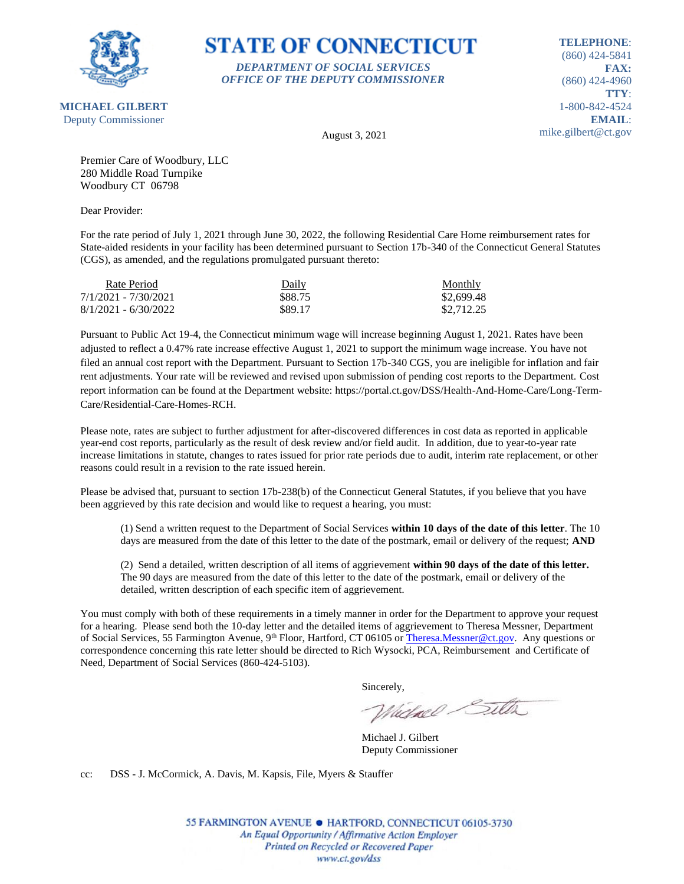

# **STATE OF CONNECTICUT** *DEPARTMENT OF SOCIAL SERVICES*

*OFFICE OF THE DEPUTY COMMISSIONER*

**TELEPHONE**: (860) 424-5841 **FAX:** (860) 424-4960 **TTY**: 1-800-842-4524 **EMAIL**: mike.gilbert@ct.gov

August 3, 2021

Premier Care of Woodbury, LLC 280 Middle Road Turnpike Woodbury CT 06798

Dear Provider:

For the rate period of July 1, 2021 through June 30, 2022, the following Residential Care Home reimbursement rates for State-aided residents in your facility has been determined pursuant to Section 17b-340 of the Connecticut General Statutes (CGS), as amended, and the regulations promulgated pursuant thereto:

| Rate Period            | Daily   | Monthly    |
|------------------------|---------|------------|
| 7/1/2021 - 7/30/2021   | \$88.75 | \$2,699.48 |
| $8/1/2021 - 6/30/2022$ | \$89.17 | \$2,712.25 |

Pursuant to Public Act 19-4, the Connecticut minimum wage will increase beginning August 1, 2021. Rates have been adjusted to reflect a 0.47% rate increase effective August 1, 2021 to support the minimum wage increase. You have not filed an annual cost report with the Department. Pursuant to Section 17b-340 CGS, you are ineligible for inflation and fair rent adjustments. Your rate will be reviewed and revised upon submission of pending cost reports to the Department. Cost report information can be found at the Department website: https://portal.ct.gov/DSS/Health-And-Home-Care/Long-Term-Care/Residential-Care-Homes-RCH.

Please note, rates are subject to further adjustment for after-discovered differences in cost data as reported in applicable year-end cost reports, particularly as the result of desk review and/or field audit. In addition, due to year-to-year rate increase limitations in statute, changes to rates issued for prior rate periods due to audit, interim rate replacement, or other reasons could result in a revision to the rate issued herein.

Please be advised that, pursuant to section 17b-238(b) of the Connecticut General Statutes, if you believe that you have been aggrieved by this rate decision and would like to request a hearing, you must:

(1) Send a written request to the Department of Social Services **within 10 days of the date of this letter**. The 10 days are measured from the date of this letter to the date of the postmark, email or delivery of the request; **AND**

(2) Send a detailed, written description of all items of aggrievement **within 90 days of the date of this letter.** The 90 days are measured from the date of this letter to the date of the postmark, email or delivery of the detailed, written description of each specific item of aggrievement.

You must comply with both of these requirements in a timely manner in order for the Department to approve your request for a hearing. Please send both the 10-day letter and the detailed items of aggrievement to Theresa Messner, Department of Social Services, 55 Farmington Avenue, 9<sup>th</sup> Floor, Hartford, CT 06105 o[r Theresa.Messner@ct.gov.](mailto:Theresa.Messner@ct.gov) Any questions or correspondence concerning this rate letter should be directed to Rich Wysocki, PCA, Reimbursement and Certificate of Need, Department of Social Services (860-424-5103).

Sincerely,

Whichael Sitter

Michael J. Gilbert Deputy Commissioner

cc: DSS - J. McCormick, A. Davis, M. Kapsis, File, Myers & Stauffer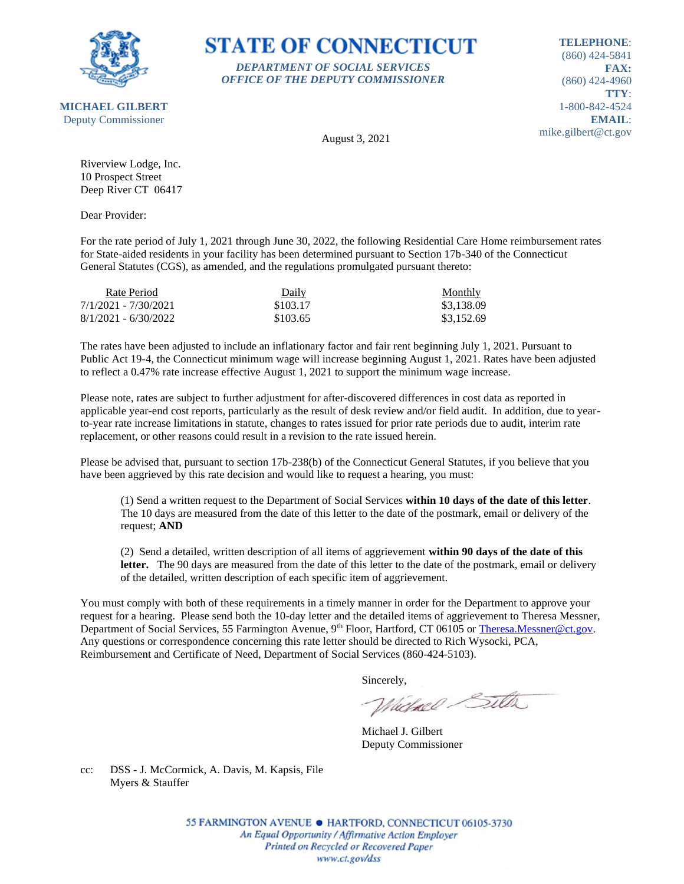

### **STATE OF CONNECTICUT** *DEPARTMENT OF SOCIAL SERVICES*

*OFFICE OF THE DEPUTY COMMISSIONER*

**TELEPHONE**: (860) 424-5841 **FAX:** (860) 424-4960 **TTY**: 1-800-842-4524 **EMAIL**: mike.gilbert@ct.gov

**MICHAEL GILBERT** Deputy Commissioner

August 3, 2021

Riverview Lodge, Inc. 10 Prospect Street Deep River CT 06417

Dear Provider:

For the rate period of July 1, 2021 through June 30, 2022, the following Residential Care Home reimbursement rates for State-aided residents in your facility has been determined pursuant to Section 17b-340 of the Connecticut General Statutes (CGS), as amended, and the regulations promulgated pursuant thereto:

| Rate Period            | Daily    | Monthly    |
|------------------------|----------|------------|
| 7/1/2021 - 7/30/2021   | \$103.17 | \$3,138.09 |
| $8/1/2021 - 6/30/2022$ | \$103.65 | \$3,152.69 |

The rates have been adjusted to include an inflationary factor and fair rent beginning July 1, 2021. Pursuant to Public Act 19-4, the Connecticut minimum wage will increase beginning August 1, 2021. Rates have been adjusted to reflect a 0.47% rate increase effective August 1, 2021 to support the minimum wage increase.

Please note, rates are subject to further adjustment for after-discovered differences in cost data as reported in applicable year-end cost reports, particularly as the result of desk review and/or field audit. In addition, due to yearto-year rate increase limitations in statute, changes to rates issued for prior rate periods due to audit, interim rate replacement, or other reasons could result in a revision to the rate issued herein.

Please be advised that, pursuant to section 17b-238(b) of the Connecticut General Statutes, if you believe that you have been aggrieved by this rate decision and would like to request a hearing, you must:

(1) Send a written request to the Department of Social Services **within 10 days of the date of this letter**. The 10 days are measured from the date of this letter to the date of the postmark, email or delivery of the request; **AND**

(2) Send a detailed, written description of all items of aggrievement **within 90 days of the date of this**  letter. The 90 days are measured from the date of this letter to the date of the postmark, email or delivery of the detailed, written description of each specific item of aggrievement.

You must comply with both of these requirements in a timely manner in order for the Department to approve your request for a hearing. Please send both the 10-day letter and the detailed items of aggrievement to Theresa Messner, Department of Social Services, 55 Farmington Avenue, 9<sup>th</sup> Floor, Hartford, CT 06105 or [Theresa.Messner@ct.gov.](mailto:Theresa.Messner@ct.gov) Any questions or correspondence concerning this rate letter should be directed to Rich Wysocki, PCA, Reimbursement and Certificate of Need, Department of Social Services (860-424-5103).

Sincerely,

Victorel Sitter

Michael J. Gilbert Deputy Commissioner

cc: DSS - J. McCormick, A. Davis, M. Kapsis, File Myers & Stauffer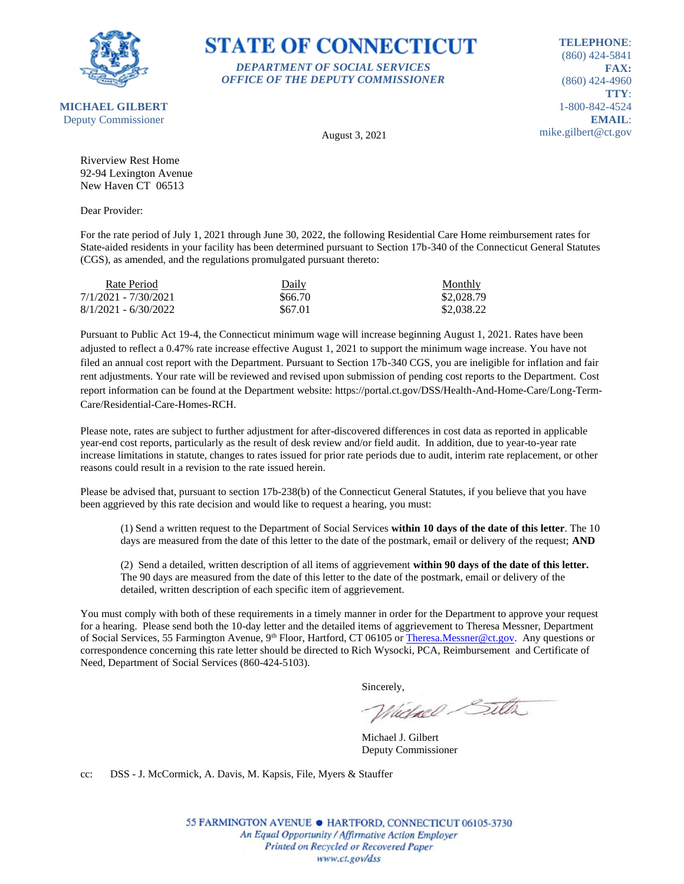

#### **STATE OF CONNECTICUT** *DEPARTMENT OF SOCIAL SERVICES*

*OFFICE OF THE DEPUTY COMMISSIONER*

**TELEPHONE**: (860) 424-5841 **FAX:** (860) 424-4960 **TTY**: 1-800-842-4524 **EMAIL**: mike.gilbert@ct.gov

August 3, 2021

Riverview Rest Home 92-94 Lexington Avenue New Haven CT 06513

Dear Provider:

For the rate period of July 1, 2021 through June 30, 2022, the following Residential Care Home reimbursement rates for State-aided residents in your facility has been determined pursuant to Section 17b-340 of the Connecticut General Statutes (CGS), as amended, and the regulations promulgated pursuant thereto:

| Rate Period            | Daily   | Monthly    |
|------------------------|---------|------------|
| 7/1/2021 - 7/30/2021   | \$66.70 | \$2,028.79 |
| $8/1/2021 - 6/30/2022$ | \$67.01 | \$2,038.22 |

Pursuant to Public Act 19-4, the Connecticut minimum wage will increase beginning August 1, 2021. Rates have been adjusted to reflect a 0.47% rate increase effective August 1, 2021 to support the minimum wage increase. You have not filed an annual cost report with the Department. Pursuant to Section 17b-340 CGS, you are ineligible for inflation and fair rent adjustments. Your rate will be reviewed and revised upon submission of pending cost reports to the Department. Cost report information can be found at the Department website: https://portal.ct.gov/DSS/Health-And-Home-Care/Long-Term-Care/Residential-Care-Homes-RCH.

Please note, rates are subject to further adjustment for after-discovered differences in cost data as reported in applicable year-end cost reports, particularly as the result of desk review and/or field audit. In addition, due to year-to-year rate increase limitations in statute, changes to rates issued for prior rate periods due to audit, interim rate replacement, or other reasons could result in a revision to the rate issued herein.

Please be advised that, pursuant to section 17b-238(b) of the Connecticut General Statutes, if you believe that you have been aggrieved by this rate decision and would like to request a hearing, you must:

(1) Send a written request to the Department of Social Services **within 10 days of the date of this letter**. The 10 days are measured from the date of this letter to the date of the postmark, email or delivery of the request; **AND**

(2) Send a detailed, written description of all items of aggrievement **within 90 days of the date of this letter.** The 90 days are measured from the date of this letter to the date of the postmark, email or delivery of the detailed, written description of each specific item of aggrievement.

You must comply with both of these requirements in a timely manner in order for the Department to approve your request for a hearing. Please send both the 10-day letter and the detailed items of aggrievement to Theresa Messner, Department of Social Services, 55 Farmington Avenue, 9<sup>th</sup> Floor, Hartford, CT 06105 o[r Theresa.Messner@ct.gov.](mailto:Theresa.Messner@ct.gov) Any questions or correspondence concerning this rate letter should be directed to Rich Wysocki, PCA, Reimbursement and Certificate of Need, Department of Social Services (860-424-5103).

Sincerely,

Whichael Sitter

Michael J. Gilbert Deputy Commissioner

cc: DSS - J. McCormick, A. Davis, M. Kapsis, File, Myers & Stauffer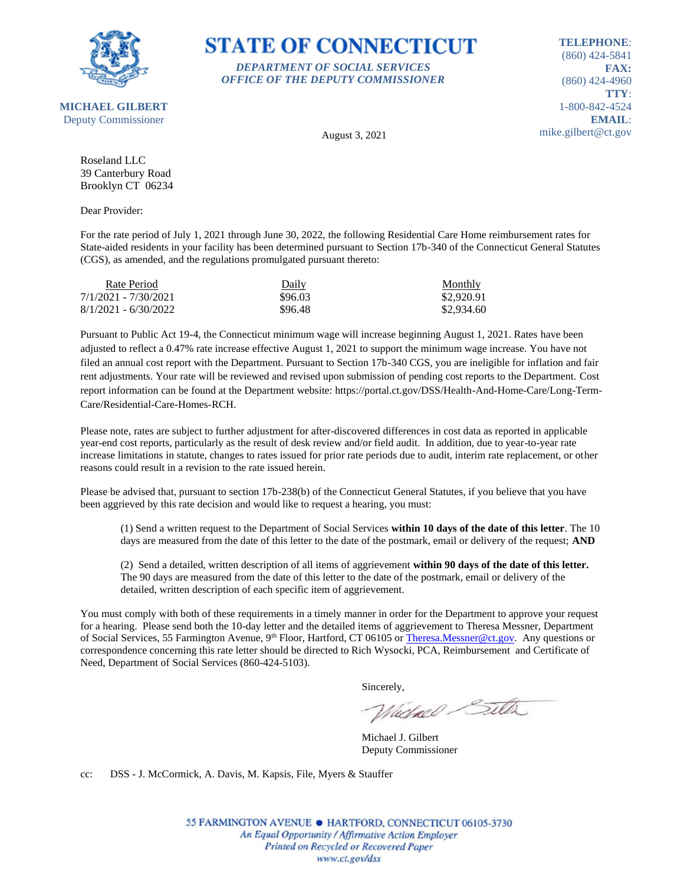

### **STATE OF CONNECTICUT** *DEPARTMENT OF SOCIAL SERVICES*

*OFFICE OF THE DEPUTY COMMISSIONER*

**TELEPHONE**: (860) 424-5841 **FAX:** (860) 424-4960 **TTY**: 1-800-842-4524 **EMAIL**: mike.gilbert@ct.gov

August 3, 2021

Roseland LLC 39 Canterbury Road Brooklyn CT 06234

Dear Provider:

For the rate period of July 1, 2021 through June 30, 2022, the following Residential Care Home reimbursement rates for State-aided residents in your facility has been determined pursuant to Section 17b-340 of the Connecticut General Statutes (CGS), as amended, and the regulations promulgated pursuant thereto:

| Rate Period            | Daily   | Monthly    |
|------------------------|---------|------------|
| 7/1/2021 - 7/30/2021   | \$96.03 | \$2,920.91 |
| $8/1/2021 - 6/30/2022$ | \$96.48 | \$2,934.60 |

Pursuant to Public Act 19-4, the Connecticut minimum wage will increase beginning August 1, 2021. Rates have been adjusted to reflect a 0.47% rate increase effective August 1, 2021 to support the minimum wage increase. You have not filed an annual cost report with the Department. Pursuant to Section 17b-340 CGS, you are ineligible for inflation and fair rent adjustments. Your rate will be reviewed and revised upon submission of pending cost reports to the Department. Cost report information can be found at the Department website: https://portal.ct.gov/DSS/Health-And-Home-Care/Long-Term-Care/Residential-Care-Homes-RCH.

Please note, rates are subject to further adjustment for after-discovered differences in cost data as reported in applicable year-end cost reports, particularly as the result of desk review and/or field audit. In addition, due to year-to-year rate increase limitations in statute, changes to rates issued for prior rate periods due to audit, interim rate replacement, or other reasons could result in a revision to the rate issued herein.

Please be advised that, pursuant to section 17b-238(b) of the Connecticut General Statutes, if you believe that you have been aggrieved by this rate decision and would like to request a hearing, you must:

(1) Send a written request to the Department of Social Services **within 10 days of the date of this letter**. The 10 days are measured from the date of this letter to the date of the postmark, email or delivery of the request; **AND**

(2) Send a detailed, written description of all items of aggrievement **within 90 days of the date of this letter.** The 90 days are measured from the date of this letter to the date of the postmark, email or delivery of the detailed, written description of each specific item of aggrievement.

You must comply with both of these requirements in a timely manner in order for the Department to approve your request for a hearing. Please send both the 10-day letter and the detailed items of aggrievement to Theresa Messner, Department of Social Services, 55 Farmington Avenue, 9<sup>th</sup> Floor, Hartford, CT 06105 o[r Theresa.Messner@ct.gov.](mailto:Theresa.Messner@ct.gov) Any questions or correspondence concerning this rate letter should be directed to Rich Wysocki, PCA, Reimbursement and Certificate of Need, Department of Social Services (860-424-5103).

Sincerely,

Whichael Sitter

Michael J. Gilbert Deputy Commissioner

cc: DSS - J. McCormick, A. Davis, M. Kapsis, File, Myers & Stauffer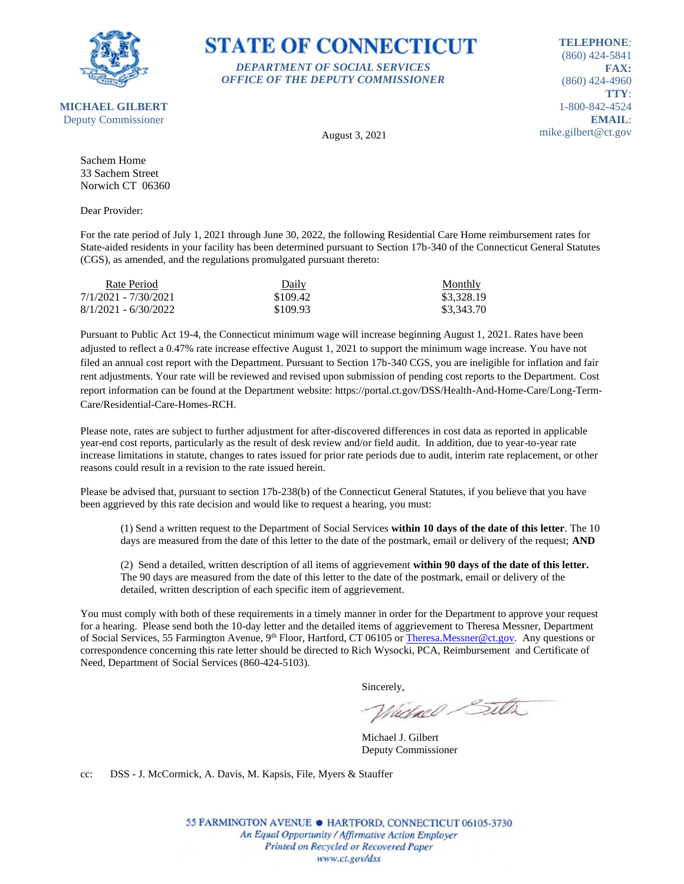

#### **STATE OF CONNECTICUT** *DEPARTMENT OF SOCIAL SERVICES*

*OFFICE OF THE DEPUTY COMMISSIONER*

**TELEPHONE**: (860) 424-5841 **FAX:** (860) 424-4960 **TTY**: 1-800-842-4524 **EMAIL**: mike.gilbert@ct.gov

August 3, 2021

Sachem Home 33 Sachem Street Norwich CT 06360

Dear Provider:

For the rate period of July 1, 2021 through June 30, 2022, the following Residential Care Home reimbursement rates for State-aided residents in your facility has been determined pursuant to Section 17b-340 of the Connecticut General Statutes (CGS), as amended, and the regulations promulgated pursuant thereto:

| Rate Period            | Daily    | Monthly    |
|------------------------|----------|------------|
| 7/1/2021 - 7/30/2021   | \$109.42 | \$3,328.19 |
| $8/1/2021 - 6/30/2022$ | \$109.93 | \$3,343.70 |

Pursuant to Public Act 19-4, the Connecticut minimum wage will increase beginning August 1, 2021. Rates have been adjusted to reflect a 0.47% rate increase effective August 1, 2021 to support the minimum wage increase. You have not filed an annual cost report with the Department. Pursuant to Section 17b-340 CGS, you are ineligible for inflation and fair rent adjustments. Your rate will be reviewed and revised upon submission of pending cost reports to the Department. Cost report information can be found at the Department website: https://portal.ct.gov/DSS/Health-And-Home-Care/Long-Term-Care/Residential-Care-Homes-RCH.

Please note, rates are subject to further adjustment for after-discovered differences in cost data as reported in applicable year-end cost reports, particularly as the result of desk review and/or field audit. In addition, due to year-to-year rate increase limitations in statute, changes to rates issued for prior rate periods due to audit, interim rate replacement, or other reasons could result in a revision to the rate issued herein.

Please be advised that, pursuant to section 17b-238(b) of the Connecticut General Statutes, if you believe that you have been aggrieved by this rate decision and would like to request a hearing, you must:

(1) Send a written request to the Department of Social Services **within 10 days of the date of this letter**. The 10 days are measured from the date of this letter to the date of the postmark, email or delivery of the request; **AND**

(2) Send a detailed, written description of all items of aggrievement **within 90 days of the date of this letter.** The 90 days are measured from the date of this letter to the date of the postmark, email or delivery of the detailed, written description of each specific item of aggrievement.

You must comply with both of these requirements in a timely manner in order for the Department to approve your request for a hearing. Please send both the 10-day letter and the detailed items of aggrievement to Theresa Messner, Department of Social Services, 55 Farmington Avenue, 9<sup>th</sup> Floor, Hartford, CT 06105 o[r Theresa.Messner@ct.gov.](mailto:Theresa.Messner@ct.gov) Any questions or correspondence concerning this rate letter should be directed to Rich Wysocki, PCA, Reimbursement and Certificate of Need, Department of Social Services (860-424-5103).

Sincerely,

Whichael Sitter

Michael J. Gilbert Deputy Commissioner

cc: DSS - J. McCormick, A. Davis, M. Kapsis, File, Myers & Stauffer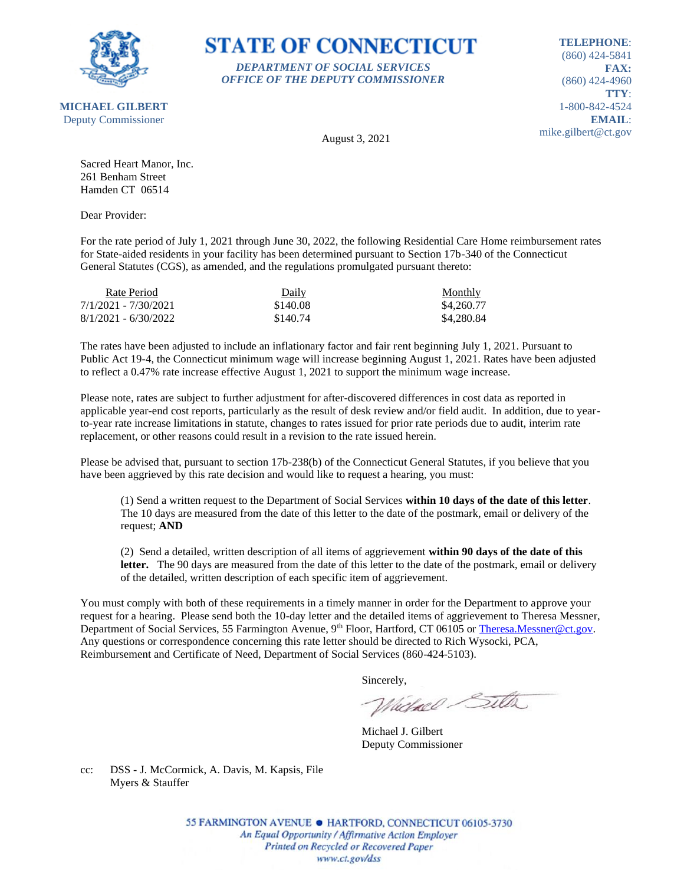

## **STATE OF CONNECTICUT** *DEPARTMENT OF SOCIAL SERVICES*

*OFFICE OF THE DEPUTY COMMISSIONER*

**TELEPHONE**: (860) 424-5841 **FAX:** (860) 424-4960 **TTY**: 1-800-842-4524 **EMAIL**: mike.gilbert@ct.gov

August 3, 2021

Sacred Heart Manor, Inc. 261 Benham Street Hamden CT 06514

Dear Provider:

For the rate period of July 1, 2021 through June 30, 2022, the following Residential Care Home reimbursement rates for State-aided residents in your facility has been determined pursuant to Section 17b-340 of the Connecticut General Statutes (CGS), as amended, and the regulations promulgated pursuant thereto:

| Rate Period            | Daily    | Monthly    |
|------------------------|----------|------------|
| 7/1/2021 - 7/30/2021   | \$140.08 | \$4,260.77 |
| $8/1/2021 - 6/30/2022$ | \$140.74 | \$4,280.84 |

The rates have been adjusted to include an inflationary factor and fair rent beginning July 1, 2021. Pursuant to Public Act 19-4, the Connecticut minimum wage will increase beginning August 1, 2021. Rates have been adjusted to reflect a 0.47% rate increase effective August 1, 2021 to support the minimum wage increase.

Please note, rates are subject to further adjustment for after-discovered differences in cost data as reported in applicable year-end cost reports, particularly as the result of desk review and/or field audit. In addition, due to yearto-year rate increase limitations in statute, changes to rates issued for prior rate periods due to audit, interim rate replacement, or other reasons could result in a revision to the rate issued herein.

Please be advised that, pursuant to section 17b-238(b) of the Connecticut General Statutes, if you believe that you have been aggrieved by this rate decision and would like to request a hearing, you must:

(1) Send a written request to the Department of Social Services **within 10 days of the date of this letter**. The 10 days are measured from the date of this letter to the date of the postmark, email or delivery of the request; **AND**

(2) Send a detailed, written description of all items of aggrievement **within 90 days of the date of this**  letter. The 90 days are measured from the date of this letter to the date of the postmark, email or delivery of the detailed, written description of each specific item of aggrievement.

You must comply with both of these requirements in a timely manner in order for the Department to approve your request for a hearing. Please send both the 10-day letter and the detailed items of aggrievement to Theresa Messner, Department of Social Services, 55 Farmington Avenue, 9<sup>th</sup> Floor, Hartford, CT 06105 or [Theresa.Messner@ct.gov.](mailto:Theresa.Messner@ct.gov) Any questions or correspondence concerning this rate letter should be directed to Rich Wysocki, PCA, Reimbursement and Certificate of Need, Department of Social Services (860-424-5103).

Sincerely,

Victorel Sitter

Michael J. Gilbert Deputy Commissioner

cc: DSS - J. McCormick, A. Davis, M. Kapsis, File Myers & Stauffer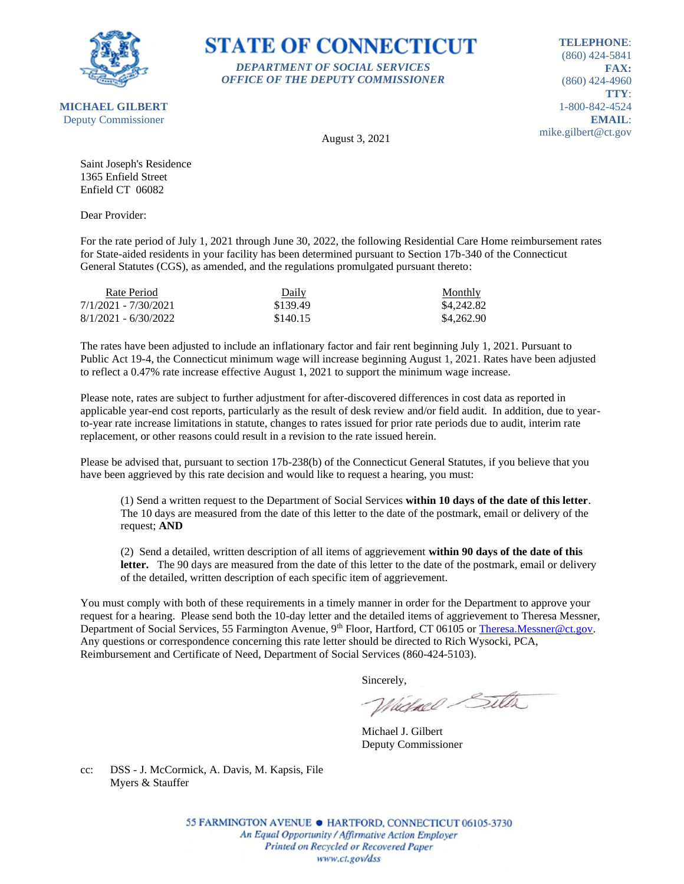

### **STATE OF CONNECTICUT** *DEPARTMENT OF SOCIAL SERVICES*

*OFFICE OF THE DEPUTY COMMISSIONER*

**TELEPHONE**: (860) 424-5841 **FAX:** (860) 424-4960 **TTY**: 1-800-842-4524 **EMAIL**: mike.gilbert@ct.gov

August 3, 2021

Saint Joseph's Residence 1365 Enfield Street Enfield CT 06082

Dear Provider:

For the rate period of July 1, 2021 through June 30, 2022, the following Residential Care Home reimbursement rates for State-aided residents in your facility has been determined pursuant to Section 17b-340 of the Connecticut General Statutes (CGS), as amended, and the regulations promulgated pursuant thereto:

| Rate Period            | Daily    | Monthly    |
|------------------------|----------|------------|
| 7/1/2021 - 7/30/2021   | \$139.49 | \$4,242.82 |
| $8/1/2021 - 6/30/2022$ | \$140.15 | \$4,262.90 |

The rates have been adjusted to include an inflationary factor and fair rent beginning July 1, 2021. Pursuant to Public Act 19-4, the Connecticut minimum wage will increase beginning August 1, 2021. Rates have been adjusted to reflect a 0.47% rate increase effective August 1, 2021 to support the minimum wage increase.

Please note, rates are subject to further adjustment for after-discovered differences in cost data as reported in applicable year-end cost reports, particularly as the result of desk review and/or field audit. In addition, due to yearto-year rate increase limitations in statute, changes to rates issued for prior rate periods due to audit, interim rate replacement, or other reasons could result in a revision to the rate issued herein.

Please be advised that, pursuant to section 17b-238(b) of the Connecticut General Statutes, if you believe that you have been aggrieved by this rate decision and would like to request a hearing, you must:

(1) Send a written request to the Department of Social Services **within 10 days of the date of this letter**. The 10 days are measured from the date of this letter to the date of the postmark, email or delivery of the request; **AND**

(2) Send a detailed, written description of all items of aggrievement **within 90 days of the date of this**  letter. The 90 days are measured from the date of this letter to the date of the postmark, email or delivery of the detailed, written description of each specific item of aggrievement.

You must comply with both of these requirements in a timely manner in order for the Department to approve your request for a hearing. Please send both the 10-day letter and the detailed items of aggrievement to Theresa Messner, Department of Social Services, 55 Farmington Avenue, 9<sup>th</sup> Floor, Hartford, CT 06105 or [Theresa.Messner@ct.gov.](mailto:Theresa.Messner@ct.gov) Any questions or correspondence concerning this rate letter should be directed to Rich Wysocki, PCA, Reimbursement and Certificate of Need, Department of Social Services (860-424-5103).

Sincerely,

Victorel Sitter

Michael J. Gilbert Deputy Commissioner

cc: DSS - J. McCormick, A. Davis, M. Kapsis, File Myers & Stauffer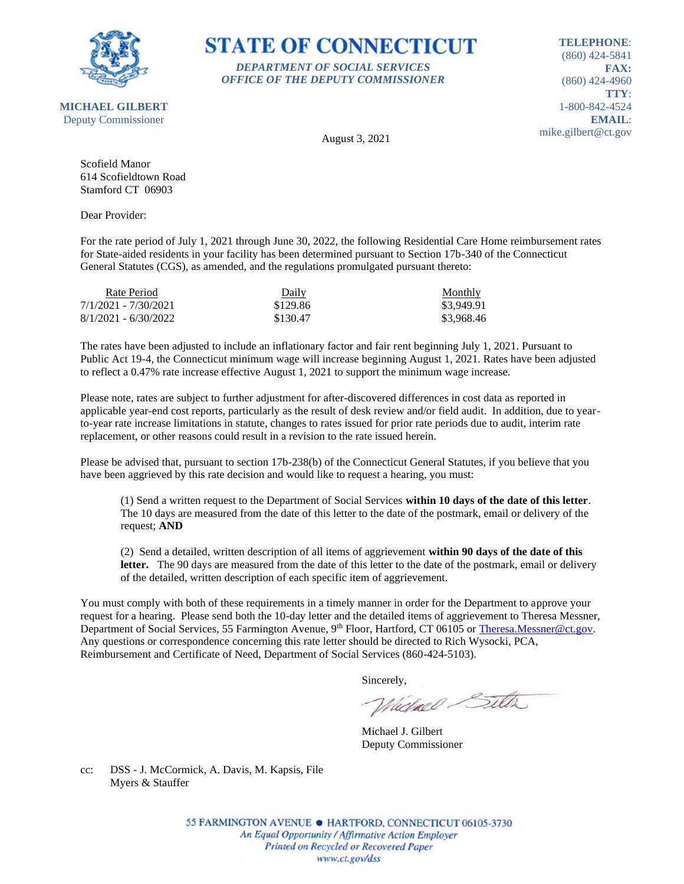

### **STATE OF CONNECTICUT** *DEPARTMENT OF SOCIAL SERVICES*

*OFFICE OF THE DEPUTY COMMISSIONER*

**TELEPHONE**: (860) 424-5841 **FAX:** (860) 424-4960 **TTY**: 1-800-842-4524 **EMAIL**: mike.gilbert@ct.gov

**MICHAEL GILBERT** Deputy Commissioner

August 3, 2021

Scofield Manor 614 Scofieldtown Road Stamford CT 06903

Dear Provider:

For the rate period of July 1, 2021 through June 30, 2022, the following Residential Care Home reimbursement rates for State-aided residents in your facility has been determined pursuant to Section 17b-340 of the Connecticut General Statutes (CGS), as amended, and the regulations promulgated pursuant thereto:

| Rate Period            | Daily    | Monthly    |
|------------------------|----------|------------|
| 7/1/2021 - 7/30/2021   | \$129.86 | \$3,949.91 |
| $8/1/2021 - 6/30/2022$ | \$130.47 | \$3.968.46 |

The rates have been adjusted to include an inflationary factor and fair rent beginning July 1, 2021. Pursuant to Public Act 19-4, the Connecticut minimum wage will increase beginning August 1, 2021. Rates have been adjusted to reflect a 0.47% rate increase effective August 1, 2021 to support the minimum wage increase.

Please note, rates are subject to further adjustment for after-discovered differences in cost data as reported in applicable year-end cost reports, particularly as the result of desk review and/or field audit. In addition, due to yearto-year rate increase limitations in statute, changes to rates issued for prior rate periods due to audit, interim rate replacement, or other reasons could result in a revision to the rate issued herein.

Please be advised that, pursuant to section 17b-238(b) of the Connecticut General Statutes, if you believe that you have been aggrieved by this rate decision and would like to request a hearing, you must:

(1) Send a written request to the Department of Social Services **within 10 days of the date of this letter**. The 10 days are measured from the date of this letter to the date of the postmark, email or delivery of the request; **AND**

(2) Send a detailed, written description of all items of aggrievement **within 90 days of the date of this**  letter. The 90 days are measured from the date of this letter to the date of the postmark, email or delivery of the detailed, written description of each specific item of aggrievement.

You must comply with both of these requirements in a timely manner in order for the Department to approve your request for a hearing. Please send both the 10-day letter and the detailed items of aggrievement to Theresa Messner, Department of Social Services, 55 Farmington Avenue, 9<sup>th</sup> Floor, Hartford, CT 06105 or [Theresa.Messner@ct.gov.](mailto:Theresa.Messner@ct.gov) Any questions or correspondence concerning this rate letter should be directed to Rich Wysocki, PCA, Reimbursement and Certificate of Need, Department of Social Services (860-424-5103).

Sincerely,

Victorel Sitter

Michael J. Gilbert Deputy Commissioner

cc: DSS - J. McCormick, A. Davis, M. Kapsis, File Myers & Stauffer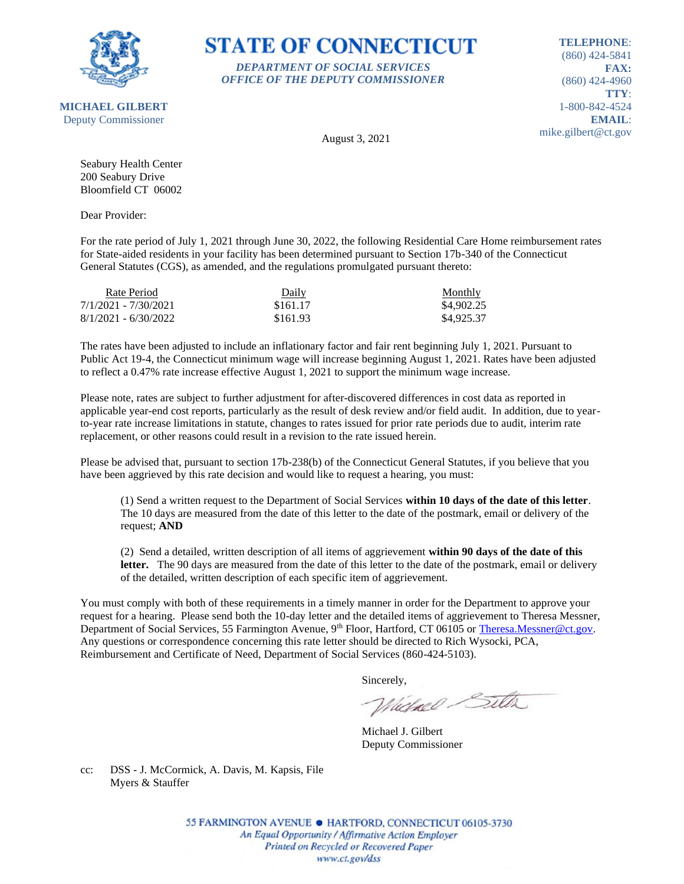

### **STATE OF CONNECTICUT** *DEPARTMENT OF SOCIAL SERVICES*

*OFFICE OF THE DEPUTY COMMISSIONER*

**TELEPHONE**: (860) 424-5841 **FAX:** (860) 424-4960 **TTY**: 1-800-842-4524 **EMAIL**: mike.gilbert@ct.gov

August 3, 2021

Seabury Health Center 200 Seabury Drive Bloomfield CT 06002

Dear Provider:

For the rate period of July 1, 2021 through June 30, 2022, the following Residential Care Home reimbursement rates for State-aided residents in your facility has been determined pursuant to Section 17b-340 of the Connecticut General Statutes (CGS), as amended, and the regulations promulgated pursuant thereto:

| Rate Period            | Daily    | Monthly    |
|------------------------|----------|------------|
| 7/1/2021 - 7/30/2021   | \$161.17 | \$4,902.25 |
| $8/1/2021 - 6/30/2022$ | \$161.93 | \$4,925.37 |

The rates have been adjusted to include an inflationary factor and fair rent beginning July 1, 2021. Pursuant to Public Act 19-4, the Connecticut minimum wage will increase beginning August 1, 2021. Rates have been adjusted to reflect a 0.47% rate increase effective August 1, 2021 to support the minimum wage increase.

Please note, rates are subject to further adjustment for after-discovered differences in cost data as reported in applicable year-end cost reports, particularly as the result of desk review and/or field audit. In addition, due to yearto-year rate increase limitations in statute, changes to rates issued for prior rate periods due to audit, interim rate replacement, or other reasons could result in a revision to the rate issued herein.

Please be advised that, pursuant to section 17b-238(b) of the Connecticut General Statutes, if you believe that you have been aggrieved by this rate decision and would like to request a hearing, you must:

(1) Send a written request to the Department of Social Services **within 10 days of the date of this letter**. The 10 days are measured from the date of this letter to the date of the postmark, email or delivery of the request; **AND**

(2) Send a detailed, written description of all items of aggrievement **within 90 days of the date of this**  letter. The 90 days are measured from the date of this letter to the date of the postmark, email or delivery of the detailed, written description of each specific item of aggrievement.

You must comply with both of these requirements in a timely manner in order for the Department to approve your request for a hearing. Please send both the 10-day letter and the detailed items of aggrievement to Theresa Messner, Department of Social Services, 55 Farmington Avenue, 9<sup>th</sup> Floor, Hartford, CT 06105 or [Theresa.Messner@ct.gov.](mailto:Theresa.Messner@ct.gov) Any questions or correspondence concerning this rate letter should be directed to Rich Wysocki, PCA, Reimbursement and Certificate of Need, Department of Social Services (860-424-5103).

Sincerely,

Victorel Sitter

Michael J. Gilbert Deputy Commissioner

cc: DSS - J. McCormick, A. Davis, M. Kapsis, File Myers & Stauffer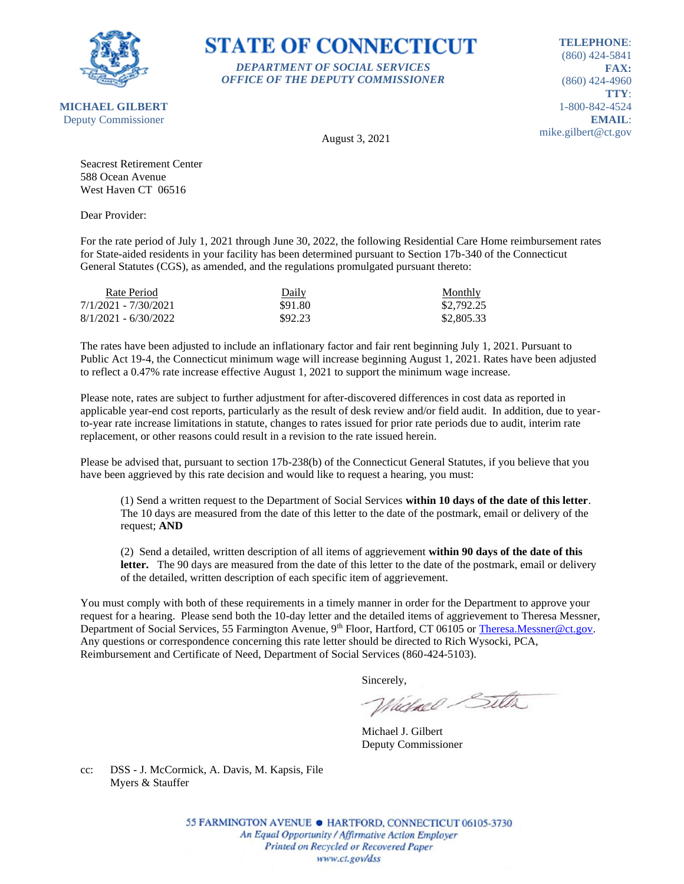

## **STATE OF CONNECTICUT** *DEPARTMENT OF SOCIAL SERVICES*

*OFFICE OF THE DEPUTY COMMISSIONER*

**TELEPHONE**: (860) 424-5841 **FAX:** (860) 424-4960 **TTY**: 1-800-842-4524 **EMAIL**: mike.gilbert@ct.gov

August 3, 2021

Seacrest Retirement Center 588 Ocean Avenue West Haven CT 06516

Dear Provider:

For the rate period of July 1, 2021 through June 30, 2022, the following Residential Care Home reimbursement rates for State-aided residents in your facility has been determined pursuant to Section 17b-340 of the Connecticut General Statutes (CGS), as amended, and the regulations promulgated pursuant thereto:

| Rate Period            | Daily   | Monthly    |
|------------------------|---------|------------|
| 7/1/2021 - 7/30/2021   | \$91.80 | \$2,792.25 |
| $8/1/2021 - 6/30/2022$ | \$92.23 | \$2,805.33 |

The rates have been adjusted to include an inflationary factor and fair rent beginning July 1, 2021. Pursuant to Public Act 19-4, the Connecticut minimum wage will increase beginning August 1, 2021. Rates have been adjusted to reflect a 0.47% rate increase effective August 1, 2021 to support the minimum wage increase.

Please note, rates are subject to further adjustment for after-discovered differences in cost data as reported in applicable year-end cost reports, particularly as the result of desk review and/or field audit. In addition, due to yearto-year rate increase limitations in statute, changes to rates issued for prior rate periods due to audit, interim rate replacement, or other reasons could result in a revision to the rate issued herein.

Please be advised that, pursuant to section 17b-238(b) of the Connecticut General Statutes, if you believe that you have been aggrieved by this rate decision and would like to request a hearing, you must:

(1) Send a written request to the Department of Social Services **within 10 days of the date of this letter**. The 10 days are measured from the date of this letter to the date of the postmark, email or delivery of the request; **AND**

(2) Send a detailed, written description of all items of aggrievement **within 90 days of the date of this**  letter. The 90 days are measured from the date of this letter to the date of the postmark, email or delivery of the detailed, written description of each specific item of aggrievement.

You must comply with both of these requirements in a timely manner in order for the Department to approve your request for a hearing. Please send both the 10-day letter and the detailed items of aggrievement to Theresa Messner, Department of Social Services, 55 Farmington Avenue, 9<sup>th</sup> Floor, Hartford, CT 06105 or [Theresa.Messner@ct.gov.](mailto:Theresa.Messner@ct.gov) Any questions or correspondence concerning this rate letter should be directed to Rich Wysocki, PCA, Reimbursement and Certificate of Need, Department of Social Services (860-424-5103).

Sincerely,

Victorel Sitter

Michael J. Gilbert Deputy Commissioner

cc: DSS - J. McCormick, A. Davis, M. Kapsis, File Myers & Stauffer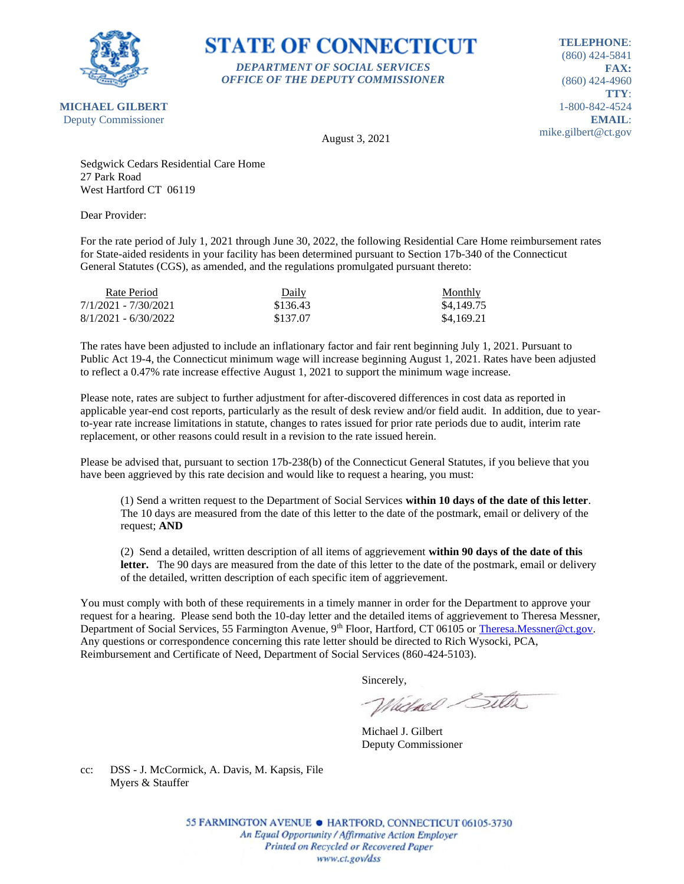

**STATE OF CONNECTICUT** *DEPARTMENT OF SOCIAL SERVICES OFFICE OF THE DEPUTY COMMISSIONER*

**TELEPHONE**: (860) 424-5841 **FAX:** (860) 424-4960 **TTY**: 1-800-842-4524 **EMAIL**: mike.gilbert@ct.gov

**MICHAEL GILBERT** Deputy Commissioner

August 3, 2021

Sedgwick Cedars Residential Care Home 27 Park Road West Hartford CT 06119

Dear Provider:

For the rate period of July 1, 2021 through June 30, 2022, the following Residential Care Home reimbursement rates for State-aided residents in your facility has been determined pursuant to Section 17b-340 of the Connecticut General Statutes (CGS), as amended, and the regulations promulgated pursuant thereto:

| Rate Period            | Daily    | <b>Monthly</b> |
|------------------------|----------|----------------|
| 7/1/2021 - 7/30/2021   | \$136.43 | \$4,149.75     |
| $8/1/2021 - 6/30/2022$ | \$137.07 | \$4.169.21     |

The rates have been adjusted to include an inflationary factor and fair rent beginning July 1, 2021. Pursuant to Public Act 19-4, the Connecticut minimum wage will increase beginning August 1, 2021. Rates have been adjusted to reflect a 0.47% rate increase effective August 1, 2021 to support the minimum wage increase.

Please note, rates are subject to further adjustment for after-discovered differences in cost data as reported in applicable year-end cost reports, particularly as the result of desk review and/or field audit. In addition, due to yearto-year rate increase limitations in statute, changes to rates issued for prior rate periods due to audit, interim rate replacement, or other reasons could result in a revision to the rate issued herein.

Please be advised that, pursuant to section 17b-238(b) of the Connecticut General Statutes, if you believe that you have been aggrieved by this rate decision and would like to request a hearing, you must:

(1) Send a written request to the Department of Social Services **within 10 days of the date of this letter**. The 10 days are measured from the date of this letter to the date of the postmark, email or delivery of the request; **AND**

(2) Send a detailed, written description of all items of aggrievement **within 90 days of the date of this**  letter. The 90 days are measured from the date of this letter to the date of the postmark, email or delivery of the detailed, written description of each specific item of aggrievement.

You must comply with both of these requirements in a timely manner in order for the Department to approve your request for a hearing. Please send both the 10-day letter and the detailed items of aggrievement to Theresa Messner, Department of Social Services, 55 Farmington Avenue, 9<sup>th</sup> Floor, Hartford, CT 06105 or [Theresa.Messner@ct.gov.](mailto:Theresa.Messner@ct.gov) Any questions or correspondence concerning this rate letter should be directed to Rich Wysocki, PCA, Reimbursement and Certificate of Need, Department of Social Services (860-424-5103).

Sincerely,

Victorel Sitter

Michael J. Gilbert Deputy Commissioner

cc: DSS - J. McCormick, A. Davis, M. Kapsis, File Myers & Stauffer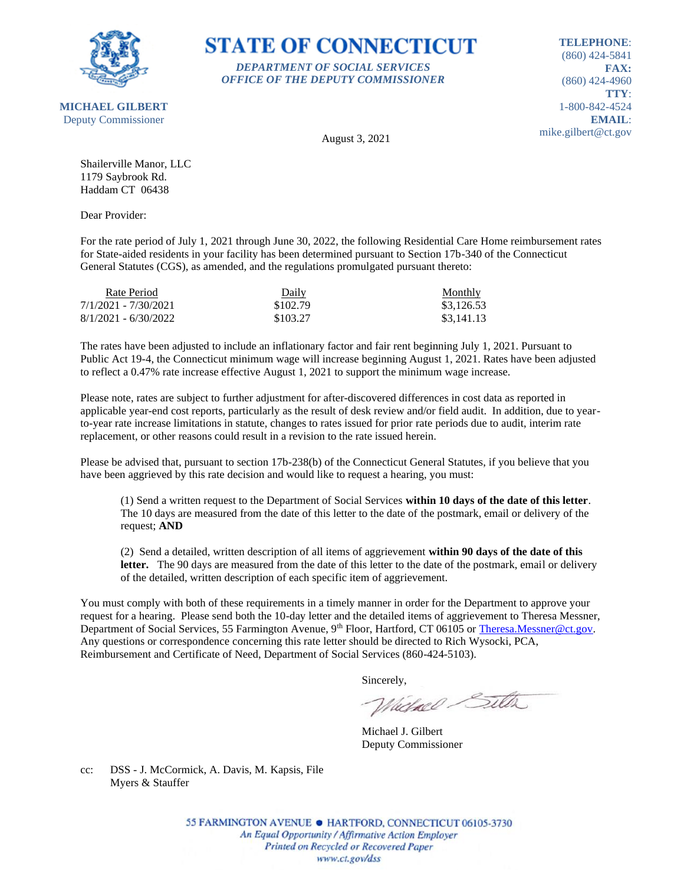

**STATE OF CONNECTICUT** *DEPARTMENT OF SOCIAL SERVICES*

*OFFICE OF THE DEPUTY COMMISSIONER*

**TELEPHONE**: (860) 424-5841 **FAX:** (860) 424-4960 **TTY**: 1-800-842-4524 **EMAIL**: mike.gilbert@ct.gov

August 3, 2021

Shailerville Manor, LLC 1179 Saybrook Rd. Haddam CT 06438

Dear Provider:

For the rate period of July 1, 2021 through June 30, 2022, the following Residential Care Home reimbursement rates for State-aided residents in your facility has been determined pursuant to Section 17b-340 of the Connecticut General Statutes (CGS), as amended, and the regulations promulgated pursuant thereto:

| Rate Period            | Daily    | <b>Monthly</b> |
|------------------------|----------|----------------|
| 7/1/2021 - 7/30/2021   | \$102.79 | \$3,126.53     |
| $8/1/2021 - 6/30/2022$ | \$103.27 | \$3.141.13     |

The rates have been adjusted to include an inflationary factor and fair rent beginning July 1, 2021. Pursuant to Public Act 19-4, the Connecticut minimum wage will increase beginning August 1, 2021. Rates have been adjusted to reflect a 0.47% rate increase effective August 1, 2021 to support the minimum wage increase.

Please note, rates are subject to further adjustment for after-discovered differences in cost data as reported in applicable year-end cost reports, particularly as the result of desk review and/or field audit. In addition, due to yearto-year rate increase limitations in statute, changes to rates issued for prior rate periods due to audit, interim rate replacement, or other reasons could result in a revision to the rate issued herein.

Please be advised that, pursuant to section 17b-238(b) of the Connecticut General Statutes, if you believe that you have been aggrieved by this rate decision and would like to request a hearing, you must:

(1) Send a written request to the Department of Social Services **within 10 days of the date of this letter**. The 10 days are measured from the date of this letter to the date of the postmark, email or delivery of the request; **AND**

(2) Send a detailed, written description of all items of aggrievement **within 90 days of the date of this letter.** The 90 days are measured from the date of this letter to the date of the postmark, email or delivery of the detailed, written description of each specific item of aggrievement.

You must comply with both of these requirements in a timely manner in order for the Department to approve your request for a hearing. Please send both the 10-day letter and the detailed items of aggrievement to Theresa Messner, Department of Social Services, 55 Farmington Avenue, 9<sup>th</sup> Floor, Hartford, CT 06105 or [Theresa.Messner@ct.gov.](mailto:Theresa.Messner@ct.gov) Any questions or correspondence concerning this rate letter should be directed to Rich Wysocki, PCA, Reimbursement and Certificate of Need, Department of Social Services (860-424-5103).

Sincerely,

Victorel Sitter

Michael J. Gilbert Deputy Commissioner

cc: DSS - J. McCormick, A. Davis, M. Kapsis, File Myers & Stauffer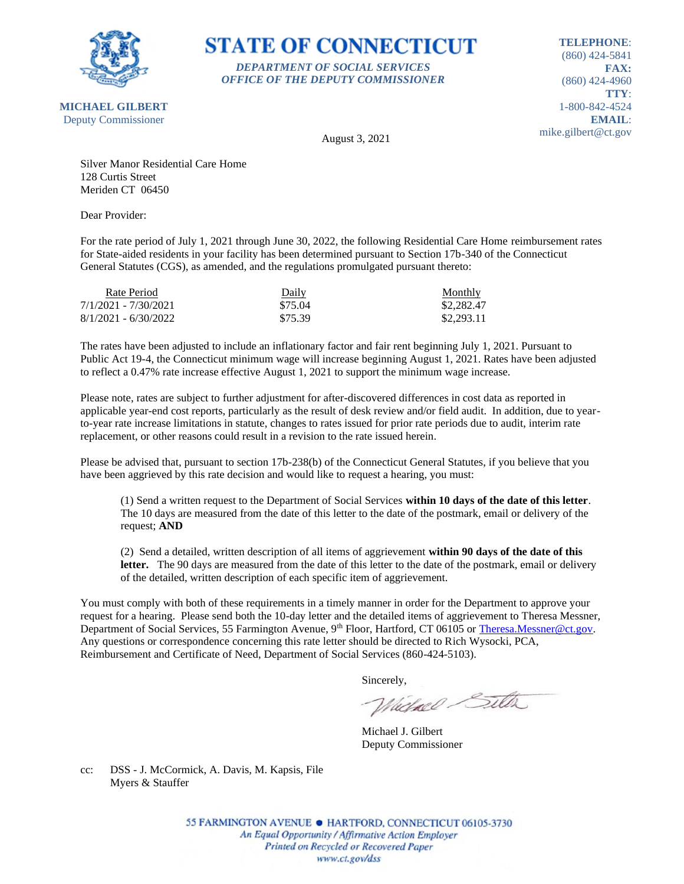

## **STATE OF CONNECTICUT** *DEPARTMENT OF SOCIAL SERVICES*

*OFFICE OF THE DEPUTY COMMISSIONER*

**TELEPHONE**: (860) 424-5841 **FAX:** (860) 424-4960 **TTY**: 1-800-842-4524 **EMAIL**: mike.gilbert@ct.gov

August 3, 2021

Silver Manor Residential Care Home 128 Curtis Street Meriden CT 06450

Dear Provider:

For the rate period of July 1, 2021 through June 30, 2022, the following Residential Care Home reimbursement rates for State-aided residents in your facility has been determined pursuant to Section 17b-340 of the Connecticut General Statutes (CGS), as amended, and the regulations promulgated pursuant thereto:

| Rate Period            | Daily   | Monthly    |
|------------------------|---------|------------|
| 7/1/2021 - 7/30/2021   | \$75.04 | \$2,282.47 |
| $8/1/2021 - 6/30/2022$ | \$75.39 | \$2,293.11 |

The rates have been adjusted to include an inflationary factor and fair rent beginning July 1, 2021. Pursuant to Public Act 19-4, the Connecticut minimum wage will increase beginning August 1, 2021. Rates have been adjusted to reflect a 0.47% rate increase effective August 1, 2021 to support the minimum wage increase.

Please note, rates are subject to further adjustment for after-discovered differences in cost data as reported in applicable year-end cost reports, particularly as the result of desk review and/or field audit. In addition, due to yearto-year rate increase limitations in statute, changes to rates issued for prior rate periods due to audit, interim rate replacement, or other reasons could result in a revision to the rate issued herein.

Please be advised that, pursuant to section 17b-238(b) of the Connecticut General Statutes, if you believe that you have been aggrieved by this rate decision and would like to request a hearing, you must:

(1) Send a written request to the Department of Social Services **within 10 days of the date of this letter**. The 10 days are measured from the date of this letter to the date of the postmark, email or delivery of the request; **AND**

(2) Send a detailed, written description of all items of aggrievement **within 90 days of the date of this**  letter. The 90 days are measured from the date of this letter to the date of the postmark, email or delivery of the detailed, written description of each specific item of aggrievement.

You must comply with both of these requirements in a timely manner in order for the Department to approve your request for a hearing. Please send both the 10-day letter and the detailed items of aggrievement to Theresa Messner, Department of Social Services, 55 Farmington Avenue, 9<sup>th</sup> Floor, Hartford, CT 06105 or [Theresa.Messner@ct.gov.](mailto:Theresa.Messner@ct.gov) Any questions or correspondence concerning this rate letter should be directed to Rich Wysocki, PCA, Reimbursement and Certificate of Need, Department of Social Services (860-424-5103).

Sincerely,

Victorel Sitter

Michael J. Gilbert Deputy Commissioner

cc: DSS - J. McCormick, A. Davis, M. Kapsis, File Myers & Stauffer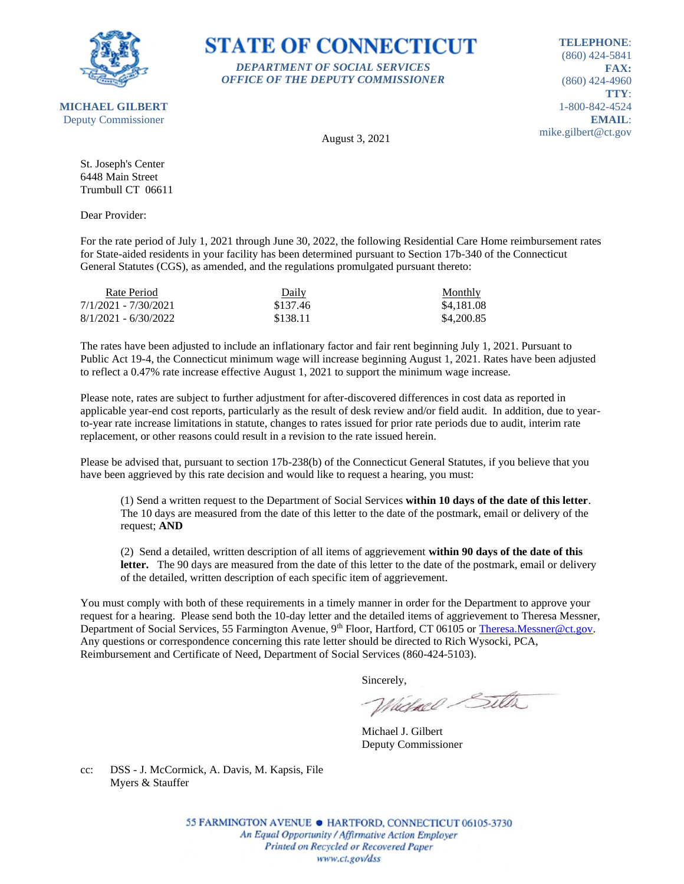

### **STATE OF CONNECTICUT** *DEPARTMENT OF SOCIAL SERVICES*

*OFFICE OF THE DEPUTY COMMISSIONER*

**TELEPHONE**: (860) 424-5841 **FAX:** (860) 424-4960 **TTY**: 1-800-842-4524 **EMAIL**: mike.gilbert@ct.gov

August 3, 2021

St. Joseph's Center 6448 Main Street Trumbull CT 06611

Dear Provider:

For the rate period of July 1, 2021 through June 30, 2022, the following Residential Care Home reimbursement rates for State-aided residents in your facility has been determined pursuant to Section 17b-340 of the Connecticut General Statutes (CGS), as amended, and the regulations promulgated pursuant thereto:

| Rate Period            | Daily    | Monthly    |
|------------------------|----------|------------|
| 7/1/2021 - 7/30/2021   | \$137.46 | \$4,181.08 |
| $8/1/2021 - 6/30/2022$ | \$138.11 | \$4,200.85 |

The rates have been adjusted to include an inflationary factor and fair rent beginning July 1, 2021. Pursuant to Public Act 19-4, the Connecticut minimum wage will increase beginning August 1, 2021. Rates have been adjusted to reflect a 0.47% rate increase effective August 1, 2021 to support the minimum wage increase.

Please note, rates are subject to further adjustment for after-discovered differences in cost data as reported in applicable year-end cost reports, particularly as the result of desk review and/or field audit. In addition, due to yearto-year rate increase limitations in statute, changes to rates issued for prior rate periods due to audit, interim rate replacement, or other reasons could result in a revision to the rate issued herein.

Please be advised that, pursuant to section 17b-238(b) of the Connecticut General Statutes, if you believe that you have been aggrieved by this rate decision and would like to request a hearing, you must:

(1) Send a written request to the Department of Social Services **within 10 days of the date of this letter**. The 10 days are measured from the date of this letter to the date of the postmark, email or delivery of the request; **AND**

(2) Send a detailed, written description of all items of aggrievement **within 90 days of the date of this**  letter. The 90 days are measured from the date of this letter to the date of the postmark, email or delivery of the detailed, written description of each specific item of aggrievement.

You must comply with both of these requirements in a timely manner in order for the Department to approve your request for a hearing. Please send both the 10-day letter and the detailed items of aggrievement to Theresa Messner, Department of Social Services, 55 Farmington Avenue, 9<sup>th</sup> Floor, Hartford, CT 06105 or [Theresa.Messner@ct.gov.](mailto:Theresa.Messner@ct.gov) Any questions or correspondence concerning this rate letter should be directed to Rich Wysocki, PCA, Reimbursement and Certificate of Need, Department of Social Services (860-424-5103).

Sincerely,

Victorel Sitter

Michael J. Gilbert Deputy Commissioner

cc: DSS - J. McCormick, A. Davis, M. Kapsis, File Myers & Stauffer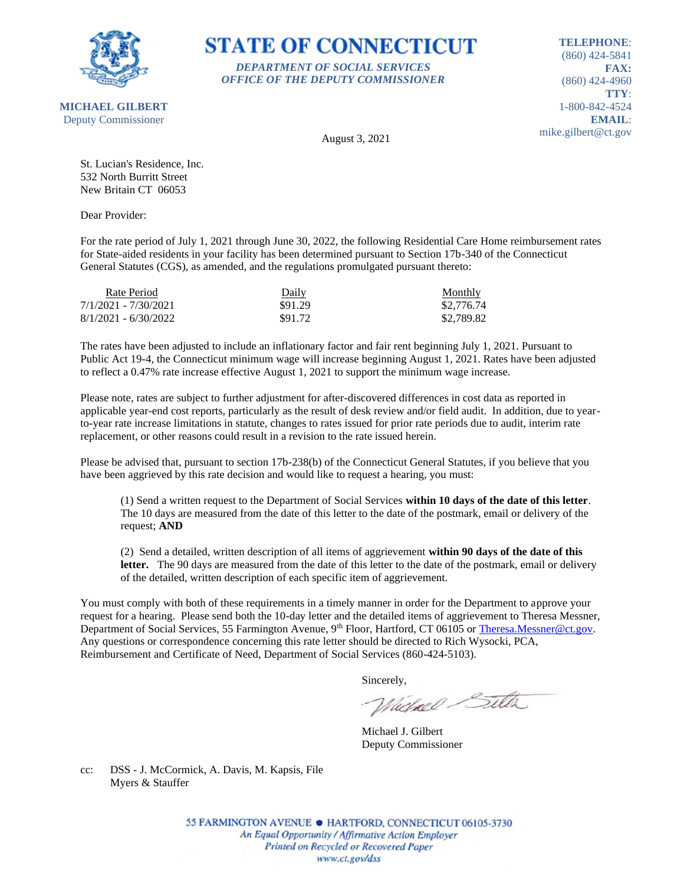

**STATE OF CONNECTICUT** *DEPARTMENT OF SOCIAL SERVICES*

*OFFICE OF THE DEPUTY COMMISSIONER*

**TELEPHONE**: (860) 424-5841 **FAX:** (860) 424-4960 **TTY**: 1-800-842-4524 **EMAIL**: mike.gilbert@ct.gov

August 3, 2021

St. Lucian's Residence, Inc. 532 North Burritt Street New Britain CT 06053

Dear Provider:

For the rate period of July 1, 2021 through June 30, 2022, the following Residential Care Home reimbursement rates for State-aided residents in your facility has been determined pursuant to Section 17b-340 of the Connecticut General Statutes (CGS), as amended, and the regulations promulgated pursuant thereto:

| Rate Period            | Daily   | <b>Monthly</b> |
|------------------------|---------|----------------|
| 7/1/2021 - 7/30/2021   | \$91.29 | \$2,776.74     |
| $8/1/2021 - 6/30/2022$ | \$91.72 | \$2.789.82     |

The rates have been adjusted to include an inflationary factor and fair rent beginning July 1, 2021. Pursuant to Public Act 19-4, the Connecticut minimum wage will increase beginning August 1, 2021. Rates have been adjusted to reflect a 0.47% rate increase effective August 1, 2021 to support the minimum wage increase.

Please note, rates are subject to further adjustment for after-discovered differences in cost data as reported in applicable year-end cost reports, particularly as the result of desk review and/or field audit. In addition, due to yearto-year rate increase limitations in statute, changes to rates issued for prior rate periods due to audit, interim rate replacement, or other reasons could result in a revision to the rate issued herein.

Please be advised that, pursuant to section 17b-238(b) of the Connecticut General Statutes, if you believe that you have been aggrieved by this rate decision and would like to request a hearing, you must:

(1) Send a written request to the Department of Social Services **within 10 days of the date of this letter**. The 10 days are measured from the date of this letter to the date of the postmark, email or delivery of the request; **AND**

(2) Send a detailed, written description of all items of aggrievement **within 90 days of the date of this**  letter. The 90 days are measured from the date of this letter to the date of the postmark, email or delivery of the detailed, written description of each specific item of aggrievement.

You must comply with both of these requirements in a timely manner in order for the Department to approve your request for a hearing. Please send both the 10-day letter and the detailed items of aggrievement to Theresa Messner, Department of Social Services, 55 Farmington Avenue, 9<sup>th</sup> Floor, Hartford, CT 06105 or [Theresa.Messner@ct.gov.](mailto:Theresa.Messner@ct.gov) Any questions or correspondence concerning this rate letter should be directed to Rich Wysocki, PCA, Reimbursement and Certificate of Need, Department of Social Services (860-424-5103).

Sincerely,

Victorel Sitter

Michael J. Gilbert Deputy Commissioner

cc: DSS - J. McCormick, A. Davis, M. Kapsis, File Myers & Stauffer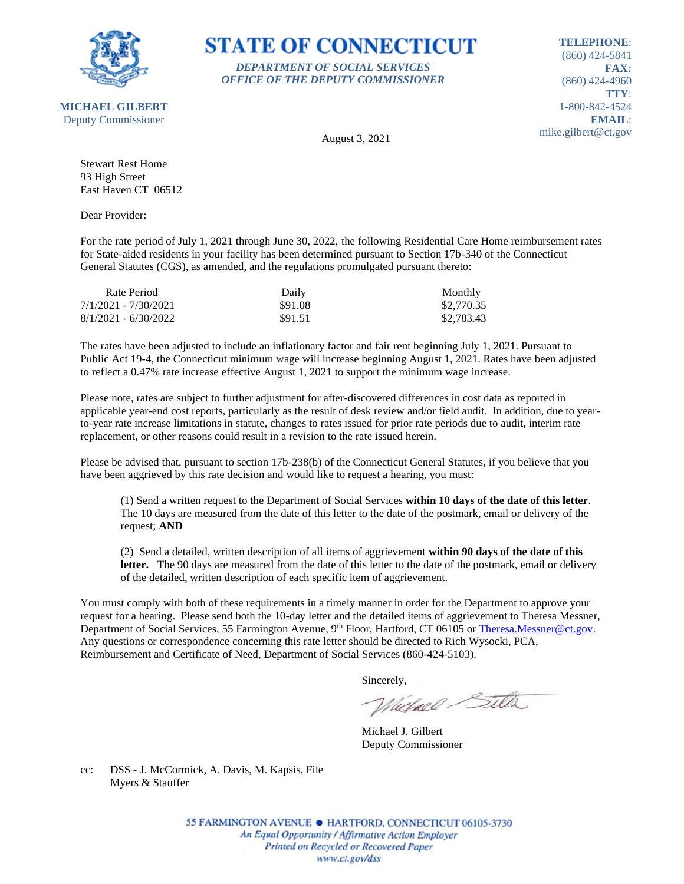

**MICHAEL GILBERT**

### **STATE OF CONNECTICUT** *DEPARTMENT OF SOCIAL SERVICES*

*OFFICE OF THE DEPUTY COMMISSIONER*

**TELEPHONE**: (860) 424-5841 **FAX:** (860) 424-4960 **TTY**: 1-800-842-4524 **EMAIL**: mike.gilbert@ct.gov

Deputy Commissioner

August 3, 2021

Stewart Rest Home 93 High Street East Haven CT 06512

Dear Provider:

For the rate period of July 1, 2021 through June 30, 2022, the following Residential Care Home reimbursement rates for State-aided residents in your facility has been determined pursuant to Section 17b-340 of the Connecticut General Statutes (CGS), as amended, and the regulations promulgated pursuant thereto:

| Rate Period            | Daily   | Monthly    |
|------------------------|---------|------------|
| 7/1/2021 - 7/30/2021   | \$91.08 | \$2,770.35 |
| $8/1/2021 - 6/30/2022$ | \$91.51 | \$2,783.43 |

The rates have been adjusted to include an inflationary factor and fair rent beginning July 1, 2021. Pursuant to Public Act 19-4, the Connecticut minimum wage will increase beginning August 1, 2021. Rates have been adjusted to reflect a 0.47% rate increase effective August 1, 2021 to support the minimum wage increase.

Please note, rates are subject to further adjustment for after-discovered differences in cost data as reported in applicable year-end cost reports, particularly as the result of desk review and/or field audit. In addition, due to yearto-year rate increase limitations in statute, changes to rates issued for prior rate periods due to audit, interim rate replacement, or other reasons could result in a revision to the rate issued herein.

Please be advised that, pursuant to section 17b-238(b) of the Connecticut General Statutes, if you believe that you have been aggrieved by this rate decision and would like to request a hearing, you must:

(1) Send a written request to the Department of Social Services **within 10 days of the date of this letter**. The 10 days are measured from the date of this letter to the date of the postmark, email or delivery of the request; **AND**

(2) Send a detailed, written description of all items of aggrievement **within 90 days of the date of this**  letter. The 90 days are measured from the date of this letter to the date of the postmark, email or delivery of the detailed, written description of each specific item of aggrievement.

You must comply with both of these requirements in a timely manner in order for the Department to approve your request for a hearing. Please send both the 10-day letter and the detailed items of aggrievement to Theresa Messner, Department of Social Services, 55 Farmington Avenue, 9<sup>th</sup> Floor, Hartford, CT 06105 or [Theresa.Messner@ct.gov.](mailto:Theresa.Messner@ct.gov) Any questions or correspondence concerning this rate letter should be directed to Rich Wysocki, PCA, Reimbursement and Certificate of Need, Department of Social Services (860-424-5103).

Sincerely,

Victorel Sitter

Michael J. Gilbert Deputy Commissioner

cc: DSS - J. McCormick, A. Davis, M. Kapsis, File Myers & Stauffer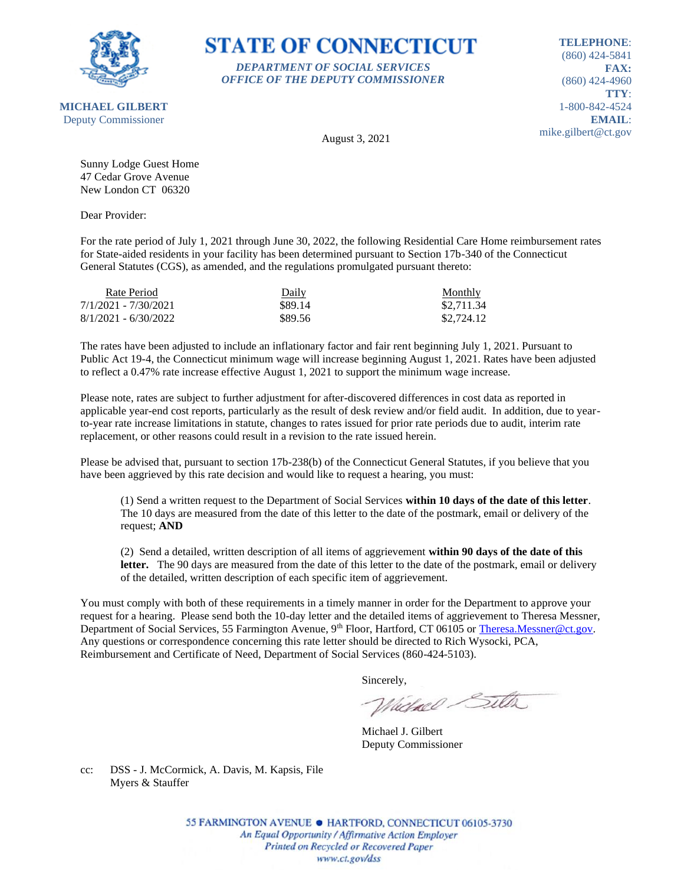

### **STATE OF CONNECTICUT** *DEPARTMENT OF SOCIAL SERVICES*

*OFFICE OF THE DEPUTY COMMISSIONER*

**TELEPHONE**: (860) 424-5841 **FAX:** (860) 424-4960 **TTY**: 1-800-842-4524 **EMAIL**: mike.gilbert@ct.gov

August 3, 2021

Sunny Lodge Guest Home 47 Cedar Grove Avenue New London CT 06320

Dear Provider:

For the rate period of July 1, 2021 through June 30, 2022, the following Residential Care Home reimbursement rates for State-aided residents in your facility has been determined pursuant to Section 17b-340 of the Connecticut General Statutes (CGS), as amended, and the regulations promulgated pursuant thereto:

| Rate Period            | Daily   | <b>Monthly</b> |
|------------------------|---------|----------------|
| 7/1/2021 - 7/30/2021   | \$89.14 | \$2,711.34     |
| $8/1/2021 - 6/30/2022$ | \$89.56 | \$2,724.12     |

The rates have been adjusted to include an inflationary factor and fair rent beginning July 1, 2021. Pursuant to Public Act 19-4, the Connecticut minimum wage will increase beginning August 1, 2021. Rates have been adjusted to reflect a 0.47% rate increase effective August 1, 2021 to support the minimum wage increase.

Please note, rates are subject to further adjustment for after-discovered differences in cost data as reported in applicable year-end cost reports, particularly as the result of desk review and/or field audit. In addition, due to yearto-year rate increase limitations in statute, changes to rates issued for prior rate periods due to audit, interim rate replacement, or other reasons could result in a revision to the rate issued herein.

Please be advised that, pursuant to section 17b-238(b) of the Connecticut General Statutes, if you believe that you have been aggrieved by this rate decision and would like to request a hearing, you must:

(1) Send a written request to the Department of Social Services **within 10 days of the date of this letter**. The 10 days are measured from the date of this letter to the date of the postmark, email or delivery of the request; **AND**

(2) Send a detailed, written description of all items of aggrievement **within 90 days of the date of this**  letter. The 90 days are measured from the date of this letter to the date of the postmark, email or delivery of the detailed, written description of each specific item of aggrievement.

You must comply with both of these requirements in a timely manner in order for the Department to approve your request for a hearing. Please send both the 10-day letter and the detailed items of aggrievement to Theresa Messner, Department of Social Services, 55 Farmington Avenue, 9<sup>th</sup> Floor, Hartford, CT 06105 or [Theresa.Messner@ct.gov.](mailto:Theresa.Messner@ct.gov) Any questions or correspondence concerning this rate letter should be directed to Rich Wysocki, PCA, Reimbursement and Certificate of Need, Department of Social Services (860-424-5103).

Sincerely,

Victorel Sitter

Michael J. Gilbert Deputy Commissioner

cc: DSS - J. McCormick, A. Davis, M. Kapsis, File Myers & Stauffer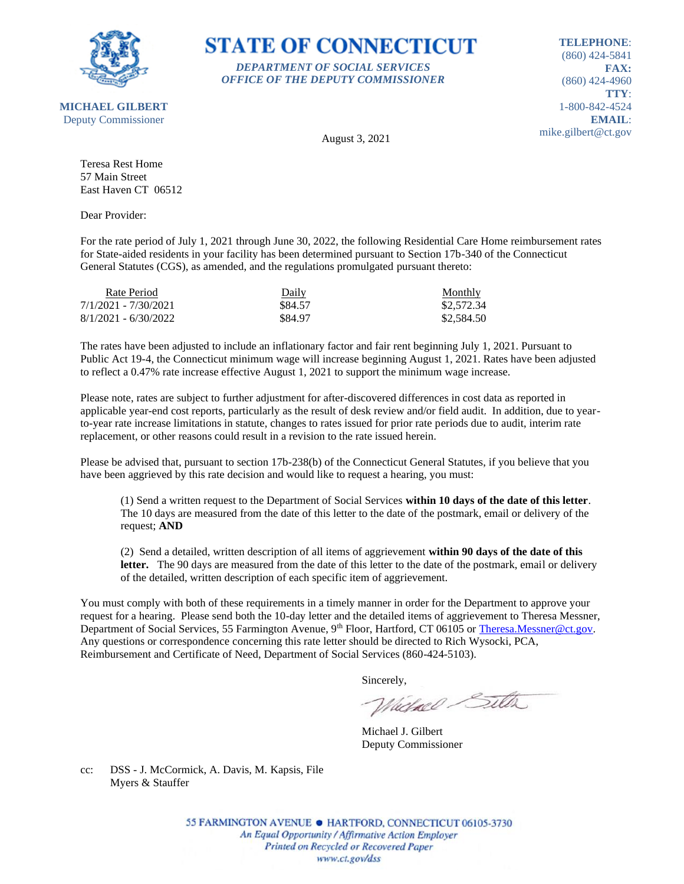

### **STATE OF CONNECTICUT** *DEPARTMENT OF SOCIAL SERVICES*

*OFFICE OF THE DEPUTY COMMISSIONER*

**TELEPHONE**: (860) 424-5841 **FAX:** (860) 424-4960 **TTY**: 1-800-842-4524 **EMAIL**: mike.gilbert@ct.gov

August 3, 2021

Teresa Rest Home 57 Main Street East Haven CT 06512

Dear Provider:

For the rate period of July 1, 2021 through June 30, 2022, the following Residential Care Home reimbursement rates for State-aided residents in your facility has been determined pursuant to Section 17b-340 of the Connecticut General Statutes (CGS), as amended, and the regulations promulgated pursuant thereto:

| Rate Period            | Daily   | Monthly    |
|------------------------|---------|------------|
| 7/1/2021 - 7/30/2021   | \$84.57 | \$2,572.34 |
| $8/1/2021 - 6/30/2022$ | \$84.97 | \$2,584.50 |

The rates have been adjusted to include an inflationary factor and fair rent beginning July 1, 2021. Pursuant to Public Act 19-4, the Connecticut minimum wage will increase beginning August 1, 2021. Rates have been adjusted to reflect a 0.47% rate increase effective August 1, 2021 to support the minimum wage increase.

Please note, rates are subject to further adjustment for after-discovered differences in cost data as reported in applicable year-end cost reports, particularly as the result of desk review and/or field audit. In addition, due to yearto-year rate increase limitations in statute, changes to rates issued for prior rate periods due to audit, interim rate replacement, or other reasons could result in a revision to the rate issued herein.

Please be advised that, pursuant to section 17b-238(b) of the Connecticut General Statutes, if you believe that you have been aggrieved by this rate decision and would like to request a hearing, you must:

(1) Send a written request to the Department of Social Services **within 10 days of the date of this letter**. The 10 days are measured from the date of this letter to the date of the postmark, email or delivery of the request; **AND**

(2) Send a detailed, written description of all items of aggrievement **within 90 days of the date of this letter.** The 90 days are measured from the date of this letter to the date of the postmark, email or delivery of the detailed, written description of each specific item of aggrievement.

You must comply with both of these requirements in a timely manner in order for the Department to approve your request for a hearing. Please send both the 10-day letter and the detailed items of aggrievement to Theresa Messner, Department of Social Services, 55 Farmington Avenue, 9<sup>th</sup> Floor, Hartford, CT 06105 or [Theresa.Messner@ct.gov.](mailto:Theresa.Messner@ct.gov) Any questions or correspondence concerning this rate letter should be directed to Rich Wysocki, PCA, Reimbursement and Certificate of Need, Department of Social Services (860-424-5103).

Sincerely,

Victorel Sitter

Michael J. Gilbert Deputy Commissioner

cc: DSS - J. McCormick, A. Davis, M. Kapsis, File Myers & Stauffer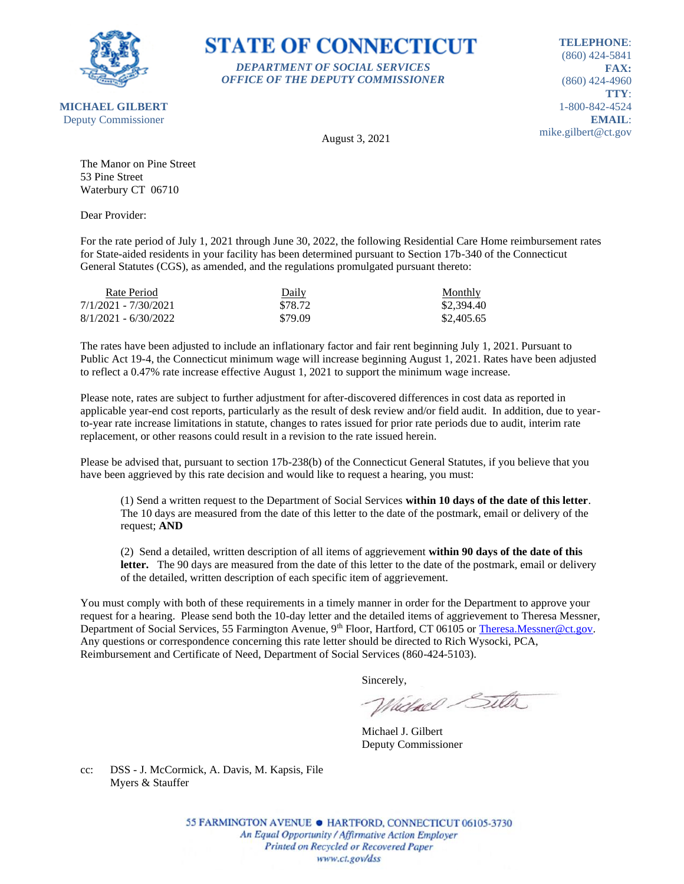

**MICHAEL GILBERT**

**STATE OF CONNECTICUT** *DEPARTMENT OF SOCIAL SERVICES*

*OFFICE OF THE DEPUTY COMMISSIONER*

**TELEPHONE**: (860) 424-5841 **FAX:** (860) 424-4960 **TTY**: 1-800-842-4524 **EMAIL**: mike.gilbert@ct.gov

Deputy Commissioner

August 3, 2021

The Manor on Pine Street 53 Pine Street Waterbury CT 06710

Dear Provider:

For the rate period of July 1, 2021 through June 30, 2022, the following Residential Care Home reimbursement rates for State-aided residents in your facility has been determined pursuant to Section 17b-340 of the Connecticut General Statutes (CGS), as amended, and the regulations promulgated pursuant thereto:

| Rate Period            | Daily   | Monthly    |
|------------------------|---------|------------|
| 7/1/2021 - 7/30/2021   | \$78.72 | \$2,394.40 |
| $8/1/2021 - 6/30/2022$ | \$79.09 | \$2,405.65 |

The rates have been adjusted to include an inflationary factor and fair rent beginning July 1, 2021. Pursuant to Public Act 19-4, the Connecticut minimum wage will increase beginning August 1, 2021. Rates have been adjusted to reflect a 0.47% rate increase effective August 1, 2021 to support the minimum wage increase.

Please note, rates are subject to further adjustment for after-discovered differences in cost data as reported in applicable year-end cost reports, particularly as the result of desk review and/or field audit. In addition, due to yearto-year rate increase limitations in statute, changes to rates issued for prior rate periods due to audit, interim rate replacement, or other reasons could result in a revision to the rate issued herein.

Please be advised that, pursuant to section 17b-238(b) of the Connecticut General Statutes, if you believe that you have been aggrieved by this rate decision and would like to request a hearing, you must:

(1) Send a written request to the Department of Social Services **within 10 days of the date of this letter**. The 10 days are measured from the date of this letter to the date of the postmark, email or delivery of the request; **AND**

(2) Send a detailed, written description of all items of aggrievement **within 90 days of the date of this**  letter. The 90 days are measured from the date of this letter to the date of the postmark, email or delivery of the detailed, written description of each specific item of aggrievement.

You must comply with both of these requirements in a timely manner in order for the Department to approve your request for a hearing. Please send both the 10-day letter and the detailed items of aggrievement to Theresa Messner, Department of Social Services, 55 Farmington Avenue, 9<sup>th</sup> Floor, Hartford, CT 06105 or [Theresa.Messner@ct.gov.](mailto:Theresa.Messner@ct.gov) Any questions or correspondence concerning this rate letter should be directed to Rich Wysocki, PCA, Reimbursement and Certificate of Need, Department of Social Services (860-424-5103).

Sincerely,

Victorel Sitter

Michael J. Gilbert Deputy Commissioner

cc: DSS - J. McCormick, A. Davis, M. Kapsis, File Myers & Stauffer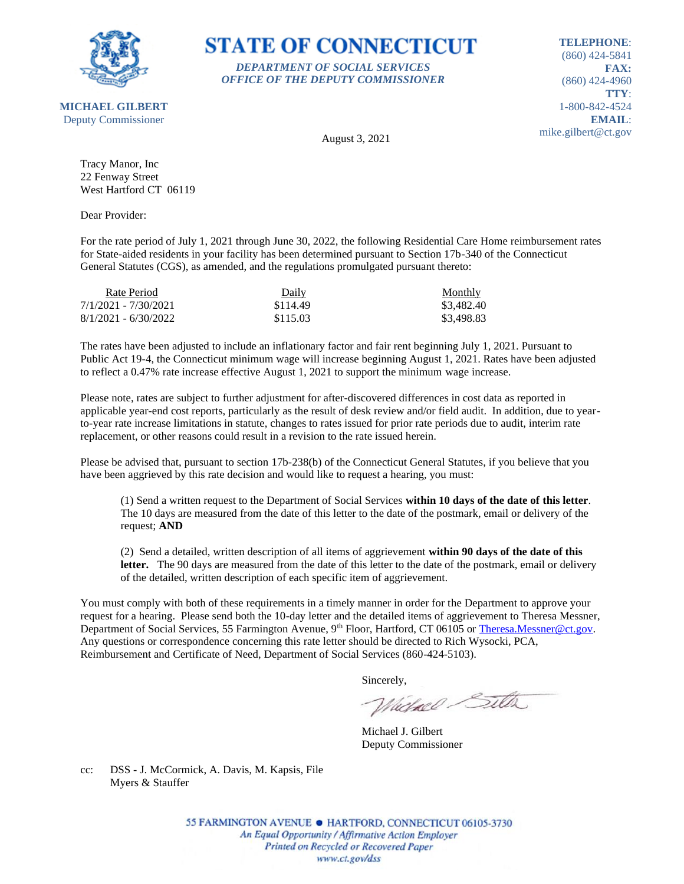

### **STATE OF CONNECTICUT** *DEPARTMENT OF SOCIAL SERVICES*

*OFFICE OF THE DEPUTY COMMISSIONER*

**TELEPHONE**: (860) 424-5841 **FAX:** (860) 424-4960 **TTY**: 1-800-842-4524 **EMAIL**: mike.gilbert@ct.gov

August 3, 2021

Tracy Manor, Inc 22 Fenway Street West Hartford CT 06119

Dear Provider:

For the rate period of July 1, 2021 through June 30, 2022, the following Residential Care Home reimbursement rates for State-aided residents in your facility has been determined pursuant to Section 17b-340 of the Connecticut General Statutes (CGS), as amended, and the regulations promulgated pursuant thereto:

| Rate Period            | Daily    | Monthly    |
|------------------------|----------|------------|
| 7/1/2021 - 7/30/2021   | \$114.49 | \$3,482.40 |
| $8/1/2021 - 6/30/2022$ | \$115.03 | \$3,498.83 |

The rates have been adjusted to include an inflationary factor and fair rent beginning July 1, 2021. Pursuant to Public Act 19-4, the Connecticut minimum wage will increase beginning August 1, 2021. Rates have been adjusted to reflect a 0.47% rate increase effective August 1, 2021 to support the minimum wage increase.

Please note, rates are subject to further adjustment for after-discovered differences in cost data as reported in applicable year-end cost reports, particularly as the result of desk review and/or field audit. In addition, due to yearto-year rate increase limitations in statute, changes to rates issued for prior rate periods due to audit, interim rate replacement, or other reasons could result in a revision to the rate issued herein.

Please be advised that, pursuant to section 17b-238(b) of the Connecticut General Statutes, if you believe that you have been aggrieved by this rate decision and would like to request a hearing, you must:

(1) Send a written request to the Department of Social Services **within 10 days of the date of this letter**. The 10 days are measured from the date of this letter to the date of the postmark, email or delivery of the request; **AND**

(2) Send a detailed, written description of all items of aggrievement **within 90 days of the date of this**  letter. The 90 days are measured from the date of this letter to the date of the postmark, email or delivery of the detailed, written description of each specific item of aggrievement.

You must comply with both of these requirements in a timely manner in order for the Department to approve your request for a hearing. Please send both the 10-day letter and the detailed items of aggrievement to Theresa Messner, Department of Social Services, 55 Farmington Avenue, 9<sup>th</sup> Floor, Hartford, CT 06105 or [Theresa.Messner@ct.gov.](mailto:Theresa.Messner@ct.gov) Any questions or correspondence concerning this rate letter should be directed to Rich Wysocki, PCA, Reimbursement and Certificate of Need, Department of Social Services (860-424-5103).

Sincerely,

Victorel Sitter

Michael J. Gilbert Deputy Commissioner

cc: DSS - J. McCormick, A. Davis, M. Kapsis, File Myers & Stauffer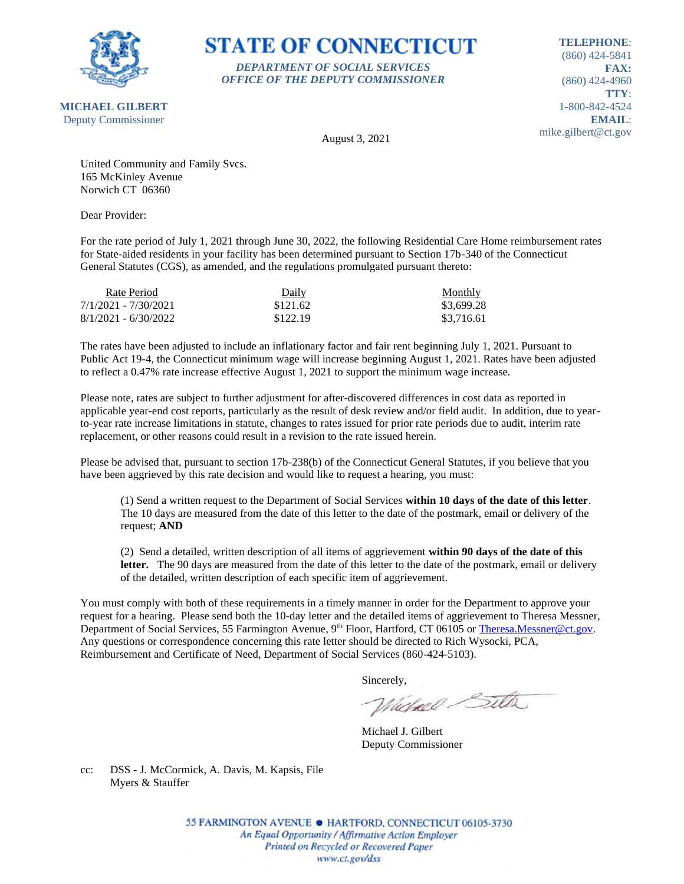

# **STATE OF CONNECTICUT** *DEPARTMENT OF SOCIAL SERVICES*

*OFFICE OF THE DEPUTY COMMISSIONER*

**TELEPHONE**: (860) 424-5841 **FAX:** (860) 424-4960 **TTY**: 1-800-842-4524 **EMAIL**: mike.gilbert@ct.gov

August 3, 2021

United Community and Family Svcs. 165 McKinley Avenue Norwich CT 06360

Dear Provider:

For the rate period of July 1, 2021 through June 30, 2022, the following Residential Care Home reimbursement rates for State-aided residents in your facility has been determined pursuant to Section 17b-340 of the Connecticut General Statutes (CGS), as amended, and the regulations promulgated pursuant thereto:

| Rate Period            | Daily    | Monthly    |
|------------------------|----------|------------|
| 7/1/2021 - 7/30/2021   | \$121.62 | \$3,699.28 |
| $8/1/2021 - 6/30/2022$ | \$122.19 | \$3,716.61 |

The rates have been adjusted to include an inflationary factor and fair rent beginning July 1, 2021. Pursuant to Public Act 19-4, the Connecticut minimum wage will increase beginning August 1, 2021. Rates have been adjusted to reflect a 0.47% rate increase effective August 1, 2021 to support the minimum wage increase.

Please note, rates are subject to further adjustment for after-discovered differences in cost data as reported in applicable year-end cost reports, particularly as the result of desk review and/or field audit. In addition, due to yearto-year rate increase limitations in statute, changes to rates issued for prior rate periods due to audit, interim rate replacement, or other reasons could result in a revision to the rate issued herein.

Please be advised that, pursuant to section 17b-238(b) of the Connecticut General Statutes, if you believe that you have been aggrieved by this rate decision and would like to request a hearing, you must:

(1) Send a written request to the Department of Social Services **within 10 days of the date of this letter**. The 10 days are measured from the date of this letter to the date of the postmark, email or delivery of the request; **AND**

(2) Send a detailed, written description of all items of aggrievement **within 90 days of the date of this**  letter. The 90 days are measured from the date of this letter to the date of the postmark, email or delivery of the detailed, written description of each specific item of aggrievement.

You must comply with both of these requirements in a timely manner in order for the Department to approve your request for a hearing. Please send both the 10-day letter and the detailed items of aggrievement to Theresa Messner, Department of Social Services, 55 Farmington Avenue, 9<sup>th</sup> Floor, Hartford, CT 06105 or [Theresa.Messner@ct.gov.](mailto:Theresa.Messner@ct.gov) Any questions or correspondence concerning this rate letter should be directed to Rich Wysocki, PCA, Reimbursement and Certificate of Need, Department of Social Services (860-424-5103).

Sincerely,

Victorel Sitter

Michael J. Gilbert Deputy Commissioner

cc: DSS - J. McCormick, A. Davis, M. Kapsis, File Myers & Stauffer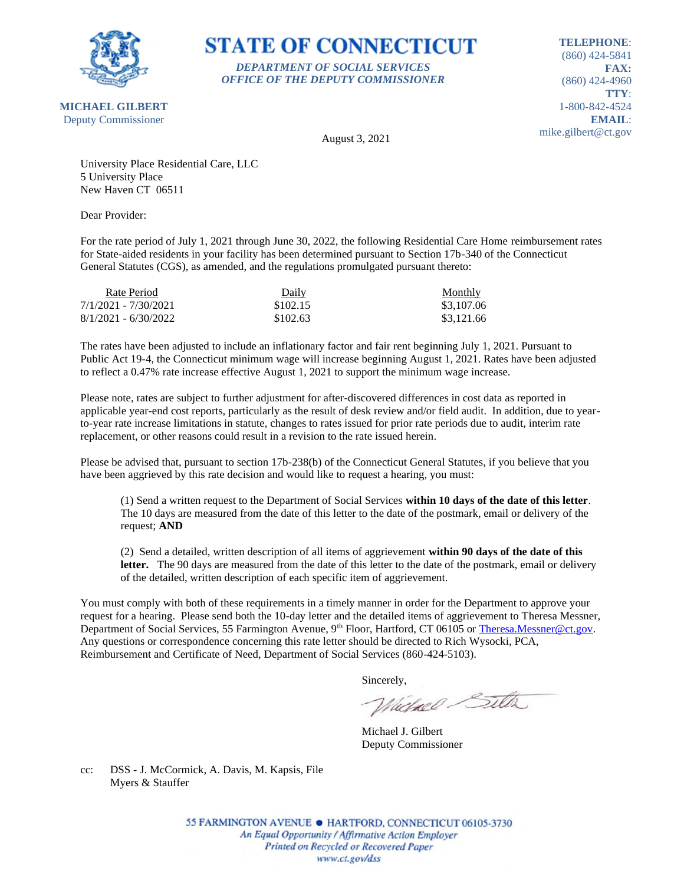

## **STATE OF CONNECTICUT** *DEPARTMENT OF SOCIAL SERVICES*

*OFFICE OF THE DEPUTY COMMISSIONER*

**TELEPHONE**: (860) 424-5841 **FAX:** (860) 424-4960 **TTY**: 1-800-842-4524 **EMAIL**: mike.gilbert@ct.gov

August 3, 2021

University Place Residential Care, LLC 5 University Place New Haven CT 06511

Dear Provider:

For the rate period of July 1, 2021 through June 30, 2022, the following Residential Care Home reimbursement rates for State-aided residents in your facility has been determined pursuant to Section 17b-340 of the Connecticut General Statutes (CGS), as amended, and the regulations promulgated pursuant thereto:

| Rate Period            | Daily    | Monthly    |
|------------------------|----------|------------|
| 7/1/2021 - 7/30/2021   | \$102.15 | \$3,107.06 |
| $8/1/2021 - 6/30/2022$ | \$102.63 | \$3,121.66 |

The rates have been adjusted to include an inflationary factor and fair rent beginning July 1, 2021. Pursuant to Public Act 19-4, the Connecticut minimum wage will increase beginning August 1, 2021. Rates have been adjusted to reflect a 0.47% rate increase effective August 1, 2021 to support the minimum wage increase.

Please note, rates are subject to further adjustment for after-discovered differences in cost data as reported in applicable year-end cost reports, particularly as the result of desk review and/or field audit. In addition, due to yearto-year rate increase limitations in statute, changes to rates issued for prior rate periods due to audit, interim rate replacement, or other reasons could result in a revision to the rate issued herein.

Please be advised that, pursuant to section 17b-238(b) of the Connecticut General Statutes, if you believe that you have been aggrieved by this rate decision and would like to request a hearing, you must:

(1) Send a written request to the Department of Social Services **within 10 days of the date of this letter**. The 10 days are measured from the date of this letter to the date of the postmark, email or delivery of the request; **AND**

(2) Send a detailed, written description of all items of aggrievement **within 90 days of the date of this**  letter. The 90 days are measured from the date of this letter to the date of the postmark, email or delivery of the detailed, written description of each specific item of aggrievement.

You must comply with both of these requirements in a timely manner in order for the Department to approve your request for a hearing. Please send both the 10-day letter and the detailed items of aggrievement to Theresa Messner, Department of Social Services, 55 Farmington Avenue, 9<sup>th</sup> Floor, Hartford, CT 06105 or [Theresa.Messner@ct.gov.](mailto:Theresa.Messner@ct.gov) Any questions or correspondence concerning this rate letter should be directed to Rich Wysocki, PCA, Reimbursement and Certificate of Need, Department of Social Services (860-424-5103).

Sincerely,

Victorel Sitter

Michael J. Gilbert Deputy Commissioner

cc: DSS - J. McCormick, A. Davis, M. Kapsis, File Myers & Stauffer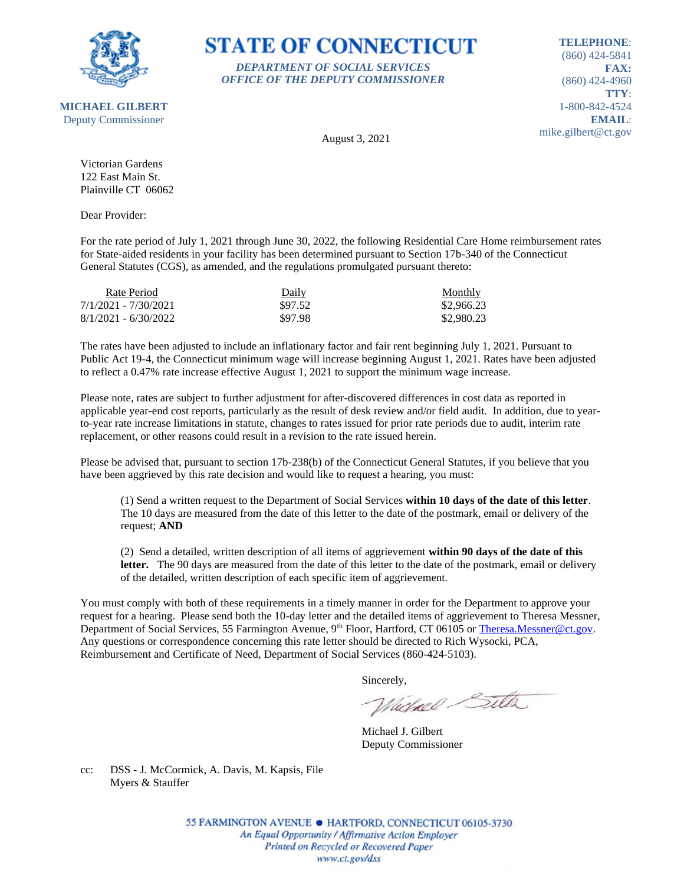

### **STATE OF CONNECTICUT** *DEPARTMENT OF SOCIAL SERVICES*

*OFFICE OF THE DEPUTY COMMISSIONER*

**TELEPHONE**: (860) 424-5841 **FAX:** (860) 424-4960 **TTY**: 1-800-842-4524 **EMAIL**: mike.gilbert@ct.gov

August 3, 2021

Victorian Gardens 122 East Main St. Plainville CT 06062

Dear Provider:

For the rate period of July 1, 2021 through June 30, 2022, the following Residential Care Home reimbursement rates for State-aided residents in your facility has been determined pursuant to Section 17b-340 of the Connecticut General Statutes (CGS), as amended, and the regulations promulgated pursuant thereto:

| Rate Period            | Daily   | <b>Monthly</b> |
|------------------------|---------|----------------|
| 7/1/2021 - 7/30/2021   | \$97.52 | \$2,966.23     |
| $8/1/2021 - 6/30/2022$ | \$97.98 | \$2,980.23     |

The rates have been adjusted to include an inflationary factor and fair rent beginning July 1, 2021. Pursuant to Public Act 19-4, the Connecticut minimum wage will increase beginning August 1, 2021. Rates have been adjusted to reflect a 0.47% rate increase effective August 1, 2021 to support the minimum wage increase.

Please note, rates are subject to further adjustment for after-discovered differences in cost data as reported in applicable year-end cost reports, particularly as the result of desk review and/or field audit. In addition, due to yearto-year rate increase limitations in statute, changes to rates issued for prior rate periods due to audit, interim rate replacement, or other reasons could result in a revision to the rate issued herein.

Please be advised that, pursuant to section 17b-238(b) of the Connecticut General Statutes, if you believe that you have been aggrieved by this rate decision and would like to request a hearing, you must:

(1) Send a written request to the Department of Social Services **within 10 days of the date of this letter**. The 10 days are measured from the date of this letter to the date of the postmark, email or delivery of the request; **AND**

(2) Send a detailed, written description of all items of aggrievement **within 90 days of the date of this**  letter. The 90 days are measured from the date of this letter to the date of the postmark, email or delivery of the detailed, written description of each specific item of aggrievement.

You must comply with both of these requirements in a timely manner in order for the Department to approve your request for a hearing. Please send both the 10-day letter and the detailed items of aggrievement to Theresa Messner, Department of Social Services, 55 Farmington Avenue, 9<sup>th</sup> Floor, Hartford, CT 06105 or [Theresa.Messner@ct.gov.](mailto:Theresa.Messner@ct.gov) Any questions or correspondence concerning this rate letter should be directed to Rich Wysocki, PCA, Reimbursement and Certificate of Need, Department of Social Services (860-424-5103).

Sincerely,

Victorel Sitter

Michael J. Gilbert Deputy Commissioner

cc: DSS - J. McCormick, A. Davis, M. Kapsis, File Myers & Stauffer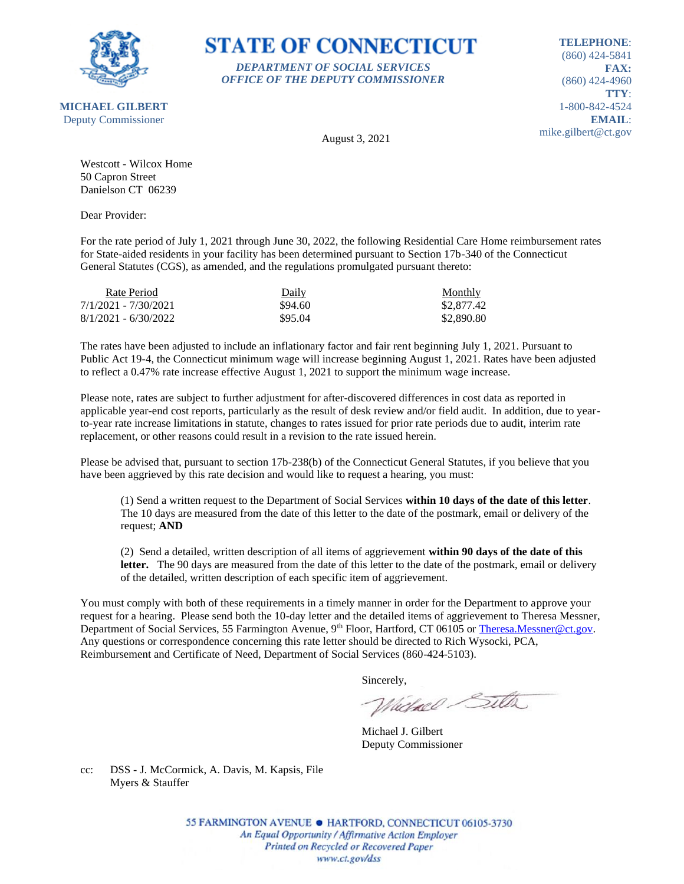

## **STATE OF CONNECTICUT** *DEPARTMENT OF SOCIAL SERVICES*

*OFFICE OF THE DEPUTY COMMISSIONER*

**TELEPHONE**: (860) 424-5841 **FAX:** (860) 424-4960 **TTY**: 1-800-842-4524 **EMAIL**: mike.gilbert@ct.gov

August 3, 2021

Westcott - Wilcox Home 50 Capron Street Danielson CT 06239

Dear Provider:

For the rate period of July 1, 2021 through June 30, 2022, the following Residential Care Home reimbursement rates for State-aided residents in your facility has been determined pursuant to Section 17b-340 of the Connecticut General Statutes (CGS), as amended, and the regulations promulgated pursuant thereto:

| Rate Period            | Daily   | Monthly    |
|------------------------|---------|------------|
| 7/1/2021 - 7/30/2021   | \$94.60 | \$2,877.42 |
| $8/1/2021 - 6/30/2022$ | \$95.04 | \$2,890.80 |

The rates have been adjusted to include an inflationary factor and fair rent beginning July 1, 2021. Pursuant to Public Act 19-4, the Connecticut minimum wage will increase beginning August 1, 2021. Rates have been adjusted to reflect a 0.47% rate increase effective August 1, 2021 to support the minimum wage increase.

Please note, rates are subject to further adjustment for after-discovered differences in cost data as reported in applicable year-end cost reports, particularly as the result of desk review and/or field audit. In addition, due to yearto-year rate increase limitations in statute, changes to rates issued for prior rate periods due to audit, interim rate replacement, or other reasons could result in a revision to the rate issued herein.

Please be advised that, pursuant to section 17b-238(b) of the Connecticut General Statutes, if you believe that you have been aggrieved by this rate decision and would like to request a hearing, you must:

(1) Send a written request to the Department of Social Services **within 10 days of the date of this letter**. The 10 days are measured from the date of this letter to the date of the postmark, email or delivery of the request; **AND**

(2) Send a detailed, written description of all items of aggrievement **within 90 days of the date of this**  letter. The 90 days are measured from the date of this letter to the date of the postmark, email or delivery of the detailed, written description of each specific item of aggrievement.

You must comply with both of these requirements in a timely manner in order for the Department to approve your request for a hearing. Please send both the 10-day letter and the detailed items of aggrievement to Theresa Messner, Department of Social Services, 55 Farmington Avenue, 9<sup>th</sup> Floor, Hartford, CT 06105 or [Theresa.Messner@ct.gov.](mailto:Theresa.Messner@ct.gov) Any questions or correspondence concerning this rate letter should be directed to Rich Wysocki, PCA, Reimbursement and Certificate of Need, Department of Social Services (860-424-5103).

Sincerely,

Victorel Sitter

Michael J. Gilbert Deputy Commissioner

cc: DSS - J. McCormick, A. Davis, M. Kapsis, File Myers & Stauffer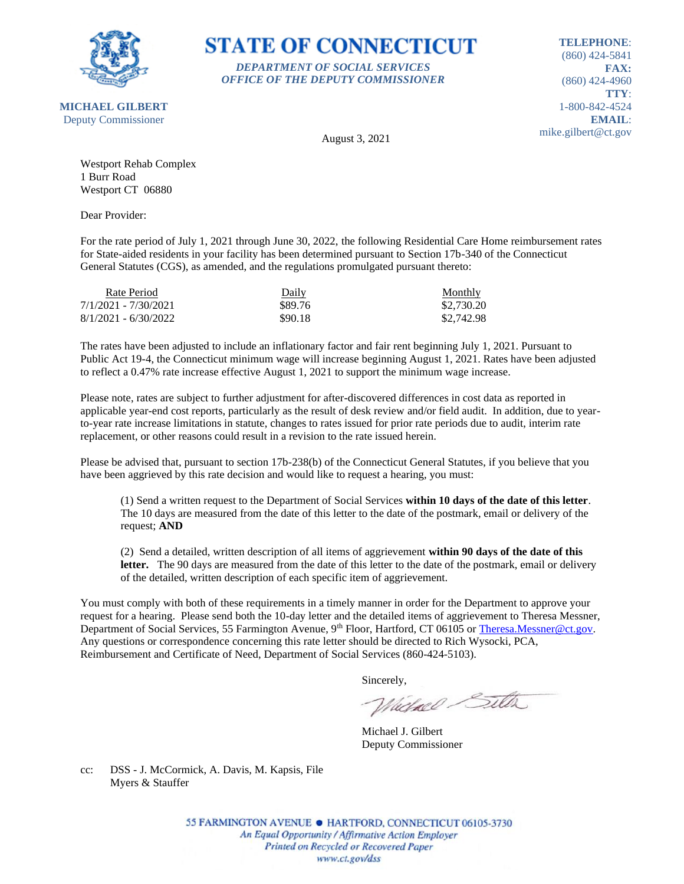

#### **STATE OF CONNECTICUT** *DEPARTMENT OF SOCIAL SERVICES*

*OFFICE OF THE DEPUTY COMMISSIONER*

**TELEPHONE**: (860) 424-5841 **FAX:** (860) 424-4960 **TTY**: 1-800-842-4524 **EMAIL**: mike.gilbert@ct.gov

August 3, 2021

Westport Rehab Complex 1 Burr Road Westport CT 06880

Dear Provider:

For the rate period of July 1, 2021 through June 30, 2022, the following Residential Care Home reimbursement rates for State-aided residents in your facility has been determined pursuant to Section 17b-340 of the Connecticut General Statutes (CGS), as amended, and the regulations promulgated pursuant thereto:

| Rate Period            | Daily   | <b>Monthly</b> |
|------------------------|---------|----------------|
| 7/1/2021 - 7/30/2021   | \$89.76 | \$2,730.20     |
| $8/1/2021 - 6/30/2022$ | \$90.18 | \$2,742.98     |

The rates have been adjusted to include an inflationary factor and fair rent beginning July 1, 2021. Pursuant to Public Act 19-4, the Connecticut minimum wage will increase beginning August 1, 2021. Rates have been adjusted to reflect a 0.47% rate increase effective August 1, 2021 to support the minimum wage increase.

Please note, rates are subject to further adjustment for after-discovered differences in cost data as reported in applicable year-end cost reports, particularly as the result of desk review and/or field audit. In addition, due to yearto-year rate increase limitations in statute, changes to rates issued for prior rate periods due to audit, interim rate replacement, or other reasons could result in a revision to the rate issued herein.

Please be advised that, pursuant to section 17b-238(b) of the Connecticut General Statutes, if you believe that you have been aggrieved by this rate decision and would like to request a hearing, you must:

(1) Send a written request to the Department of Social Services **within 10 days of the date of this letter**. The 10 days are measured from the date of this letter to the date of the postmark, email or delivery of the request; **AND**

(2) Send a detailed, written description of all items of aggrievement **within 90 days of the date of this**  letter. The 90 days are measured from the date of this letter to the date of the postmark, email or delivery of the detailed, written description of each specific item of aggrievement.

You must comply with both of these requirements in a timely manner in order for the Department to approve your request for a hearing. Please send both the 10-day letter and the detailed items of aggrievement to Theresa Messner, Department of Social Services, 55 Farmington Avenue, 9<sup>th</sup> Floor, Hartford, CT 06105 or [Theresa.Messner@ct.gov.](mailto:Theresa.Messner@ct.gov) Any questions or correspondence concerning this rate letter should be directed to Rich Wysocki, PCA, Reimbursement and Certificate of Need, Department of Social Services (860-424-5103).

Sincerely,

Victorel Sitter

Michael J. Gilbert Deputy Commissioner

cc: DSS - J. McCormick, A. Davis, M. Kapsis, File Myers & Stauffer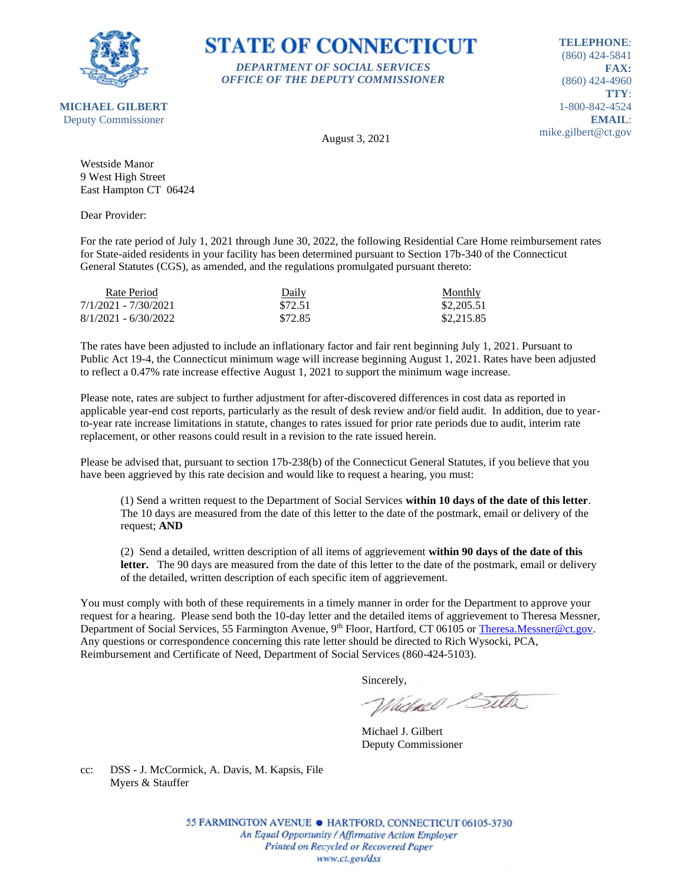

### **STATE OF CONNECTICUT** *DEPARTMENT OF SOCIAL SERVICES*

*OFFICE OF THE DEPUTY COMMISSIONER*

**TELEPHONE**: (860) 424-5841 **FAX:** (860) 424-4960 **TTY**: 1-800-842-4524 **EMAIL**: mike.gilbert@ct.gov

**MICHAEL GILBERT** Deputy Commissioner

August 3, 2021

Westside Manor 9 West High Street East Hampton CT 06424

Dear Provider:

For the rate period of July 1, 2021 through June 30, 2022, the following Residential Care Home reimbursement rates for State-aided residents in your facility has been determined pursuant to Section 17b-340 of the Connecticut General Statutes (CGS), as amended, and the regulations promulgated pursuant thereto:

| Rate Period            | Daily   | Monthly    |
|------------------------|---------|------------|
| 7/1/2021 - 7/30/2021   | \$72.51 | \$2,205.51 |
| $8/1/2021 - 6/30/2022$ | \$72.85 | \$2,215.85 |

The rates have been adjusted to include an inflationary factor and fair rent beginning July 1, 2021. Pursuant to Public Act 19-4, the Connecticut minimum wage will increase beginning August 1, 2021. Rates have been adjusted to reflect a 0.47% rate increase effective August 1, 2021 to support the minimum wage increase.

Please note, rates are subject to further adjustment for after-discovered differences in cost data as reported in applicable year-end cost reports, particularly as the result of desk review and/or field audit. In addition, due to yearto-year rate increase limitations in statute, changes to rates issued for prior rate periods due to audit, interim rate replacement, or other reasons could result in a revision to the rate issued herein.

Please be advised that, pursuant to section 17b-238(b) of the Connecticut General Statutes, if you believe that you have been aggrieved by this rate decision and would like to request a hearing, you must:

(1) Send a written request to the Department of Social Services **within 10 days of the date of this letter**. The 10 days are measured from the date of this letter to the date of the postmark, email or delivery of the request; **AND**

(2) Send a detailed, written description of all items of aggrievement **within 90 days of the date of this**  letter. The 90 days are measured from the date of this letter to the date of the postmark, email or delivery of the detailed, written description of each specific item of aggrievement.

You must comply with both of these requirements in a timely manner in order for the Department to approve your request for a hearing. Please send both the 10-day letter and the detailed items of aggrievement to Theresa Messner, Department of Social Services, 55 Farmington Avenue, 9<sup>th</sup> Floor, Hartford, CT 06105 or [Theresa.Messner@ct.gov.](mailto:Theresa.Messner@ct.gov) Any questions or correspondence concerning this rate letter should be directed to Rich Wysocki, PCA, Reimbursement and Certificate of Need, Department of Social Services (860-424-5103).

Sincerely,

Victorel Sitter

Michael J. Gilbert Deputy Commissioner

cc: DSS - J. McCormick, A. Davis, M. Kapsis, File Myers & Stauffer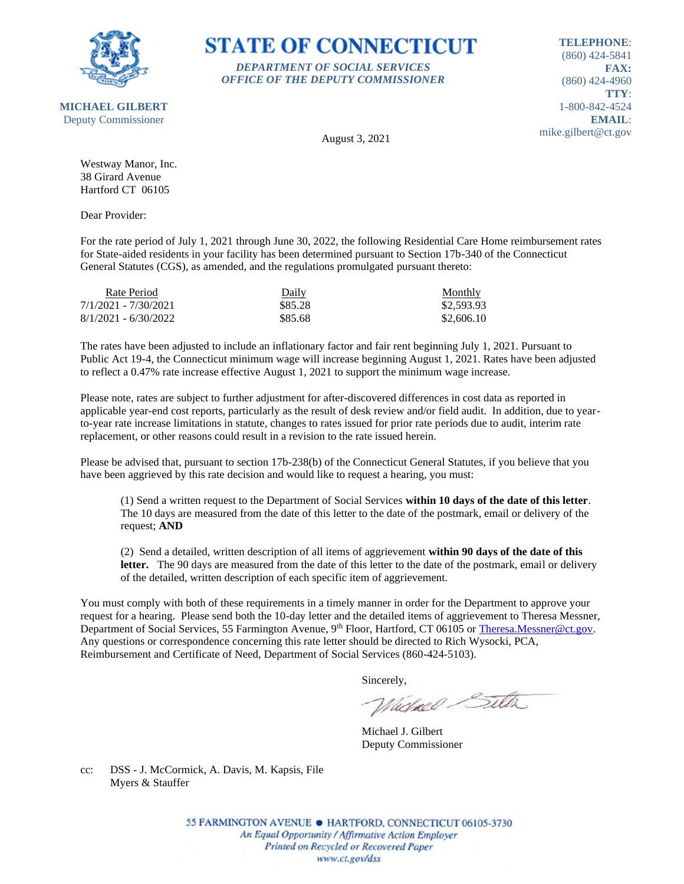

## **STATE OF CONNECTICUT** *DEPARTMENT OF SOCIAL SERVICES*

*OFFICE OF THE DEPUTY COMMISSIONER*

**TELEPHONE**: (860) 424-5841 **FAX:** (860) 424-4960 **TTY**: 1-800-842-4524 **EMAIL**: mike.gilbert@ct.gov

August 3, 2021

Westway Manor, Inc. 38 Girard Avenue Hartford CT 06105

Dear Provider:

For the rate period of July 1, 2021 through June 30, 2022, the following Residential Care Home reimbursement rates for State-aided residents in your facility has been determined pursuant to Section 17b-340 of the Connecticut General Statutes (CGS), as amended, and the regulations promulgated pursuant thereto:

| Rate Period            | Daily   | Monthly    |
|------------------------|---------|------------|
| 7/1/2021 - 7/30/2021   | \$85.28 | \$2,593.93 |
| $8/1/2021 - 6/30/2022$ | \$85.68 | \$2,606.10 |

The rates have been adjusted to include an inflationary factor and fair rent beginning July 1, 2021. Pursuant to Public Act 19-4, the Connecticut minimum wage will increase beginning August 1, 2021. Rates have been adjusted to reflect a 0.47% rate increase effective August 1, 2021 to support the minimum wage increase.

Please note, rates are subject to further adjustment for after-discovered differences in cost data as reported in applicable year-end cost reports, particularly as the result of desk review and/or field audit. In addition, due to yearto-year rate increase limitations in statute, changes to rates issued for prior rate periods due to audit, interim rate replacement, or other reasons could result in a revision to the rate issued herein.

Please be advised that, pursuant to section 17b-238(b) of the Connecticut General Statutes, if you believe that you have been aggrieved by this rate decision and would like to request a hearing, you must:

(1) Send a written request to the Department of Social Services **within 10 days of the date of this letter**. The 10 days are measured from the date of this letter to the date of the postmark, email or delivery of the request; **AND**

(2) Send a detailed, written description of all items of aggrievement **within 90 days of the date of this letter.** The 90 days are measured from the date of this letter to the date of the postmark, email or delivery of the detailed, written description of each specific item of aggrievement.

You must comply with both of these requirements in a timely manner in order for the Department to approve your request for a hearing. Please send both the 10-day letter and the detailed items of aggrievement to Theresa Messner, Department of Social Services, 55 Farmington Avenue, 9<sup>th</sup> Floor, Hartford, CT 06105 or [Theresa.Messner@ct.gov.](mailto:Theresa.Messner@ct.gov) Any questions or correspondence concerning this rate letter should be directed to Rich Wysocki, PCA, Reimbursement and Certificate of Need, Department of Social Services (860-424-5103).

Sincerely,

Victorel Sitter

Michael J. Gilbert Deputy Commissioner

cc: DSS - J. McCormick, A. Davis, M. Kapsis, File Myers & Stauffer